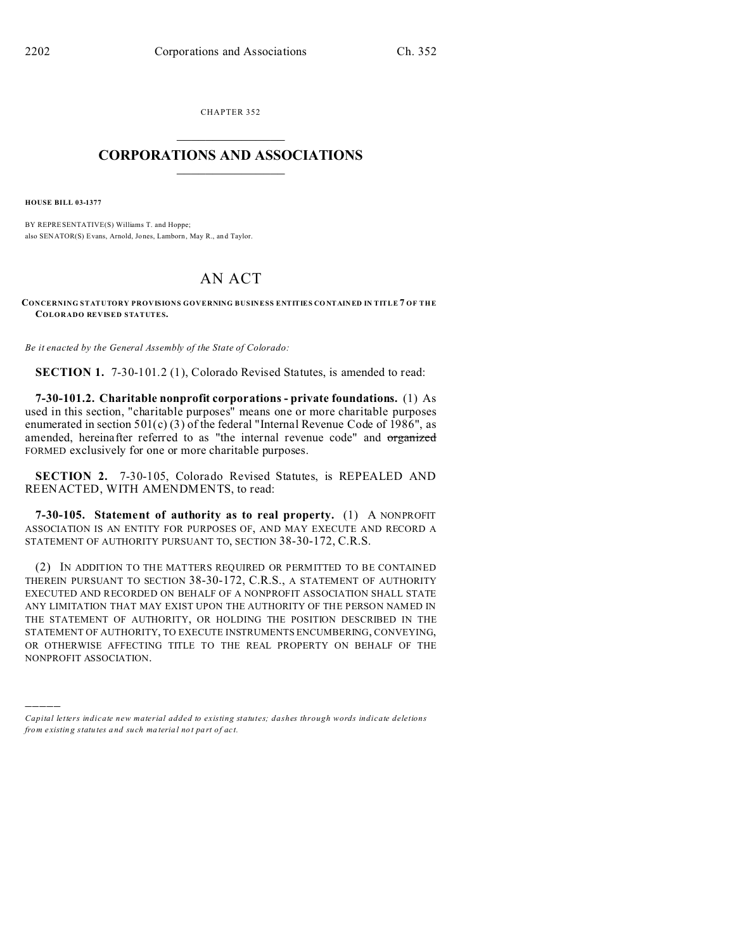CHAPTER 352  $\overline{\phantom{a}}$  , where  $\overline{\phantom{a}}$ 

## **CORPORATIONS AND ASSOCIATIONS**  $\_$   $\_$   $\_$   $\_$   $\_$   $\_$   $\_$   $\_$   $\_$   $\_$

**HOUSE BILL 03-1377**

)))))

BY REPRESENTATIVE(S) Williams T. and Hoppe; also SENATOR(S) Evans, Arnold, Jones, Lamborn , May R., an d Taylor.

## AN ACT

**CONCERNING STATUTORY PROVISIONS GOVERNING BUSINESS ENTITIES CO NTAINED IN TITLE 7 OF THE COLORADO REVISED STATUTES.**

*Be it enacted by the General Assembly of the State of Colorado:*

**SECTION 1.** 7-30-101.2 (1), Colorado Revised Statutes, is amended to read:

**7-30-101.2. Charitable nonprofit corporations - private foundations.** (1) As used in this section, "charitable purposes" means one or more charitable purposes enumerated in section  $501(c)(3)$  of the federal "Internal Revenue Code of 1986", as amended, hereinafter referred to as "the internal revenue code" and organized FORMED exclusively for one or more charitable purposes.

**SECTION 2.** 7-30-105, Colorado Revised Statutes, is REPEALED AND REENACTED, WITH AMENDMENTS, to read:

**7-30-105. Statement of authority as to real property.** (1) A NONPROFIT ASSOCIATION IS AN ENTITY FOR PURPOSES OF, AND MAY EXECUTE AND RECORD A STATEMENT OF AUTHORITY PURSUANT TO, SECTION 38-30-172, C.R.S.

(2) IN ADDITION TO THE MATTERS REQUIRED OR PERMITTED TO BE CONTAINED THEREIN PURSUANT TO SECTION 38-30-172, C.R.S., A STATEMENT OF AUTHORITY EXECUTED AND RECORDED ON BEHALF OF A NONPROFIT ASSOCIATION SHALL STATE ANY LIMITATION THAT MAY EXIST UPON THE AUTHORITY OF THE PERSON NAMED IN THE STATEMENT OF AUTHORITY, OR HOLDING THE POSITION DESCRIBED IN THE STATEMENT OF AUTHORITY, TO EXECUTE INSTRUMENTS ENCUMBERING, CONVEYING, OR OTHERWISE AFFECTING TITLE TO THE REAL PROPERTY ON BEHALF OF THE NONPROFIT ASSOCIATION.

*Capital letters indicate new material added to existing statutes; dashes through words indicate deletions from e xistin g statu tes a nd such ma teria l no t pa rt of ac t.*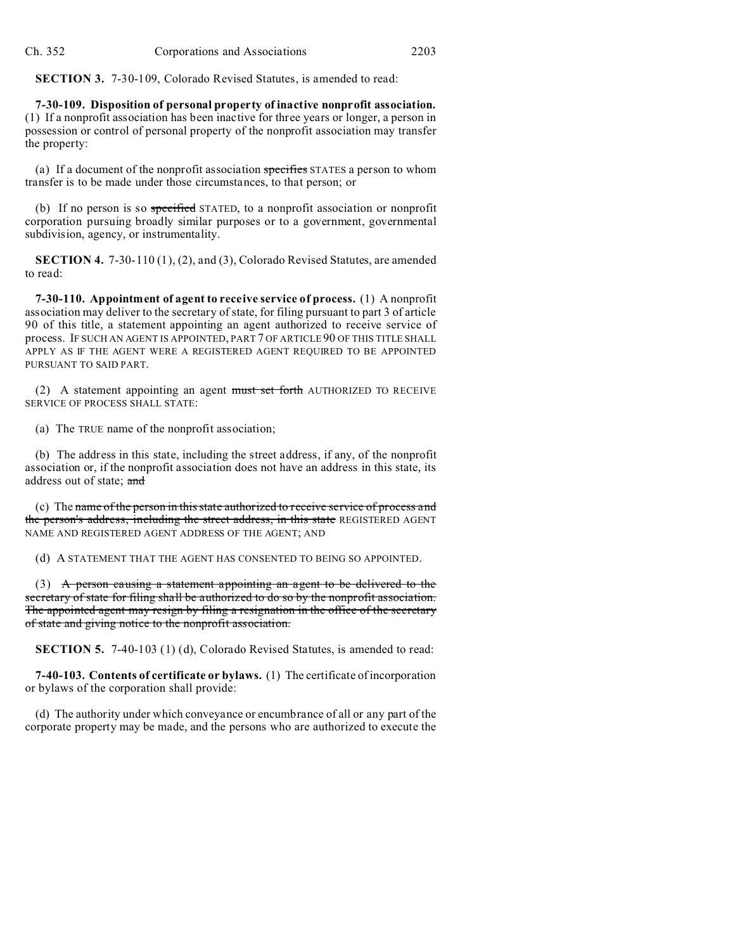**SECTION 3.** 7-30-109, Colorado Revised Statutes, is amended to read:

**7-30-109. Disposition of personal property of inactive nonprofit association.** (1) If a nonprofit association has been inactive for three years or longer, a person in possession or control of personal property of the nonprofit association may transfer the property:

(a) If a document of the nonprofit association specifies STATES a person to whom transfer is to be made under those circumstances, to that person; or

(b) If no person is so specified STATED, to a nonprofit association or nonprofit corporation pursuing broadly similar purposes or to a government, governmental subdivision, agency, or instrumentality.

**SECTION 4.** 7-30-110 (1), (2), and (3), Colorado Revised Statutes, are amended to read:

**7-30-110. Appointment of agent to receive service of process.** (1) A nonprofit association may deliver to the secretary of state, for filing pursuant to part 3 of article 90 of this title, a statement appointing an agent authorized to receive service of process. IF SUCH AN AGENT IS APPOINTED, PART 7 OF ARTICLE 90 OF THIS TITLE SHALL APPLY AS IF THE AGENT WERE A REGISTERED AGENT REQUIRED TO BE APPOINTED PURSUANT TO SAID PART.

(2) A statement appointing an agent must set forth AUTHORIZED TO RECEIVE SERVICE OF PROCESS SHALL STATE:

(a) The TRUE name of the nonprofit association;

(b) The address in this state, including the street address, if any, of the nonprofit association or, if the nonprofit association does not have an address in this state, its address out of state; and

(c) The name of the person in this state authorized to receive service of process and the person's address, including the street address, in this state REGISTERED AGENT NAME AND REGISTERED AGENT ADDRESS OF THE AGENT; AND

(d) A STATEMENT THAT THE AGENT HAS CONSENTED TO BEING SO APPOINTED.

(3) A person causing a statement appointing an agent to be delivered to the secretary of state for filing shall be authorized to do so by the nonprofit association. The appointed agent may resign by filing a resignation in the office of the secretary of state and giving notice to the nonprofit association.

**SECTION 5.** 7-40-103 (1) (d), Colorado Revised Statutes, is amended to read:

**7-40-103. Contents of certificate or bylaws.** (1) The certificate of incorporation or bylaws of the corporation shall provide:

(d) The authority under which conveyance or encumbrance of all or any part of the corporate property may be made, and the persons who are authorized to execute the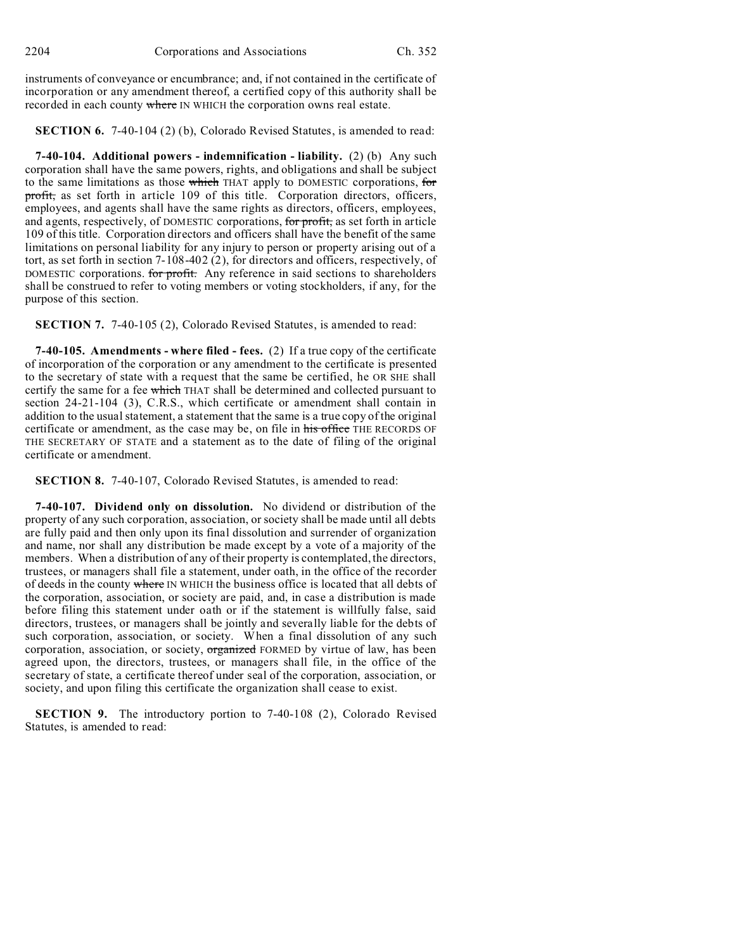instruments of conveyance or encumbrance; and, if not contained in the certificate of incorporation or any amendment thereof, a certified copy of this authority shall be recorded in each county where IN WHICH the corporation owns real estate.

**SECTION 6.** 7-40-104 (2) (b), Colorado Revised Statutes, is amended to read:

**7-40-104. Additional powers - indemnification - liability.** (2) (b) Any such corporation shall have the same powers, rights, and obligations and shall be subject to the same limitations as those which THAT apply to DOMESTIC corporations, for profit, as set forth in article 109 of this title. Corporation directors, officers, employees, and agents shall have the same rights as directors, officers, employees, and agents, respectively, of DOMESTIC corporations, for profit, as set forth in article 109 of this title. Corporation directors and officers shall have the benefit of the same limitations on personal liability for any injury to person or property arising out of a tort, as set forth in section 7-108-402 (2), for directors and officers, respectively, of DOMESTIC corporations. for profit. Any reference in said sections to shareholders shall be construed to refer to voting members or voting stockholders, if any, for the purpose of this section.

**SECTION 7.** 7-40-105 (2), Colorado Revised Statutes, is amended to read:

**7-40-105. Amendments - where filed - fees.** (2) If a true copy of the certificate of incorporation of the corporation or any amendment to the certificate is presented to the secretary of state with a request that the same be certified, he OR SHE shall certify the same for a fee which THAT shall be determined and collected pursuant to section 24-21-104 (3), C.R.S., which certificate or amendment shall contain in addition to the usual statement, a statement that the same is a true copy of the original certificate or amendment, as the case may be, on file in his office THE RECORDS OF THE SECRETARY OF STATE and a statement as to the date of filing of the original certificate or amendment.

**SECTION 8.** 7-40-107, Colorado Revised Statutes, is amended to read:

**7-40-107. Dividend only on dissolution.** No dividend or distribution of the property of any such corporation, association, or society shall be made until all debts are fully paid and then only upon its final dissolution and surrender of organization and name, nor shall any distribution be made except by a vote of a majority of the members. When a distribution of any of their property is contemplated, the directors, trustees, or managers shall file a statement, under oath, in the office of the recorder of deeds in the county where IN WHICH the business office is located that all debts of the corporation, association, or society are paid, and, in case a distribution is made before filing this statement under oath or if the statement is willfully false, said directors, trustees, or managers shall be jointly and severally liable for the debts of such corporation, association, or society. When a final dissolution of any such corporation, association, or society, organized FORMED by virtue of law, has been agreed upon, the directors, trustees, or managers shall file, in the office of the secretary of state, a certificate thereof under seal of the corporation, association, or society, and upon filing this certificate the organization shall cease to exist.

**SECTION 9.** The introductory portion to 7-40-108 (2), Colorado Revised Statutes, is amended to read: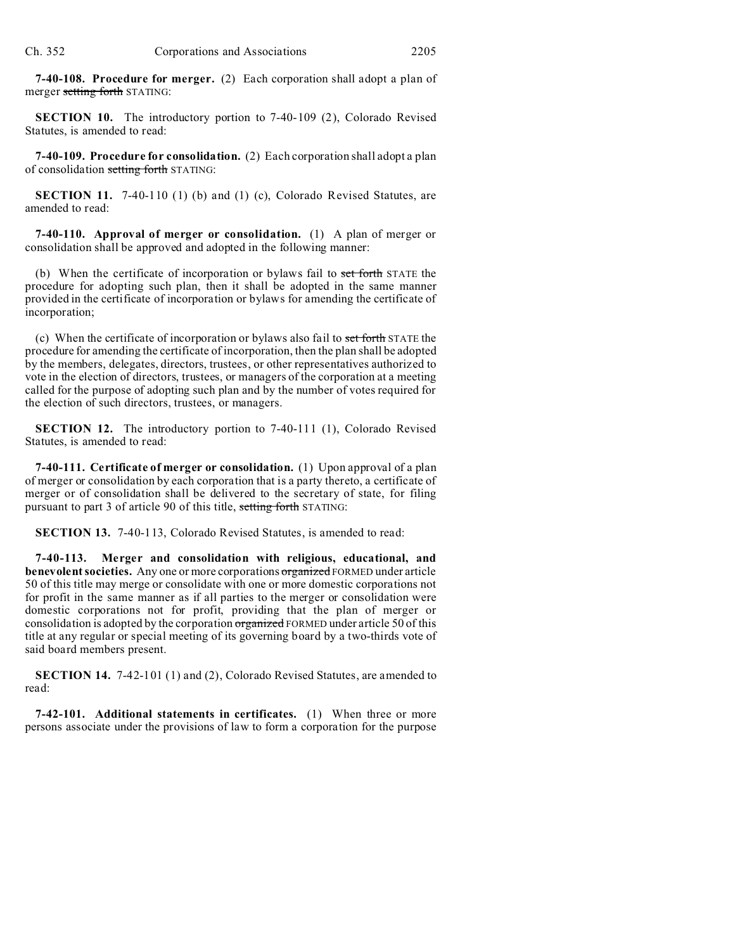**7-40-108. Procedure for merger.** (2) Each corporation shall adopt a plan of merger setting forth STATING:

**SECTION 10.** The introductory portion to 7-40-109 (2), Colorado Revised Statutes, is amended to read:

**7-40-109. Procedure for consolidation.** (2) Each corporation shall adopt a plan of consolidation setting forth STATING:

**SECTION 11.** 7-40-110 (1) (b) and (1) (c), Colorado Revised Statutes, are amended to read:

**7-40-110. Approval of merger or consolidation.** (1) A plan of merger or consolidation shall be approved and adopted in the following manner:

(b) When the certificate of incorporation or bylaws fail to set forth STATE the procedure for adopting such plan, then it shall be adopted in the same manner provided in the certificate of incorporation or bylaws for amending the certificate of incorporation;

(c) When the certificate of incorporation or bylaws also fail to set forth STATE the procedure for amending the certificate of incorporation, then the plan shall be adopted by the members, delegates, directors, trustees, or other representatives authorized to vote in the election of directors, trustees, or managers of the corporation at a meeting called for the purpose of adopting such plan and by the number of votes required for the election of such directors, trustees, or managers.

**SECTION 12.** The introductory portion to 7-40-111 (1), Colorado Revised Statutes, is amended to read:

**7-40-111. Certificate of merger or consolidation.** (1) Upon approval of a plan of merger or consolidation by each corporation that is a party thereto, a certificate of merger or of consolidation shall be delivered to the secretary of state, for filing pursuant to part 3 of article 90 of this title, setting forth STATING:

**SECTION 13.** 7-40-113, Colorado Revised Statutes, is amended to read:

**7-40-113. Merger and consolidation with religious, educational, and benevolent societies.** Any one or more corporations organized FORMED under article 50 of this title may merge or consolidate with one or more domestic corporations not for profit in the same manner as if all parties to the merger or consolidation were domestic corporations not for profit, providing that the plan of merger or consolidation is adopted by the corporation organized FORMED under article 50 of this title at any regular or special meeting of its governing board by a two-thirds vote of said board members present.

**SECTION 14.** 7-42-101 (1) and (2), Colorado Revised Statutes, are amended to read:

**7-42-101. Additional statements in certificates.** (1) When three or more persons associate under the provisions of law to form a corporation for the purpose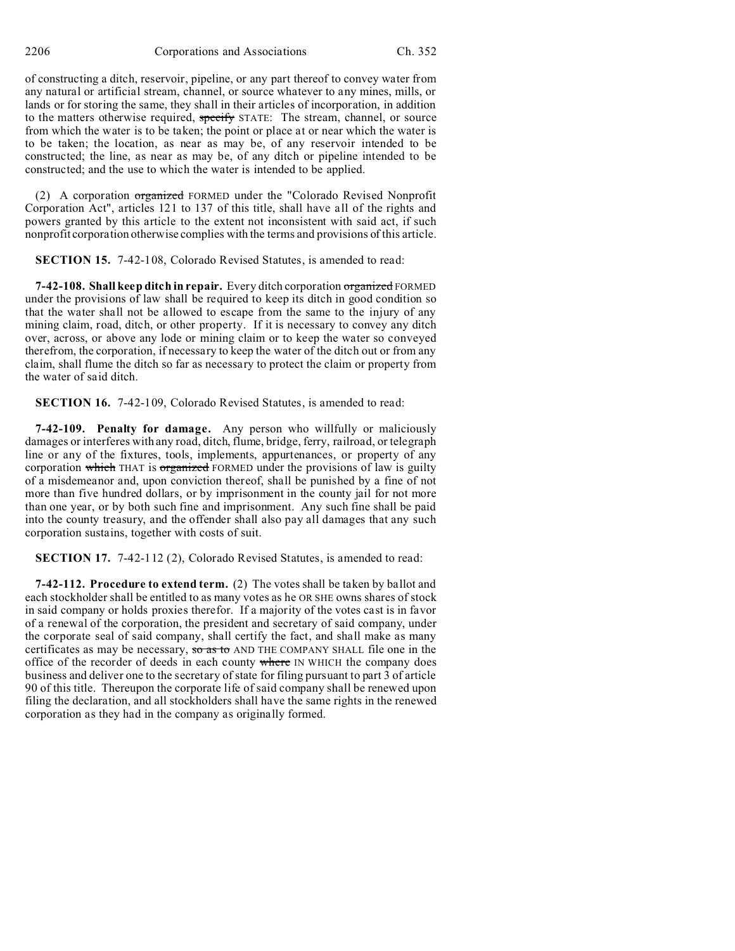2206 Corporations and Associations Ch. 352

of constructing a ditch, reservoir, pipeline, or any part thereof to convey water from any natural or artificial stream, channel, or source whatever to any mines, mills, or lands or for storing the same, they shall in their articles of incorporation, in addition to the matters otherwise required, specify STATE: The stream, channel, or source from which the water is to be taken; the point or place at or near which the water is to be taken; the location, as near as may be, of any reservoir intended to be constructed; the line, as near as may be, of any ditch or pipeline intended to be constructed; and the use to which the water is intended to be applied.

(2) A corporation organized FORMED under the "Colorado Revised Nonprofit Corporation Act", articles 121 to 137 of this title, shall have all of the rights and powers granted by this article to the extent not inconsistent with said act, if such nonprofit corporation otherwise complies with the terms and provisions of this article.

**SECTION 15.** 7-42-108, Colorado Revised Statutes, is amended to read:

**7-42-108. Shall keep ditch in repair.** Every ditch corporation organized FORMED under the provisions of law shall be required to keep its ditch in good condition so that the water shall not be allowed to escape from the same to the injury of any mining claim, road, ditch, or other property. If it is necessary to convey any ditch over, across, or above any lode or mining claim or to keep the water so conveyed therefrom, the corporation, if necessary to keep the water of the ditch out or from any claim, shall flume the ditch so far as necessary to protect the claim or property from the water of said ditch.

**SECTION 16.** 7-42-109, Colorado Revised Statutes, is amended to read:

**7-42-109. Penalty for damage.** Any person who willfully or maliciously damages or interferes with any road, ditch, flume, bridge, ferry, railroad, or telegraph line or any of the fixtures, tools, implements, appurtenances, or property of any corporation which THAT is organized FORMED under the provisions of law is guilty of a misdemeanor and, upon conviction thereof, shall be punished by a fine of not more than five hundred dollars, or by imprisonment in the county jail for not more than one year, or by both such fine and imprisonment. Any such fine shall be paid into the county treasury, and the offender shall also pay all damages that any such corporation sustains, together with costs of suit.

**SECTION 17.** 7-42-112 (2), Colorado Revised Statutes, is amended to read:

**7-42-112. Procedure to extend term.** (2) The votes shall be taken by ballot and each stockholder shall be entitled to as many votes as he OR SHE owns shares of stock in said company or holds proxies therefor. If a majority of the votes cast is in favor of a renewal of the corporation, the president and secretary of said company, under the corporate seal of said company, shall certify the fact, and shall make as many certificates as may be necessary, so as to AND THE COMPANY SHALL file one in the office of the recorder of deeds in each county where IN WHICH the company does business and deliver one to the secretary of state for filing pursuant to part 3 of article 90 of this title. Thereupon the corporate life of said company shall be renewed upon filing the declaration, and all stockholders shall have the same rights in the renewed corporation as they had in the company as originally formed.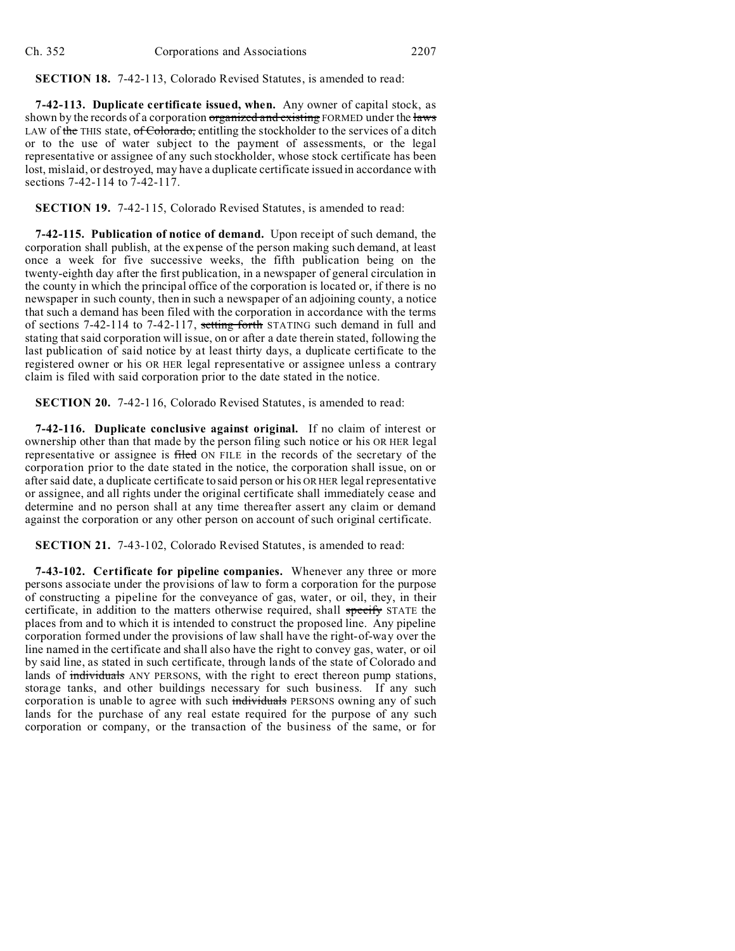**SECTION 18.** 7-42-113, Colorado Revised Statutes, is amended to read:

**7-42-113. Duplicate certificate issued, when.** Any owner of capital stock, as shown by the records of a corporation organized and existing FORMED under the laws LAW of the THIS state,  $of$  Colorado, entitling the stockholder to the services of a ditch or to the use of water subject to the payment of assessments, or the legal representative or assignee of any such stockholder, whose stock certificate has been lost, mislaid, or destroyed, may have a duplicate certificate issued in accordance with sections 7-42-114 to 7-42-117.

**SECTION 19.** 7-42-115, Colorado Revised Statutes, is amended to read:

**7-42-115. Publication of notice of demand.** Upon receipt of such demand, the corporation shall publish, at the expense of the person making such demand, at least once a week for five successive weeks, the fifth publication being on the twenty-eighth day after the first publication, in a newspaper of general circulation in the county in which the principal office of the corporation is located or, if there is no newspaper in such county, then in such a newspaper of an adjoining county, a notice that such a demand has been filed with the corporation in accordance with the terms of sections 7-42-114 to 7-42-117, setting forth STATING such demand in full and stating that said corporation will issue, on or after a date therein stated, following the last publication of said notice by at least thirty days, a duplicate certificate to the registered owner or his OR HER legal representative or assignee unless a contrary claim is filed with said corporation prior to the date stated in the notice.

**SECTION 20.** 7-42-116, Colorado Revised Statutes, is amended to read:

**7-42-116. Duplicate conclusive against original.** If no claim of interest or ownership other than that made by the person filing such notice or his OR HER legal representative or assignee is filed ON FILE in the records of the secretary of the corporation prior to the date stated in the notice, the corporation shall issue, on or after said date, a duplicate certificate to said person or his OR HER legal representative or assignee, and all rights under the original certificate shall immediately cease and determine and no person shall at any time thereafter assert any claim or demand against the corporation or any other person on account of such original certificate.

**SECTION 21.** 7-43-102, Colorado Revised Statutes, is amended to read:

**7-43-102. Certificate for pipeline companies.** Whenever any three or more persons associate under the provisions of law to form a corporation for the purpose of constructing a pipeline for the conveyance of gas, water, or oil, they, in their certificate, in addition to the matters otherwise required, shall specify STATE the places from and to which it is intended to construct the proposed line. Any pipeline corporation formed under the provisions of law shall have the right-of-way over the line named in the certificate and shall also have the right to convey gas, water, or oil by said line, as stated in such certificate, through lands of the state of Colorado and lands of individuals ANY PERSONS, with the right to erect thereon pump stations, storage tanks, and other buildings necessary for such business. If any such corporation is unable to agree with such individuals PERSONS owning any of such lands for the purchase of any real estate required for the purpose of any such corporation or company, or the transaction of the business of the same, or for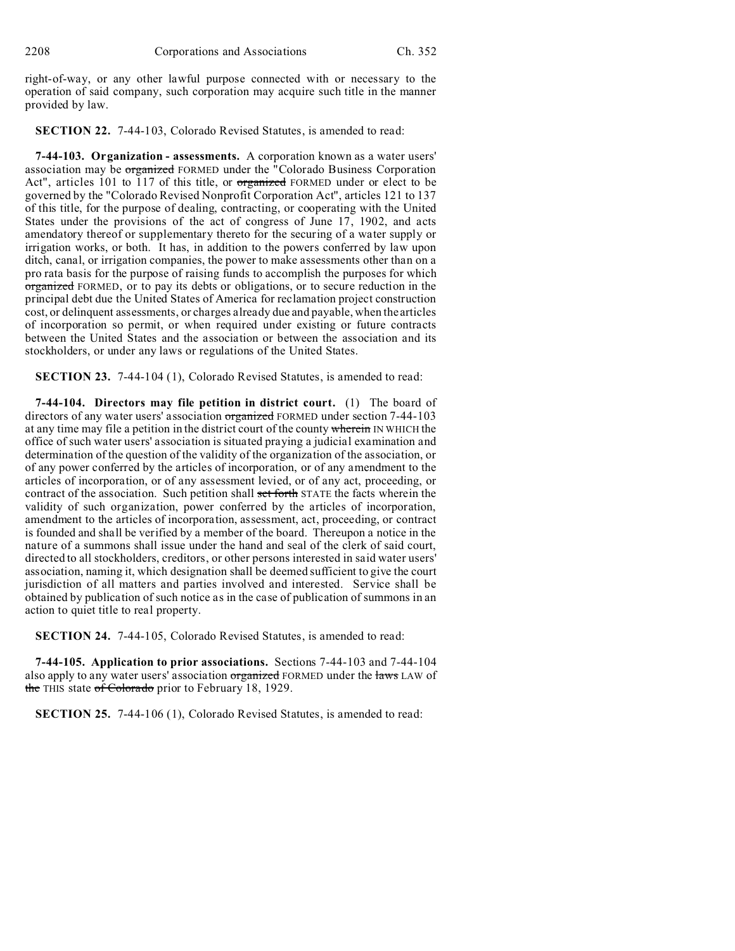right-of-way, or any other lawful purpose connected with or necessary to the operation of said company, such corporation may acquire such title in the manner provided by law.

**SECTION 22.** 7-44-103, Colorado Revised Statutes, is amended to read:

**7-44-103. Organization - assessments.** A corporation known as a water users' association may be organized FORMED under the "Colorado Business Corporation Act", articles 101 to 117 of this title, or organized FORMED under or elect to be governed by the "Colorado Revised Nonprofit Corporation Act", articles 121 to 137 of this title, for the purpose of dealing, contracting, or cooperating with the United States under the provisions of the act of congress of June 17, 1902, and acts amendatory thereof or supplementary thereto for the securing of a water supply or irrigation works, or both. It has, in addition to the powers conferred by law upon ditch, canal, or irrigation companies, the power to make assessments other than on a pro rata basis for the purpose of raising funds to accomplish the purposes for which organized FORMED, or to pay its debts or obligations, or to secure reduction in the principal debt due the United States of America for reclamation project construction cost, or delinquent assessments, or charges already due and payable, when the articles of incorporation so permit, or when required under existing or future contracts between the United States and the association or between the association and its stockholders, or under any laws or regulations of the United States.

**SECTION 23.** 7-44-104 (1), Colorado Revised Statutes, is amended to read:

**7-44-104. Directors may file petition in district court.** (1) The board of directors of any water users' association organized FORMED under section 7-44-103 at any time may file a petition in the district court of the county wherein IN WHICH the office of such water users' association is situated praying a judicial examination and determination of the question of the validity of the organization of the association, or of any power conferred by the articles of incorporation, or of any amendment to the articles of incorporation, or of any assessment levied, or of any act, proceeding, or contract of the association. Such petition shall set forth STATE the facts wherein the validity of such organization, power conferred by the articles of incorporation, amendment to the articles of incorporation, assessment, act, proceeding, or contract is founded and shall be verified by a member of the board. Thereupon a notice in the nature of a summons shall issue under the hand and seal of the clerk of said court, directed to all stockholders, creditors, or other persons interested in said water users' association, naming it, which designation shall be deemed sufficient to give the court jurisdiction of all matters and parties involved and interested. Service shall be obtained by publication of such notice as in the case of publication of summons in an action to quiet title to real property.

**SECTION 24.** 7-44-105, Colorado Revised Statutes, is amended to read:

**7-44-105. Application to prior associations.** Sections 7-44-103 and 7-44-104 also apply to any water users' association organized FORMED under the laws LAW of the THIS state of Colorado prior to February 18, 1929.

**SECTION 25.** 7-44-106 (1), Colorado Revised Statutes, is amended to read: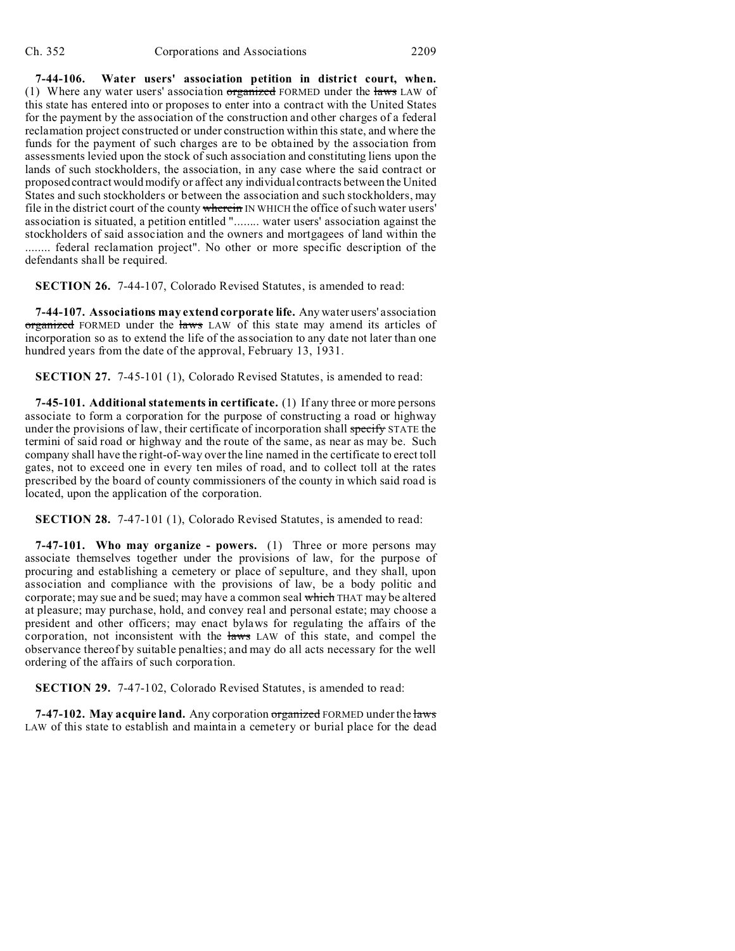**7-44-106. Water users' association petition in district court, when.** (1) Where any water users' association  $\sigma$ reganized FORMED under the laws LAW of this state has entered into or proposes to enter into a contract with the United States for the payment by the association of the construction and other charges of a federal reclamation project constructed or under construction within this state, and where the funds for the payment of such charges are to be obtained by the association from assessments levied upon the stock of such association and constituting liens upon the lands of such stockholders, the association, in any case where the said contract or proposed contract would modify or affect any individual contracts between the United States and such stockholders or between the association and such stockholders, may file in the district court of the county wherein IN WHICH the office of such water users' association is situated, a petition entitled "........ water users' association against the stockholders of said association and the owners and mortgagees of land within the ........ federal reclamation project". No other or more specific description of the defendants shall be required.

**SECTION 26.** 7-44-107, Colorado Revised Statutes, is amended to read:

**7-44-107. Associations may extend corporate life.** Any water users' association organized FORMED under the laws LAW of this state may amend its articles of incorporation so as to extend the life of the association to any date not later than one hundred years from the date of the approval, February 13, 1931.

**SECTION 27.** 7-45-101 (1), Colorado Revised Statutes, is amended to read:

**7-45-101. Additional statements in certificate.** (1) If any three or more persons associate to form a corporation for the purpose of constructing a road or highway under the provisions of law, their certificate of incorporation shall specify STATE the termini of said road or highway and the route of the same, as near as may be. Such company shall have the right-of-way over the line named in the certificate to erect toll gates, not to exceed one in every ten miles of road, and to collect toll at the rates prescribed by the board of county commissioners of the county in which said road is located, upon the application of the corporation.

**SECTION 28.** 7-47-101 (1), Colorado Revised Statutes, is amended to read:

**7-47-101. Who may organize - powers.** (1) Three or more persons may associate themselves together under the provisions of law, for the purpose of procuring and establishing a cemetery or place of sepulture, and they shall, upon association and compliance with the provisions of law, be a body politic and corporate; may sue and be sued; may have a common seal which THAT may be altered at pleasure; may purchase, hold, and convey real and personal estate; may choose a president and other officers; may enact bylaws for regulating the affairs of the corporation, not inconsistent with the laws LAW of this state, and compel the observance thereof by suitable penalties; and may do all acts necessary for the well ordering of the affairs of such corporation.

**SECTION 29.** 7-47-102, Colorado Revised Statutes, is amended to read:

**7-47-102. May acquire land.** Any corporation organized FORMED under the laws LAW of this state to establish and maintain a cemetery or burial place for the dead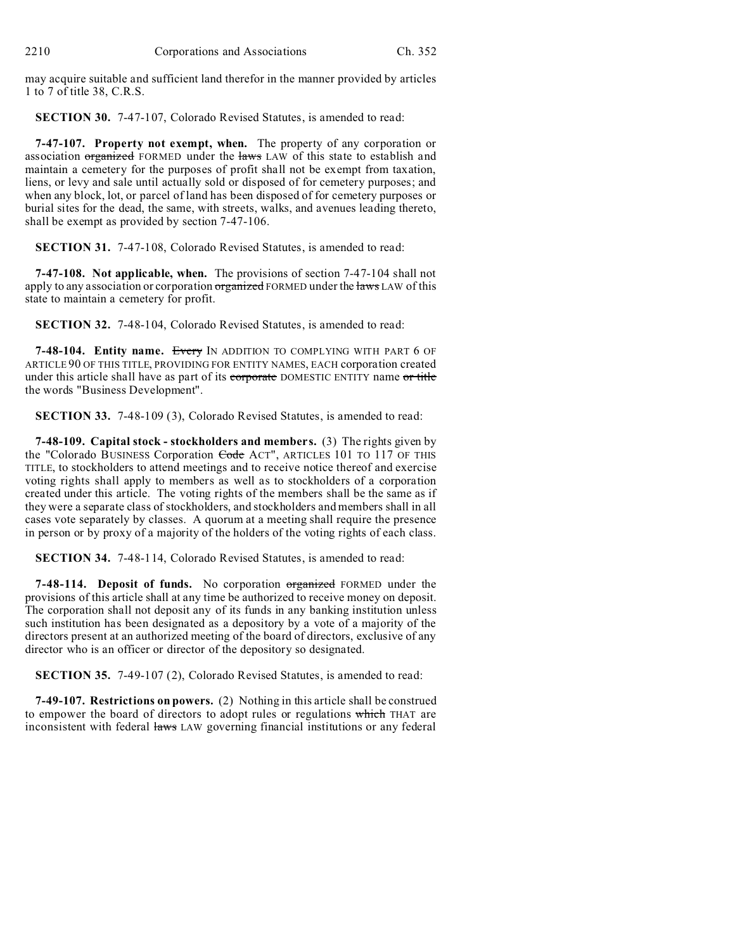may acquire suitable and sufficient land therefor in the manner provided by articles 1 to 7 of title 38, C.R.S.

**SECTION 30.** 7-47-107, Colorado Revised Statutes, is amended to read:

**7-47-107. Property not exempt, when.** The property of any corporation or association organized FORMED under the laws LAW of this state to establish and maintain a cemetery for the purposes of profit shall not be exempt from taxation, liens, or levy and sale until actually sold or disposed of for cemetery purposes; and when any block, lot, or parcel of land has been disposed of for cemetery purposes or burial sites for the dead, the same, with streets, walks, and avenues leading thereto, shall be exempt as provided by section 7-47-106.

**SECTION 31.** 7-47-108, Colorado Revised Statutes, is amended to read:

**7-47-108. Not applicable, when.** The provisions of section 7-47-104 shall not apply to any association or corporation organized FORMED under the laws LAW of this state to maintain a cemetery for profit.

**SECTION 32.** 7-48-104, Colorado Revised Statutes, is amended to read:

**7-48-104. Entity name.** Every IN ADDITION TO COMPLYING WITH PART 6 OF ARTICLE 90 OF THIS TITLE, PROVIDING FOR ENTITY NAMES, EACH corporation created under this article shall have as part of its corporate DOMESTIC ENTITY name or title the words "Business Development".

**SECTION 33.** 7-48-109 (3), Colorado Revised Statutes, is amended to read:

**7-48-109. Capital stock - stockholders and members.** (3) The rights given by the "Colorado BUSINESS Corporation Code ACT", ARTICLES 101 TO 117 OF THIS TITLE, to stockholders to attend meetings and to receive notice thereof and exercise voting rights shall apply to members as well as to stockholders of a corporation created under this article. The voting rights of the members shall be the same as if they were a separate class of stockholders, and stockholders and members shall in all cases vote separately by classes. A quorum at a meeting shall require the presence in person or by proxy of a majority of the holders of the voting rights of each class.

**SECTION 34.** 7-48-114, Colorado Revised Statutes, is amended to read:

**7-48-114. Deposit of funds.** No corporation organized FORMED under the provisions of this article shall at any time be authorized to receive money on deposit. The corporation shall not deposit any of its funds in any banking institution unless such institution has been designated as a depository by a vote of a majority of the directors present at an authorized meeting of the board of directors, exclusive of any director who is an officer or director of the depository so designated.

**SECTION 35.** 7-49-107 (2), Colorado Revised Statutes, is amended to read:

**7-49-107. Restrictions on powers.** (2) Nothing in this article shall be construed to empower the board of directors to adopt rules or regulations which THAT are inconsistent with federal laws LAW governing financial institutions or any federal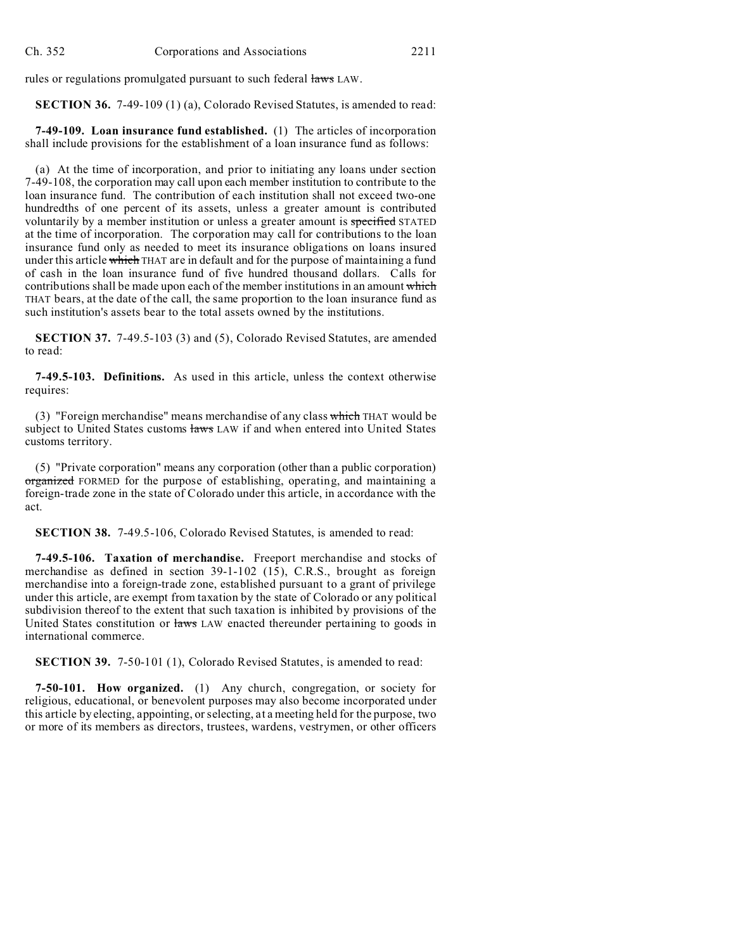rules or regulations promulgated pursuant to such federal laws LAW.

**SECTION 36.** 7-49-109 (1) (a), Colorado Revised Statutes, is amended to read:

**7-49-109. Loan insurance fund established.** (1) The articles of incorporation shall include provisions for the establishment of a loan insurance fund as follows:

(a) At the time of incorporation, and prior to initiating any loans under section 7-49-108, the corporation may call upon each member institution to contribute to the loan insurance fund. The contribution of each institution shall not exceed two-one hundredths of one percent of its assets, unless a greater amount is contributed voluntarily by a member institution or unless a greater amount is specified STATED at the time of incorporation. The corporation may call for contributions to the loan insurance fund only as needed to meet its insurance obligations on loans insured under this article which THAT are in default and for the purpose of maintaining a fund of cash in the loan insurance fund of five hundred thousand dollars. Calls for contributions shall be made upon each of the member institutions in an amount which THAT bears, at the date of the call, the same proportion to the loan insurance fund as such institution's assets bear to the total assets owned by the institutions.

**SECTION 37.** 7-49.5-103 (3) and (5), Colorado Revised Statutes, are amended to read:

**7-49.5-103. Definitions.** As used in this article, unless the context otherwise requires:

(3) "Foreign merchandise" means merchandise of any class which THAT would be subject to United States customs laws LAW if and when entered into United States customs territory.

(5) "Private corporation" means any corporation (other than a public corporation) organized FORMED for the purpose of establishing, operating, and maintaining a foreign-trade zone in the state of Colorado under this article, in accordance with the act.

**SECTION 38.** 7-49.5-106, Colorado Revised Statutes, is amended to read:

**7-49.5-106. Taxation of merchandise.** Freeport merchandise and stocks of merchandise as defined in section 39-1-102 (15), C.R.S., brought as foreign merchandise into a foreign-trade zone, established pursuant to a grant of privilege under this article, are exempt from taxation by the state of Colorado or any political subdivision thereof to the extent that such taxation is inhibited by provisions of the United States constitution or laws LAW enacted thereunder pertaining to goods in international commerce.

**SECTION 39.** 7-50-101 (1), Colorado Revised Statutes, is amended to read:

**7-50-101. How organized.** (1) Any church, congregation, or society for religious, educational, or benevolent purposes may also become incorporated under this article by electing, appointing, or selecting, at a meeting held for the purpose, two or more of its members as directors, trustees, wardens, vestrymen, or other officers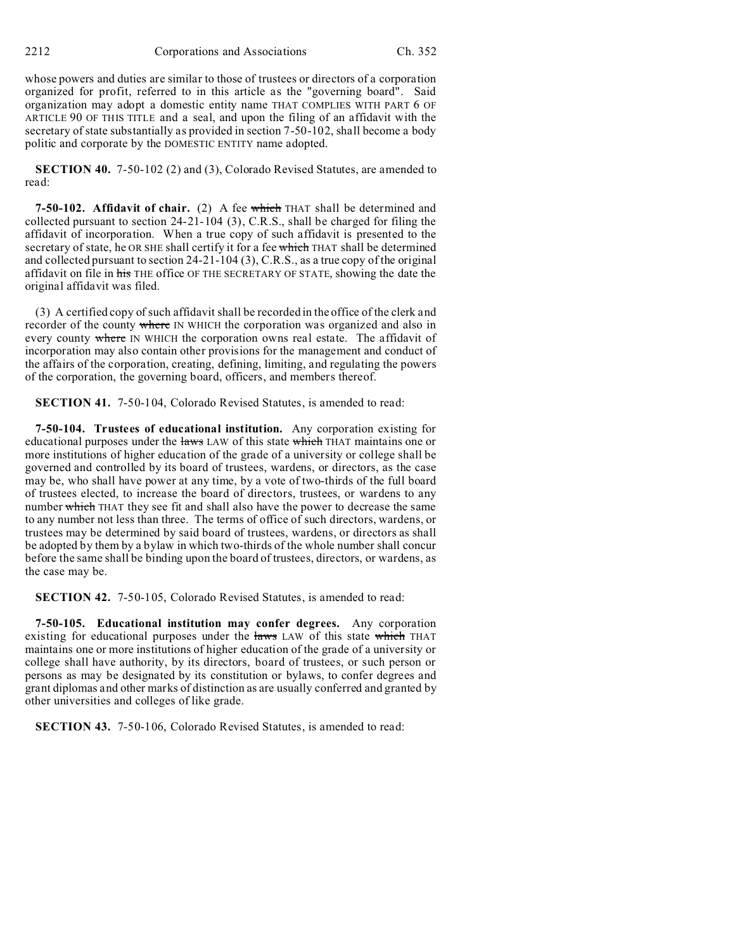whose powers and duties are similar to those of trustees or directors of a corporation organized for profit, referred to in this article as the "governing board". Said organization may adopt a domestic entity name THAT COMPLIES WITH PART 6 OF ARTICLE 90 OF THIS TITLE and a seal, and upon the filing of an affidavit with the secretary of state substantially as provided in section 7-50-102, shall become a body politic and corporate by the DOMESTIC ENTITY name adopted.

**SECTION 40.** 7-50-102 (2) and (3), Colorado Revised Statutes, are amended to read:

**7-50-102. Affidavit of chair.** (2) A fee which THAT shall be determined and collected pursuant to section 24-21-104 (3), C.R.S., shall be charged for filing the affidavit of incorporation. When a true copy of such affidavit is presented to the secretary of state, he OR SHE shall certify it for a fee which THAT shall be determined and collected pursuant to section 24-21-104 (3), C.R.S., as a true copy of the original affidavit on file in his THE office OF THE SECRETARY OF STATE, showing the date the original affidavit was filed.

(3) A certified copy of such affidavit shall be recorded in the office of the clerk and recorder of the county where IN WHICH the corporation was organized and also in every county where IN WHICH the corporation owns real estate. The affidavit of incorporation may also contain other provisions for the management and conduct of the affairs of the corporation, creating, defining, limiting, and regulating the powers of the corporation, the governing board, officers, and members thereof.

**SECTION 41.** 7-50-104, Colorado Revised Statutes, is amended to read:

**7-50-104. Trustees of educational institution.** Any corporation existing for educational purposes under the laws LAW of this state which THAT maintains one or more institutions of higher education of the grade of a university or college shall be governed and controlled by its board of trustees, wardens, or directors, as the case may be, who shall have power at any time, by a vote of two-thirds of the full board of trustees elected, to increase the board of directors, trustees, or wardens to any number which THAT they see fit and shall also have the power to decrease the same to any number not less than three. The terms of office of such directors, wardens, or trustees may be determined by said board of trustees, wardens, or directors as shall be adopted by them by a bylaw in which two-thirds of the whole number shall concur before the same shall be binding upon the board of trustees, directors, or wardens, as the case may be.

**SECTION 42.** 7-50-105, Colorado Revised Statutes, is amended to read:

**7-50-105. Educational institution may confer degrees.** Any corporation existing for educational purposes under the laws LAW of this state which THAT maintains one or more institutions of higher education of the grade of a university or college shall have authority, by its directors, board of trustees, or such person or persons as may be designated by its constitution or bylaws, to confer degrees and grant diplomas and other marks of distinction as are usually conferred and granted by other universities and colleges of like grade.

**SECTION 43.** 7-50-106, Colorado Revised Statutes, is amended to read: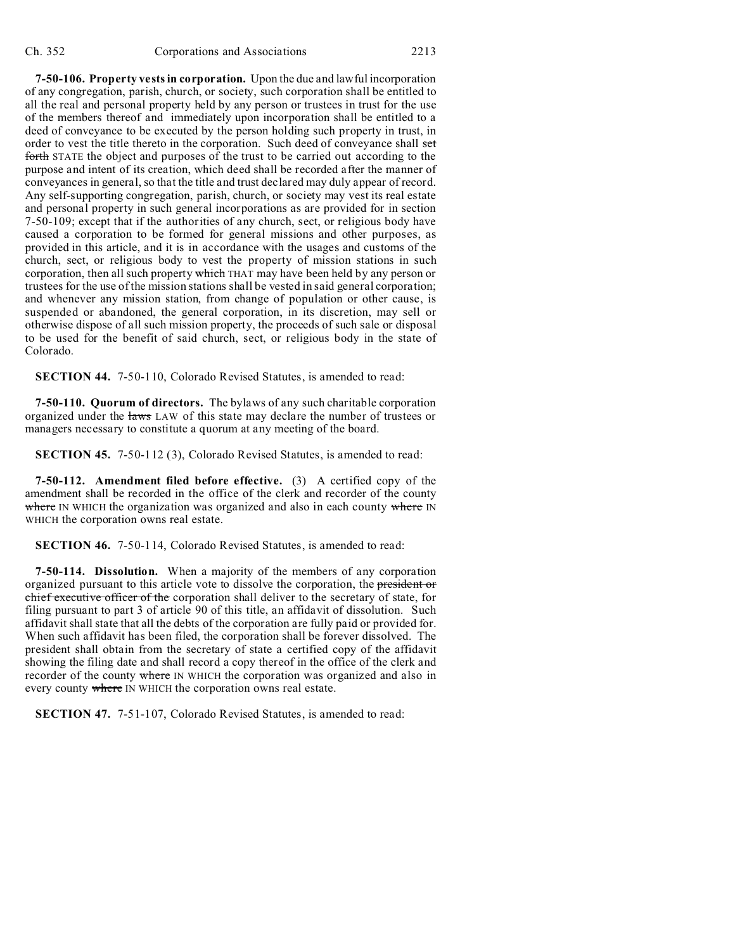**7-50-106. Property vests in corporation.** Upon the due and lawful incorporation of any congregation, parish, church, or society, such corporation shall be entitled to all the real and personal property held by any person or trustees in trust for the use of the members thereof and immediately upon incorporation shall be entitled to a deed of conveyance to be executed by the person holding such property in trust, in order to vest the title thereto in the corporation. Such deed of conveyance shall set forth STATE the object and purposes of the trust to be carried out according to the purpose and intent of its creation, which deed shall be recorded after the manner of conveyances in general, so that the title and trust declared may duly appear of record. Any self-supporting congregation, parish, church, or society may vest its real estate and personal property in such general incorporations as are provided for in section 7-50-109; except that if the authorities of any church, sect, or religious body have caused a corporation to be formed for general missions and other purposes, as provided in this article, and it is in accordance with the usages and customs of the church, sect, or religious body to vest the property of mission stations in such corporation, then all such property which THAT may have been held by any person or trustees for the use of the mission stations shall be vested in said general corporation; and whenever any mission station, from change of population or other cause, is suspended or abandoned, the general corporation, in its discretion, may sell or otherwise dispose of all such mission property, the proceeds of such sale or disposal to be used for the benefit of said church, sect, or religious body in the state of Colorado.

**SECTION 44.** 7-50-110, Colorado Revised Statutes, is amended to read:

**7-50-110. Quorum of directors.** The bylaws of any such charitable corporation organized under the laws LAW of this state may declare the number of trustees or managers necessary to constitute a quorum at any meeting of the board.

**SECTION 45.** 7-50-112 (3), Colorado Revised Statutes, is amended to read:

**7-50-112. Amendment filed before effective.** (3) A certified copy of the amendment shall be recorded in the office of the clerk and recorder of the county where IN WHICH the organization was organized and also in each county where IN WHICH the corporation owns real estate.

**SECTION 46.** 7-50-114, Colorado Revised Statutes, is amended to read:

**7-50-114. Dissolution.** When a majority of the members of any corporation organized pursuant to this article vote to dissolve the corporation, the president or chief executive officer of the corporation shall deliver to the secretary of state, for filing pursuant to part 3 of article 90 of this title, an affidavit of dissolution. Such affidavit shall state that all the debts of the corporation are fully paid or provided for. When such affidavit has been filed, the corporation shall be forever dissolved. The president shall obtain from the secretary of state a certified copy of the affidavit showing the filing date and shall record a copy thereof in the office of the clerk and recorder of the county where IN WHICH the corporation was organized and also in every county where IN WHICH the corporation owns real estate.

**SECTION 47.** 7-51-107, Colorado Revised Statutes, is amended to read: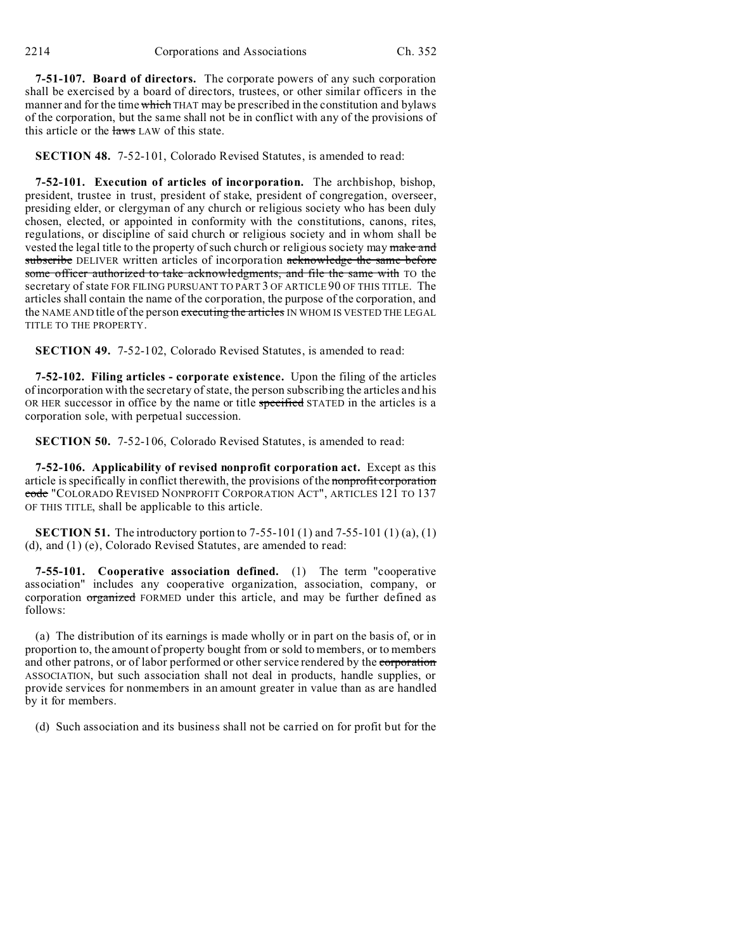**7-51-107. Board of directors.** The corporate powers of any such corporation shall be exercised by a board of directors, trustees, or other similar officers in the manner and for the time which THAT may be prescribed in the constitution and bylaws of the corporation, but the same shall not be in conflict with any of the provisions of this article or the laws LAW of this state.

**SECTION 48.** 7-52-101, Colorado Revised Statutes, is amended to read:

**7-52-101. Execution of articles of incorporation.** The archbishop, bishop, president, trustee in trust, president of stake, president of congregation, overseer, presiding elder, or clergyman of any church or religious society who has been duly chosen, elected, or appointed in conformity with the constitutions, canons, rites, regulations, or discipline of said church or religious society and in whom shall be vested the legal title to the property of such church or religious society may make and subscribe DELIVER written articles of incorporation acknowledge the same before some officer authorized to take acknowledgments, and file the same with TO the secretary of state FOR FILING PURSUANT TO PART 3 OF ARTICLE 90 OF THIS TITLE. The articles shall contain the name of the corporation, the purpose of the corporation, and the NAME AND title of the person executing the articles IN WHOM IS VESTED THE LEGAL TITLE TO THE PROPERTY.

**SECTION 49.** 7-52-102, Colorado Revised Statutes, is amended to read:

**7-52-102. Filing articles - corporate existence.** Upon the filing of the articles of incorporation with the secretary of state, the person subscribing the articles and his OR HER successor in office by the name or title specified STATED in the articles is a corporation sole, with perpetual succession.

**SECTION 50.** 7-52-106, Colorado Revised Statutes, is amended to read:

**7-52-106. Applicability of revised nonprofit corporation act.** Except as this article is specifically in conflict therewith, the provisions of the nonprofit corporation code "COLORADO REVISED NONPROFIT CORPORATION ACT", ARTICLES 121 TO 137 OF THIS TITLE, shall be applicable to this article.

**SECTION 51.** The introductory portion to 7-55-101 (1) and 7-55-101 (1) (a), (1) (d), and (1) (e), Colorado Revised Statutes, are amended to read:

**7-55-101. Cooperative association defined.** (1) The term "cooperative association" includes any cooperative organization, association, company, or corporation organized FORMED under this article, and may be further defined as follows:

(a) The distribution of its earnings is made wholly or in part on the basis of, or in proportion to, the amount of property bought from or sold to members, or to members and other patrons, or of labor performed or other service rendered by the corporation ASSOCIATION, but such association shall not deal in products, handle supplies, or provide services for nonmembers in an amount greater in value than as are handled by it for members.

(d) Such association and its business shall not be carried on for profit but for the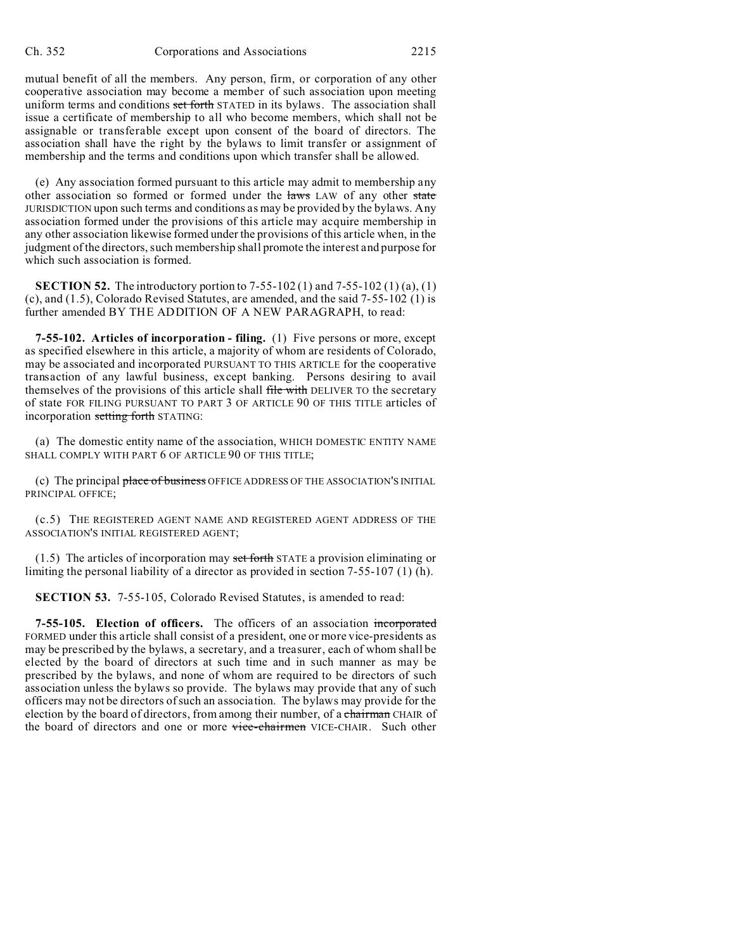mutual benefit of all the members. Any person, firm, or corporation of any other cooperative association may become a member of such association upon meeting uniform terms and conditions set forth STATED in its bylaws. The association shall issue a certificate of membership to all who become members, which shall not be assignable or transferable except upon consent of the board of directors. The association shall have the right by the bylaws to limit transfer or assignment of membership and the terms and conditions upon which transfer shall be allowed.

(e) Any association formed pursuant to this article may admit to membership any other association so formed or formed under the laws LAW of any other state JURISDICTION upon such terms and conditions as may be provided by the bylaws. Any association formed under the provisions of this article may acquire membership in any other association likewise formed under the provisions of this article when, in the judgment of the directors, such membership shall promote the interest and purpose for which such association is formed.

**SECTION 52.** The introductory portion to 7-55-102 (1) and 7-55-102 (1) (a), (1) (c), and (1.5), Colorado Revised Statutes, are amended, and the said 7-55-102 (1) is further amended BY THE ADDITION OF A NEW PARAGRAPH, to read:

**7-55-102. Articles of incorporation - filing.** (1) Five persons or more, except as specified elsewhere in this article, a majority of whom are residents of Colorado, may be associated and incorporated PURSUANT TO THIS ARTICLE for the cooperative transaction of any lawful business, except banking. Persons desiring to avail themselves of the provisions of this article shall file with DELIVER TO the secretary of state FOR FILING PURSUANT TO PART 3 OF ARTICLE 90 OF THIS TITLE articles of incorporation setting forth STATING:

(a) The domestic entity name of the association, WHICH DOMESTIC ENTITY NAME SHALL COMPLY WITH PART 6 OF ARTICLE 90 OF THIS TITLE;

(c) The principal place of business OFFICE ADDRESS OF THE ASSOCIATION'S INITIAL PRINCIPAL OFFICE;

(c.5) THE REGISTERED AGENT NAME AND REGISTERED AGENT ADDRESS OF THE ASSOCIATION'S INITIAL REGISTERED AGENT;

 $(1.5)$  The articles of incorporation may set forth STATE a provision eliminating or limiting the personal liability of a director as provided in section 7-55-107 (1) (h).

**SECTION 53.** 7-55-105, Colorado Revised Statutes, is amended to read:

**7-55-105. Election of officers.** The officers of an association incorporated FORMED under this article shall consist of a president, one or more vice-presidents as may be prescribed by the bylaws, a secretary, and a treasurer, each of whom shall be elected by the board of directors at such time and in such manner as may be prescribed by the bylaws, and none of whom are required to be directors of such association unless the bylaws so provide. The bylaws may provide that any of such officers may not be directors of such an association. The bylaws may provide for the election by the board of directors, from among their number, of a chairman CHAIR of the board of directors and one or more vice-chairmen VICE-CHAIR. Such other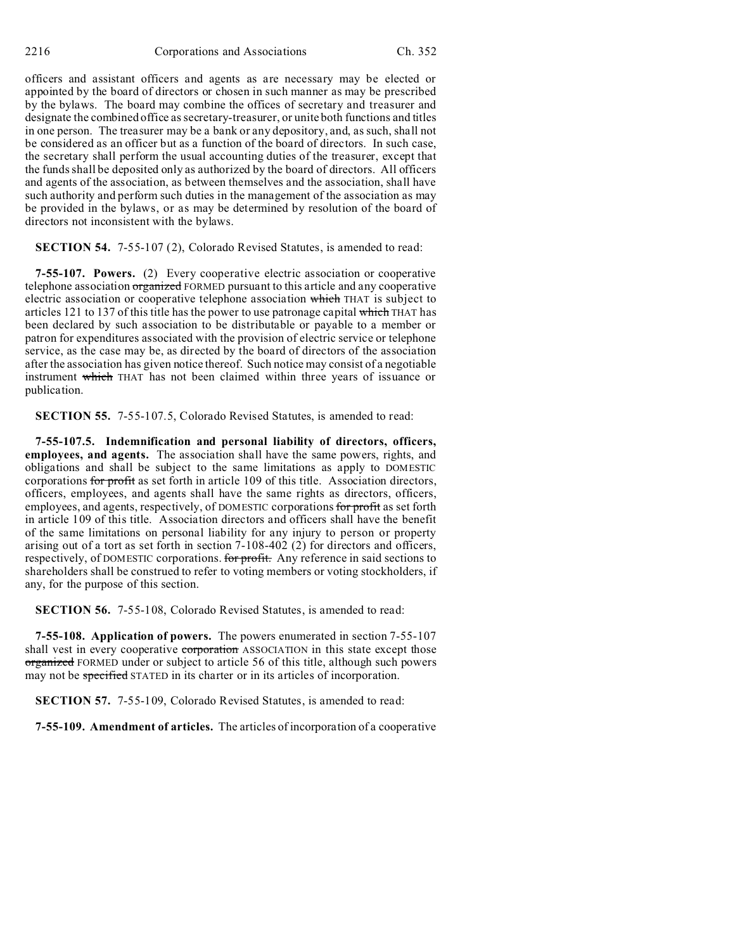officers and assistant officers and agents as are necessary may be elected or appointed by the board of directors or chosen in such manner as may be prescribed by the bylaws. The board may combine the offices of secretary and treasurer and designate the combined office as secretary-treasurer, or unite both functions and titles in one person. The treasurer may be a bank or any depository, and, as such, shall not be considered as an officer but as a function of the board of directors. In such case, the secretary shall perform the usual accounting duties of the treasurer, except that the funds shall be deposited only as authorized by the board of directors. All officers and agents of the association, as between themselves and the association, shall have such authority and perform such duties in the management of the association as may be provided in the bylaws, or as may be determined by resolution of the board of directors not inconsistent with the bylaws.

**SECTION 54.** 7-55-107 (2), Colorado Revised Statutes, is amended to read:

**7-55-107. Powers.** (2) Every cooperative electric association or cooperative telephone association organized FORMED pursuant to this article and any cooperative electric association or cooperative telephone association which THAT is subject to articles 121 to 137 of this title has the power to use patronage capital which THAT has been declared by such association to be distributable or payable to a member or patron for expenditures associated with the provision of electric service or telephone service, as the case may be, as directed by the board of directors of the association after the association has given notice thereof. Such notice may consist of a negotiable instrument which THAT has not been claimed within three years of issuance or publication.

**SECTION 55.** 7-55-107.5, Colorado Revised Statutes, is amended to read:

**7-55-107.5. Indemnification and personal liability of directors, officers, employees, and agents.** The association shall have the same powers, rights, and obligations and shall be subject to the same limitations as apply to DOMESTIC corporations for profit as set forth in article 109 of this title. Association directors, officers, employees, and agents shall have the same rights as directors, officers, employees, and agents, respectively, of DOMESTIC corporations for profit as set forth in article 109 of this title. Association directors and officers shall have the benefit of the same limitations on personal liability for any injury to person or property arising out of a tort as set forth in section 7-108-402 (2) for directors and officers, respectively, of DOMESTIC corporations. for profit. Any reference in said sections to shareholders shall be construed to refer to voting members or voting stockholders, if any, for the purpose of this section.

**SECTION 56.** 7-55-108, Colorado Revised Statutes, is amended to read:

**7-55-108. Application of powers.** The powers enumerated in section 7-55-107 shall vest in every cooperative corporation ASSOCIATION in this state except those organized FORMED under or subject to article 56 of this title, although such powers may not be specified STATED in its charter or in its articles of incorporation.

**SECTION 57.** 7-55-109, Colorado Revised Statutes, is amended to read:

**7-55-109. Amendment of articles.** The articles of incorporation of a cooperative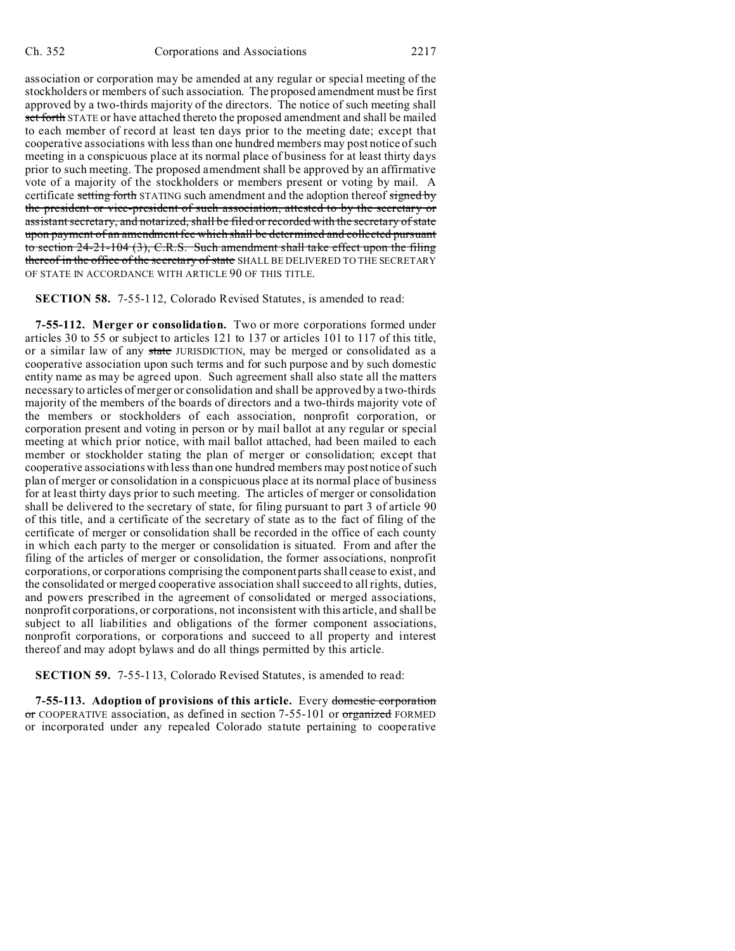association or corporation may be amended at any regular or special meeting of the stockholders or members of such association. The proposed amendment must be first approved by a two-thirds majority of the directors. The notice of such meeting shall set forth STATE or have attached thereto the proposed amendment and shall be mailed to each member of record at least ten days prior to the meeting date; except that cooperative associations with less than one hundred members may post notice of such meeting in a conspicuous place at its normal place of business for at least thirty days prior to such meeting. The proposed amendment shall be approved by an affirmative vote of a majority of the stockholders or members present or voting by mail. A certificate setting forth STATING such amendment and the adoption thereof signed by the president or vice-president of such association, attested to by the secretary or assistant secretary, and notarized, shall be filed or recorded with the secretary of state upon payment of an amendment fee which shall be determined and collected pursuant to section 24-21-104 (3), C.R.S. Such amendment shall take effect upon the filing thereof in the office of the secretary of state SHALL BE DELIVERED TO THE SECRETARY OF STATE IN ACCORDANCE WITH ARTICLE 90 OF THIS TITLE.

**SECTION 58.** 7-55-112, Colorado Revised Statutes, is amended to read:

**7-55-112. Merger or consolidation.** Two or more corporations formed under articles 30 to 55 or subject to articles 121 to 137 or articles 101 to 117 of this title, or a similar law of any state JURISDICTION, may be merged or consolidated as a cooperative association upon such terms and for such purpose and by such domestic entity name as may be agreed upon. Such agreement shall also state all the matters necessary to articles of merger or consolidation and shall be approved by a two-thirds majority of the members of the boards of directors and a two-thirds majority vote of the members or stockholders of each association, nonprofit corporation, or corporation present and voting in person or by mail ballot at any regular or special meeting at which prior notice, with mail ballot attached, had been mailed to each member or stockholder stating the plan of merger or consolidation; except that cooperative associations with less than one hundred members may post notice of such plan of merger or consolidation in a conspicuous place at its normal place of business for at least thirty days prior to such meeting. The articles of merger or consolidation shall be delivered to the secretary of state, for filing pursuant to part 3 of article 90 of this title, and a certificate of the secretary of state as to the fact of filing of the certificate of merger or consolidation shall be recorded in the office of each county in which each party to the merger or consolidation is situated. From and after the filing of the articles of merger or consolidation, the former associations, nonprofit corporations, or corporations comprising the component parts shall cease to exist, and the consolidated or merged cooperative association shall succeed to all rights, duties, and powers prescribed in the agreement of consolidated or merged associations, nonprofit corporations, or corporations, not inconsistent with this article, and shall be subject to all liabilities and obligations of the former component associations, nonprofit corporations, or corporations and succeed to all property and interest thereof and may adopt bylaws and do all things permitted by this article.

**SECTION 59.** 7-55-113, Colorado Revised Statutes, is amended to read:

**7-55-113. Adoption of provisions of this article.** Every domestic corporation or COOPERATIVE association, as defined in section 7-55-101 or organized FORMED or incorporated under any repealed Colorado statute pertaining to cooperative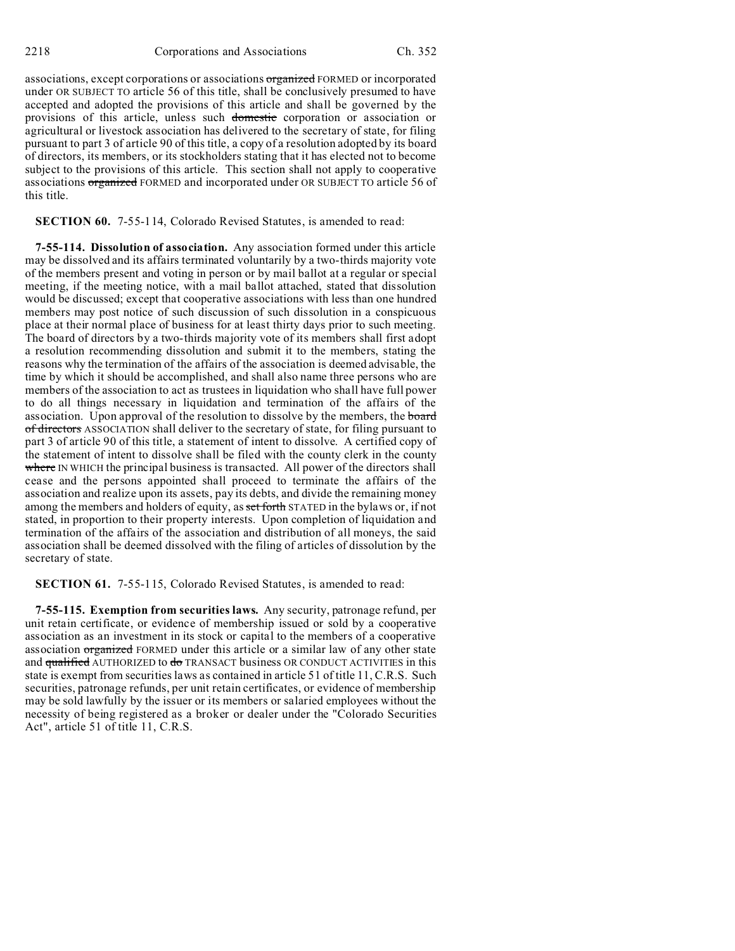associations, except corporations or associations organized FORMED or incorporated under OR SUBJECT TO article 56 of this title, shall be conclusively presumed to have accepted and adopted the provisions of this article and shall be governed by the provisions of this article, unless such domestic corporation or association or agricultural or livestock association has delivered to the secretary of state, for filing pursuant to part 3 of article 90 of this title, a copy of a resolution adopted by its board of directors, its members, or its stockholders stating that it has elected not to become subject to the provisions of this article. This section shall not apply to cooperative associations organized FORMED and incorporated under OR SUBJECT TO article 56 of this title.

**SECTION 60.** 7-55-114, Colorado Revised Statutes, is amended to read:

**7-55-114. Dissolution of association.** Any association formed under this article may be dissolved and its affairs terminated voluntarily by a two-thirds majority vote of the members present and voting in person or by mail ballot at a regular or special meeting, if the meeting notice, with a mail ballot attached, stated that dissolution would be discussed; except that cooperative associations with less than one hundred members may post notice of such discussion of such dissolution in a conspicuous place at their normal place of business for at least thirty days prior to such meeting. The board of directors by a two-thirds majority vote of its members shall first adopt a resolution recommending dissolution and submit it to the members, stating the reasons why the termination of the affairs of the association is deemed advisable, the time by which it should be accomplished, and shall also name three persons who are members of the association to act as trustees in liquidation who shall have full power to do all things necessary in liquidation and termination of the affairs of the association. Upon approval of the resolution to dissolve by the members, the board of directors ASSOCIATION shall deliver to the secretary of state, for filing pursuant to part 3 of article 90 of this title, a statement of intent to dissolve. A certified copy of the statement of intent to dissolve shall be filed with the county clerk in the county where IN WHICH the principal business is transacted. All power of the directors shall cease and the persons appointed shall proceed to terminate the affairs of the association and realize upon its assets, pay its debts, and divide the remaining money among the members and holders of equity, as set forth STATED in the bylaws or, if not stated, in proportion to their property interests. Upon completion of liquidation and termination of the affairs of the association and distribution of all moneys, the said association shall be deemed dissolved with the filing of articles of dissolution by the secretary of state.

**SECTION 61.** 7-55-115, Colorado Revised Statutes, is amended to read:

**7-55-115. Exemption from securities laws.** Any security, patronage refund, per unit retain certificate, or evidence of membership issued or sold by a cooperative association as an investment in its stock or capital to the members of a cooperative association organized FORMED under this article or a similar law of any other state and qualified AUTHORIZED to do TRANSACT business OR CONDUCT ACTIVITIES in this state is exempt from securities laws as contained in article 51 of title 11, C.R.S. Such securities, patronage refunds, per unit retain certificates, or evidence of membership may be sold lawfully by the issuer or its members or salaried employees without the necessity of being registered as a broker or dealer under the "Colorado Securities Act", article 51 of title 11, C.R.S.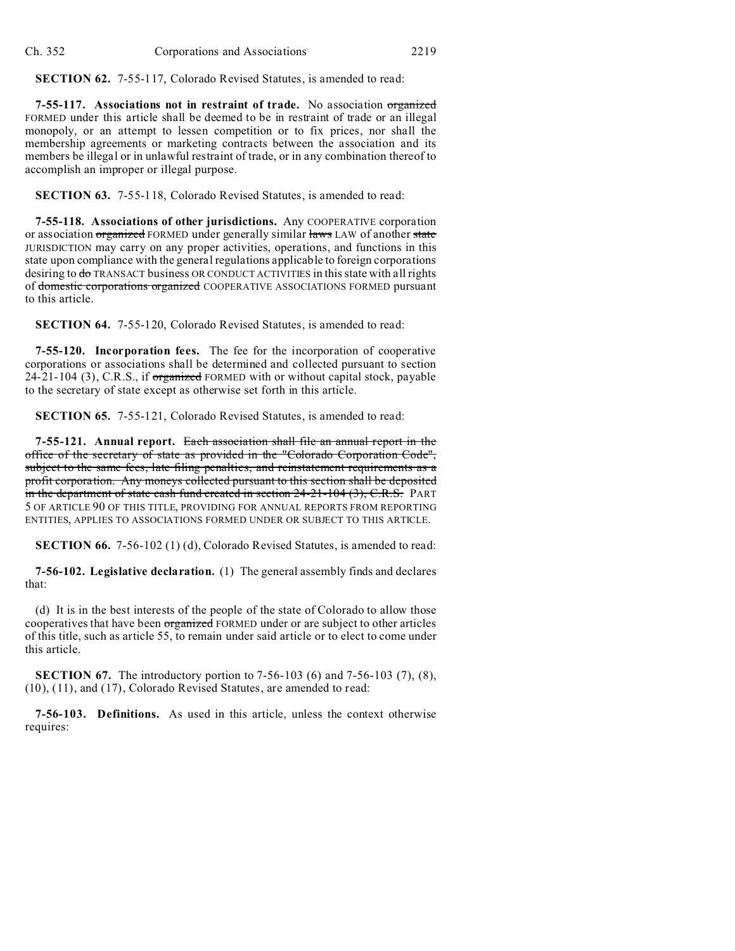**SECTION 62.** 7-55-117, Colorado Revised Statutes, is amended to read:

**7-55-117. Associations not in restraint of trade.** No association organized FORMED under this article shall be deemed to be in restraint of trade or an illegal monopoly, or an attempt to lessen competition or to fix prices, nor shall the membership agreements or marketing contracts between the association and its members be illegal or in unlawful restraint of trade, or in any combination thereof to accomplish an improper or illegal purpose.

**SECTION 63.** 7-55-118, Colorado Revised Statutes, is amended to read:

**7-55-118. Associations of other jurisdictions.** Any COOPERATIVE corporation or association organized FORMED under generally similar laws LAW of another state JURISDICTION may carry on any proper activities, operations, and functions in this state upon compliance with the general regulations applicable to foreign corporations desiring to do TRANSACT business OR CONDUCT ACTIVITIES in this state with all rights of domestic corporations organized COOPERATIVE ASSOCIATIONS FORMED pursuant to this article.

**SECTION 64.** 7-55-120, Colorado Revised Statutes, is amended to read:

**7-55-120. Incorporation fees.** The fee for the incorporation of cooperative corporations or associations shall be determined and collected pursuant to section  $24-21-104$  (3), C.R.S., if organized FORMED with or without capital stock, payable to the secretary of state except as otherwise set forth in this article.

**SECTION 65.** 7-55-121, Colorado Revised Statutes, is amended to read:

**7-55-121. Annual report.** Each association shall file an annual report in the office of the secretary of state as provided in the "Colorado Corporation Code", subject to the same fees, late filing penalties, and reinstatement requirements as a profit corporation. Any moneys collected pursuant to this section shall be deposited in the department of state cash fund created in section 24-21-104 (3), C.R.S. PART 5 OF ARTICLE 90 OF THIS TITLE, PROVIDING FOR ANNUAL REPORTS FROM REPORTING ENTITIES, APPLIES TO ASSOCIATIONS FORMED UNDER OR SUBJECT TO THIS ARTICLE.

**SECTION 66.** 7-56-102 (1) (d), Colorado Revised Statutes, is amended to read:

**7-56-102. Legislative declaration.** (1) The general assembly finds and declares that:

(d) It is in the best interests of the people of the state of Colorado to allow those cooperatives that have been organized FORMED under or are subject to other articles of this title, such as article 55, to remain under said article or to elect to come under this article.

**SECTION 67.** The introductory portion to 7-56-103 (6) and 7-56-103 (7), (8), (10), (11), and (17), Colorado Revised Statutes, are amended to read:

**7-56-103. Definitions.** As used in this article, unless the context otherwise requires: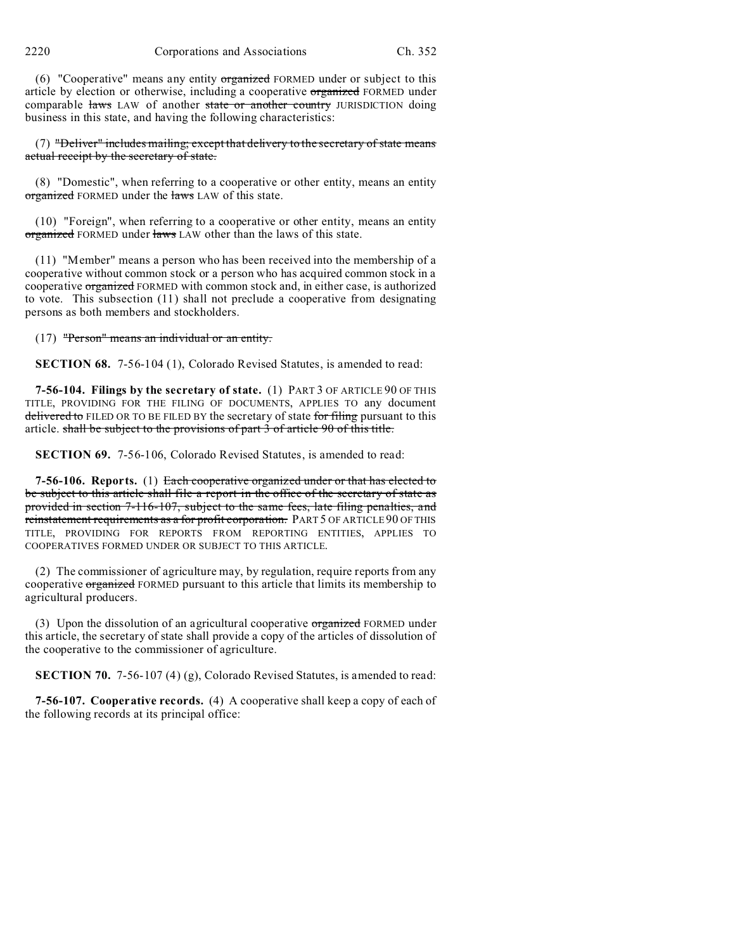(6) "Cooperative" means any entity organized FORMED under or subject to this article by election or otherwise, including a cooperative organized FORMED under comparable laws LAW of another state or another country JURISDICTION doing business in this state, and having the following characteristics:

(7) "Deliver" includes mailing; except that delivery to the secretary of state means actual receipt by the secretary of state.

(8) "Domestic", when referring to a cooperative or other entity, means an entity organized FORMED under the laws LAW of this state.

(10) "Foreign", when referring to a cooperative or other entity, means an entity organized FORMED under laws LAW other than the laws of this state.

(11) "Member" means a person who has been received into the membership of a cooperative without common stock or a person who has acquired common stock in a cooperative organized FORMED with common stock and, in either case, is authorized to vote. This subsection (11) shall not preclude a cooperative from designating persons as both members and stockholders.

(17) "Person" means an individual or an entity.

**SECTION 68.** 7-56-104 (1), Colorado Revised Statutes, is amended to read:

**7-56-104. Filings by the secretary of state.** (1) PART 3 OF ARTICLE 90 OF THIS TITLE, PROVIDING FOR THE FILING OF DOCUMENTS, APPLIES TO any document delivered to FILED OR TO BE FILED BY the secretary of state for filing pursuant to this article. shall be subject to the provisions of part 3 of article 90 of this title.

**SECTION 69.** 7-56-106, Colorado Revised Statutes, is amended to read:

**7-56-106. Reports.** (1) Each cooperative organized under or that has elected to be subject to this article shall file a report in the office of the secretary of state as provided in section 7-116-107, subject to the same fees, late filing penalties, and reinstatement requirements as a for profit corporation. PART 5 OF ARTICLE 90 OF THIS TITLE, PROVIDING FOR REPORTS FROM REPORTING ENTITIES, APPLIES TO COOPERATIVES FORMED UNDER OR SUBJECT TO THIS ARTICLE.

(2) The commissioner of agriculture may, by regulation, require reports from any cooperative organized FORMED pursuant to this article that limits its membership to agricultural producers.

(3) Upon the dissolution of an agricultural cooperative organized FORMED under this article, the secretary of state shall provide a copy of the articles of dissolution of the cooperative to the commissioner of agriculture.

**SECTION 70.** 7-56-107 (4) (g), Colorado Revised Statutes, is amended to read:

**7-56-107. Cooperative records.** (4) A cooperative shall keep a copy of each of the following records at its principal office: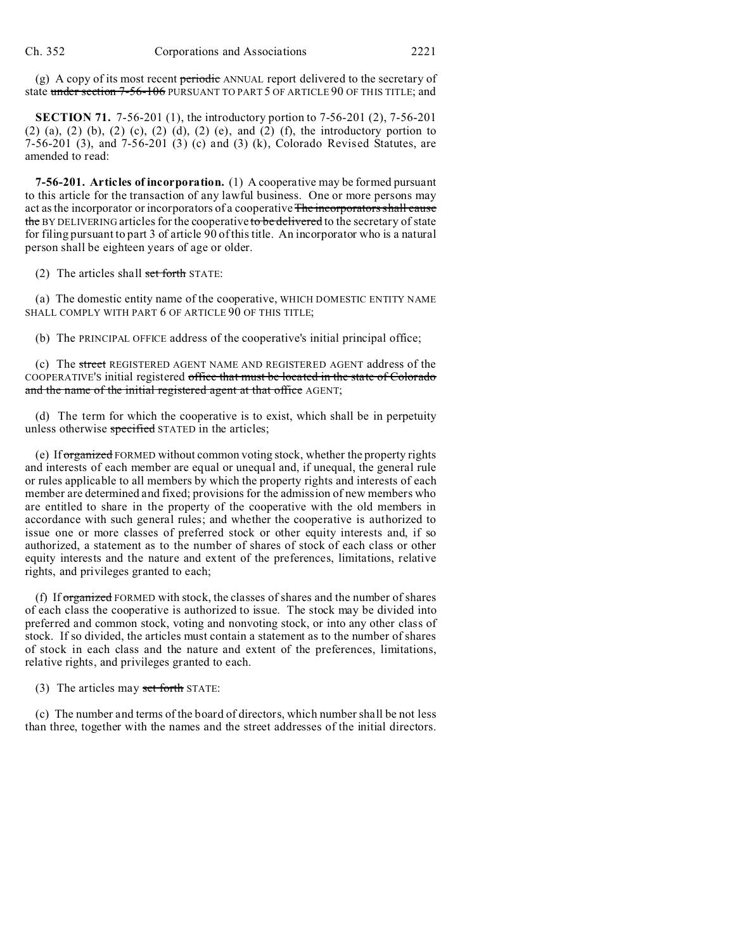(g) A copy of its most recent periodic ANNUAL report delivered to the secretary of state under section 7-56-106 PURSUANT TO PART 5 OF ARTICLE 90 OF THIS TITLE; and

**SECTION 71.** 7-56-201 (1), the introductory portion to 7-56-201 (2), 7-56-201  $(2)$  (a),  $(2)$  (b),  $(2)$  (c),  $(2)$  (d),  $(2)$  (e), and  $(2)$  (f), the introductory portion to 7-56-201 (3), and 7-56-201 (3) (c) and (3) (k), Colorado Revised Statutes, are amended to read:

**7-56-201. Articles of incorporation.** (1) A cooperative may be formed pursuant to this article for the transaction of any lawful business. One or more persons may act as the incorporator or incorporators of a cooperative The incorporators shall cause the BY DELIVERING articles for the cooperative to be delivered to the secretary of state for filing pursuant to part 3 of article 90 of this title. An incorporator who is a natural person shall be eighteen years of age or older.

(2) The articles shall set forth STATE:

(a) The domestic entity name of the cooperative, WHICH DOMESTIC ENTITY NAME SHALL COMPLY WITH PART 6 OF ARTICLE 90 OF THIS TITLE;

(b) The PRINCIPAL OFFICE address of the cooperative's initial principal office;

(c) The street REGISTERED AGENT NAME AND REGISTERED AGENT address of the COOPERATIVE'S initial registered office that must be located in the state of Colorado and the name of the initial registered agent at that office AGENT;

(d) The term for which the cooperative is to exist, which shall be in perpetuity unless otherwise specified STATED in the articles;

(e) If organized FORMED without common voting stock, whether the property rights and interests of each member are equal or unequal and, if unequal, the general rule or rules applicable to all members by which the property rights and interests of each member are determined and fixed; provisions for the admission of new members who are entitled to share in the property of the cooperative with the old members in accordance with such general rules; and whether the cooperative is authorized to issue one or more classes of preferred stock or other equity interests and, if so authorized, a statement as to the number of shares of stock of each class or other equity interests and the nature and extent of the preferences, limitations, relative rights, and privileges granted to each;

(f) If organized FORMED with stock, the classes of shares and the number of shares of each class the cooperative is authorized to issue. The stock may be divided into preferred and common stock, voting and nonvoting stock, or into any other class of stock. If so divided, the articles must contain a statement as to the number of shares of stock in each class and the nature and extent of the preferences, limitations, relative rights, and privileges granted to each.

(3) The articles may set forth STATE:

(c) The number and terms of the board of directors, which number shall be not less than three, together with the names and the street addresses of the initial directors.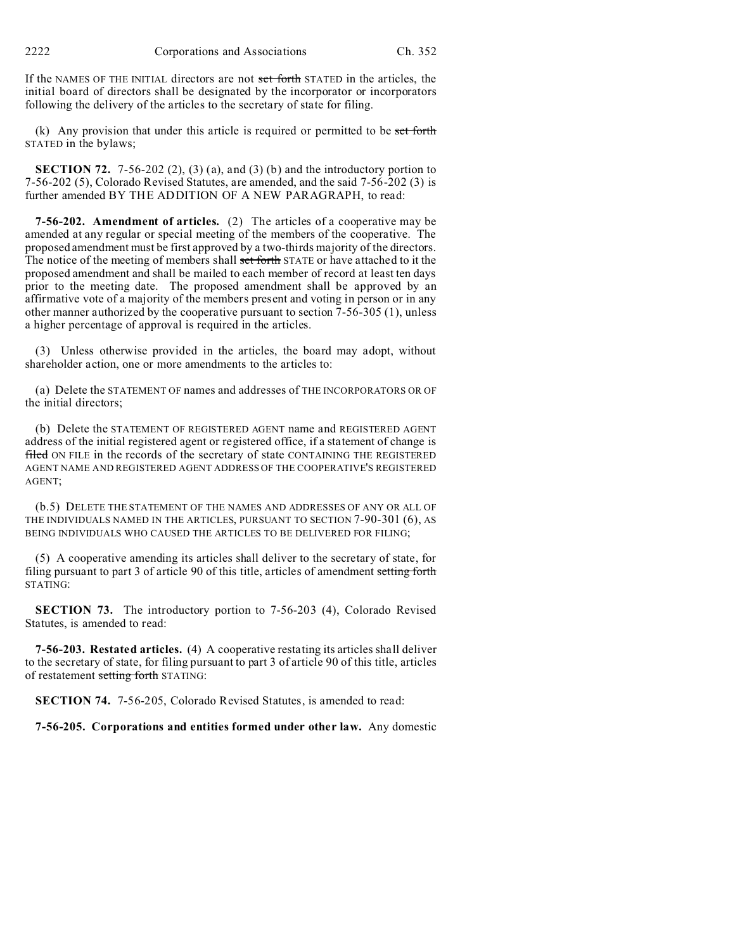If the NAMES OF THE INITIAL directors are not set forth STATED in the articles, the initial board of directors shall be designated by the incorporator or incorporators following the delivery of the articles to the secretary of state for filing.

 $(k)$  Any provision that under this article is required or permitted to be set forth STATED in the bylaws;

**SECTION 72.** 7-56-202 (2), (3) (a), and (3) (b) and the introductory portion to 7-56-202 (5), Colorado Revised Statutes, are amended, and the said 7-56-202 (3) is further amended BY THE ADDITION OF A NEW PARAGRAPH, to read:

**7-56-202. Amendment of articles.** (2) The articles of a cooperative may be amended at any regular or special meeting of the members of the cooperative. The proposed amendment must be first approved by a two-thirds majority of the directors. The notice of the meeting of members shall set forth STATE or have attached to it the proposed amendment and shall be mailed to each member of record at least ten days prior to the meeting date. The proposed amendment shall be approved by an affirmative vote of a majority of the members present and voting in person or in any other manner authorized by the cooperative pursuant to section 7-56-305 (1), unless a higher percentage of approval is required in the articles.

(3) Unless otherwise provided in the articles, the board may adopt, without shareholder action, one or more amendments to the articles to:

(a) Delete the STATEMENT OF names and addresses of THE INCORPORATORS OR OF the initial directors;

(b) Delete the STATEMENT OF REGISTERED AGENT name and REGISTERED AGENT address of the initial registered agent or registered office, if a statement of change is filed ON FILE in the records of the secretary of state CONTAINING THE REGISTERED AGENT NAME AND REGISTERED AGENT ADDRESS OF THE COOPERATIVE'S REGISTERED AGENT;

(b.5) DELETE THE STATEMENT OF THE NAMES AND ADDRESSES OF ANY OR ALL OF THE INDIVIDUALS NAMED IN THE ARTICLES, PURSUANT TO SECTION 7-90-301 (6), AS BEING INDIVIDUALS WHO CAUSED THE ARTICLES TO BE DELIVERED FOR FILING;

(5) A cooperative amending its articles shall deliver to the secretary of state, for filing pursuant to part 3 of article 90 of this title, articles of amendment setting forth STATING:

**SECTION 73.** The introductory portion to 7-56-203 (4), Colorado Revised Statutes, is amended to read:

**7-56-203. Restated articles.** (4) A cooperative restating its articles shall deliver to the secretary of state, for filing pursuant to part 3 of article 90 of this title, articles of restatement setting forth STATING:

**SECTION 74.** 7-56-205, Colorado Revised Statutes, is amended to read:

**7-56-205. Corporations and entities formed under other law.** Any domestic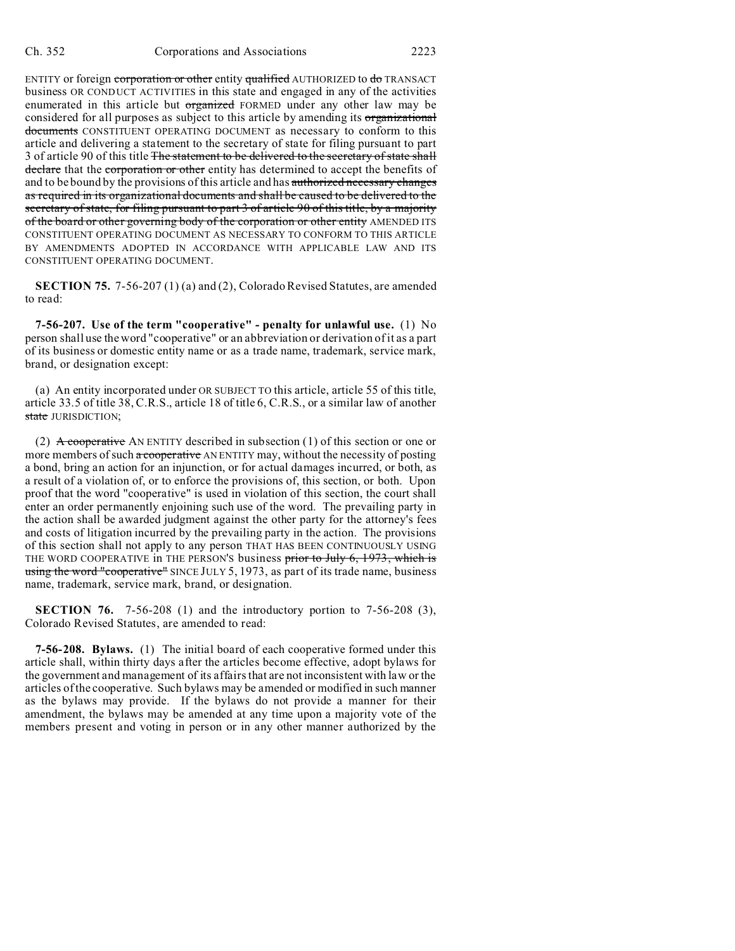ENTITY or foreign corporation or other entity qualified AUTHORIZED to do TRANSACT business OR CONDUCT ACTIVITIES in this state and engaged in any of the activities enumerated in this article but organized FORMED under any other law may be considered for all purposes as subject to this article by amending its organizational documents CONSTITUENT OPERATING DOCUMENT as necessary to conform to this article and delivering a statement to the secretary of state for filing pursuant to part 3 of article 90 of this title The statement to be delivered to the secretary of state shall declare that the corporation or other entity has determined to accept the benefits of and to be bound by the provisions of this article and has authorized necessary changes as required in its organizational documents and shall be caused to be delivered to the secretary of state, for filing pursuant to part 3 of article 90 of this title, by a majority of the board or other governing body of the corporation or other entity AMENDED ITS CONSTITUENT OPERATING DOCUMENT AS NECESSARY TO CONFORM TO THIS ARTICLE BY AMENDMENTS ADOPTED IN ACCORDANCE WITH APPLICABLE LAW AND ITS CONSTITUENT OPERATING DOCUMENT.

**SECTION 75.** 7-56-207 (1) (a) and (2), Colorado Revised Statutes, are amended to read:

**7-56-207. Use of the term "cooperative" - penalty for unlawful use.** (1) No person shall use the word "cooperative" or an abbreviation or derivation of it as a part of its business or domestic entity name or as a trade name, trademark, service mark, brand, or designation except:

(a) An entity incorporated under OR SUBJECT TO this article, article 55 of this title, article 33.5 of title 38, C.R.S., article 18 of title 6, C.R.S., or a similar law of another state JURISDICTION;

(2) A cooperative AN ENTITY described in subsection (1) of this section or one or more members of such a cooperative AN ENTITY may, without the necessity of posting a bond, bring an action for an injunction, or for actual damages incurred, or both, as a result of a violation of, or to enforce the provisions of, this section, or both. Upon proof that the word "cooperative" is used in violation of this section, the court shall enter an order permanently enjoining such use of the word. The prevailing party in the action shall be awarded judgment against the other party for the attorney's fees and costs of litigation incurred by the prevailing party in the action. The provisions of this section shall not apply to any person THAT HAS BEEN CONTINUOUSLY USING THE WORD COOPERATIVE in THE PERSON'S business prior to July 6, 1973, which is using the word "cooperative" SINCE JULY 5, 1973, as part of its trade name, business name, trademark, service mark, brand, or designation.

**SECTION 76.** 7-56-208 (1) and the introductory portion to 7-56-208 (3), Colorado Revised Statutes, are amended to read:

**7-56-208. Bylaws.** (1) The initial board of each cooperative formed under this article shall, within thirty days after the articles become effective, adopt bylaws for the government and management of its affairs that are not inconsistent with law or the articles of the cooperative. Such bylaws may be amended or modified in such manner as the bylaws may provide. If the bylaws do not provide a manner for their amendment, the bylaws may be amended at any time upon a majority vote of the members present and voting in person or in any other manner authorized by the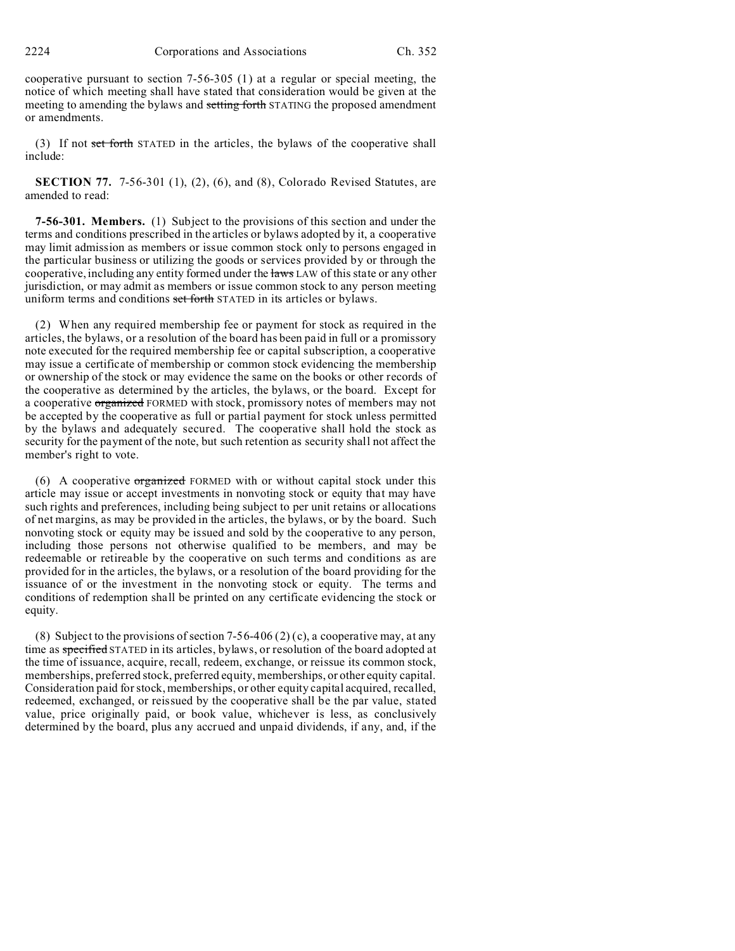cooperative pursuant to section 7-56-305 (1) at a regular or special meeting, the notice of which meeting shall have stated that consideration would be given at the meeting to amending the bylaws and setting forth STATING the proposed amendment or amendments.

(3) If not set forth STATED in the articles, the bylaws of the cooperative shall include:

**SECTION 77.** 7-56-301 (1), (2), (6), and (8), Colorado Revised Statutes, are amended to read:

**7-56-301. Members.** (1) Subject to the provisions of this section and under the terms and conditions prescribed in the articles or bylaws adopted by it, a cooperative may limit admission as members or issue common stock only to persons engaged in the particular business or utilizing the goods or services provided by or through the cooperative, including any entity formed under the laws LAW of this state or any other jurisdiction, or may admit as members or issue common stock to any person meeting uniform terms and conditions set forth STATED in its articles or bylaws.

(2) When any required membership fee or payment for stock as required in the articles, the bylaws, or a resolution of the board has been paid in full or a promissory note executed for the required membership fee or capital subscription, a cooperative may issue a certificate of membership or common stock evidencing the membership or ownership of the stock or may evidence the same on the books or other records of the cooperative as determined by the articles, the bylaws, or the board. Except for a cooperative organized FORMED with stock, promissory notes of members may not be accepted by the cooperative as full or partial payment for stock unless permitted by the bylaws and adequately secured. The cooperative shall hold the stock as security for the payment of the note, but such retention as security shall not affect the member's right to vote.

(6) A cooperative  $\sigma$ reganized FORMED with or without capital stock under this article may issue or accept investments in nonvoting stock or equity that may have such rights and preferences, including being subject to per unit retains or allocations of net margins, as may be provided in the articles, the bylaws, or by the board. Such nonvoting stock or equity may be issued and sold by the cooperative to any person, including those persons not otherwise qualified to be members, and may be redeemable or retireable by the cooperative on such terms and conditions as are provided for in the articles, the bylaws, or a resolution of the board providing for the issuance of or the investment in the nonvoting stock or equity. The terms and conditions of redemption shall be printed on any certificate evidencing the stock or equity.

(8) Subject to the provisions of section 7-56-406 (2) (c), a cooperative may, at any time as specified STATED in its articles, bylaws, or resolution of the board adopted at the time of issuance, acquire, recall, redeem, exchange, or reissue its common stock, memberships, preferred stock, preferred equity, memberships, or other equity capital. Consideration paid for stock, memberships, or other equity capital acquired, recalled, redeemed, exchanged, or reissued by the cooperative shall be the par value, stated value, price originally paid, or book value, whichever is less, as conclusively determined by the board, plus any accrued and unpaid dividends, if any, and, if the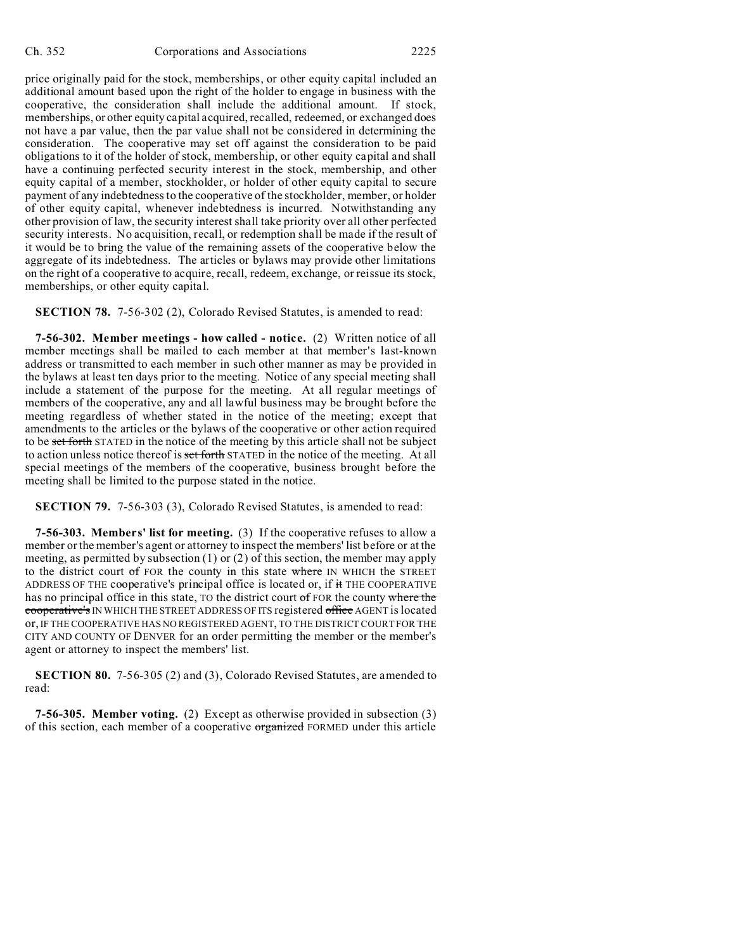price originally paid for the stock, memberships, or other equity capital included an additional amount based upon the right of the holder to engage in business with the cooperative, the consideration shall include the additional amount. If stock, memberships, or other equity capital acquired, recalled, redeemed, or exchanged does not have a par value, then the par value shall not be considered in determining the consideration. The cooperative may set off against the consideration to be paid obligations to it of the holder of stock, membership, or other equity capital and shall have a continuing perfected security interest in the stock, membership, and other equity capital of a member, stockholder, or holder of other equity capital to secure payment of any indebtedness to the cooperative of the stockholder, member, or holder of other equity capital, whenever indebtedness is incurred. Notwithstanding any other provision of law, the security interest shall take priority over all other perfected security interests. No acquisition, recall, or redemption shall be made if the result of it would be to bring the value of the remaining assets of the cooperative below the aggregate of its indebtedness. The articles or bylaws may provide other limitations on the right of a cooperative to acquire, recall, redeem, exchange, or reissue its stock, memberships, or other equity capital.

**SECTION 78.** 7-56-302 (2), Colorado Revised Statutes, is amended to read:

**7-56-302. Member meetings - how called - notice.** (2) Written notice of all member meetings shall be mailed to each member at that member's last-known address or transmitted to each member in such other manner as may be provided in the bylaws at least ten days prior to the meeting. Notice of any special meeting shall include a statement of the purpose for the meeting. At all regular meetings of members of the cooperative, any and all lawful business may be brought before the meeting regardless of whether stated in the notice of the meeting; except that amendments to the articles or the bylaws of the cooperative or other action required to be set forth STATED in the notice of the meeting by this article shall not be subject to action unless notice thereof is set forth STATED in the notice of the meeting. At all special meetings of the members of the cooperative, business brought before the meeting shall be limited to the purpose stated in the notice.

**SECTION 79.** 7-56-303 (3), Colorado Revised Statutes, is amended to read:

**7-56-303. Members' list for meeting.** (3) If the cooperative refuses to allow a member or the member's agent or attorney to inspect the members' list before or at the meeting, as permitted by subsection (1) or (2) of this section, the member may apply to the district court of FOR the county in this state where IN WHICH the STREET ADDRESS OF THE cooperative's principal office is located or, if it THE COOPERATIVE has no principal office in this state, TO the district court of FOR the county where the cooperative's IN WHICH THE STREET ADDRESS OF ITS registered office AGENT is located or, IF THE COOPERATIVE HAS NO REGISTERED AGENT, TO THE DISTRICT COURT FOR THE CITY AND COUNTY OF DENVER for an order permitting the member or the member's agent or attorney to inspect the members' list.

**SECTION 80.** 7-56-305 (2) and (3), Colorado Revised Statutes, are amended to read:

**7-56-305. Member voting.** (2) Except as otherwise provided in subsection (3) of this section, each member of a cooperative organized FORMED under this article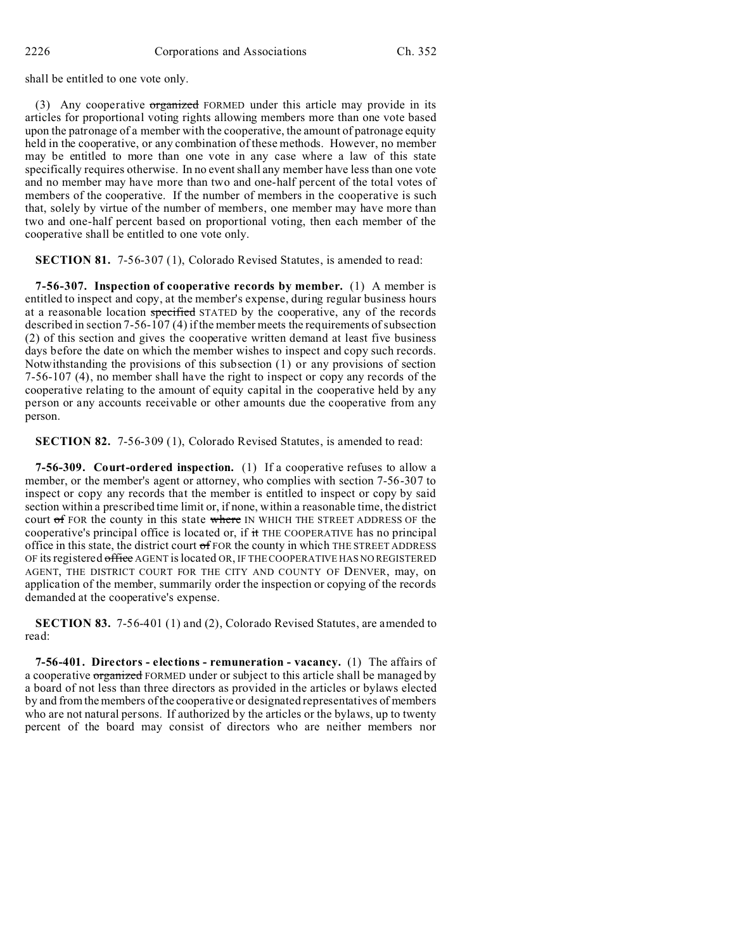shall be entitled to one vote only.

(3) Any cooperative organized FORMED under this article may provide in its articles for proportional voting rights allowing members more than one vote based upon the patronage of a member with the cooperative, the amount of patronage equity held in the cooperative, or any combination of these methods. However, no member may be entitled to more than one vote in any case where a law of this state specifically requires otherwise. In no event shall any member have less than one vote and no member may have more than two and one-half percent of the total votes of members of the cooperative. If the number of members in the cooperative is such that, solely by virtue of the number of members, one member may have more than two and one-half percent based on proportional voting, then each member of the cooperative shall be entitled to one vote only.

**SECTION 81.** 7-56-307 (1), Colorado Revised Statutes, is amended to read:

**7-56-307. Inspection of cooperative records by member.** (1) A member is entitled to inspect and copy, at the member's expense, during regular business hours at a reasonable location specified STATED by the cooperative, any of the records described in section 7-56-107 (4) if the member meets the requirements of subsection (2) of this section and gives the cooperative written demand at least five business days before the date on which the member wishes to inspect and copy such records. Notwithstanding the provisions of this subsection (1) or any provisions of section 7-56-107 (4), no member shall have the right to inspect or copy any records of the cooperative relating to the amount of equity capital in the cooperative held by any person or any accounts receivable or other amounts due the cooperative from any person.

**SECTION 82.** 7-56-309 (1), Colorado Revised Statutes, is amended to read:

**7-56-309. Court-ordered inspection.** (1) If a cooperative refuses to allow a member, or the member's agent or attorney, who complies with section 7-56-307 to inspect or copy any records that the member is entitled to inspect or copy by said section within a prescribed time limit or, if none, within a reasonable time, the district court of FOR the county in this state where IN WHICH THE STREET ADDRESS OF the cooperative's principal office is located or, if it THE COOPERATIVE has no principal office in this state, the district court  $\sigma$ f FOR the county in which THE STREET ADDRESS OF its registered office AGENT is located OR, IF THE COOPERATIVE HAS NO REGISTERED AGENT, THE DISTRICT COURT FOR THE CITY AND COUNTY OF DENVER, may, on application of the member, summarily order the inspection or copying of the records demanded at the cooperative's expense.

**SECTION 83.** 7-56-401 (1) and (2), Colorado Revised Statutes, are amended to read:

**7-56-401. Directors - elections - remuneration - vacancy.** (1) The affairs of a cooperative organized FORMED under or subject to this article shall be managed by a board of not less than three directors as provided in the articles or bylaws elected by and from the members of the cooperative or designated representatives of members who are not natural persons. If authorized by the articles or the bylaws, up to twenty percent of the board may consist of directors who are neither members nor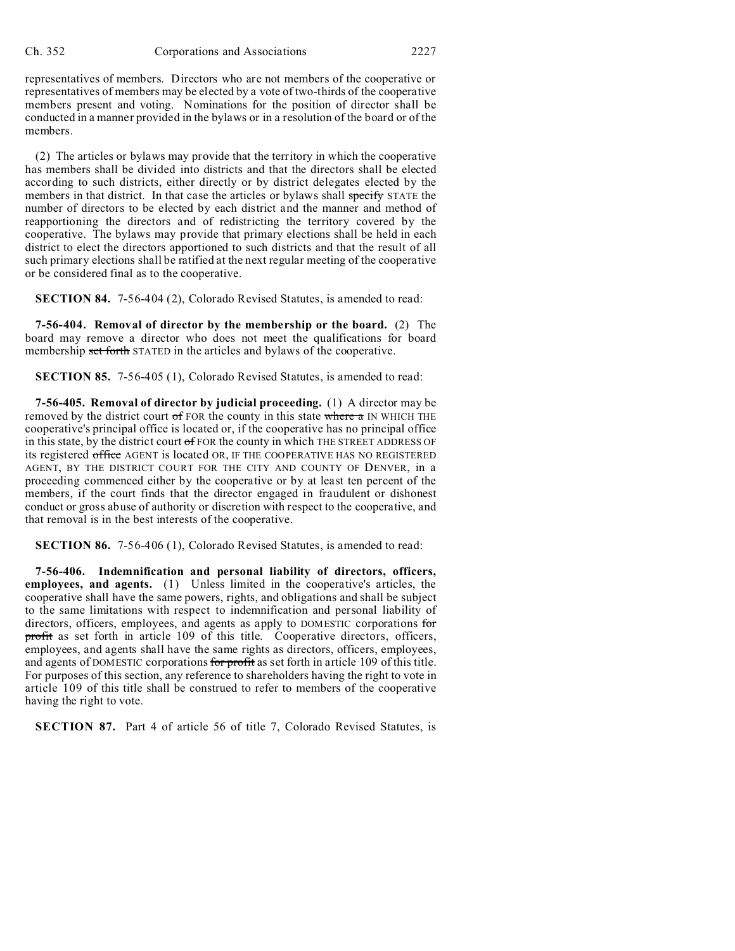representatives of members. Directors who are not members of the cooperative or representatives of members may be elected by a vote of two-thirds of the cooperative members present and voting. Nominations for the position of director shall be conducted in a manner provided in the bylaws or in a resolution of the board or of the members.

(2) The articles or bylaws may provide that the territory in which the cooperative has members shall be divided into districts and that the directors shall be elected according to such districts, either directly or by district delegates elected by the members in that district. In that case the articles or bylaws shall specify STATE the number of directors to be elected by each district and the manner and method of reapportioning the directors and of redistricting the territory covered by the cooperative. The bylaws may provide that primary elections shall be held in each district to elect the directors apportioned to such districts and that the result of all such primary elections shall be ratified at the next regular meeting of the cooperative or be considered final as to the cooperative.

**SECTION 84.** 7-56-404 (2), Colorado Revised Statutes, is amended to read:

**7-56-404. Removal of director by the membership or the board.** (2) The board may remove a director who does not meet the qualifications for board membership set forth STATED in the articles and bylaws of the cooperative.

**SECTION 85.** 7-56-405 (1), Colorado Revised Statutes, is amended to read:

**7-56-405. Removal of director by judicial proceeding.** (1) A director may be removed by the district court  $of$  FOR the county in this state where  $a$  IN WHICH THE cooperative's principal office is located or, if the cooperative has no principal office in this state, by the district court  $of$  FOR the county in which THE STREET ADDRESS OF its registered office AGENT is located OR, IF THE COOPERATIVE HAS NO REGISTERED AGENT, BY THE DISTRICT COURT FOR THE CITY AND COUNTY OF DENVER, in a proceeding commenced either by the cooperative or by at least ten percent of the members, if the court finds that the director engaged in fraudulent or dishonest conduct or gross abuse of authority or discretion with respect to the cooperative, and that removal is in the best interests of the cooperative.

**SECTION 86.** 7-56-406 (1), Colorado Revised Statutes, is amended to read:

**7-56-406. Indemnification and personal liability of directors, officers, employees, and agents.** (1) Unless limited in the cooperative's articles, the cooperative shall have the same powers, rights, and obligations and shall be subject to the same limitations with respect to indemnification and personal liability of directors, officers, employees, and agents as apply to DOMESTIC corporations for profit as set forth in article 109 of this title. Cooperative directors, officers, employees, and agents shall have the same rights as directors, officers, employees, and agents of DOMESTIC corporations for profit as set forth in article 109 of this title. For purposes of this section, any reference to shareholders having the right to vote in article 109 of this title shall be construed to refer to members of the cooperative having the right to vote.

**SECTION 87.** Part 4 of article 56 of title 7, Colorado Revised Statutes, is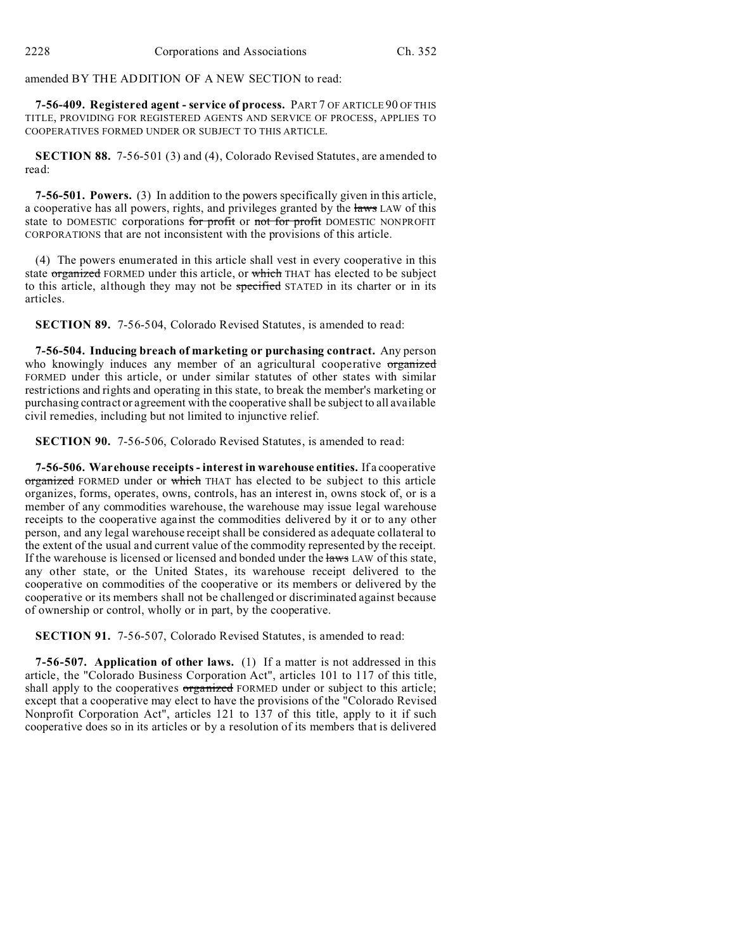amended BY THE ADDITION OF A NEW SECTION to read:

**7-56-409. Registered agent - service of process.** PART 7 OF ARTICLE 90 OF THIS TITLE, PROVIDING FOR REGISTERED AGENTS AND SERVICE OF PROCESS, APPLIES TO COOPERATIVES FORMED UNDER OR SUBJECT TO THIS ARTICLE.

**SECTION 88.** 7-56-501 (3) and (4), Colorado Revised Statutes, are amended to read:

**7-56-501. Powers.** (3) In addition to the powers specifically given in this article, a cooperative has all powers, rights, and privileges granted by the laws LAW of this state to DOMESTIC corporations for profit or not for profit DOMESTIC NONPROFIT CORPORATIONS that are not inconsistent with the provisions of this article.

(4) The powers enumerated in this article shall vest in every cooperative in this state organized FORMED under this article, or which THAT has elected to be subject to this article, although they may not be specified STATED in its charter or in its articles.

**SECTION 89.** 7-56-504, Colorado Revised Statutes, is amended to read:

**7-56-504. Inducing breach of marketing or purchasing contract.** Any person who knowingly induces any member of an agricultural cooperative organized FORMED under this article, or under similar statutes of other states with similar restrictions and rights and operating in this state, to break the member's marketing or purchasing contract or agreement with the cooperative shall be subject to all available civil remedies, including but not limited to injunctive relief.

**SECTION 90.** 7-56-506, Colorado Revised Statutes, is amended to read:

**7-56-506. Warehouse receipts - interest in warehouse entities.** If a cooperative organized FORMED under or which THAT has elected to be subject to this article organizes, forms, operates, owns, controls, has an interest in, owns stock of, or is a member of any commodities warehouse, the warehouse may issue legal warehouse receipts to the cooperative against the commodities delivered by it or to any other person, and any legal warehouse receipt shall be considered as adequate collateral to the extent of the usual and current value of the commodity represented by the receipt. If the warehouse is licensed or licensed and bonded under the laws LAW of this state, any other state, or the United States, its warehouse receipt delivered to the cooperative on commodities of the cooperative or its members or delivered by the cooperative or its members shall not be challenged or discriminated against because of ownership or control, wholly or in part, by the cooperative.

**SECTION 91.** 7-56-507, Colorado Revised Statutes, is amended to read:

**7-56-507. Application of other laws.** (1) If a matter is not addressed in this article, the "Colorado Business Corporation Act", articles 101 to 117 of this title, shall apply to the cooperatives organized FORMED under or subject to this article; except that a cooperative may elect to have the provisions of the "Colorado Revised Nonprofit Corporation Act", articles 121 to 137 of this title, apply to it if such cooperative does so in its articles or by a resolution of its members that is delivered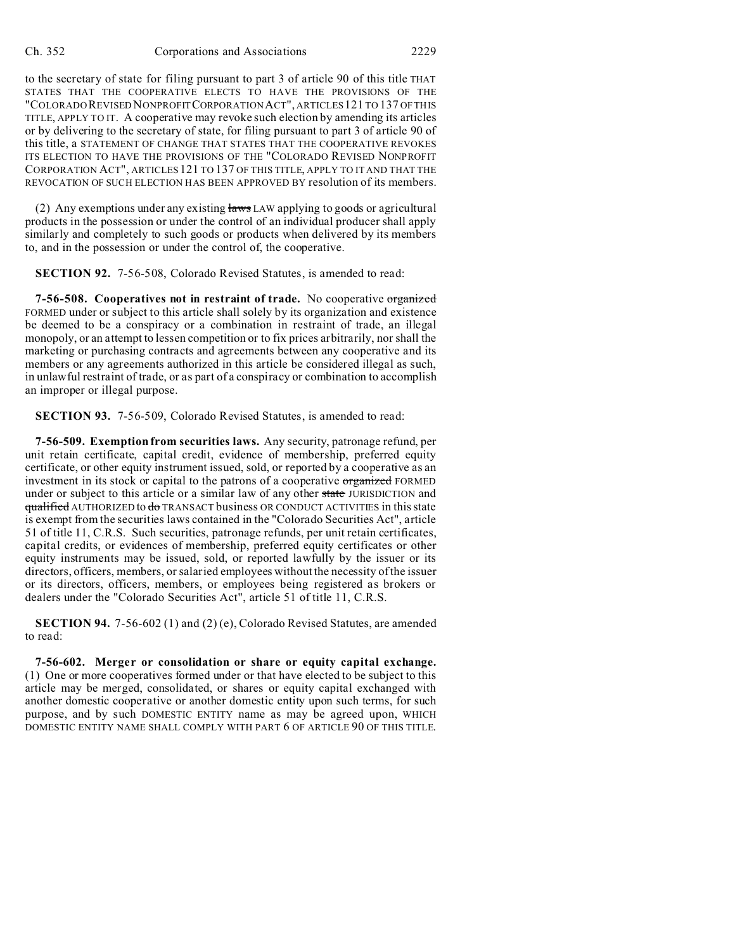to the secretary of state for filing pursuant to part 3 of article 90 of this title THAT STATES THAT THE COOPERATIVE ELECTS TO HAVE THE PROVISIONS OF THE "COLORADOREVISED NONPROFITCORPORATION ACT", ARTICLES 121 TO 137 OF THIS TITLE, APPLY TO IT. A cooperative may revoke such election by amending its articles or by delivering to the secretary of state, for filing pursuant to part 3 of article 90 of this title, a STATEMENT OF CHANGE THAT STATES THAT THE COOPERATIVE REVOKES ITS ELECTION TO HAVE THE PROVISIONS OF THE "COLORADO REVISED NONPROFIT CORPORATION ACT", ARTICLES 121 TO 137 OF THIS TITLE, APPLY TO IT AND THAT THE REVOCATION OF SUCH ELECTION HAS BEEN APPROVED BY resolution of its members.

(2) Any exemptions under any existing  $\frac{1}{2}$  aws LAW applying to goods or agricultural products in the possession or under the control of an individual producer shall apply similarly and completely to such goods or products when delivered by its members to, and in the possession or under the control of, the cooperative.

**SECTION 92.** 7-56-508, Colorado Revised Statutes, is amended to read:

**7-56-508. Cooperatives not in restraint of trade.** No cooperative organized FORMED under or subject to this article shall solely by its organization and existence be deemed to be a conspiracy or a combination in restraint of trade, an illegal monopoly, or an attempt to lessen competition or to fix prices arbitrarily, nor shall the marketing or purchasing contracts and agreements between any cooperative and its members or any agreements authorized in this article be considered illegal as such, in unlawful restraint of trade, or as part of a conspiracy or combination to accomplish an improper or illegal purpose.

**SECTION 93.** 7-56-509, Colorado Revised Statutes, is amended to read:

**7-56-509. Exemption from securities laws.** Any security, patronage refund, per unit retain certificate, capital credit, evidence of membership, preferred equity certificate, or other equity instrument issued, sold, or reported by a cooperative as an investment in its stock or capital to the patrons of a cooperative organized FORMED under or subject to this article or a similar law of any other state JURISDICTION and qualified AUTHORIZED to do TRANSACT business OR CONDUCT ACTIVITIES in this state is exempt from the securities laws contained in the "Colorado Securities Act", article 51 of title 11, C.R.S. Such securities, patronage refunds, per unit retain certificates, capital credits, or evidences of membership, preferred equity certificates or other equity instruments may be issued, sold, or reported lawfully by the issuer or its directors, officers, members, or salaried employees without the necessity of the issuer or its directors, officers, members, or employees being registered as brokers or dealers under the "Colorado Securities Act", article 51 of title 11, C.R.S.

**SECTION 94.** 7-56-602 (1) and (2) (e), Colorado Revised Statutes, are amended to read:

**7-56-602. Merger or consolidation or share or equity capital exchange.** (1) One or more cooperatives formed under or that have elected to be subject to this article may be merged, consolidated, or shares or equity capital exchanged with another domestic cooperative or another domestic entity upon such terms, for such purpose, and by such DOMESTIC ENTITY name as may be agreed upon, WHICH DOMESTIC ENTITY NAME SHALL COMPLY WITH PART 6 OF ARTICLE 90 OF THIS TITLE.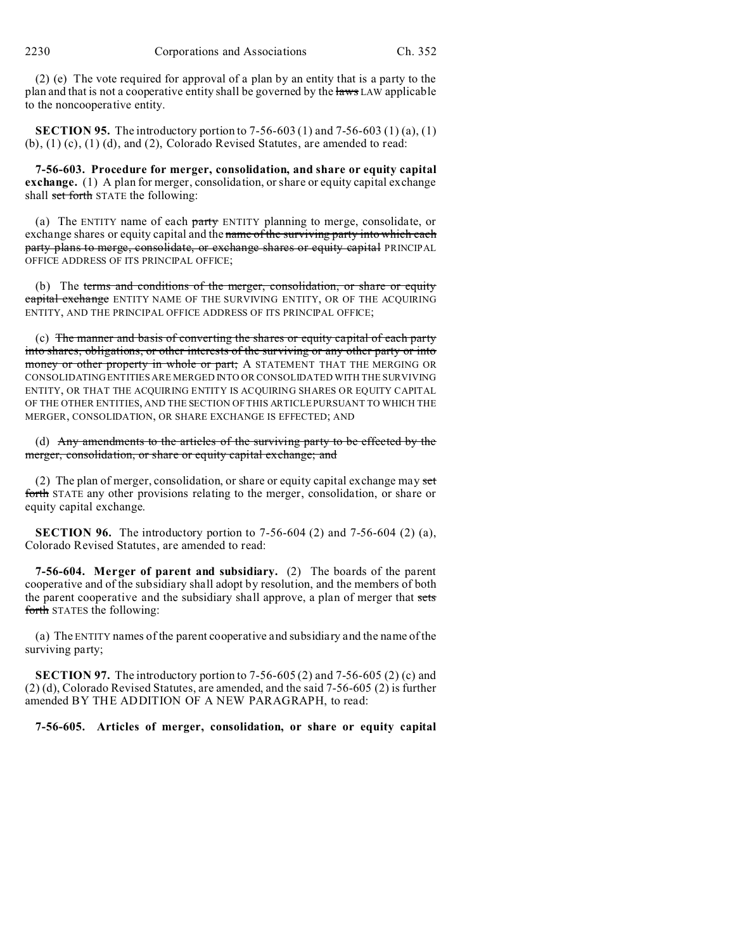(2) (e) The vote required for approval of a plan by an entity that is a party to the plan and that is not a cooperative entity shall be governed by the laws LAW applicable to the noncooperative entity.

**SECTION 95.** The introductory portion to 7-56-603 (1) and 7-56-603 (1) (a), (1)  $(b)$ ,  $(1)$   $(c)$ ,  $(1)$   $(d)$ , and  $(2)$ , Colorado Revised Statutes, are amended to read:

**7-56-603. Procedure for merger, consolidation, and share or equity capital exchange.** (1) A plan for merger, consolidation, or share or equity capital exchange shall set forth STATE the following:

(a) The ENTITY name of each  $\frac{\partial f}{\partial x}$  ENTITY planning to merge, consolidate, or exchange shares or equity capital and the name of the surviving party into which each party plans to merge, consolidate, or exchange shares or equity capital PRINCIPAL OFFICE ADDRESS OF ITS PRINCIPAL OFFICE;

(b) The terms and conditions of the merger, consolidation, or share or equity capital exchange ENTITY NAME OF THE SURVIVING ENTITY, OR OF THE ACQUIRING ENTITY, AND THE PRINCIPAL OFFICE ADDRESS OF ITS PRINCIPAL OFFICE;

(c) The manner and basis of converting the shares or equity capital of each party into shares, obligations, or other interests of the surviving or any other party or into money or other property in whole or part; A STATEMENT THAT THE MERGING OR CONSOLIDATING ENTITIES ARE MERGED INTO OR CONSOLIDATED WITH THE SURVIVING ENTITY, OR THAT THE ACQUIRING ENTITY IS ACQUIRING SHARES OR EQUITY CAPITAL OF THE OTHER ENTITIES, AND THE SECTION OF THIS ARTICLE PURSUANT TO WHICH THE MERGER, CONSOLIDATION, OR SHARE EXCHANGE IS EFFECTED; AND

(d) Any amendments to the articles of the surviving party to be effected by the merger, consolidation, or share or equity capital exchange; and

(2) The plan of merger, consolidation, or share or equity capital exchange may set forth STATE any other provisions relating to the merger, consolidation, or share or equity capital exchange.

**SECTION 96.** The introductory portion to 7-56-604 (2) and 7-56-604 (2) (a), Colorado Revised Statutes, are amended to read:

**7-56-604. Merger of parent and subsidiary.** (2) The boards of the parent cooperative and of the subsidiary shall adopt by resolution, and the members of both the parent cooperative and the subsidiary shall approve, a plan of merger that sets forth STATES the following:

(a) The ENTITY names of the parent cooperative and subsidiary and the name of the surviving party;

**SECTION 97.** The introductory portion to 7-56-605 (2) and 7-56-605 (2) (c) and (2) (d), Colorado Revised Statutes, are amended, and the said 7-56-605 (2) is further amended BY THE ADDITION OF A NEW PARAGRAPH, to read:

**7-56-605. Articles of merger, consolidation, or share or equity capital**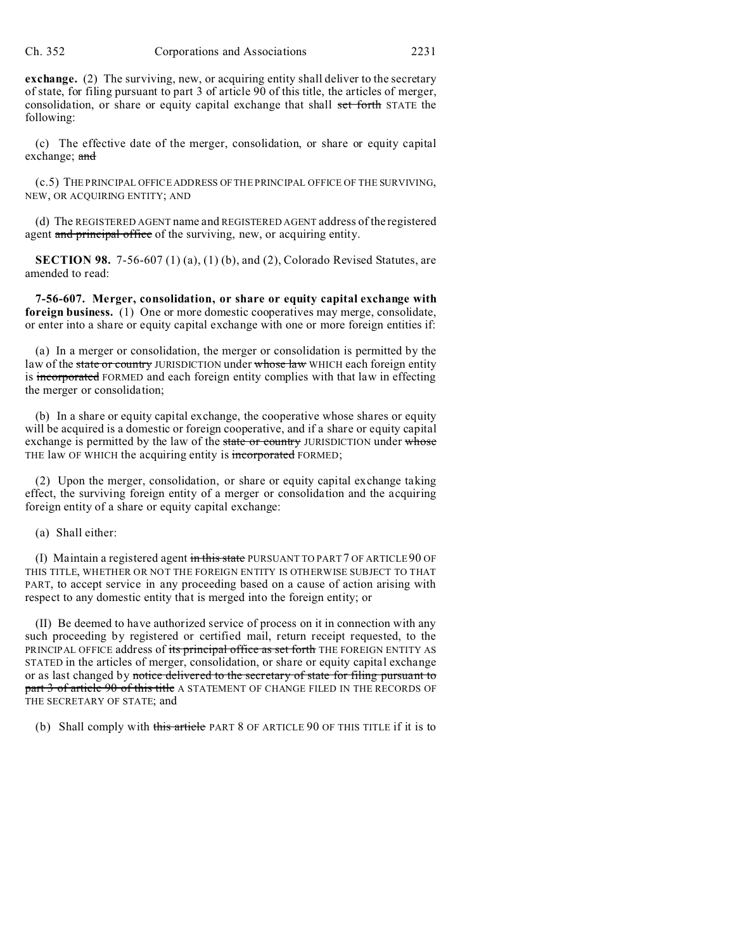**exchange.** (2) The surviving, new, or acquiring entity shall deliver to the secretary of state, for filing pursuant to part 3 of article 90 of this title, the articles of merger, consolidation, or share or equity capital exchange that shall set forth STATE the following:

(c) The effective date of the merger, consolidation, or share or equity capital exchange; and

(c.5) THE PRINCIPAL OFFICE ADDRESS OF THE PRINCIPAL OFFICE OF THE SURVIVING, NEW, OR ACQUIRING ENTITY; AND

(d) The REGISTERED AGENT name and REGISTERED AGENT address of the registered agent and principal office of the surviving, new, or acquiring entity.

**SECTION 98.** 7-56-607 (1) (a), (1) (b), and (2), Colorado Revised Statutes, are amended to read:

**7-56-607. Merger, consolidation, or share or equity capital exchange with foreign business.** (1) One or more domestic cooperatives may merge, consolidate, or enter into a share or equity capital exchange with one or more foreign entities if:

(a) In a merger or consolidation, the merger or consolidation is permitted by the law of the state or country JURISDICTION under whose law WHICH each foreign entity is incorporated FORMED and each foreign entity complies with that law in effecting the merger or consolidation;

(b) In a share or equity capital exchange, the cooperative whose shares or equity will be acquired is a domestic or foreign cooperative, and if a share or equity capital exchange is permitted by the law of the state or country JURISDICTION under whose THE law OF WHICH the acquiring entity is incorporated FORMED;

(2) Upon the merger, consolidation, or share or equity capital exchange taking effect, the surviving foreign entity of a merger or consolidation and the acquiring foreign entity of a share or equity capital exchange:

(a) Shall either:

(I) Maintain a registered agent in this state PURSUANT TO PART 7 OF ARTICLE 90 OF THIS TITLE, WHETHER OR NOT THE FOREIGN ENTITY IS OTHERWISE SUBJECT TO THAT PART, to accept service in any proceeding based on a cause of action arising with respect to any domestic entity that is merged into the foreign entity; or

(II) Be deemed to have authorized service of process on it in connection with any such proceeding by registered or certified mail, return receipt requested, to the PRINCIPAL OFFICE address of its principal office as set forth THE FOREIGN ENTITY AS STATED in the articles of merger, consolidation, or share or equity capital exchange or as last changed by notice delivered to the secretary of state for filing pursuant to part 3 of article 90 of this title A STATEMENT OF CHANGE FILED IN THE RECORDS OF THE SECRETARY OF STATE; and

(b) Shall comply with this article PART 8 OF ARTICLE 90 OF THIS TITLE if it is to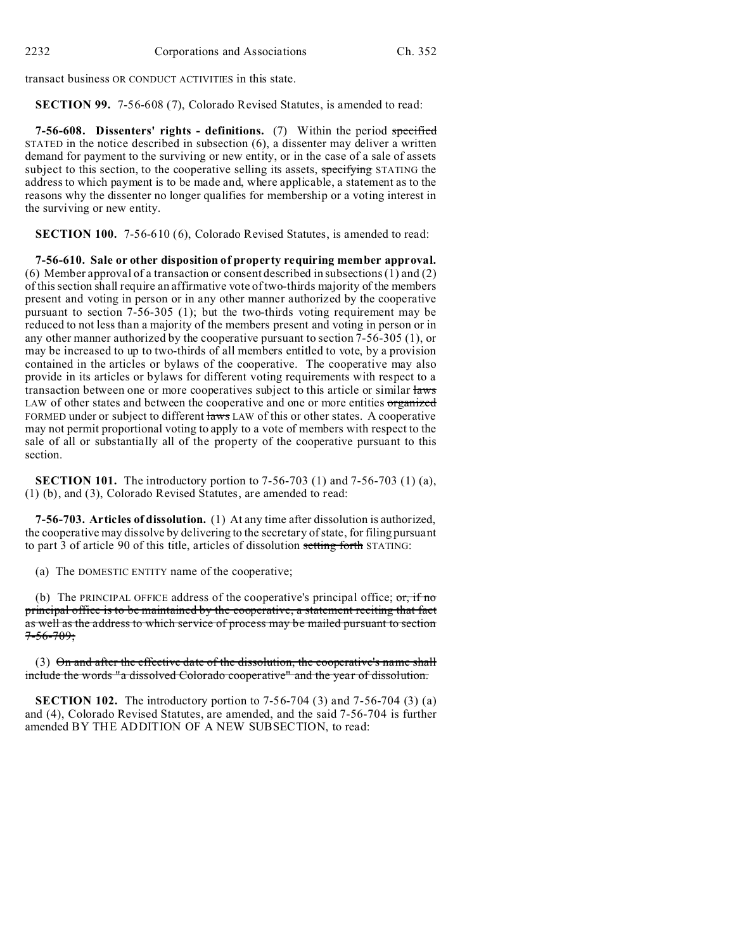transact business OR CONDUCT ACTIVITIES in this state.

**SECTION 99.** 7-56-608 (7), Colorado Revised Statutes, is amended to read:

**7-56-608. Dissenters' rights - definitions.** (7) Within the period specified STATED in the notice described in subsection (6), a dissenter may deliver a written demand for payment to the surviving or new entity, or in the case of a sale of assets subject to this section, to the cooperative selling its assets, specifying STATING the address to which payment is to be made and, where applicable, a statement as to the reasons why the dissenter no longer qualifies for membership or a voting interest in the surviving or new entity.

**SECTION 100.** 7-56-610 (6), Colorado Revised Statutes, is amended to read:

**7-56-610. Sale or other disposition of property requiring member approval.** (6) Member approval of a transaction or consent described in subsections  $(1)$  and  $(2)$ of this section shall require an affirmative vote of two-thirds majority of the members present and voting in person or in any other manner authorized by the cooperative pursuant to section 7-56-305 (1); but the two-thirds voting requirement may be reduced to not less than a majority of the members present and voting in person or in any other manner authorized by the cooperative pursuant to section 7-56-305 (1), or may be increased to up to two-thirds of all members entitled to vote, by a provision contained in the articles or bylaws of the cooperative. The cooperative may also provide in its articles or bylaws for different voting requirements with respect to a transaction between one or more cooperatives subject to this article or similar laws LAW of other states and between the cooperative and one or more entities organized FORMED under or subject to different **laws** LAW of this or other states. A cooperative may not permit proportional voting to apply to a vote of members with respect to the sale of all or substantially all of the property of the cooperative pursuant to this section.

**SECTION 101.** The introductory portion to 7-56-703 (1) and 7-56-703 (1) (a), (1) (b), and (3), Colorado Revised Statutes, are amended to read:

**7-56-703. Articles of dissolution.** (1) At any time after dissolution is authorized, the cooperative may dissolve by delivering to the secretary of state, for filing pursuant to part 3 of article 90 of this title, articles of dissolution setting forth STATING:

(a) The DOMESTIC ENTITY name of the cooperative;

(b) The PRINCIPAL OFFICE address of the cooperative's principal office;  $\sigma r$ , if no principal office is to be maintained by the cooperative, a statement reciting that fact as well as the address to which service of process may be mailed pursuant to section  $7 - 56 - 709$ ;

(3) On and after the effective date of the dissolution, the cooperative's name shall include the words "a dissolved Colorado cooperative" and the year of dissolution.

**SECTION 102.** The introductory portion to 7-56-704 (3) and 7-56-704 (3) (a) and (4), Colorado Revised Statutes, are amended, and the said 7-56-704 is further amended BY THE ADDITION OF A NEW SUBSECTION, to read: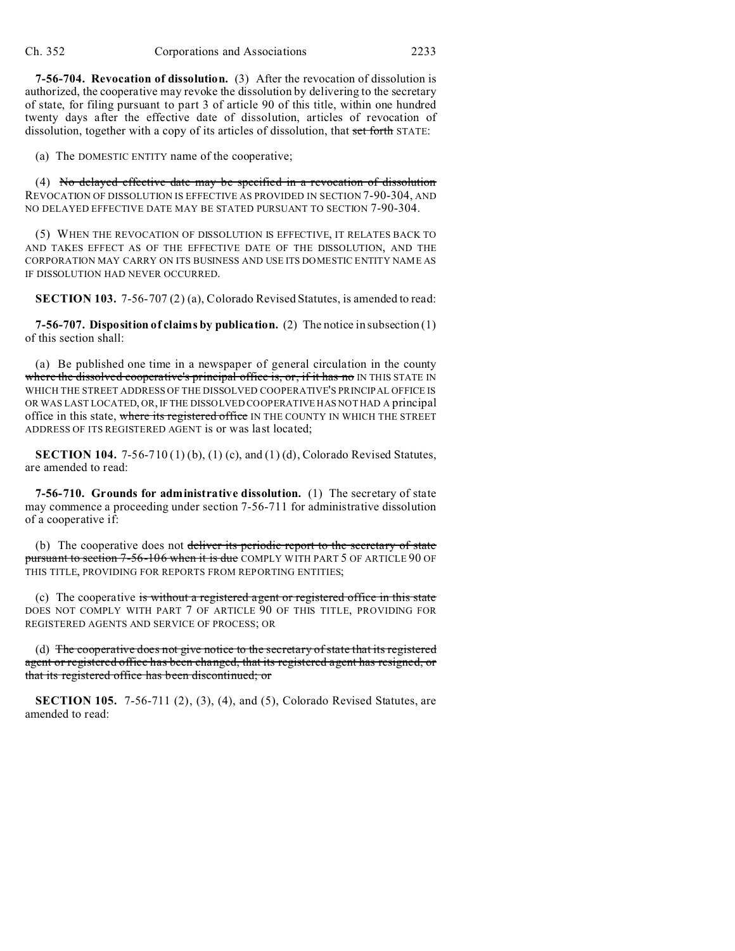**7-56-704. Revocation of dissolution.** (3) After the revocation of dissolution is authorized, the cooperative may revoke the dissolution by delivering to the secretary of state, for filing pursuant to part 3 of article 90 of this title, within one hundred twenty days after the effective date of dissolution, articles of revocation of dissolution, together with a copy of its articles of dissolution, that set forth STATE:

(a) The DOMESTIC ENTITY name of the cooperative;

(4) No delayed effective date may be specified in a revocation of dissolution REVOCATION OF DISSOLUTION IS EFFECTIVE AS PROVIDED IN SECTION 7-90-304, AND NO DELAYED EFFECTIVE DATE MAY BE STATED PURSUANT TO SECTION 7-90-304.

(5) WHEN THE REVOCATION OF DISSOLUTION IS EFFECTIVE, IT RELATES BACK TO AND TAKES EFFECT AS OF THE EFFECTIVE DATE OF THE DISSOLUTION, AND THE CORPORATION MAY CARRY ON ITS BUSINESS AND USE ITS DOMESTIC ENTITY NAME AS IF DISSOLUTION HAD NEVER OCCURRED.

**SECTION 103.** 7-56-707 (2) (a), Colorado Revised Statutes, is amended to read:

**7-56-707. Disposition of claims by publication.** (2) The notice in subsection (1) of this section shall:

(a) Be published one time in a newspaper of general circulation in the county where the dissolved cooperative's principal office is, or, if it has no IN THIS STATE IN WHICH THE STREET ADDRESS OF THE DISSOLVED COOPERATIVE'S PRINCIPAL OFFICE IS OR WAS LAST LOCATED, OR, IF THE DISSOLVED COOPERATIVE HAS NOT HAD A principal office in this state, where its registered office IN THE COUNTY IN WHICH THE STREET ADDRESS OF ITS REGISTERED AGENT is or was last located;

**SECTION 104.** 7-56-710 (1) (b), (1) (c), and (1) (d), Colorado Revised Statutes, are amended to read:

**7-56-710. Grounds for administrative dissolution.** (1) The secretary of state may commence a proceeding under section 7-56-711 for administrative dissolution of a cooperative if:

(b) The cooperative does not deliver its periodic report to the secretary of state pursuant to section 7-56-106 when it is due COMPLY WITH PART 5 OF ARTICLE 90 OF THIS TITLE, PROVIDING FOR REPORTS FROM REPORTING ENTITIES;

(c) The cooperative is without a registered agent or registered office in this state DOES NOT COMPLY WITH PART 7 OF ARTICLE 90 OF THIS TITLE, PROVIDING FOR REGISTERED AGENTS AND SERVICE OF PROCESS; OR

(d) The cooperative does not give notice to the secretary of state that its registered agent or registered office has been changed, that its registered agent has resigned, or that its registered office has been discontinued; or

**SECTION 105.** 7-56-711 (2), (3), (4), and (5), Colorado Revised Statutes, are amended to read: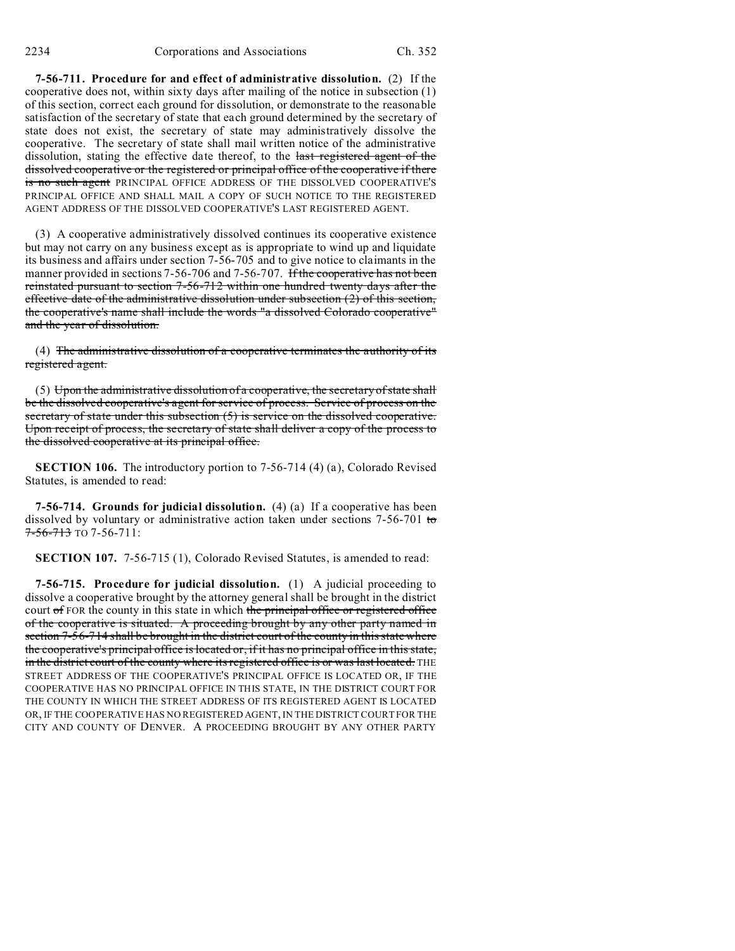**7-56-711. Procedure for and effect of administrative dissolution.** (2) If the cooperative does not, within sixty days after mailing of the notice in subsection (1) of this section, correct each ground for dissolution, or demonstrate to the reasonable satisfaction of the secretary of state that each ground determined by the secretary of state does not exist, the secretary of state may administratively dissolve the cooperative. The secretary of state shall mail written notice of the administrative dissolution, stating the effective date thereof, to the last registered agent of the dissolved cooperative or the registered or principal office of the cooperative if there is no such agent PRINCIPAL OFFICE ADDRESS OF THE DISSOLVED COOPERATIVE'S PRINCIPAL OFFICE AND SHALL MAIL A COPY OF SUCH NOTICE TO THE REGISTERED AGENT ADDRESS OF THE DISSOLVED COOPERATIVE'S LAST REGISTERED AGENT.

(3) A cooperative administratively dissolved continues its cooperative existence but may not carry on any business except as is appropriate to wind up and liquidate its business and affairs under section 7-56-705 and to give notice to claimants in the manner provided in sections 7-56-706 and 7-56-707. If the cooperative has not been reinstated pursuant to section 7-56-712 within one hundred twenty days after the effective date of the administrative dissolution under subsection  $(2)$  of this section, the cooperative's name shall include the words "a dissolved Colorado cooperative" and the year of dissolution.

(4) The administrative dissolution of a cooperative terminates the authority of its registered agent.

(5) Upon the administrative dissolution of a cooperative, the secretary of state shall be the dissolved cooperative's agent for service of process. Service of process on the secretary of state under this subsection (5) is service on the dissolved cooperative. Upon receipt of process, the secretary of state shall deliver a copy of the process to the dissolved cooperative at its principal office.

**SECTION 106.** The introductory portion to 7-56-714 (4) (a), Colorado Revised Statutes, is amended to read:

**7-56-714. Grounds for judicial dissolution.** (4) (a) If a cooperative has been dissolved by voluntary or administrative action taken under sections  $7-56-701$  to 7-56-713 TO 7-56-711:

**SECTION 107.** 7-56-715 (1), Colorado Revised Statutes, is amended to read:

**7-56-715. Procedure for judicial dissolution.** (1) A judicial proceeding to dissolve a cooperative brought by the attorney general shall be brought in the district court of FOR the county in this state in which the principal office or registered office of the cooperative is situated. A proceeding brought by any other party named in section 7-56-714 shall be brought in the district court of the county in this state where the cooperative's principal office is located or, if it has no principal office in this state, in the district court of the county where its registered office is or was last located. THE STREET ADDRESS OF THE COOPERATIVE'S PRINCIPAL OFFICE IS LOCATED OR, IF THE COOPERATIVE HAS NO PRINCIPAL OFFICE IN THIS STATE, IN THE DISTRICT COURT FOR THE COUNTY IN WHICH THE STREET ADDRESS OF ITS REGISTERED AGENT IS LOCATED OR, IF THE COOPERATIVE HAS NO REGISTERED AGENT, IN THE DISTRICT COURT FOR THE CITY AND COUNTY OF DENVER. A PROCEEDING BROUGHT BY ANY OTHER PARTY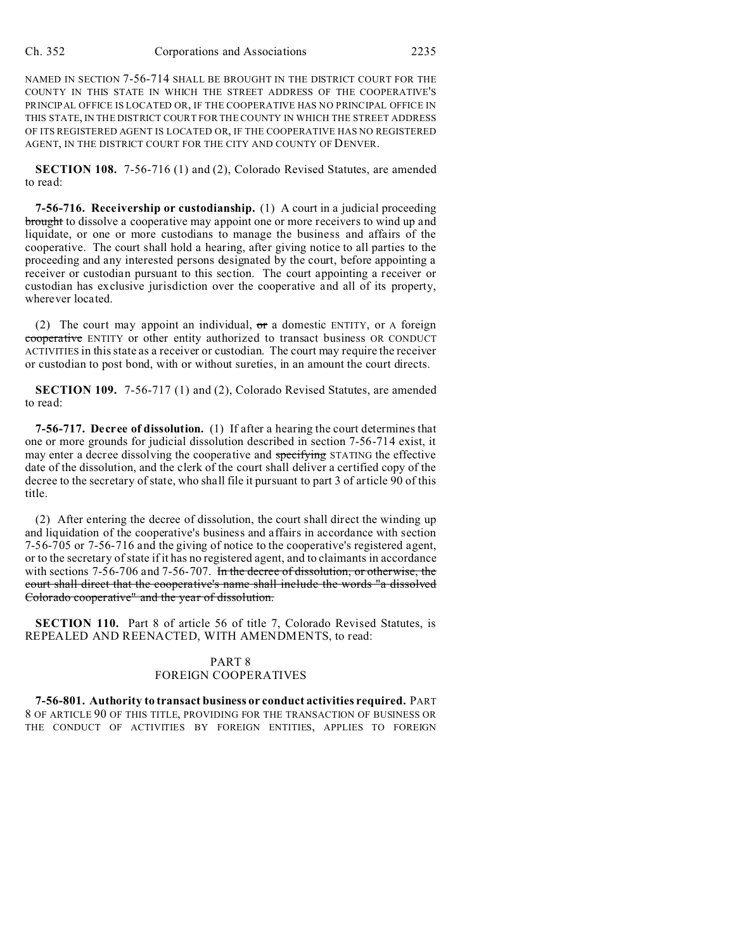NAMED IN SECTION 7-56-714 SHALL BE BROUGHT IN THE DISTRICT COURT FOR THE COUNTY IN THIS STATE IN WHICH THE STREET ADDRESS OF THE COOPERATIVE'S PRINCIPAL OFFICE IS LOCATED OR, IF THE COOPERATIVE HAS NO PRINCIPAL OFFICE IN THIS STATE, IN THE DISTRICT COURT FOR THE COUNTY IN WHICH THE STREET ADDRESS OF ITS REGISTERED AGENT IS LOCATED OR, IF THE COOPERATIVE HAS NO REGISTERED AGENT, IN THE DISTRICT COURT FOR THE CITY AND COUNTY OF DENVER.

**SECTION 108.** 7-56-716 (1) and (2), Colorado Revised Statutes, are amended to read:

**7-56-716. Receivership or custodianship.** (1) A court in a judicial proceeding brought to dissolve a cooperative may appoint one or more receivers to wind up and liquidate, or one or more custodians to manage the business and affairs of the cooperative. The court shall hold a hearing, after giving notice to all parties to the proceeding and any interested persons designated by the court, before appointing a receiver or custodian pursuant to this section. The court appointing a receiver or custodian has exclusive jurisdiction over the cooperative and all of its property, wherever located.

(2) The court may appoint an individual, or a domestic ENTITY, or A foreign cooperative ENTITY or other entity authorized to transact business OR CONDUCT ACTIVITIES in this state as a receiver or custodian. The court may require the receiver or custodian to post bond, with or without sureties, in an amount the court directs.

**SECTION 109.** 7-56-717 (1) and (2), Colorado Revised Statutes, are amended to read:

**7-56-717. Decree of dissolution.** (1) If after a hearing the court determines that one or more grounds for judicial dissolution described in section 7-56-714 exist, it may enter a decree dissolving the cooperative and specifying STATING the effective date of the dissolution, and the clerk of the court shall deliver a certified copy of the decree to the secretary of state, who shall file it pursuant to part 3 of article 90 of this title.

(2) After entering the decree of dissolution, the court shall direct the winding up and liquidation of the cooperative's business and affairs in accordance with section 7-56-705 or 7-56-716 and the giving of notice to the cooperative's registered agent, or to the secretary of state if it has no registered agent, and to claimants in accordance with sections 7-56-706 and 7-56-707. In the decree of dissolution, or otherwise, the court shall direct that the cooperative's name shall include the words "a dissolved Colorado cooperative" and the year of dissolution.

**SECTION 110.** Part 8 of article 56 of title 7, Colorado Revised Statutes, is REPEALED AND REENACTED, WITH AMENDMENTS, to read:

## PART 8 FOREIGN COOPERATIVES

**7-56-801. Authority to transact business or conduct activities required.** PART 8 OF ARTICLE 90 OF THIS TITLE, PROVIDING FOR THE TRANSACTION OF BUSINESS OR THE CONDUCT OF ACTIVITIES BY FOREIGN ENTITIES, APPLIES TO FOREIGN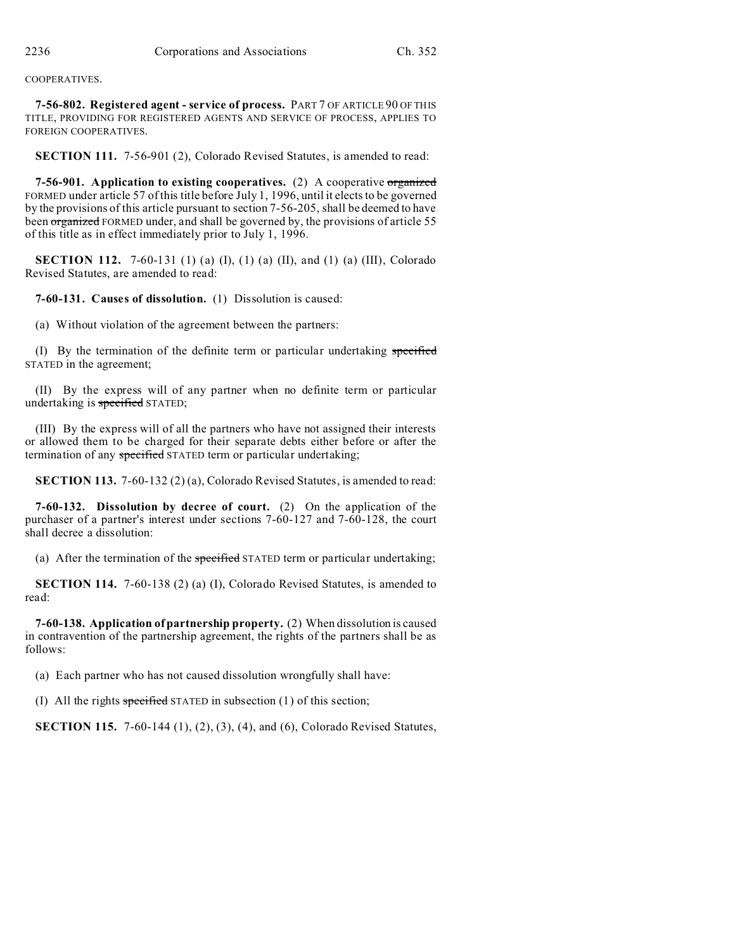## COOPERATIVES.

**7-56-802. Registered agent - service of process.** PART 7 OF ARTICLE 90 OF THIS TITLE, PROVIDING FOR REGISTERED AGENTS AND SERVICE OF PROCESS, APPLIES TO FOREIGN COOPERATIVES.

**SECTION 111.** 7-56-901 (2), Colorado Revised Statutes, is amended to read:

**7-56-901. Application to existing cooperatives.** (2) A cooperative organized FORMED under article 57 of this title before July 1, 1996, until it elects to be governed by the provisions of this article pursuant to section 7-56-205, shall be deemed to have been organized FORMED under, and shall be governed by, the provisions of article 55 of this title as in effect immediately prior to July 1, 1996.

**SECTION 112.** 7-60-131 (1) (a) (I), (1) (a) (II), and (1) (a) (III), Colorado Revised Statutes, are amended to read:

**7-60-131. Causes of dissolution.** (1) Dissolution is caused:

(a) Without violation of the agreement between the partners:

(I) By the termination of the definite term or particular undertaking specified STATED in the agreement;

(II) By the express will of any partner when no definite term or particular undertaking is specified STATED;

(III) By the express will of all the partners who have not assigned their interests or allowed them to be charged for their separate debts either before or after the termination of any specified STATED term or particular undertaking;

**SECTION 113.** 7-60-132 (2) (a), Colorado Revised Statutes, is amended to read:

**7-60-132. Dissolution by decree of court.** (2) On the application of the purchaser of a partner's interest under sections 7-60-127 and 7-60-128, the court shall decree a dissolution:

(a) After the termination of the specified STATED term or particular undertaking;

**SECTION 114.** 7-60-138 (2) (a) (I), Colorado Revised Statutes, is amended to read:

**7-60-138. Application of partnership property.** (2) When dissolution is caused in contravention of the partnership agreement, the rights of the partners shall be as follows:

(a) Each partner who has not caused dissolution wrongfully shall have:

(I) All the rights specified STATED in subsection (1) of this section;

**SECTION 115.** 7-60-144 (1), (2), (3), (4), and (6), Colorado Revised Statutes,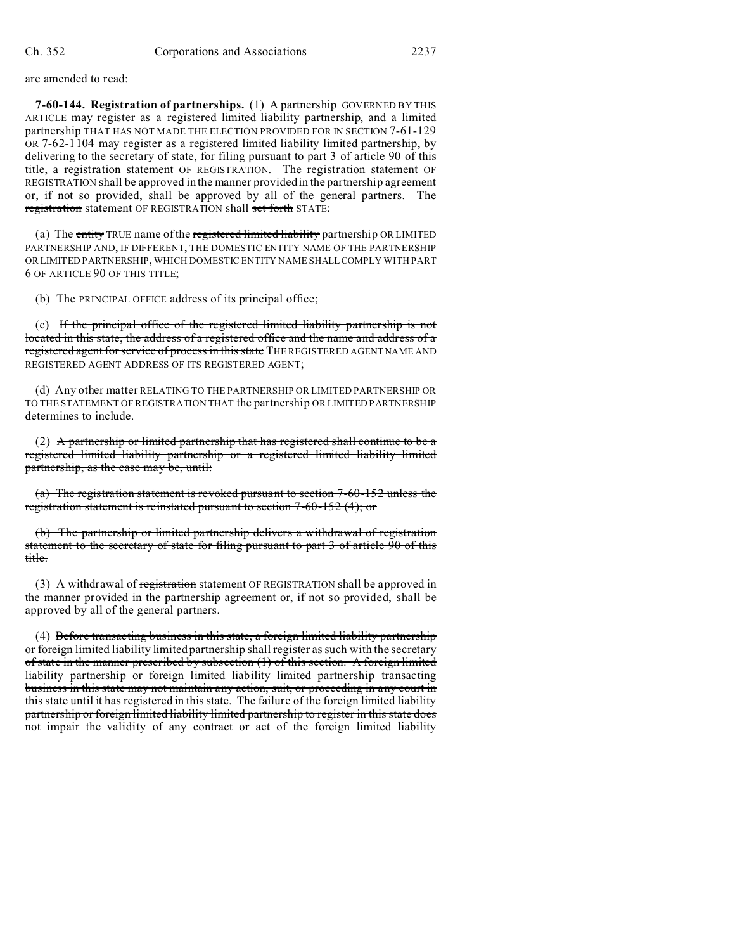are amended to read:

**7-60-144. Registration of partnerships.** (1) A partnership GOVERNED BY THIS ARTICLE may register as a registered limited liability partnership, and a limited partnership THAT HAS NOT MADE THE ELECTION PROVIDED FOR IN SECTION 7-61-129 OR 7-62-1104 may register as a registered limited liability limited partnership, by delivering to the secretary of state, for filing pursuant to part 3 of article 90 of this title, a registration statement OF REGISTRATION. The registration statement OF REGISTRATION shall be approved in the manner provided in the partnership agreement or, if not so provided, shall be approved by all of the general partners. The registration statement OF REGISTRATION shall set forth STATE:

(a) The entity TRUE name of the registered limited liability partnership OR LIMITED PARTNERSHIP AND, IF DIFFERENT, THE DOMESTIC ENTITY NAME OF THE PARTNERSHIP OR LIMITED PARTNERSHIP, WHICH DOMESTIC ENTITY NAME SHALLCOMPLY WITH PART 6 OF ARTICLE 90 OF THIS TITLE;

(b) The PRINCIPAL OFFICE address of its principal office;

(c) If the principal office of the registered limited liability partnership is not located in this state, the address of a registered office and the name and address of a registered agent for service of process in this state THE REGISTERED AGENT NAME AND REGISTERED AGENT ADDRESS OF ITS REGISTERED AGENT;

(d) Any other matter RELATING TO THE PARTNERSHIP OR LIMITED PARTNERSHIP OR TO THE STATEMENT OF REGISTRATION THAT the partnership OR LIMITED PARTNERSHIP determines to include.

(2) A partnership or limited partnership that has registered shall continue to be a registered limited liability partnership or a registered limited liability limited partnership, as the case may be, until:

(a) The registration statement is revoked pursuant to section 7-60-152 unless the registration statement is reinstated pursuant to section 7-60-152 (4); or

(b) The partnership or limited partnership delivers a withdrawal of registration statement to the secretary of state for filing pursuant to part 3 of article 90 of this title.

(3) A withdrawal of registration statement OF REGISTRATION shall be approved in the manner provided in the partnership agreement or, if not so provided, shall be approved by all of the general partners.

(4) Before transacting business in this state, a foreign limited liability partnership or foreign limited liability limited partnership shall register as such with the secretary of state in the manner prescribed by subsection (1) of this section. A foreign limited liability partnership or foreign limited liability limited partnership transacting business in this state may not maintain any action, suit, or proceeding in any court in this state until it has registered in this state. The failure of the foreign limited liability partnership or foreign limited liability limited partnership to register in this state does not impair the validity of any contract or act of the foreign limited liability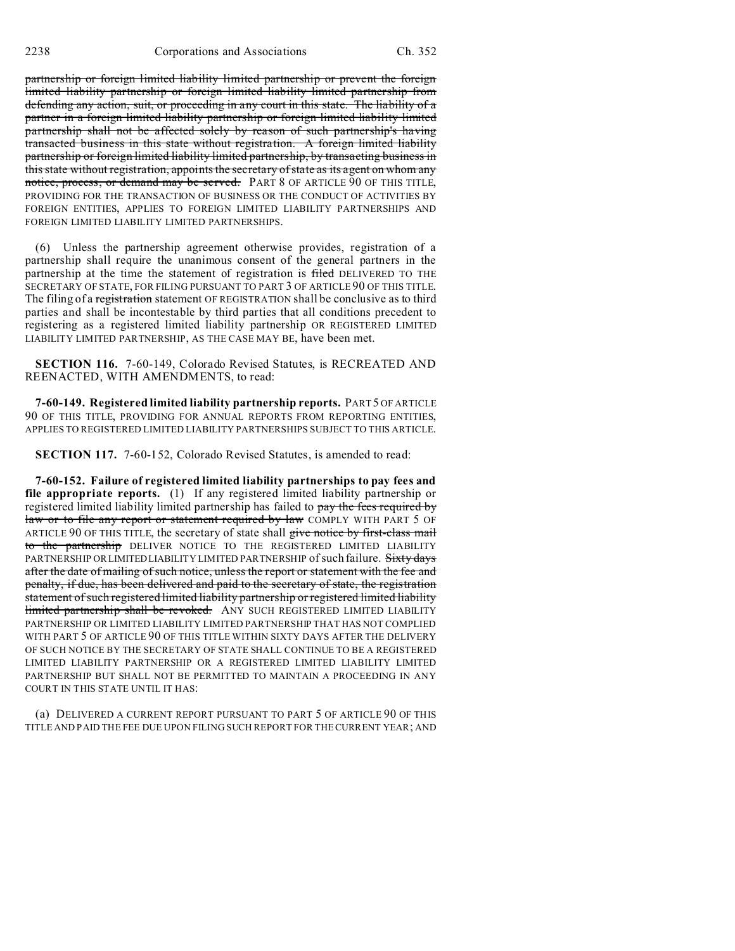partnership or foreign limited liability limited partnership or prevent the foreign limited liability partnership or foreign limited liability limited partnership from defending any action, suit, or proceeding in any court in this state. The liability of a partner in a foreign limited liability partnership or foreign limited liability limited partnership shall not be affected solely by reason of such partnership's having transacted business in this state without registration. A foreign limited liability partnership or foreign limited liability limited partnership, by transacting business in this state without registration, appoints the secretary of state as its agent on whom any notice, process, or demand may be served. PART 8 OF ARTICLE 90 OF THIS TITLE, PROVIDING FOR THE TRANSACTION OF BUSINESS OR THE CONDUCT OF ACTIVITIES BY FOREIGN ENTITIES, APPLIES TO FOREIGN LIMITED LIABILITY PARTNERSHIPS AND FOREIGN LIMITED LIABILITY LIMITED PARTNERSHIPS.

(6) Unless the partnership agreement otherwise provides, registration of a partnership shall require the unanimous consent of the general partners in the partnership at the time the statement of registration is filed DELIVERED TO THE SECRETARY OF STATE, FOR FILING PURSUANT TO PART 3 OF ARTICLE 90 OF THIS TITLE. The filing of a registration statement OF REGISTRATION shall be conclusive as to third parties and shall be incontestable by third parties that all conditions precedent to registering as a registered limited liability partnership OR REGISTERED LIMITED LIABILITY LIMITED PARTNERSHIP, AS THE CASE MAY BE, have been met.

**SECTION 116.** 7-60-149, Colorado Revised Statutes, is RECREATED AND REENACTED, WITH AMENDMENTS, to read:

**7-60-149. Registered limited liability partnership reports.** PART 5 OF ARTICLE 90 OF THIS TITLE, PROVIDING FOR ANNUAL REPORTS FROM REPORTING ENTITIES, APPLIES TO REGISTERED LIMITED LIABILITY PARTNERSHIPS SUBJECT TO THIS ARTICLE.

**SECTION 117.** 7-60-152, Colorado Revised Statutes, is amended to read:

**7-60-152. Failure of registered limited liability partnerships to pay fees and file appropriate reports.** (1) If any registered limited liability partnership or registered limited liability limited partnership has failed to pay the fees required by law or to file any report or statement required by law COMPLY WITH PART 5 OF ARTICLE 90 OF THIS TITLE, the secretary of state shall give notice by first-class mail to the partnership DELIVER NOTICE TO THE REGISTERED LIMITED LIABILITY PARTNERSHIP OR LIMITED LIABILITY LIMITED PARTNERSHIP of such failure. Sixty days after the date of mailing of such notice, unless the report or statement with the fee and penalty, if due, has been delivered and paid to the secretary of state, the registration statement of such registered limited liability partnership or registered limited liability limited partnership shall be revoked. ANY SUCH REGISTERED LIMITED LIABILITY PARTNERSHIP OR LIMITED LIABILITY LIMITED PARTNERSHIP THAT HAS NOT COMPLIED WITH PART 5 OF ARTICLE 90 OF THIS TITLE WITHIN SIXTY DAYS AFTER THE DELIVERY OF SUCH NOTICE BY THE SECRETARY OF STATE SHALL CONTINUE TO BE A REGISTERED LIMITED LIABILITY PARTNERSHIP OR A REGISTERED LIMITED LIABILITY LIMITED PARTNERSHIP BUT SHALL NOT BE PERMITTED TO MAINTAIN A PROCEEDING IN ANY COURT IN THIS STATE UNTIL IT HAS:

(a) DELIVERED A CURRENT REPORT PURSUANT TO PART 5 OF ARTICLE 90 OF THIS TITLE AND PAID THE FEE DUE UPON FILING SUCH REPORT FOR THE CURRENT YEAR; AND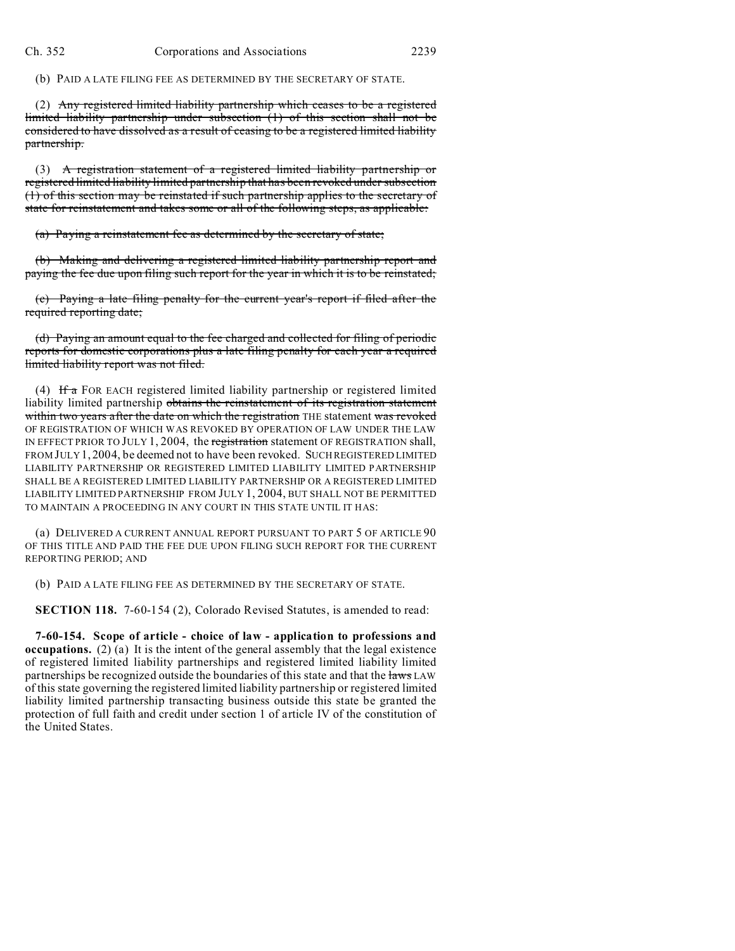(b) PAID A LATE FILING FEE AS DETERMINED BY THE SECRETARY OF STATE.

(2) Any registered limited liability partnership which ceases to be a registered limited liability partnership under subsection (1) of this section shall not be considered to have dissolved as a result of ceasing to be a registered limited liability partnership.

(3) A registration statement of a registered limited liability partnership or registered limited liability limited partnership that has been revoked under subsection (1) of this section may be reinstated if such partnership applies to the secretary of state for reinstatement and takes some or all of the following steps, as applicable:

(a) Paying a reinstatement fee as determined by the secretary of state;

(b) Making and delivering a registered limited liability partnership report and paying the fee due upon filing such report for the year in which it is to be reinstated;

(c) Paying a late filing penalty for the current year's report if filed after the required reporting date;

(d) Paying an amount equal to the fee charged and collected for filing of periodic reports for domestic corporations plus a late filing penalty for each year a required limited liability report was not filed.

(4) If a FOR EACH registered limited liability partnership or registered limited liability limited partnership obtains the reinstatement of its registration statement within two years after the date on which the registration THE statement was revoked OF REGISTRATION OF WHICH WAS REVOKED BY OPERATION OF LAW UNDER THE LAW IN EFFECT PRIOR TO JULY 1, 2004, the registration statement OF REGISTRATION shall, FROM JULY 1, 2004, be deemed not to have been revoked. SUCH REGISTERED LIMITED LIABILITY PARTNERSHIP OR REGISTERED LIMITED LIABILITY LIMITED PARTNERSHIP SHALL BE A REGISTERED LIMITED LIABILITY PARTNERSHIP OR A REGISTERED LIMITED LIABILITY LIMITED PARTNERSHIP FROM JULY 1, 2004, BUT SHALL NOT BE PERMITTED TO MAINTAIN A PROCEEDING IN ANY COURT IN THIS STATE UNTIL IT HAS:

(a) DELIVERED A CURRENT ANNUAL REPORT PURSUANT TO PART 5 OF ARTICLE 90 OF THIS TITLE AND PAID THE FEE DUE UPON FILING SUCH REPORT FOR THE CURRENT REPORTING PERIOD; AND

(b) PAID A LATE FILING FEE AS DETERMINED BY THE SECRETARY OF STATE.

**SECTION 118.** 7-60-154 (2), Colorado Revised Statutes, is amended to read:

**7-60-154. Scope of article - choice of law - application to professions and occupations.** (2) (a) It is the intent of the general assembly that the legal existence of registered limited liability partnerships and registered limited liability limited partnerships be recognized outside the boundaries of this state and that the laws LAW of this state governing the registered limited liability partnership or registered limited liability limited partnership transacting business outside this state be granted the protection of full faith and credit under section 1 of article IV of the constitution of the United States.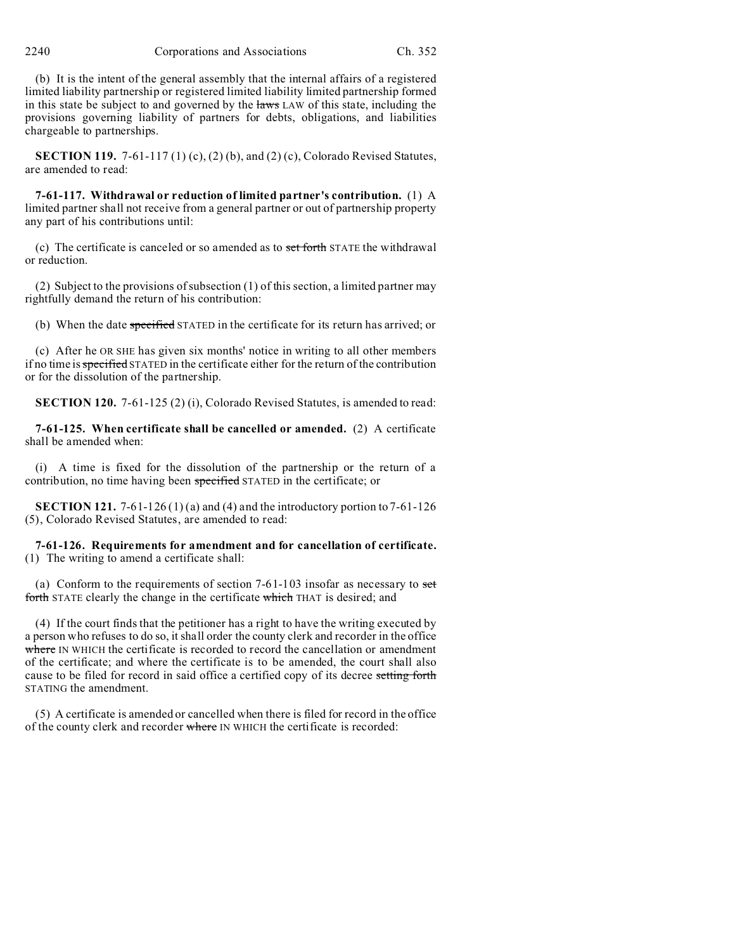2240 Corporations and Associations Ch. 352

(b) It is the intent of the general assembly that the internal affairs of a registered limited liability partnership or registered limited liability limited partnership formed in this state be subject to and governed by the laws LAW of this state, including the provisions governing liability of partners for debts, obligations, and liabilities chargeable to partnerships.

**SECTION 119.** 7-61-117 (1) (c), (2) (b), and (2) (c), Colorado Revised Statutes, are amended to read:

**7-61-117. Withdrawal or reduction of limited partner's contribution.** (1) A limited partner shall not receive from a general partner or out of partnership property any part of his contributions until:

(c) The certificate is canceled or so amended as to set forth STATE the withdrawal or reduction.

(2) Subject to the provisions of subsection (1) of this section, a limited partner may rightfully demand the return of his contribution:

(b) When the date specified STATED in the certificate for its return has arrived; or

(c) After he OR SHE has given six months' notice in writing to all other members if no time is specified STATED in the certificate either for the return of the contribution or for the dissolution of the partnership.

**SECTION 120.** 7-61-125 (2) (i), Colorado Revised Statutes, is amended to read:

**7-61-125. When certificate shall be cancelled or amended.** (2) A certificate shall be amended when:

(i) A time is fixed for the dissolution of the partnership or the return of a contribution, no time having been specified STATED in the certificate; or

**SECTION 121.** 7-61-126 (1) (a) and (4) and the introductory portion to  $7-61-126$ (5), Colorado Revised Statutes, are amended to read:

**7-61-126. Requirements for amendment and for cancellation of certificate.** (1) The writing to amend a certificate shall:

(a) Conform to the requirements of section  $7-61-103$  insofar as necessary to set forth STATE clearly the change in the certificate which THAT is desired; and

(4) If the court finds that the petitioner has a right to have the writing executed by a person who refuses to do so, it shall order the county clerk and recorder in the office where IN WHICH the certificate is recorded to record the cancellation or amendment of the certificate; and where the certificate is to be amended, the court shall also cause to be filed for record in said office a certified copy of its decree setting forth STATING the amendment.

(5) A certificate is amended or cancelled when there is filed for record in the office of the county clerk and recorder where IN WHICH the certificate is recorded: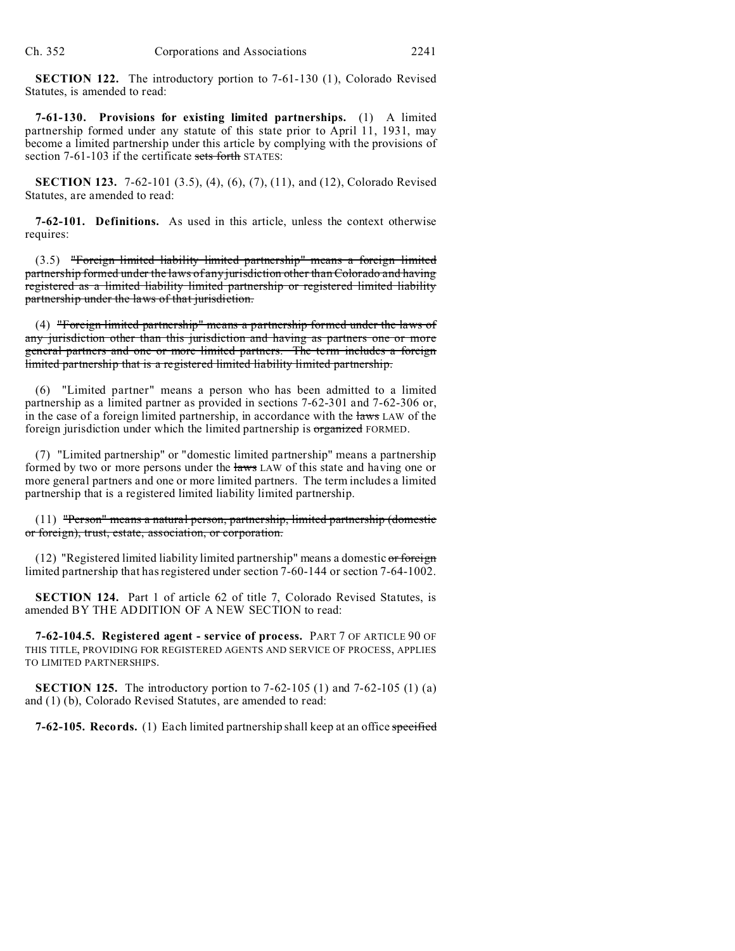**SECTION 122.** The introductory portion to 7-61-130 (1), Colorado Revised Statutes, is amended to read:

**7-61-130. Provisions for existing limited partnerships.** (1) A limited partnership formed under any statute of this state prior to April 11, 1931, may become a limited partnership under this article by complying with the provisions of section 7-61-103 if the certificate sets forth STATES:

**SECTION 123.** 7-62-101 (3.5), (4), (6), (7), (11), and (12), Colorado Revised Statutes, are amended to read:

**7-62-101. Definitions.** As used in this article, unless the context otherwise requires:

(3.5) "Foreign limited liability limited partnership" means a foreign limited partnership formed under the laws of any jurisdiction other than Colorado and having registered as a limited liability limited partnership or registered limited liability partnership under the laws of that jurisdiction.

(4) "Foreign limited partnership" means a partnership formed under the laws of any jurisdiction other than this jurisdiction and having as partners one or more general partners and one or more limited partners. The term includes a foreign limited partnership that is a registered limited liability limited partnership.

(6) "Limited partner" means a person who has been admitted to a limited partnership as a limited partner as provided in sections 7-62-301 and 7-62-306 or, in the case of a foreign limited partnership, in accordance with the laws LAW of the foreign jurisdiction under which the limited partnership is organized FORMED.

(7) "Limited partnership" or "domestic limited partnership" means a partnership formed by two or more persons under the laws LAW of this state and having one or more general partners and one or more limited partners. The term includes a limited partnership that is a registered limited liability limited partnership.

(11) "Person" means a natural person, partnership, limited partnership (domestic or foreign), trust, estate, association, or corporation.

 $(12)$  "Registered limited liability limited partnership" means a domestic or foreign limited partnership that has registered under section 7-60-144 or section 7-64-1002.

**SECTION 124.** Part 1 of article 62 of title 7, Colorado Revised Statutes, is amended BY THE ADDITION OF A NEW SECTION to read:

**7-62-104.5. Registered agent - service of process.** PART 7 OF ARTICLE 90 OF THIS TITLE, PROVIDING FOR REGISTERED AGENTS AND SERVICE OF PROCESS, APPLIES TO LIMITED PARTNERSHIPS.

**SECTION 125.** The introductory portion to 7-62-105 (1) and 7-62-105 (1) (a) and (1) (b), Colorado Revised Statutes, are amended to read:

**7-62-105. Records.** (1) Each limited partnership shall keep at an office specified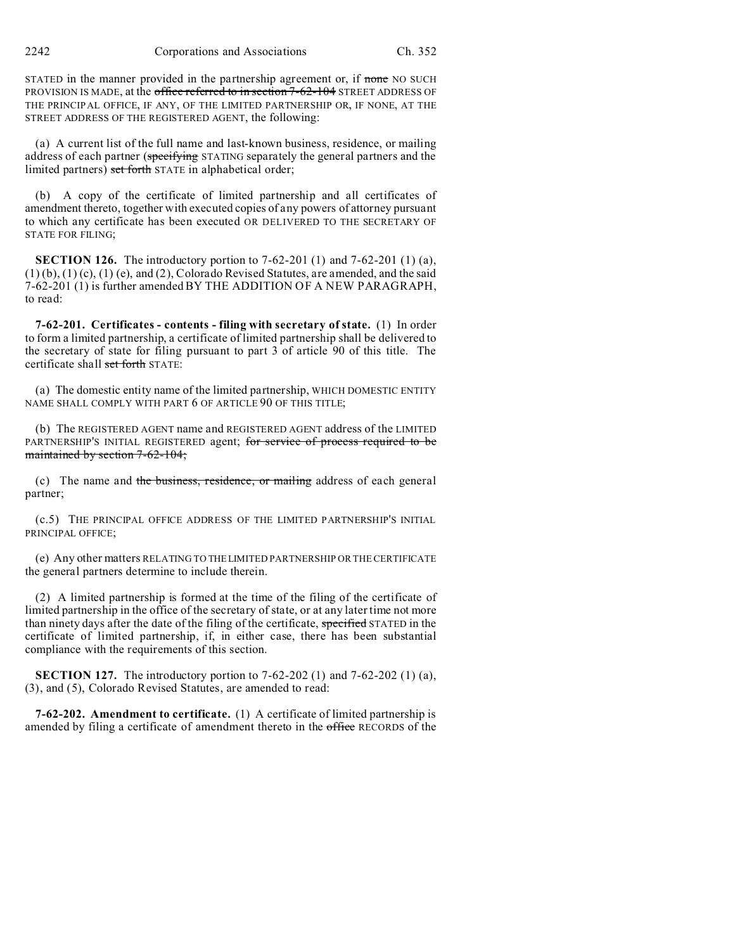2242 Corporations and Associations Ch. 352

STATED in the manner provided in the partnership agreement or, if none NO SUCH PROVISION IS MADE, at the office referred to in section 7-62-104 STREET ADDRESS OF THE PRINCIPAL OFFICE, IF ANY, OF THE LIMITED PARTNERSHIP OR, IF NONE, AT THE STREET ADDRESS OF THE REGISTERED AGENT, the following:

(a) A current list of the full name and last-known business, residence, or mailing address of each partner (specifying STATING separately the general partners and the limited partners) set forth STATE in alphabetical order;

(b) A copy of the certificate of limited partnership and all certificates of amendment thereto, together with executed copies of any powers of attorney pursuant to which any certificate has been executed OR DELIVERED TO THE SECRETARY OF STATE FOR FILING;

**SECTION 126.** The introductory portion to 7-62-201 (1) and 7-62-201 (1) (a),  $(1)(b)$ ,  $(1)(c)$ ,  $(1)(e)$ , and  $(2)$ , Colorado Revised Statutes, are amended, and the said 7-62-201 (1) is further amended BY THE ADDITION OF A NEW PARAGRAPH, to read:

**7-62-201. Certificates - contents - filing with secretary of state.** (1) In order to form a limited partnership, a certificate of limited partnership shall be delivered to the secretary of state for filing pursuant to part 3 of article 90 of this title. The certificate shall set forth STATE:

(a) The domestic entity name of the limited partnership, WHICH DOMESTIC ENTITY NAME SHALL COMPLY WITH PART 6 OF ARTICLE 90 OF THIS TITLE;

(b) The REGISTERED AGENT name and REGISTERED AGENT address of the LIMITED PARTNERSHIP'S INITIAL REGISTERED agent; for service of process required to be maintained by section 7-62-104;

(c) The name and the business, residence, or mailing address of each general partner;

(c.5) THE PRINCIPAL OFFICE ADDRESS OF THE LIMITED PARTNERSHIP'S INITIAL PRINCIPAL OFFICE;

(e) Any other matters RELATING TO THELIMITED PARTNERSHIP OR THE CERTIFICATE the general partners determine to include therein.

(2) A limited partnership is formed at the time of the filing of the certificate of limited partnership in the office of the secretary of state, or at any later time not more than ninety days after the date of the filing of the certificate, specified STATED in the certificate of limited partnership, if, in either case, there has been substantial compliance with the requirements of this section.

**SECTION 127.** The introductory portion to 7-62-202 (1) and 7-62-202 (1) (a), (3), and (5), Colorado Revised Statutes, are amended to read:

**7-62-202. Amendment to certificate.** (1) A certificate of limited partnership is amended by filing a certificate of amendment thereto in the office RECORDS of the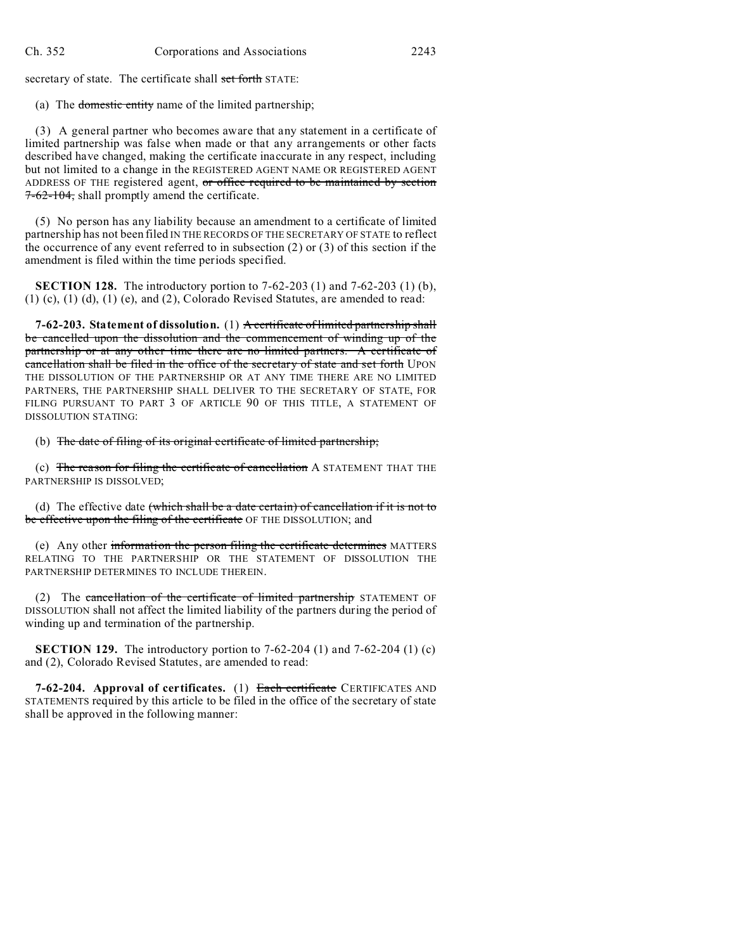secretary of state. The certificate shall set forth STATE:

(a) The domestic entity name of the limited partnership;

(3) A general partner who becomes aware that any statement in a certificate of limited partnership was false when made or that any arrangements or other facts described have changed, making the certificate inaccurate in any respect, including but not limited to a change in the REGISTERED AGENT NAME OR REGISTERED AGENT ADDRESS OF THE registered agent, or office required to be maintained by section  $7-62-104$ , shall promptly amend the certificate.

(5) No person has any liability because an amendment to a certificate of limited partnership has not been filed IN THE RECORDS OF THE SECRETARY OF STATE to reflect the occurrence of any event referred to in subsection  $(2)$  or  $(3)$  of this section if the amendment is filed within the time periods specified.

**SECTION 128.** The introductory portion to 7-62-203 (1) and 7-62-203 (1) (b), (1) (c), (1) (d), (1) (e), and (2), Colorado Revised Statutes, are amended to read:

**7-62-203. Statement of dissolution.** (1) A certificate of limited partnership shall be cancelled upon the dissolution and the commencement of winding up of the partnership or at any other time there are no limited partners. A certificate of cancellation shall be filed in the office of the secretary of state and set forth UPON THE DISSOLUTION OF THE PARTNERSHIP OR AT ANY TIME THERE ARE NO LIMITED PARTNERS, THE PARTNERSHIP SHALL DELIVER TO THE SECRETARY OF STATE, FOR FILING PURSUANT TO PART 3 OF ARTICLE 90 OF THIS TITLE, A STATEMENT OF DISSOLUTION STATING:

(b) The date of filing of its original certificate of limited partnership;

(c) The reason for filing the certificate of cancellation A STATEMENT THAT THE PARTNERSHIP IS DISSOLVED;

(d) The effective date (which shall be a date certain) of cancellation if it is not to be effective upon the filing of the certificate OF THE DISSOLUTION; and

(e) Any other information the person filing the certificate determines MATTERS RELATING TO THE PARTNERSHIP OR THE STATEMENT OF DISSOLUTION THE PARTNERSHIP DETERMINES TO INCLUDE THEREIN.

(2) The cancellation of the certificate of limited partnership STATEMENT OF DISSOLUTION shall not affect the limited liability of the partners during the period of winding up and termination of the partnership.

**SECTION 129.** The introductory portion to 7-62-204 (1) and 7-62-204 (1) (c) and (2), Colorado Revised Statutes, are amended to read:

**7-62-204. Approval of certificates.** (1) Each certificate CERTIFICATES AND STATEMENTS required by this article to be filed in the office of the secretary of state shall be approved in the following manner: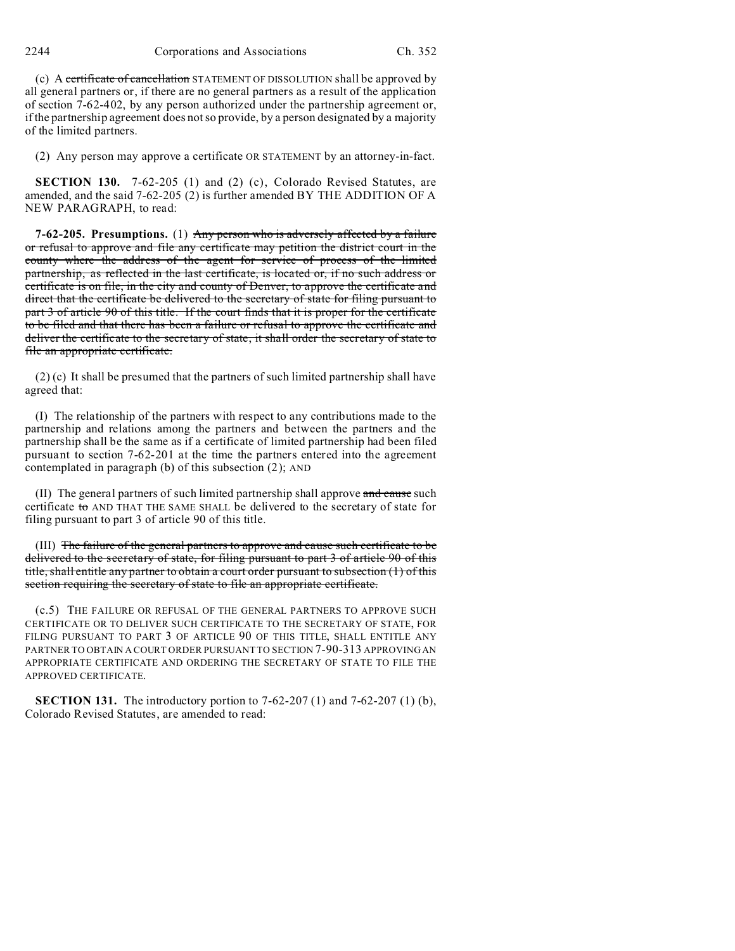2244 Corporations and Associations Ch. 352

(c) A certificate of cancellation STATEMENT OF DISSOLUTION shall be approved by all general partners or, if there are no general partners as a result of the application of section 7-62-402, by any person authorized under the partnership agreement or, if the partnership agreement does not so provide, by a person designated by a majority of the limited partners.

(2) Any person may approve a certificate OR STATEMENT by an attorney-in-fact.

**SECTION 130.** 7-62-205 (1) and (2) (c), Colorado Revised Statutes, are amended, and the said 7-62-205 (2) is further amended BY THE ADDITION OF A NEW PARAGRAPH, to read:

**7-62-205. Presumptions.** (1) Any person who is adversely affected by a failure or refusal to approve and file any certificate may petition the district court in the county where the address of the agent for service of process of the limited partnership, as reflected in the last certificate, is located or, if no such address or certificate is on file, in the city and county of Denver, to approve the certificate and direct that the certificate be delivered to the secretary of state for filing pursuant to part 3 of article 90 of this title. If the court finds that it is proper for the certificate to be filed and that there has been a failure or refusal to approve the certificate and deliver the certificate to the secretary of state, it shall order the secretary of state to file an appropriate certificate.

(2) (c) It shall be presumed that the partners of such limited partnership shall have agreed that:

(I) The relationship of the partners with respect to any contributions made to the partnership and relations among the partners and between the partners and the partnership shall be the same as if a certificate of limited partnership had been filed pursuant to section 7-62-201 at the time the partners entered into the agreement contemplated in paragraph (b) of this subsection (2); AND

(II) The general partners of such limited partnership shall approve and cause such certificate to AND THAT THE SAME SHALL be delivered to the secretary of state for filing pursuant to part 3 of article 90 of this title.

(III) The failure of the general partners to approve and cause such certificate to be delivered to the secretary of state, for filing pursuant to part 3 of article 90 of this title, shall entitle any partner to obtain a court order pursuant to subsection (1) of this section requiring the secretary of state to file an appropriate certificate.

(c.5) THE FAILURE OR REFUSAL OF THE GENERAL PARTNERS TO APPROVE SUCH CERTIFICATE OR TO DELIVER SUCH CERTIFICATE TO THE SECRETARY OF STATE, FOR FILING PURSUANT TO PART 3 OF ARTICLE 90 OF THIS TITLE, SHALL ENTITLE ANY PARTNER TO OBTAIN A COURT ORDER PURSUANT TO SECTION 7-90-313 APPROVING AN APPROPRIATE CERTIFICATE AND ORDERING THE SECRETARY OF STATE TO FILE THE APPROVED CERTIFICATE.

**SECTION 131.** The introductory portion to 7-62-207 (1) and 7-62-207 (1) (b), Colorado Revised Statutes, are amended to read: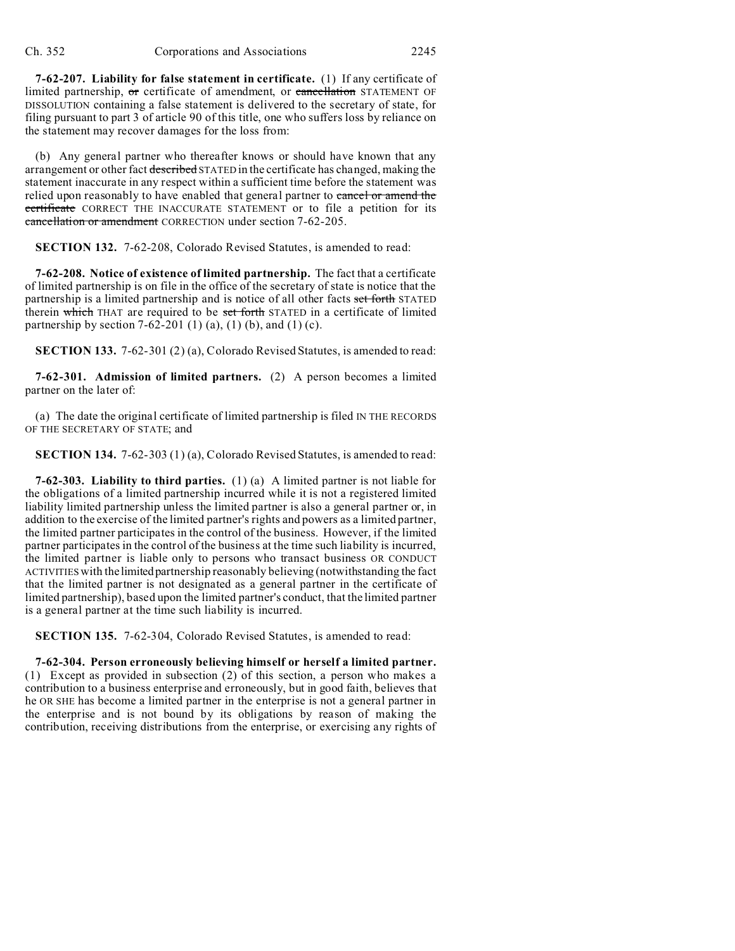**7-62-207. Liability for false statement in certificate.** (1) If any certificate of limited partnership, or certificate of amendment, or cancellation STATEMENT OF DISSOLUTION containing a false statement is delivered to the secretary of state, for filing pursuant to part 3 of article 90 of this title, one who suffers loss by reliance on the statement may recover damages for the loss from:

(b) Any general partner who thereafter knows or should have known that any arrangement or other fact described STATED in the certificate has changed, making the statement inaccurate in any respect within a sufficient time before the statement was relied upon reasonably to have enabled that general partner to cancel or amend the certificate CORRECT THE INACCURATE STATEMENT or to file a petition for its cancellation or amendment CORRECTION under section 7-62-205.

**SECTION 132.** 7-62-208, Colorado Revised Statutes, is amended to read:

**7-62-208. Notice of existence of limited partnership.** The fact that a certificate of limited partnership is on file in the office of the secretary of state is notice that the partnership is a limited partnership and is notice of all other facts set forth STATED therein which THAT are required to be set forth STATED in a certificate of limited partnership by section 7-62-201 (1) (a), (1) (b), and (1) (c).

**SECTION 133.** 7-62-301 (2) (a), Colorado Revised Statutes, is amended to read:

**7-62-301. Admission of limited partners.** (2) A person becomes a limited partner on the later of:

(a) The date the original certificate of limited partnership is filed IN THE RECORDS OF THE SECRETARY OF STATE; and

**SECTION 134.** 7-62-303 (1) (a), Colorado Revised Statutes, is amended to read:

**7-62-303. Liability to third parties.** (1) (a) A limited partner is not liable for the obligations of a limited partnership incurred while it is not a registered limited liability limited partnership unless the limited partner is also a general partner or, in addition to the exercise of the limited partner's rights and powers as a limited partner, the limited partner participates in the control of the business. However, if the limited partner participates in the control of the business at the time such liability is incurred, the limited partner is liable only to persons who transact business OR CONDUCT ACTIVITIES with the limitedpartnership reasonably believing (notwithstanding the fact that the limited partner is not designated as a general partner in the certificate of limited partnership), based upon the limited partner's conduct, that the limited partner is a general partner at the time such liability is incurred.

**SECTION 135.** 7-62-304, Colorado Revised Statutes, is amended to read:

**7-62-304. Person erroneously believing himself or herself a limited partner.** (1) Except as provided in subsection (2) of this section, a person who makes a contribution to a business enterprise and erroneously, but in good faith, believes that he OR SHE has become a limited partner in the enterprise is not a general partner in the enterprise and is not bound by its obligations by reason of making the contribution, receiving distributions from the enterprise, or exercising any rights of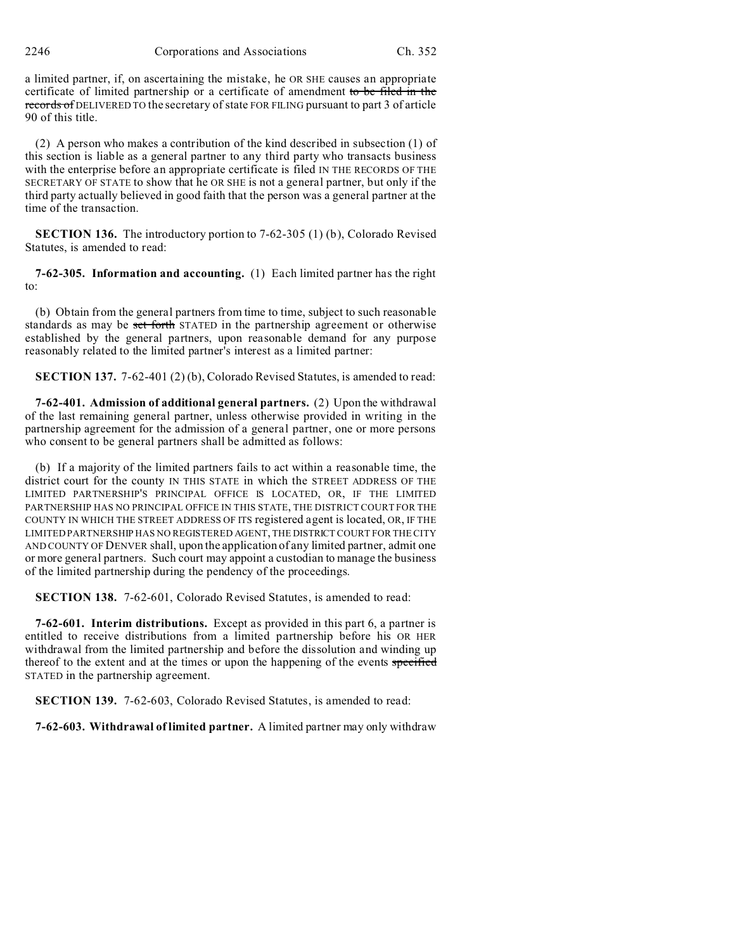2246 Corporations and Associations Ch. 352

a limited partner, if, on ascertaining the mistake, he OR SHE causes an appropriate certificate of limited partnership or a certificate of amendment to be filed in the records of DELIVERED TO the secretary of state FOR FILING pursuant to part 3 of article 90 of this title.

(2) A person who makes a contribution of the kind described in subsection (1) of this section is liable as a general partner to any third party who transacts business with the enterprise before an appropriate certificate is filed IN THE RECORDS OF THE SECRETARY OF STATE to show that he OR SHE is not a general partner, but only if the third party actually believed in good faith that the person was a general partner at the time of the transaction.

**SECTION 136.** The introductory portion to 7-62-305 (1) (b), Colorado Revised Statutes, is amended to read:

**7-62-305. Information and accounting.** (1) Each limited partner has the right to:

(b) Obtain from the general partners from time to time, subject to such reasonable standards as may be set forth STATED in the partnership agreement or otherwise established by the general partners, upon reasonable demand for any purpose reasonably related to the limited partner's interest as a limited partner:

**SECTION 137.** 7-62-401 (2) (b), Colorado Revised Statutes, is amended to read:

**7-62-401. Admission of additional general partners.** (2) Upon the withdrawal of the last remaining general partner, unless otherwise provided in writing in the partnership agreement for the admission of a general partner, one or more persons who consent to be general partners shall be admitted as follows:

(b) If a majority of the limited partners fails to act within a reasonable time, the district court for the county IN THIS STATE in which the STREET ADDRESS OF THE LIMITED PARTNERSHIP'S PRINCIPAL OFFICE IS LOCATED, OR, IF THE LIMITED PARTNERSHIP HAS NO PRINCIPAL OFFICE IN THIS STATE, THE DISTRICT COURT FOR THE COUNTY IN WHICH THE STREET ADDRESS OF ITS registered agent is located, OR, IF THE LIMITED PARTNERSHIP HAS NO REGISTERED AGENT, THE DISTRICT COURT FOR THE CITY AND COUNTY OF DENVER shall, upon the application of any limited partner, admit one or more general partners. Such court may appoint a custodian to manage the business of the limited partnership during the pendency of the proceedings.

**SECTION 138.** 7-62-601, Colorado Revised Statutes, is amended to read:

**7-62-601. Interim distributions.** Except as provided in this part 6, a partner is entitled to receive distributions from a limited partnership before his OR HER withdrawal from the limited partnership and before the dissolution and winding up thereof to the extent and at the times or upon the happening of the events specified STATED in the partnership agreement.

**SECTION 139.** 7-62-603, Colorado Revised Statutes, is amended to read:

**7-62-603. Withdrawal of limited partner.** A limited partner may only withdraw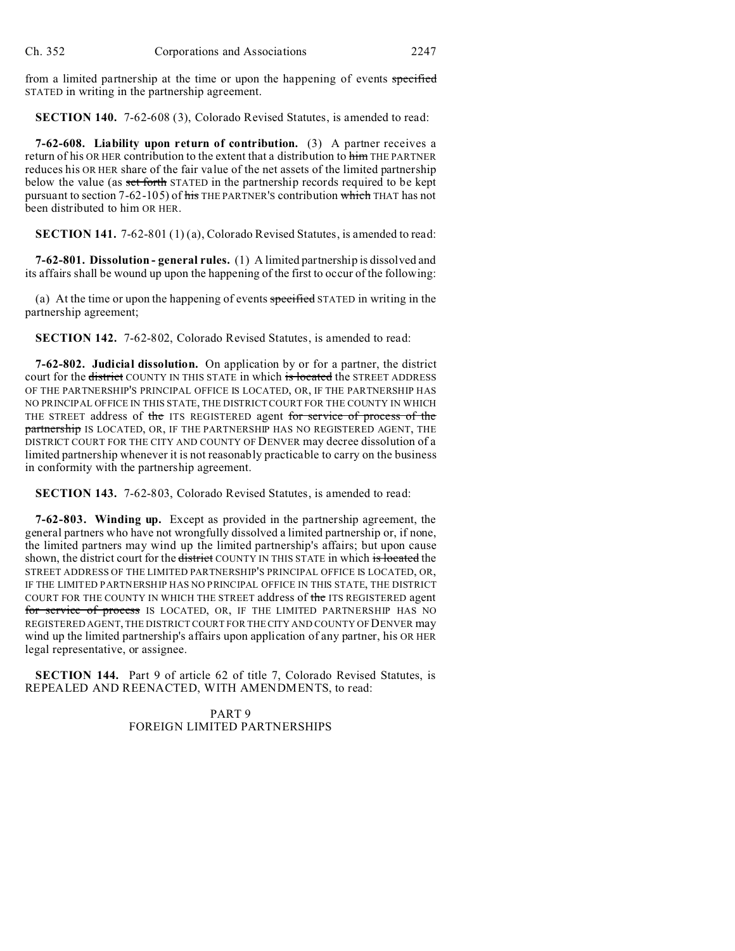from a limited partnership at the time or upon the happening of events specified STATED in writing in the partnership agreement.

**SECTION 140.** 7-62-608 (3), Colorado Revised Statutes, is amended to read:

**7-62-608. Liability upon return of contribution.** (3) A partner receives a return of his OR HER contribution to the extent that a distribution to him THE PARTNER reduces his OR HER share of the fair value of the net assets of the limited partnership below the value (as set forth STATED in the partnership records required to be kept pursuant to section 7-62-105) of his THE PARTNER'S contribution which THAT has not been distributed to him OR HER.

**SECTION 141.** 7-62-801 (1) (a), Colorado Revised Statutes, is amended to read:

**7-62-801. Dissolution - general rules.** (1) A limited partnership is dissolved and its affairs shall be wound up upon the happening of the first to occur of the following:

(a) At the time or upon the happening of events specified STATED in writing in the partnership agreement;

**SECTION 142.** 7-62-802, Colorado Revised Statutes, is amended to read:

**7-62-802. Judicial dissolution.** On application by or for a partner, the district court for the district COUNTY IN THIS STATE in which is located the STREET ADDRESS OF THE PARTNERSHIP'S PRINCIPAL OFFICE IS LOCATED, OR, IF THE PARTNERSHIP HAS NO PRINCIPAL OFFICE IN THIS STATE, THE DISTRICT COURT FOR THE COUNTY IN WHICH THE STREET address of the ITS REGISTERED agent for service of process of the partnership IS LOCATED, OR, IF THE PARTNERSHIP HAS NO REGISTERED AGENT, THE DISTRICT COURT FOR THE CITY AND COUNTY OF DENVER may decree dissolution of a limited partnership whenever it is not reasonably practicable to carry on the business in conformity with the partnership agreement.

**SECTION 143.** 7-62-803, Colorado Revised Statutes, is amended to read:

**7-62-803. Winding up.** Except as provided in the partnership agreement, the general partners who have not wrongfully dissolved a limited partnership or, if none, the limited partners may wind up the limited partnership's affairs; but upon cause shown, the district court for the <del>district</del> COUNTY IN THIS STATE in which is located the STREET ADDRESS OF THE LIMITED PARTNERSHIP'S PRINCIPAL OFFICE IS LOCATED, OR, IF THE LIMITED PARTNERSHIP HAS NO PRINCIPAL OFFICE IN THIS STATE, THE DISTRICT COURT FOR THE COUNTY IN WHICH THE STREET address of the ITS REGISTERED agent for service of process IS LOCATED, OR, IF THE LIMITED PARTNERSHIP HAS NO REGISTERED AGENT, THE DISTRICT COURT FOR THECITY AND COUNTY OF DENVER may wind up the limited partnership's affairs upon application of any partner, his OR HER legal representative, or assignee.

**SECTION 144.** Part 9 of article 62 of title 7, Colorado Revised Statutes, is REPEALED AND REENACTED, WITH AMENDMENTS, to read:

> PART 9 FOREIGN LIMITED PARTNERSHIPS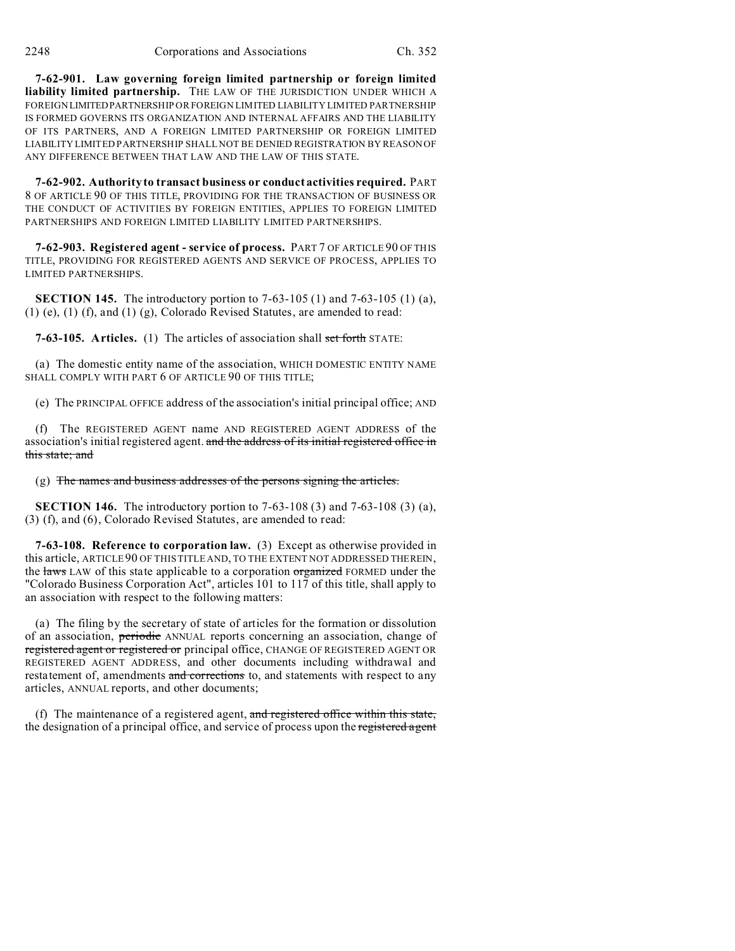**7-62-901. Law governing foreign limited partnership or foreign limited liability limited partnership.** THE LAW OF THE JURISDICTION UNDER WHICH A FOREIGNLIMITEDPARTNERSHIP OR FOREIGN LIMITED LIABILITY LIMITED PARTNERSHIP IS FORMED GOVERNS ITS ORGANIZATION AND INTERNAL AFFAIRS AND THE LIABILITY OF ITS PARTNERS, AND A FOREIGN LIMITED PARTNERSHIP OR FOREIGN LIMITED LIABILITY LIMITED PARTNERSHIP SHALL NOT BE DENIED REGISTRATION BY REASON OF ANY DIFFERENCE BETWEEN THAT LAW AND THE LAW OF THIS STATE.

**7-62-902. Authority to transact business or conduct activities required.** PART 8 OF ARTICLE 90 OF THIS TITLE, PROVIDING FOR THE TRANSACTION OF BUSINESS OR THE CONDUCT OF ACTIVITIES BY FOREIGN ENTITIES, APPLIES TO FOREIGN LIMITED PARTNERSHIPS AND FOREIGN LIMITED LIABILITY LIMITED PARTNERSHIPS.

**7-62-903. Registered agent - service of process.** PART 7 OF ARTICLE 90 OF THIS TITLE, PROVIDING FOR REGISTERED AGENTS AND SERVICE OF PROCESS, APPLIES TO LIMITED PARTNERSHIPS.

**SECTION 145.** The introductory portion to 7-63-105 (1) and 7-63-105 (1) (a), (1) (e), (1) (f), and (1) (g), Colorado Revised Statutes, are amended to read:

**7-63-105. Articles.** (1) The articles of association shall set forth STATE:

(a) The domestic entity name of the association, WHICH DOMESTIC ENTITY NAME SHALL COMPLY WITH PART 6 OF ARTICLE 90 OF THIS TITLE;

(e) The PRINCIPAL OFFICE address of the association's initial principal office; AND

(f) The REGISTERED AGENT name AND REGISTERED AGENT ADDRESS of the association's initial registered agent. and the address of its initial registered office in this state; and

(g) The names and business addresses of the persons signing the articles.

**SECTION 146.** The introductory portion to 7-63-108 (3) and 7-63-108 (3) (a), (3) (f), and (6), Colorado Revised Statutes, are amended to read:

**7-63-108. Reference to corporation law.** (3) Except as otherwise provided in this article, ARTICLE 90 OF THIS TITLE AND, TO THE EXTENT NOT ADDRESSED THEREIN, the laws LAW of this state applicable to a corporation organized FORMED under the "Colorado Business Corporation Act", articles 101 to 117 of this title, shall apply to an association with respect to the following matters:

(a) The filing by the secretary of state of articles for the formation or dissolution of an association, periodic ANNUAL reports concerning an association, change of registered agent or registered or principal office, CHANGE OF REGISTERED AGENT OR REGISTERED AGENT ADDRESS, and other documents including withdrawal and restatement of, amendments and corrections to, and statements with respect to any articles, ANNUAL reports, and other documents;

(f) The maintenance of a registered agent, and registered office within this state, the designation of a principal office, and service of process upon the registered agent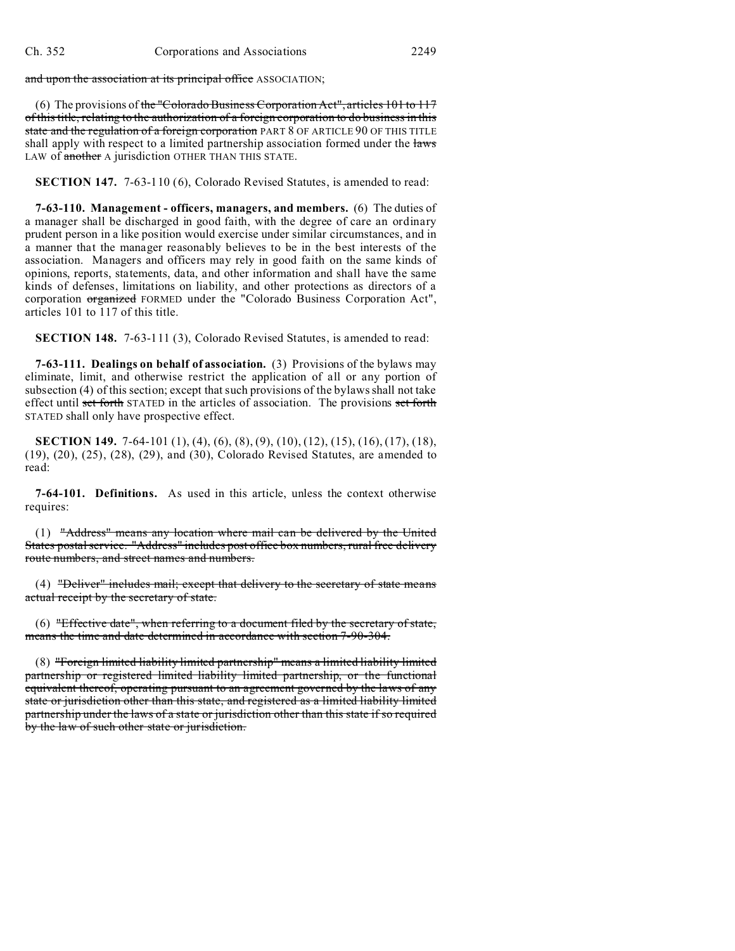and upon the association at its principal office ASSOCIATION;

(6) The provisions of the "Colorado Business Corporation Act", articles 101 to 117 of this title, relating to the authorization of a foreign corporation to do business in this state and the regulation of a foreign corporation PART 8 OF ARTICLE 90 OF THIS TITLE shall apply with respect to a limited partnership association formed under the laws LAW of another A jurisdiction OTHER THAN THIS STATE.

**SECTION 147.** 7-63-110 (6), Colorado Revised Statutes, is amended to read:

**7-63-110. Management - officers, managers, and members.** (6) The duties of a manager shall be discharged in good faith, with the degree of care an ordinary prudent person in a like position would exercise under similar circumstances, and in a manner that the manager reasonably believes to be in the best interests of the association. Managers and officers may rely in good faith on the same kinds of opinions, reports, statements, data, and other information and shall have the same kinds of defenses, limitations on liability, and other protections as directors of a corporation organized FORMED under the "Colorado Business Corporation Act", articles 101 to 117 of this title.

**SECTION 148.** 7-63-111 (3), Colorado Revised Statutes, is amended to read:

**7-63-111. Dealings on behalf of association.** (3) Provisions of the bylaws may eliminate, limit, and otherwise restrict the application of all or any portion of subsection (4) of this section; except that such provisions of the bylaws shall not take effect until set forth STATED in the articles of association. The provisions set forth STATED shall only have prospective effect.

**SECTION 149.** 7-64-101 (1), (4), (6), (8), (9), (10), (12), (15), (16), (17), (18), (19), (20), (25), (28), (29), and (30), Colorado Revised Statutes, are amended to read:

**7-64-101. Definitions.** As used in this article, unless the context otherwise requires:

(1) "Address" means any location where mail can be delivered by the United States postal service. "Address" includes post office box numbers, rural free delivery route numbers, and street names and numbers.

(4) "Deliver" includes mail; except that delivery to the secretary of state means actual receipt by the secretary of state.

(6) "Effective date", when referring to a document filed by the secretary of state, means the time and date determined in accordance with section 7-90-304.

(8) "Foreign limited liability limited partnership" means a limited liability limited partnership or registered limited liability limited partnership, or the functional equivalent thereof, operating pursuant to an agreement governed by the laws of any state or jurisdiction other than this state, and registered as a limited liability limited partnership under the laws of a state or jurisdiction other than this state if so required by the law of such other state or jurisdiction.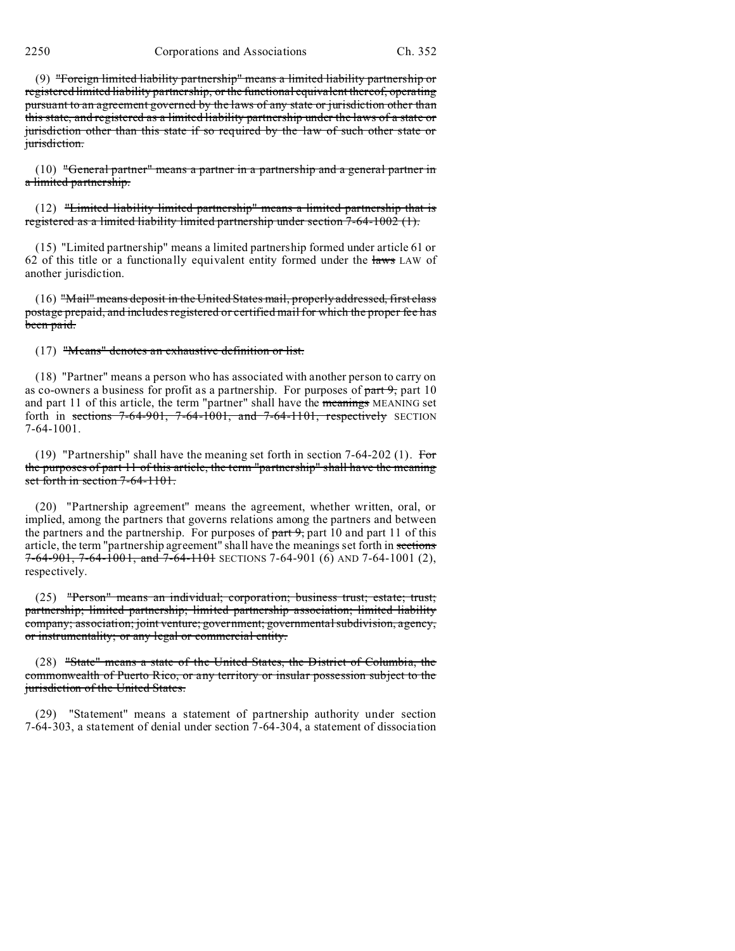2250 Corporations and Associations Ch. 352

(9) "Foreign limited liability partnership" means a limited liability partnership or registered limited liability partnership, or the functional equivalent thereof, operating pursuant to an agreement governed by the laws of any state or jurisdiction other than this state, and registered as a limited liability partnership under the laws of a state or jurisdiction other than this state if so required by the law of such other state or jurisdiction.

(10) "General partner" means a partner in a partnership and a general partner in a limited partnership.

(12) "Limited liability limited partnership" means a limited partnership that is registered as a limited liability limited partnership under section 7-64-1002 (1).

(15) "Limited partnership" means a limited partnership formed under article 61 or 62 of this title or a functionally equivalent entity formed under the laws LAW of another jurisdiction.

(16) "Mail" means deposit in the United States mail, properly addressed, first class postage prepaid, and includes registered or certified mail for which the proper fee has been paid.

(17) "Means" denotes an exhaustive definition or list.

(18) "Partner" means a person who has associated with another person to carry on as co-owners a business for profit as a partnership. For purposes of  $part 9$ , part 10 and part 11 of this article, the term "partner" shall have the *meanings* MEANING set forth in sections  $7-64-901$ ,  $7-64-1001$ , and  $7-64-1101$ , respectively SECTION 7-64-1001.

(19) "Partnership" shall have the meaning set forth in section 7-64-202 (1). For the purposes of part 11 of this article, the term "partnership" shall have the meaning set forth in section 7-64-1101.

(20) "Partnership agreement" means the agreement, whether written, oral, or implied, among the partners that governs relations among the partners and between the partners and the partnership. For purposes of  $part 9$ , part 10 and part 11 of this article, the term "partnership agreement" shall have the meanings set forth in sections 7-64-901, 7-64-1001, and 7-64-1101 SECTIONS 7-64-901 (6) AND 7-64-1001 (2), respectively.

(25) "Person" means an individual; corporation; business trust; estate; trust; partnership; limited partnership; limited partnership association; limited liability company; association; joint venture; government; governmental subdivision, agency, or instrumentality; or any legal or commercial entity.

(28) "State" means a state of the United States, the District of Columbia, the commonwealth of Puerto Rico, or any territory or insular possession subject to the jurisdiction of the United States.

(29) "Statement" means a statement of partnership authority under section 7-64-303, a statement of denial under section 7-64-304, a statement of dissociation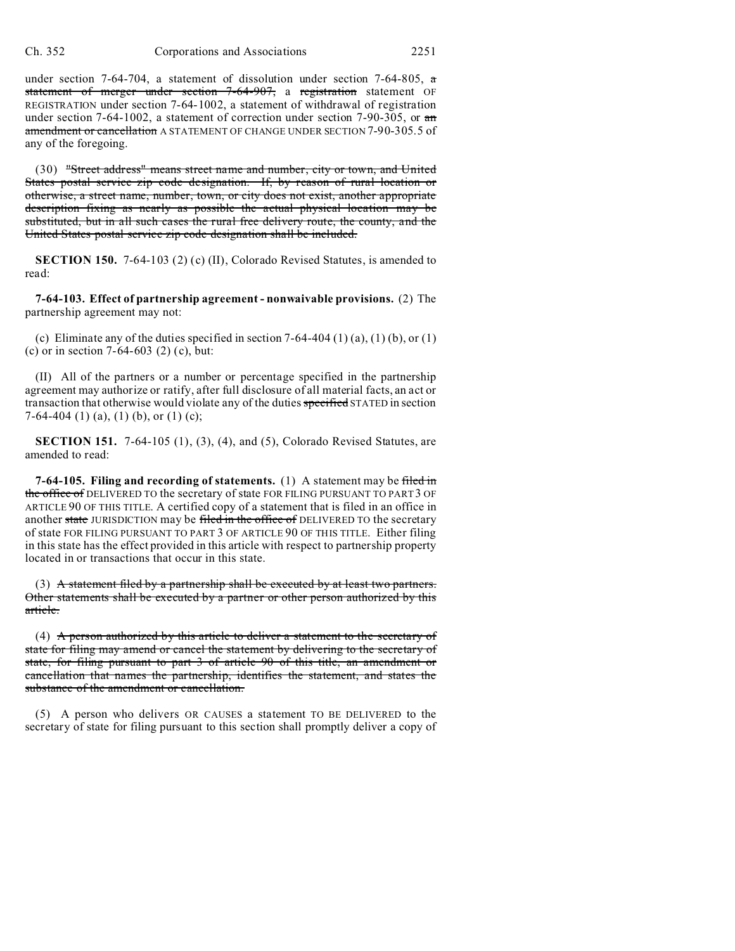under section 7-64-704, a statement of dissolution under section 7-64-805,  $\pi$ statement of merger under section 7-64-907, a registration statement OF REGISTRATION under section 7-64-1002, a statement of withdrawal of registration under section 7-64-1002, a statement of correction under section 7-90-305, or an amendment or cancellation A STATEMENT OF CHANGE UNDER SECTION 7-90-305.5 of any of the foregoing.

(30) "Street address" means street name and number, city or town, and United States postal service zip code designation. If, by reason of rural location or otherwise, a street name, number, town, or city does not exist, another appropriate description fixing as nearly as possible the actual physical location may be substituted, but in all such cases the rural free delivery route, the county, and the United States postal service zip code designation shall be included.

**SECTION 150.** 7-64-103 (2) (c) (II), Colorado Revised Statutes, is amended to read:

**7-64-103. Effect of partnership agreement - nonwaivable provisions.** (2) The partnership agreement may not:

(c) Eliminate any of the duties specified in section  $7-64-404$  (1) (a), (1) (b), or (1) (c) or in section 7-64-603 (2) (c), but:

(II) All of the partners or a number or percentage specified in the partnership agreement may authorize or ratify, after full disclosure of all material facts, an act or transaction that otherwise would violate any of the duties specified STATED in section 7-64-404 (1) (a), (1) (b), or (1) (c);

**SECTION 151.** 7-64-105 (1), (3), (4), and (5), Colorado Revised Statutes, are amended to read:

**7-64-105. Filing and recording of statements.** (1) A statement may be filed in the office of DELIVERED TO the secretary of state FOR FILING PURSUANT TO PART 3 OF ARTICLE 90 OF THIS TITLE. A certified copy of a statement that is filed in an office in another state JURISDICTION may be filed in the office of DELIVERED TO the secretary of state FOR FILING PURSUANT TO PART 3 OF ARTICLE 90 OF THIS TITLE. Either filing in this state has the effect provided in this article with respect to partnership property located in or transactions that occur in this state.

(3) A statement filed by a partnership shall be executed by at least two partners. Other statements shall be executed by a partner or other person authorized by this article.

(4) A person authorized by this article to deliver a statement to the secretary of state for filing may amend or cancel the statement by delivering to the secretary of state, for filing pursuant to part 3 of article 90 of this title, an amendment or cancellation that names the partnership, identifies the statement, and states the substance of the amendment or cancellation.

(5) A person who delivers OR CAUSES a statement TO BE DELIVERED to the secretary of state for filing pursuant to this section shall promptly deliver a copy of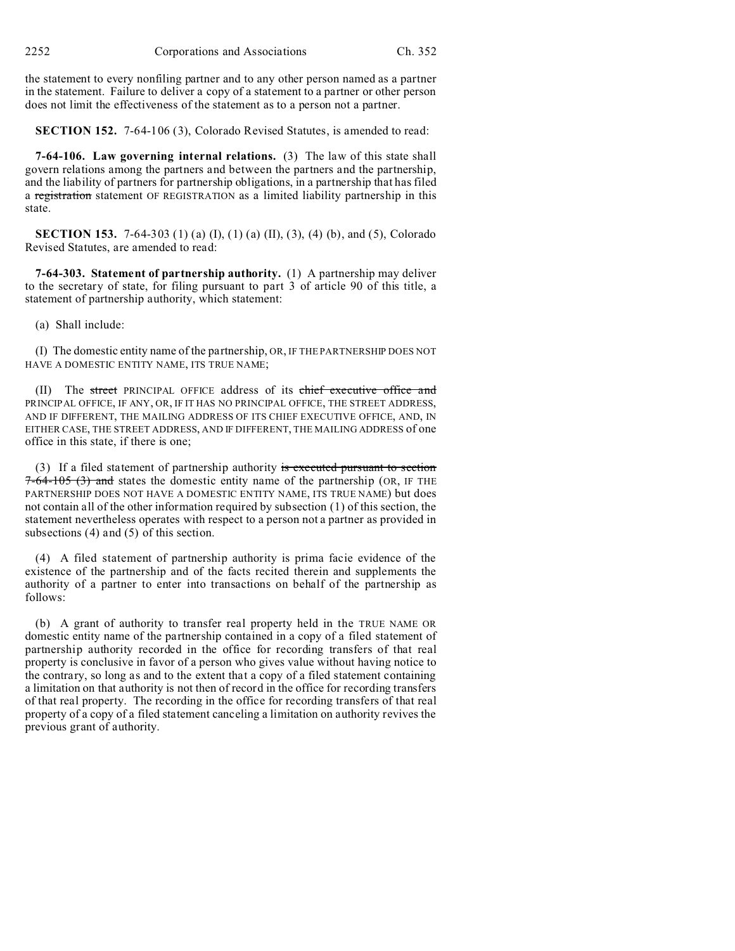the statement to every nonfiling partner and to any other person named as a partner in the statement. Failure to deliver a copy of a statement to a partner or other person does not limit the effectiveness of the statement as to a person not a partner.

**SECTION 152.** 7-64-106 (3), Colorado Revised Statutes, is amended to read:

**7-64-106. Law governing internal relations.** (3) The law of this state shall govern relations among the partners and between the partners and the partnership, and the liability of partners for partnership obligations, in a partnership that has filed a registration statement OF REGISTRATION as a limited liability partnership in this state.

**SECTION 153.** 7-64-303 (1) (a) (I), (1) (a) (II), (3), (4) (b), and (5), Colorado Revised Statutes, are amended to read:

**7-64-303. Statement of partnership authority.** (1) A partnership may deliver to the secretary of state, for filing pursuant to part 3 of article 90 of this title, a statement of partnership authority, which statement:

(a) Shall include:

(I) The domestic entity name of the partnership, OR, IF THE PARTNERSHIP DOES NOT HAVE A DOMESTIC ENTITY NAME, ITS TRUE NAME;

(II) The street PRINCIPAL OFFICE address of its chief executive office and PRINCIPAL OFFICE, IF ANY, OR, IF IT HAS NO PRINCIPAL OFFICE, THE STREET ADDRESS, AND IF DIFFERENT, THE MAILING ADDRESS OF ITS CHIEF EXECUTIVE OFFICE, AND, IN EITHER CASE, THE STREET ADDRESS, AND IF DIFFERENT, THE MAILING ADDRESS of one office in this state, if there is one;

(3) If a filed statement of partnership authority is executed pursuant to section  $7-64-105$  (3) and states the domestic entity name of the partnership (OR, IF THE PARTNERSHIP DOES NOT HAVE A DOMESTIC ENTITY NAME, ITS TRUE NAME) but does not contain all of the other information required by subsection (1) of this section, the statement nevertheless operates with respect to a person not a partner as provided in subsections (4) and (5) of this section.

(4) A filed statement of partnership authority is prima facie evidence of the existence of the partnership and of the facts recited therein and supplements the authority of a partner to enter into transactions on behalf of the partnership as follows:

(b) A grant of authority to transfer real property held in the TRUE NAME OR domestic entity name of the partnership contained in a copy of a filed statement of partnership authority recorded in the office for recording transfers of that real property is conclusive in favor of a person who gives value without having notice to the contrary, so long as and to the extent that a copy of a filed statement containing a limitation on that authority is not then of record in the office for recording transfers of that real property. The recording in the office for recording transfers of that real property of a copy of a filed statement canceling a limitation on authority revives the previous grant of authority.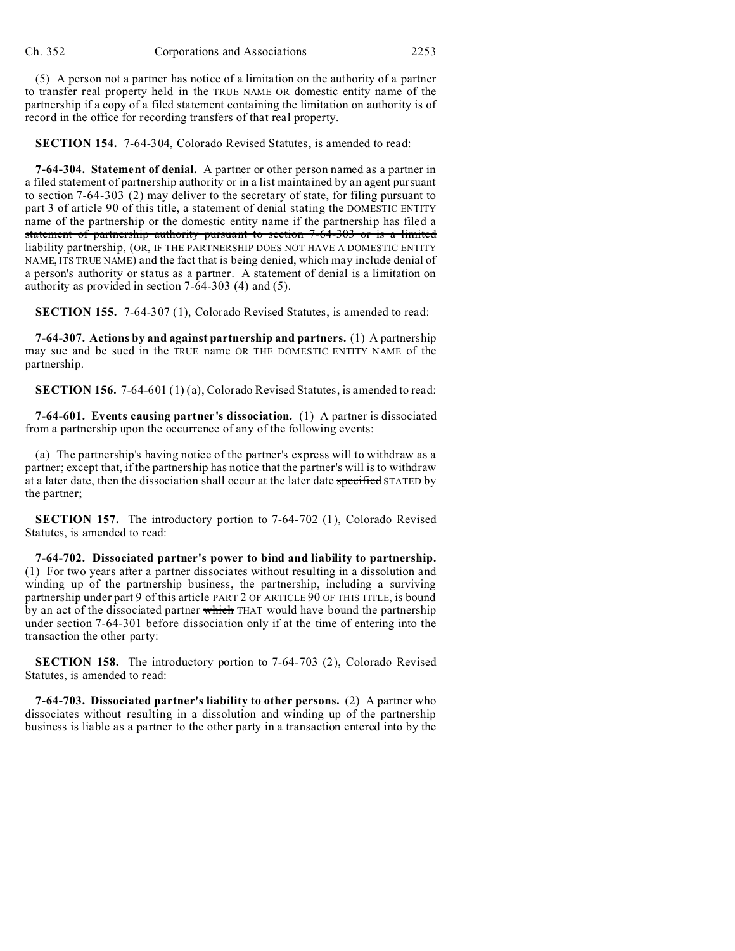(5) A person not a partner has notice of a limitation on the authority of a partner to transfer real property held in the TRUE NAME OR domestic entity name of the partnership if a copy of a filed statement containing the limitation on authority is of record in the office for recording transfers of that real property.

**SECTION 154.** 7-64-304, Colorado Revised Statutes, is amended to read:

**7-64-304. Statement of denial.** A partner or other person named as a partner in a filed statement of partnership authority or in a list maintained by an agent pursuant to section 7-64-303 (2) may deliver to the secretary of state, for filing pursuant to part 3 of article 90 of this title, a statement of denial stating the DOMESTIC ENTITY name of the partnership or the domestic entity name if the partnership has filed a statement of partnership authority pursuant to section 7-64-303 or is a limited liability partnership, (OR, IF THE PARTNERSHIP DOES NOT HAVE A DOMESTIC ENTITY NAME, ITS TRUE NAME) and the fact that is being denied, which may include denial of a person's authority or status as a partner. A statement of denial is a limitation on authority as provided in section 7-64-303 (4) and (5).

**SECTION 155.** 7-64-307 (1), Colorado Revised Statutes, is amended to read:

**7-64-307. Actions by and against partnership and partners.** (1) A partnership may sue and be sued in the TRUE name OR THE DOMESTIC ENTITY NAME of the partnership.

**SECTION 156.** 7-64-601 (1) (a), Colorado Revised Statutes, is amended to read:

**7-64-601. Events causing partner's dissociation.** (1) A partner is dissociated from a partnership upon the occurrence of any of the following events:

(a) The partnership's having notice of the partner's express will to withdraw as a partner; except that, if the partnership has notice that the partner's will is to withdraw at a later date, then the dissociation shall occur at the later date specified STATED by the partner;

**SECTION 157.** The introductory portion to 7-64-702 (1), Colorado Revised Statutes, is amended to read:

**7-64-702. Dissociated partner's power to bind and liability to partnership.** (1) For two years after a partner dissociates without resulting in a dissolution and winding up of the partnership business, the partnership, including a surviving partnership under part 9 of this article PART 2 OF ARTICLE 90 OF THIS TITLE, is bound by an act of the dissociated partner which THAT would have bound the partnership under section 7-64-301 before dissociation only if at the time of entering into the transaction the other party:

**SECTION 158.** The introductory portion to 7-64-703 (2), Colorado Revised Statutes, is amended to read:

**7-64-703. Dissociated partner's liability to other persons.** (2) A partner who dissociates without resulting in a dissolution and winding up of the partnership business is liable as a partner to the other party in a transaction entered into by the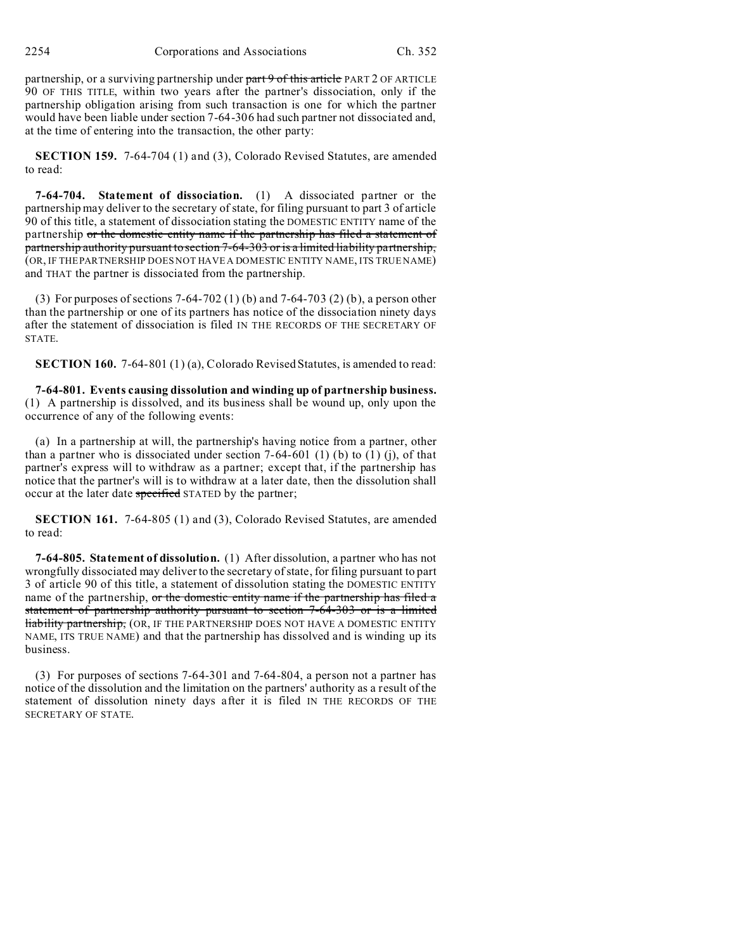partnership, or a surviving partnership under part 9 of this article PART 2 OF ARTICLE 90 OF THIS TITLE, within two years after the partner's dissociation, only if the partnership obligation arising from such transaction is one for which the partner would have been liable under section 7-64-306 had such partner not dissociated and, at the time of entering into the transaction, the other party:

**SECTION 159.** 7-64-704 (1) and (3), Colorado Revised Statutes, are amended to read:

**7-64-704. Statement of dissociation.** (1) A dissociated partner or the partnership may deliver to the secretary of state, for filing pursuant to part 3 of article 90 of this title, a statement of dissociation stating the DOMESTIC ENTITY name of the partnership or the domestic entity name if the partnership has filed a statement of partnership authority pursuant to section 7-64-303 or is a limited liability partnership, (OR, IF THE PARTNERSHIP DOES NOT HAVE A DOMESTIC ENTITY NAME, ITS TRUE NAME) and THAT the partner is dissociated from the partnership.

(3) For purposes of sections 7-64-702 (1) (b) and 7-64-703 (2) (b), a person other than the partnership or one of its partners has notice of the dissociation ninety days after the statement of dissociation is filed IN THE RECORDS OF THE SECRETARY OF STATE.

**SECTION 160.** 7-64-801 (1) (a), Colorado Revised Statutes, is amended to read:

**7-64-801. Events causing dissolution and winding up of partnership business.** (1) A partnership is dissolved, and its business shall be wound up, only upon the occurrence of any of the following events:

(a) In a partnership at will, the partnership's having notice from a partner, other than a partner who is dissociated under section  $7-64-601$  (1) (b) to (1) (j), of that partner's express will to withdraw as a partner; except that, if the partnership has notice that the partner's will is to withdraw at a later date, then the dissolution shall occur at the later date specified STATED by the partner;

**SECTION 161.** 7-64-805 (1) and (3), Colorado Revised Statutes, are amended to read:

**7-64-805. Statement of dissolution.** (1) After dissolution, a partner who has not wrongfully dissociated may deliver to the secretary of state, for filing pursuant to part 3 of article 90 of this title, a statement of dissolution stating the DOMESTIC ENTITY name of the partnership, or the domestic entity name if the partnership has filed a statement of partnership authority pursuant to section 7-64-303 or is a limited **liability partnership, (OR, IF THE PARTNERSHIP DOES NOT HAVE A DOMESTIC ENTITY** NAME, ITS TRUE NAME) and that the partnership has dissolved and is winding up its business.

(3) For purposes of sections 7-64-301 and 7-64-804, a person not a partner has notice of the dissolution and the limitation on the partners' authority as a result of the statement of dissolution ninety days after it is filed IN THE RECORDS OF THE SECRETARY OF STATE.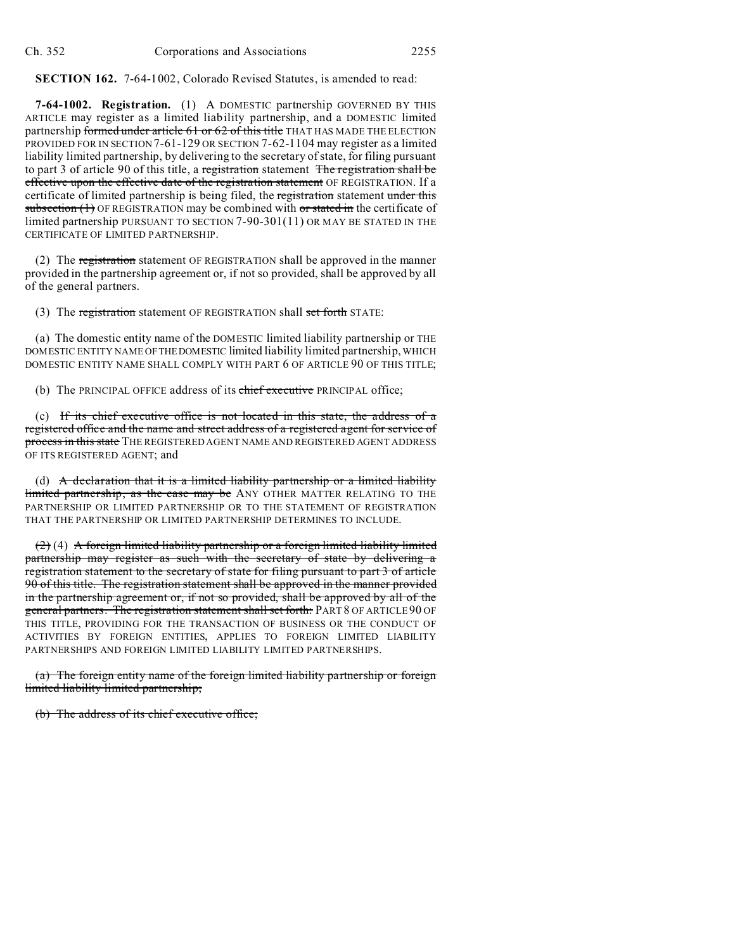**SECTION 162.** 7-64-1002, Colorado Revised Statutes, is amended to read:

**7-64-1002. Registration.** (1) A DOMESTIC partnership GOVERNED BY THIS ARTICLE may register as a limited liability partnership, and a DOMESTIC limited partnership formed under article 61 or 62 of this title THAT HAS MADE THE ELECTION PROVIDED FOR IN SECTION 7-61-129 OR SECTION 7-62-1104 may register as a limited liability limited partnership, by delivering to the secretary of state, for filing pursuant to part 3 of article 90 of this title, a registration statement The registration shall be effective upon the effective date of the registration statement OF REGISTRATION. If a certificate of limited partnership is being filed, the registration statement under this subsection  $(1)$  OF REGISTRATION may be combined with or stated in the certificate of limited partnership PURSUANT TO SECTION 7-90-301(11) OR MAY BE STATED IN THE CERTIFICATE OF LIMITED PARTNERSHIP.

(2) The registration statement OF REGISTRATION shall be approved in the manner provided in the partnership agreement or, if not so provided, shall be approved by all of the general partners.

(3) The registration statement OF REGISTRATION shall set forth STATE:

(a) The domestic entity name of the DOMESTIC limited liability partnership or THE DOMESTIC ENTITY NAME OFTHEDOMESTIC limited liability limited partnership, WHICH DOMESTIC ENTITY NAME SHALL COMPLY WITH PART 6 OF ARTICLE 90 OF THIS TITLE;

(b) The PRINCIPAL OFFICE address of its chief executive PRINCIPAL office;

(c) If its chief executive office is not located in this state, the address of a registered office and the name and street address of a registered agent for service of process in this state THE REGISTERED AGENT NAME AND REGISTERED AGENT ADDRESS OF ITS REGISTERED AGENT; and

(d) A declaration that it is a limited liability partnership or a limited liability limited partnership, as the case may be ANY OTHER MATTER RELATING TO THE PARTNERSHIP OR LIMITED PARTNERSHIP OR TO THE STATEMENT OF REGISTRATION THAT THE PARTNERSHIP OR LIMITED PARTNERSHIP DETERMINES TO INCLUDE.

 $(2)$  (4) A foreign limited liability partnership or a foreign limited liability limited partnership may register as such with the secretary of state by delivering a registration statement to the secretary of state for filing pursuant to part 3 of article 90 of this title. The registration statement shall be approved in the manner provided in the partnership agreement or, if not so provided, shall be approved by all of the general partners. The registration statement shall set forth: PART 8 OF ARTICLE 90 OF THIS TITLE, PROVIDING FOR THE TRANSACTION OF BUSINESS OR THE CONDUCT OF ACTIVITIES BY FOREIGN ENTITIES, APPLIES TO FOREIGN LIMITED LIABILITY PARTNERSHIPS AND FOREIGN LIMITED LIABILITY LIMITED PARTNERSHIPS.

(a) The foreign entity name of the foreign limited liability partnership or foreign limited liability limited partnership;

(b) The address of its chief executive office;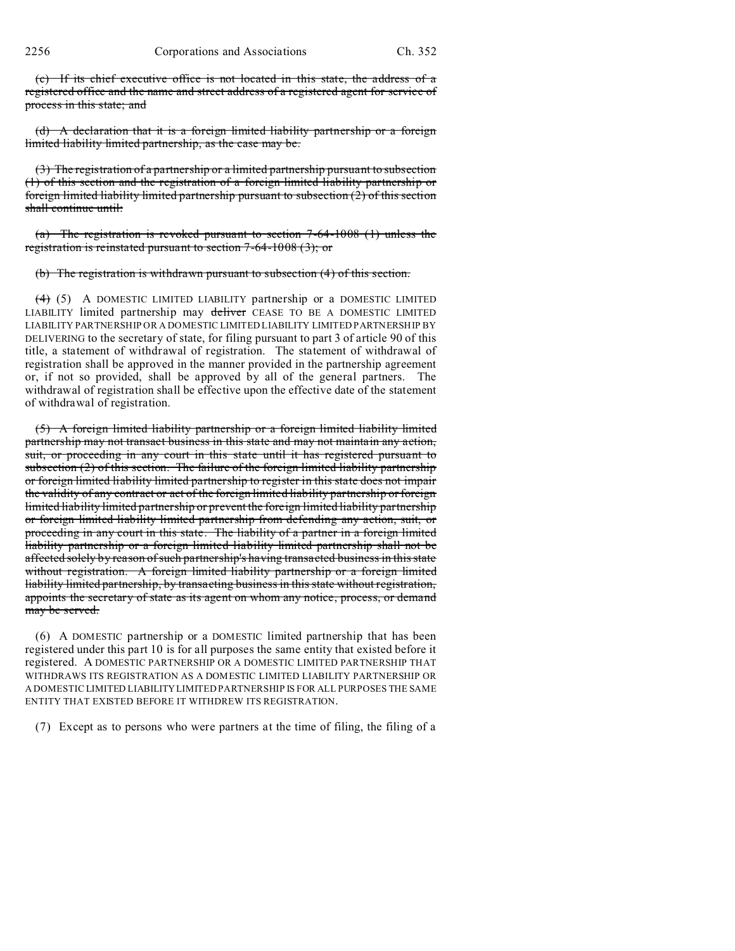(c) If its chief executive office is not located in this state, the address of a registered office and the name and street address of a registered agent for service of process in this state; and

(d) A declaration that it is a foreign limited liability partnership or a foreign limited liability limited partnership, as the case may be.

(3) The registration of a partnership or a limited partnership pursuant to subsection (1) of this section and the registration of a foreign limited liability partnership or foreign limited liability limited partnership pursuant to subsection (2) of this section shall continue until:

(a) The registration is revoked pursuant to section 7-64-1008 (1) unless the registration is reinstated pursuant to section 7-64-1008 (3); or

(b) The registration is withdrawn pursuant to subsection (4) of this section.

 $(4)$  (5) A DOMESTIC LIMITED LIABILITY partnership or a DOMESTIC LIMITED LIABILITY limited partnership may deliver CEASE TO BE A DOMESTIC LIMITED LIABILITY PARTNERSHIP OR A DOMESTIC LIMITED LIABILITY LIMITED PARTNERSHIP BY DELIVERING to the secretary of state, for filing pursuant to part 3 of article 90 of this title, a statement of withdrawal of registration. The statement of withdrawal of registration shall be approved in the manner provided in the partnership agreement or, if not so provided, shall be approved by all of the general partners. The withdrawal of registration shall be effective upon the effective date of the statement of withdrawal of registration.

(5) A foreign limited liability partnership or a foreign limited liability limited partnership may not transact business in this state and may not maintain any action, suit, or proceeding in any court in this state until it has registered pursuant to subsection (2) of this section. The failure of the foreign limited liability partnership or foreign limited liability limited partnership to register in this state does not impair the validity of any contract or act of the foreign limited liability partnership or foreign limited liability limited partnership or prevent the foreign limited liability partnership or foreign limited liability limited partnership from defending any action, suit, or proceeding in any court in this state. The liability of a partner in a foreign limited liability partnership or a foreign limited liability limited partnership shall not be affected solely by reason of such partnership's having transacted business in this state without registration. A foreign limited liability partnership or a foreign limited liability limited partnership, by transacting business in this state without registration, appoints the secretary of state as its agent on whom any notice, process, or demand may be served.

(6) A DOMESTIC partnership or a DOMESTIC limited partnership that has been registered under this part 10 is for all purposes the same entity that existed before it registered. A DOMESTIC PARTNERSHIP OR A DOMESTIC LIMITED PARTNERSHIP THAT WITHDRAWS ITS REGISTRATION AS A DOMESTIC LIMITED LIABILITY PARTNERSHIP OR A DOMESTIC LIMITED LIABILITYLIMITED PARTNERSHIP IS FOR ALL PURPOSES THE SAME ENTITY THAT EXISTED BEFORE IT WITHDREW ITS REGISTRATION.

(7) Except as to persons who were partners at the time of filing, the filing of a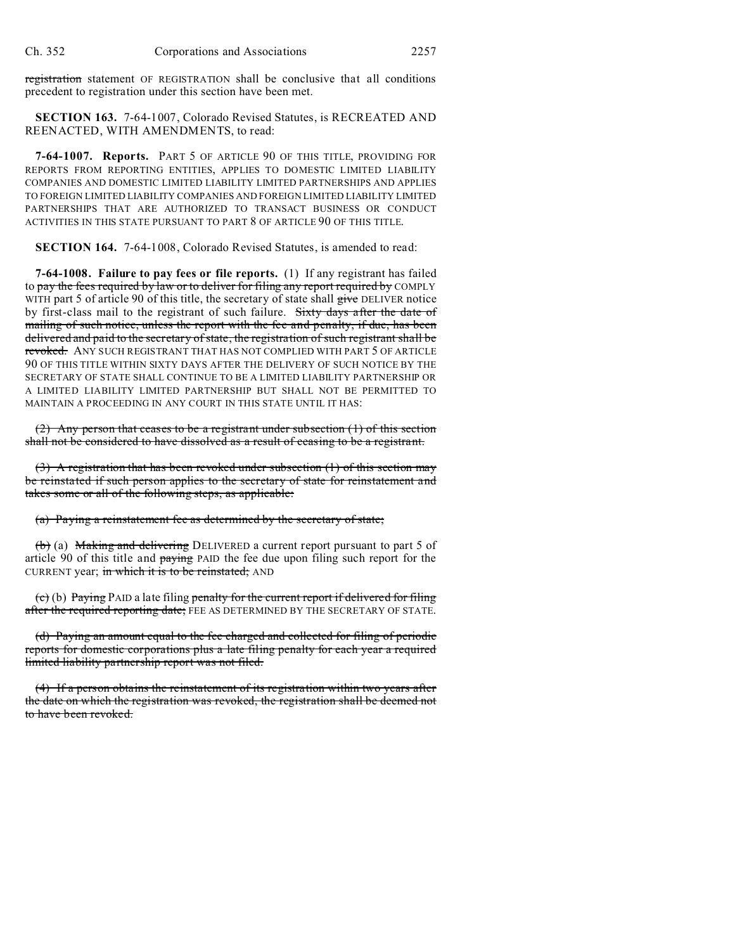registration statement OF REGISTRATION shall be conclusive that all conditions precedent to registration under this section have been met.

**SECTION 163.** 7-64-1007, Colorado Revised Statutes, is RECREATED AND REENACTED, WITH AMENDMENTS, to read:

**7-64-1007. Reports.** PART 5 OF ARTICLE 90 OF THIS TITLE, PROVIDING FOR REPORTS FROM REPORTING ENTITIES, APPLIES TO DOMESTIC LIMITED LIABILITY COMPANIES AND DOMESTIC LIMITED LIABILITY LIMITED PARTNERSHIPS AND APPLIES TO FOREIGN LIMITED LIABILITY COMPANIES AND FOREIGN LIMITED LIABILITY LIMITED PARTNERSHIPS THAT ARE AUTHORIZED TO TRANSACT BUSINESS OR CONDUCT ACTIVITIES IN THIS STATE PURSUANT TO PART 8 OF ARTICLE 90 OF THIS TITLE.

**SECTION 164.** 7-64-1008, Colorado Revised Statutes, is amended to read:

**7-64-1008. Failure to pay fees or file reports.** (1) If any registrant has failed to pay the fees required by law or to deliver for filing any report required by COMPLY WITH part 5 of article 90 of this title, the secretary of state shall give DELIVER notice by first-class mail to the registrant of such failure. Sixty days after the date of mailing of such notice, unless the report with the fee and penalty, if due, has been delivered and paid to the secretary of state, the registration of such registrant shall be revoked. ANY SUCH REGISTRANT THAT HAS NOT COMPLIED WITH PART 5 OF ARTICLE 90 OF THIS TITLE WITHIN SIXTY DAYS AFTER THE DELIVERY OF SUCH NOTICE BY THE SECRETARY OF STATE SHALL CONTINUE TO BE A LIMITED LIABILITY PARTNERSHIP OR A LIMITED LIABILITY LIMITED PARTNERSHIP BUT SHALL NOT BE PERMITTED TO MAINTAIN A PROCEEDING IN ANY COURT IN THIS STATE UNTIL IT HAS:

(2) Any person that ceases to be a registrant under subsection (1) of this section shall not be considered to have dissolved as a result of ceasing to be a registrant.

(3) A registration that has been revoked under subsection  $(1)$  of this section may be reinstated if such person applies to the secretary of state for reinstatement and takes some or all of the following steps, as applicable:

(a) Paying a reinstatement fee as determined by the secretary of state;

(b) (a) Making and delivering DELIVERED a current report pursuant to part 5 of article 90 of this title and paying PAID the fee due upon filing such report for the CURRENT year; in which it is to be reinstated; AND

 $(e)$  (b) Paying PAID a late filing penalty for the current report if delivered for filing after the required reporting date; FEE AS DETERMINED BY THE SECRETARY OF STATE.

(d) Paying an amount equal to the fee charged and collected for filing of periodic reports for domestic corporations plus a late filing penalty for each year a required limited liability partnership report was not filed.

(4) If a person obtains the reinstatement of its registration within two years after the date on which the registration was revoked, the registration shall be deemed not to have been revoked.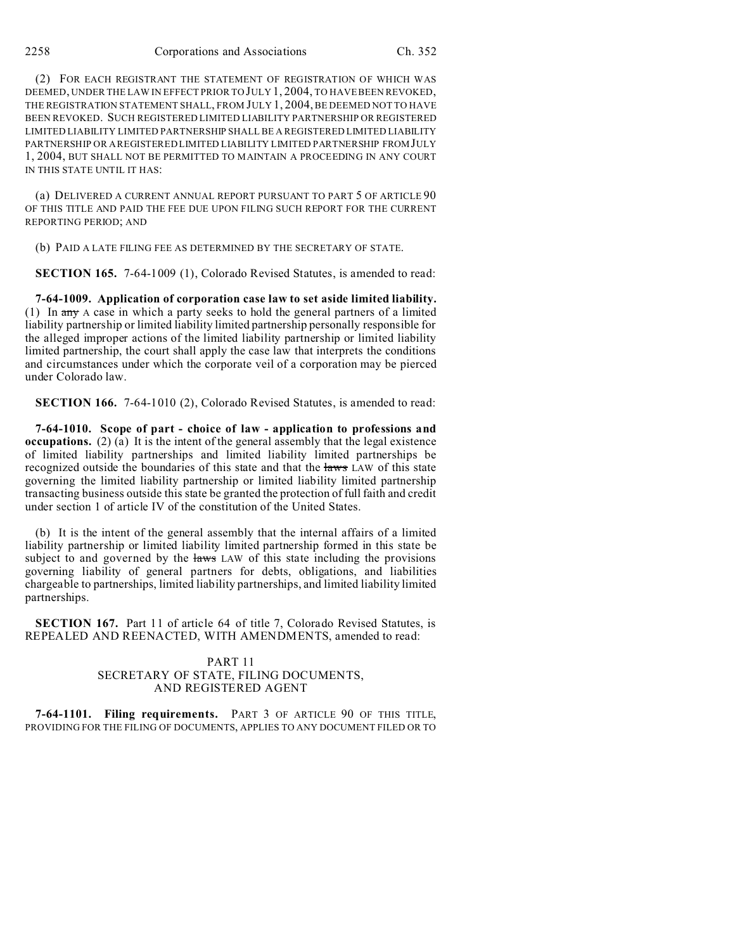(2) FOR EACH REGISTRANT THE STATEMENT OF REGISTRATION OF WHICH WAS DEEMED, UNDER THE LAW IN EFFECT PRIOR TO JULY 1, 2004, TO HAVE BEEN REVOKED, THE REGISTRATION STATEMENT SHALL, FROM JULY 1, 2004, BE DEEMED NOT TO HAVE BEEN REVOKED. SUCH REGISTERED LIMITED LIABILITY PARTNERSHIP OR REGISTERED LIMITED LIABILITY LIMITED PARTNERSHIP SHALL BE A REGISTERED LIMITED LIABILITY PARTNERSHIP OR A REGISTERED LIMITED LIABILITY LIMITED PARTNERSHIP FROMJULY 1, 2004, BUT SHALL NOT BE PERMITTED TO MAINTAIN A PROCEEDING IN ANY COURT IN THIS STATE UNTIL IT HAS:

(a) DELIVERED A CURRENT ANNUAL REPORT PURSUANT TO PART 5 OF ARTICLE 90 OF THIS TITLE AND PAID THE FEE DUE UPON FILING SUCH REPORT FOR THE CURRENT REPORTING PERIOD; AND

(b) PAID A LATE FILING FEE AS DETERMINED BY THE SECRETARY OF STATE.

**SECTION 165.** 7-64-1009 (1), Colorado Revised Statutes, is amended to read:

**7-64-1009. Application of corporation case law to set aside limited liability.** (1) In any A case in which a party seeks to hold the general partners of a limited liability partnership or limited liability limited partnership personally responsible for the alleged improper actions of the limited liability partnership or limited liability limited partnership, the court shall apply the case law that interprets the conditions and circumstances under which the corporate veil of a corporation may be pierced under Colorado law.

**SECTION 166.** 7-64-1010 (2), Colorado Revised Statutes, is amended to read:

**7-64-1010. Scope of part - choice of law - application to professions and occupations.** (2) (a) It is the intent of the general assembly that the legal existence of limited liability partnerships and limited liability limited partnerships be recognized outside the boundaries of this state and that the laws LAW of this state governing the limited liability partnership or limited liability limited partnership transacting business outside this state be granted the protection of full faith and credit under section 1 of article IV of the constitution of the United States.

(b) It is the intent of the general assembly that the internal affairs of a limited liability partnership or limited liability limited partnership formed in this state be subject to and governed by the laws LAW of this state including the provisions governing liability of general partners for debts, obligations, and liabilities chargeable to partnerships, limited liability partnerships, and limited liability limited partnerships.

**SECTION 167.** Part 11 of article 64 of title 7, Colorado Revised Statutes, is REPEALED AND REENACTED, WITH AMENDMENTS, amended to read:

### PART 11 SECRETARY OF STATE, FILING DOCUMENTS, AND REGISTERED AGENT

**7-64-1101. Filing requirements.** PART 3 OF ARTICLE 90 OF THIS TITLE, PROVIDING FOR THE FILING OF DOCUMENTS, APPLIES TO ANY DOCUMENT FILED OR TO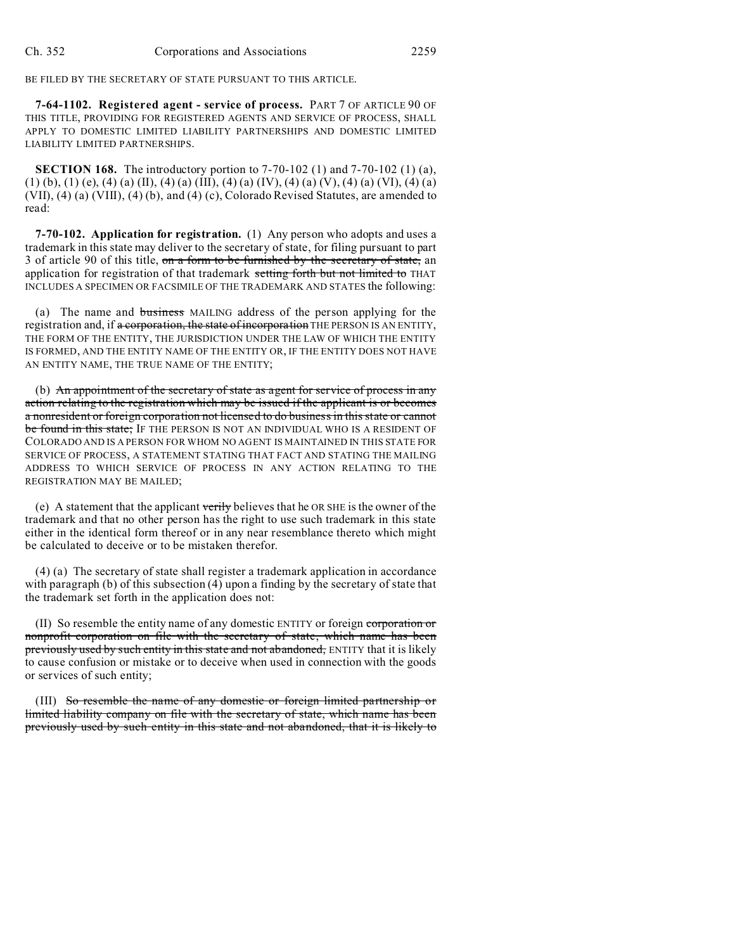BE FILED BY THE SECRETARY OF STATE PURSUANT TO THIS ARTICLE.

**7-64-1102. Registered agent - service of process.** PART 7 OF ARTICLE 90 OF THIS TITLE, PROVIDING FOR REGISTERED AGENTS AND SERVICE OF PROCESS, SHALL APPLY TO DOMESTIC LIMITED LIABILITY PARTNERSHIPS AND DOMESTIC LIMITED LIABILITY LIMITED PARTNERSHIPS.

**SECTION 168.** The introductory portion to 7-70-102 (1) and 7-70-102 (1) (a), (1) (b), (1) (e), (4) (a) (II), (4) (a) (III), (4) (a) (IV), (4) (a) (V), (4) (a) (VI), (4) (a) (VII), (4) (a) (VIII), (4) (b), and (4) (c), Colorado Revised Statutes, are amended to read:

**7-70-102. Application for registration.** (1) Any person who adopts and uses a trademark in this state may deliver to the secretary of state, for filing pursuant to part 3 of article 90 of this title, on a form to be furnished by the secretary of state, an application for registration of that trademark setting forth but not limited to THAT INCLUDES A SPECIMEN OR FACSIMILE OF THE TRADEMARK AND STATES the following:

(a) The name and business MAILING address of the person applying for the registration and, if a corporation, the state of incorporation THE PERSON IS AN ENTITY, THE FORM OF THE ENTITY, THE JURISDICTION UNDER THE LAW OF WHICH THE ENTITY IS FORMED, AND THE ENTITY NAME OF THE ENTITY OR, IF THE ENTITY DOES NOT HAVE AN ENTITY NAME, THE TRUE NAME OF THE ENTITY;

(b) An appointment of the secretary of state as agent for service of process in any action relating to the registration which may be issued if the applicant is or becomes a nonresident or foreign corporation not licensed to do business in this state or cannot be found in this state; IF THE PERSON IS NOT AN INDIVIDUAL WHO IS A RESIDENT OF COLORADO AND IS A PERSON FOR WHOM NO AGENT IS MAINTAINED IN THIS STATE FOR SERVICE OF PROCESS, A STATEMENT STATING THAT FACT AND STATING THE MAILING ADDRESS TO WHICH SERVICE OF PROCESS IN ANY ACTION RELATING TO THE REGISTRATION MAY BE MAILED;

(e) A statement that the applicant verily believes that he OR SHE is the owner of the trademark and that no other person has the right to use such trademark in this state either in the identical form thereof or in any near resemblance thereto which might be calculated to deceive or to be mistaken therefor.

(4) (a) The secretary of state shall register a trademark application in accordance with paragraph (b) of this subsection (4) upon a finding by the secretary of state that the trademark set forth in the application does not:

(II) So resemble the entity name of any domestic ENTITY or foreign corporation or nonprofit corporation on file with the secretary of state, which name has been previously used by such entity in this state and not abandoned, ENTITY that it is likely to cause confusion or mistake or to deceive when used in connection with the goods or services of such entity;

(III) So resemble the name of any domestic or foreign limited partnership or limited liability company on file with the secretary of state, which name has been previously used by such entity in this state and not abandoned, that it is likely to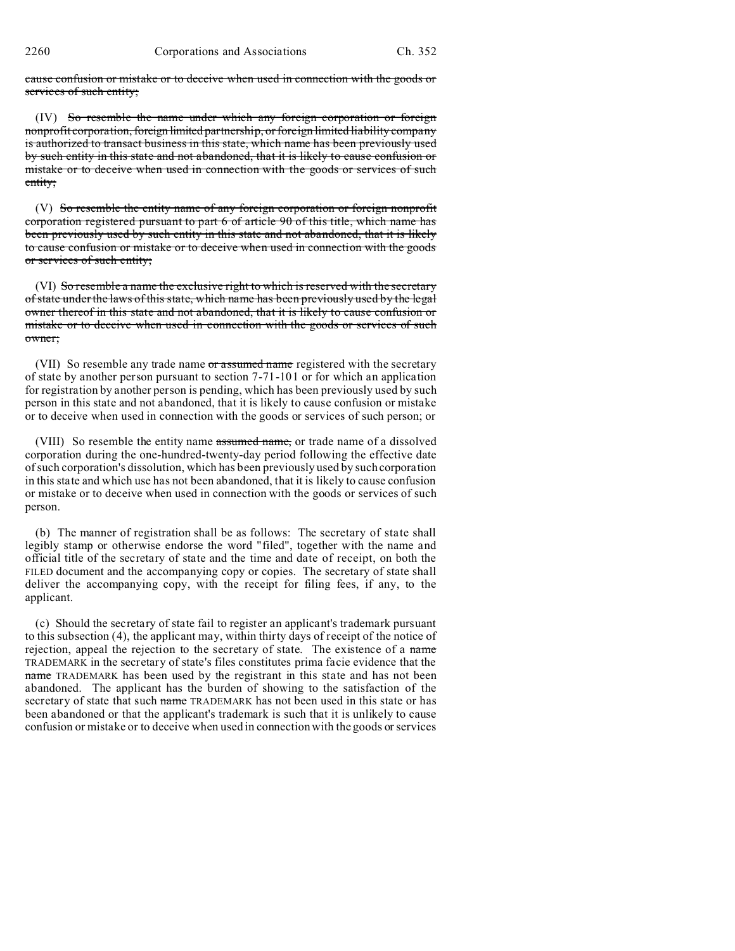cause confusion or mistake or to deceive when used in connection with the goods or services of such entity;

(IV) So resemble the name under which any foreign corporation or foreign nonprofit corporation, foreign limited partnership, or foreign limited liability company is authorized to transact business in this state, which name has been previously used by such entity in this state and not abandoned, that it is likely to cause confusion or mistake or to deceive when used in connection with the goods or services of such entity;

(V) So resemble the entity name of any foreign corporation or foreign nonprofit corporation registered pursuant to part 6 of article 90 of this title, which name has been previously used by such entity in this state and not abandoned, that it is likely to cause confusion or mistake or to deceive when used in connection with the goods or services of such entity;

(VI) So resemble a name the exclusive right to which is reserved with the secretary of state under the laws of this state, which name has been previously used by the legal owner thereof in this state and not abandoned, that it is likely to cause confusion or mistake or to deceive when used in connection with the goods or services of such owner;

(VII) So resemble any trade name or assumed name registered with the secretary of state by another person pursuant to section 7-71-101 or for which an application for registration by another person is pending, which has been previously used by such person in this state and not abandoned, that it is likely to cause confusion or mistake or to deceive when used in connection with the goods or services of such person; or

(VIII) So resemble the entity name assumed name, or trade name of a dissolved corporation during the one-hundred-twenty-day period following the effective date of such corporation's dissolution, which has been previously used by such corporation in this state and which use has not been abandoned, that it is likely to cause confusion or mistake or to deceive when used in connection with the goods or services of such person.

(b) The manner of registration shall be as follows: The secretary of state shall legibly stamp or otherwise endorse the word "filed", together with the name and official title of the secretary of state and the time and date of receipt, on both the FILED document and the accompanying copy or copies. The secretary of state shall deliver the accompanying copy, with the receipt for filing fees, if any, to the applicant.

(c) Should the secretary of state fail to register an applicant's trademark pursuant to this subsection (4), the applicant may, within thirty days of receipt of the notice of rejection, appeal the rejection to the secretary of state. The existence of a name TRADEMARK in the secretary of state's files constitutes prima facie evidence that the name TRADEMARK has been used by the registrant in this state and has not been abandoned. The applicant has the burden of showing to the satisfaction of the secretary of state that such name TRADEMARK has not been used in this state or has been abandoned or that the applicant's trademark is such that it is unlikely to cause confusion or mistake or to deceive when used in connection with the goods or services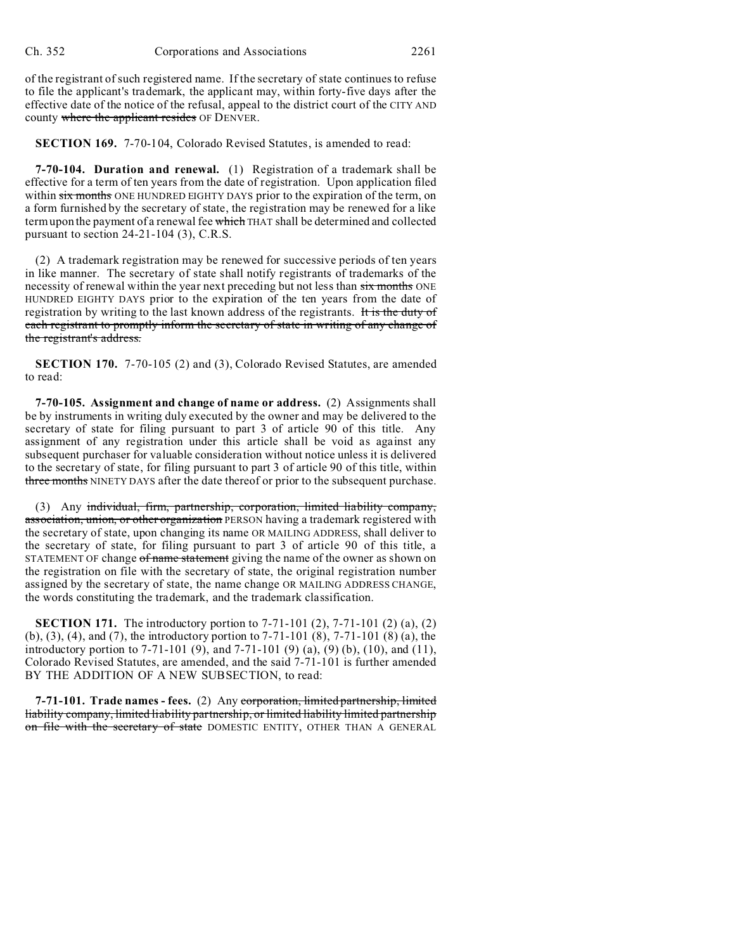of the registrant of such registered name. If the secretary of state continues to refuse to file the applicant's trademark, the applicant may, within forty-five days after the effective date of the notice of the refusal, appeal to the district court of the CITY AND county where the applicant resides OF DENVER.

**SECTION 169.** 7-70-104, Colorado Revised Statutes, is amended to read:

**7-70-104. Duration and renewal.** (1) Registration of a trademark shall be effective for a term of ten years from the date of registration. Upon application filed within six months ONE HUNDRED EIGHTY DAYS prior to the expiration of the term, on a form furnished by the secretary of state, the registration may be renewed for a like term upon the payment of a renewal fee which THAT shall be determined and collected pursuant to section 24-21-104 (3), C.R.S.

(2) A trademark registration may be renewed for successive periods of ten years in like manner. The secretary of state shall notify registrants of trademarks of the necessity of renewal within the year next preceding but not less than six months ONE HUNDRED EIGHTY DAYS prior to the expiration of the ten years from the date of registration by writing to the last known address of the registrants. It is the duty of each registrant to promptly inform the secretary of state in writing of any change of the registrant's address.

**SECTION 170.** 7-70-105 (2) and (3), Colorado Revised Statutes, are amended to read:

**7-70-105. Assignment and change of name or address.** (2) Assignments shall be by instruments in writing duly executed by the owner and may be delivered to the secretary of state for filing pursuant to part 3 of article 90 of this title. Any assignment of any registration under this article shall be void as against any subsequent purchaser for valuable consideration without notice unless it is delivered to the secretary of state, for filing pursuant to part 3 of article 90 of this title, within three months NINETY DAYS after the date thereof or prior to the subsequent purchase.

(3) Any individual, firm, partnership, corporation, limited liability company, association, union, or other organization PERSON having a trademark registered with the secretary of state, upon changing its name OR MAILING ADDRESS, shall deliver to the secretary of state, for filing pursuant to part 3 of article 90 of this title, a STATEMENT OF change of name statement giving the name of the owner as shown on the registration on file with the secretary of state, the original registration number assigned by the secretary of state, the name change OR MAILING ADDRESS CHANGE, the words constituting the trademark, and the trademark classification.

**SECTION 171.** The introductory portion to 7-71-101 (2), 7-71-101 (2) (a), (2) (b), (3), (4), and (7), the introductory portion to 7-71-101 (8), 7-71-101 (8) (a), the introductory portion to 7-71-101 (9), and 7-71-101 (9) (a), (9) (b), (10), and (11), Colorado Revised Statutes, are amended, and the said 7-71-101 is further amended BY THE ADDITION OF A NEW SUBSECTION, to read:

**7-71-101. Trade names - fees.** (2) Any corporation, limited partnership, limited liability company, limited liability partnership, or limited liability limited partnership on file with the secretary of state DOMESTIC ENTITY, OTHER THAN A GENERAL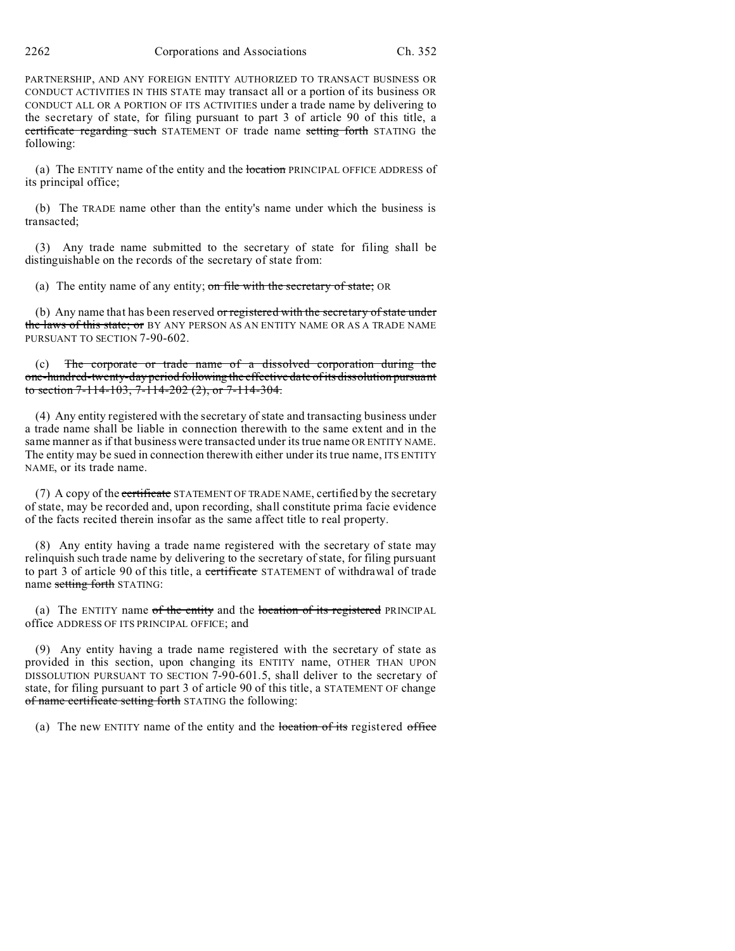2262 Corporations and Associations Ch. 352

PARTNERSHIP, AND ANY FOREIGN ENTITY AUTHORIZED TO TRANSACT BUSINESS OR CONDUCT ACTIVITIES IN THIS STATE may transact all or a portion of its business OR CONDUCT ALL OR A PORTION OF ITS ACTIVITIES under a trade name by delivering to the secretary of state, for filing pursuant to part 3 of article 90 of this title, a certificate regarding such STATEMENT OF trade name setting forth STATING the following:

(a) The ENTITY name of the entity and the location PRINCIPAL OFFICE ADDRESS of its principal office;

(b) The TRADE name other than the entity's name under which the business is transacted;

(3) Any trade name submitted to the secretary of state for filing shall be distinguishable on the records of the secretary of state from:

(a) The entity name of any entity; on file with the secretary of state; OR

(b) Any name that has been reserved or registered with the secretary of state under the laws of this state; or BY ANY PERSON AS AN ENTITY NAME OR AS A TRADE NAME PURSUANT TO SECTION 7-90-602.

The corporate or trade name of a dissolved corporation during the one-hundred-twenty-day period following the effective date of its dissolution pursuant to section 7-114-103, 7-114-202 (2), or 7-114-304.

(4) Any entity registered with the secretary of state and transacting business under a trade name shall be liable in connection therewith to the same extent and in the same manner as if that business were transacted under its true name OR ENTITY NAME. The entity may be sued in connection therewith either under its true name, ITS ENTITY NAME, or its trade name.

(7) A copy of the certificate STATEMENT OF TRADE NAME, certified by the secretary of state, may be recorded and, upon recording, shall constitute prima facie evidence of the facts recited therein insofar as the same affect title to real property.

(8) Any entity having a trade name registered with the secretary of state may relinquish such trade name by delivering to the secretary of state, for filing pursuant to part 3 of article 90 of this title, a certificate STATEMENT of withdrawal of trade name setting forth STATING:

(a) The ENTITY name  $of$  the entity and the location of its registered PRINCIPAL office ADDRESS OF ITS PRINCIPAL OFFICE; and

(9) Any entity having a trade name registered with the secretary of state as provided in this section, upon changing its ENTITY name, OTHER THAN UPON DISSOLUTION PURSUANT TO SECTION 7-90-601.5, shall deliver to the secretary of state, for filing pursuant to part 3 of article 90 of this title, a STATEMENT OF change of name certificate setting forth STATING the following:

(a) The new ENTITY name of the entity and the location of its registered office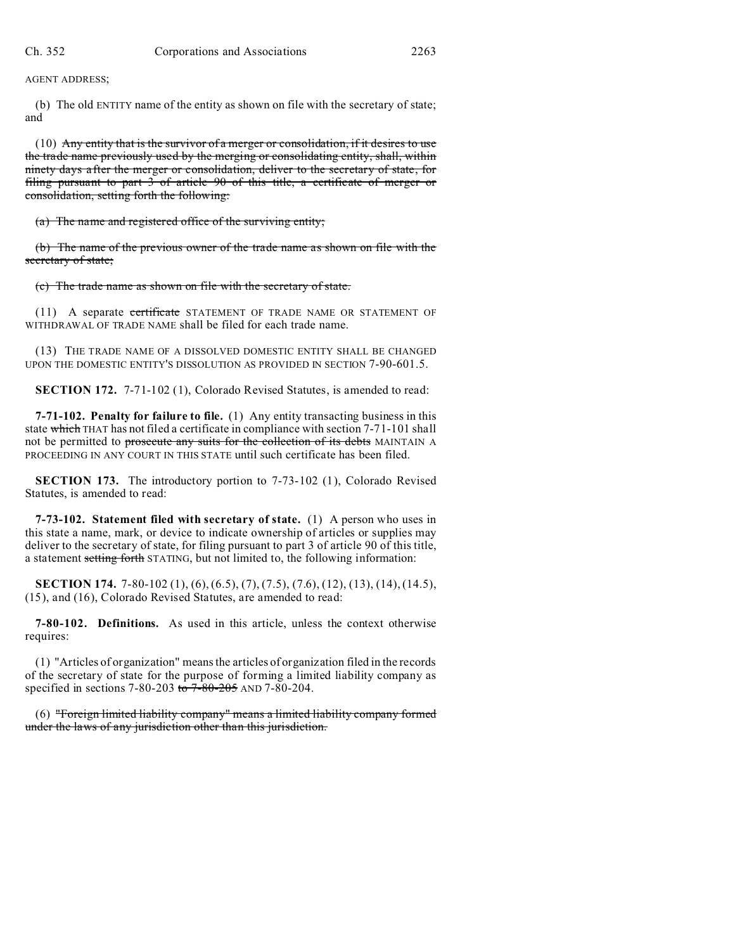AGENT ADDRESS;

(b) The old ENTITY name of the entity as shown on file with the secretary of state; and

 $(10)$  Any entity that is the survivor of a merger or consolidation, if it desires to use the trade name previously used by the merging or consolidating entity, shall, within ninety days after the merger or consolidation, deliver to the secretary of state, for filing pursuant to part 3 of article 90 of this title, a certificate of merger or consolidation, setting forth the following:

(a) The name and registered office of the surviving entity;

(b) The name of the previous owner of the trade name as shown on file with the secretary of state;

(c) The trade name as shown on file with the secretary of state.

(11) A separate certificate STATEMENT OF TRADE NAME OR STATEMENT OF WITHDRAWAL OF TRADE NAME shall be filed for each trade name.

(13) THE TRADE NAME OF A DISSOLVED DOMESTIC ENTITY SHALL BE CHANGED UPON THE DOMESTIC ENTITY'S DISSOLUTION AS PROVIDED IN SECTION 7-90-601.5.

**SECTION 172.** 7-71-102 (1), Colorado Revised Statutes, is amended to read:

**7-71-102. Penalty for failure to file.** (1) Any entity transacting business in this state which THAT has not filed a certificate in compliance with section 7-71-101 shall not be permitted to prosecute any suits for the collection of its debts MAINTAIN A PROCEEDING IN ANY COURT IN THIS STATE until such certificate has been filed.

**SECTION 173.** The introductory portion to 7-73-102 (1), Colorado Revised Statutes, is amended to read:

**7-73-102. Statement filed with secretary of state.** (1) A person who uses in this state a name, mark, or device to indicate ownership of articles or supplies may deliver to the secretary of state, for filing pursuant to part 3 of article 90 of this title, a statement setting forth STATING, but not limited to, the following information:

**SECTION 174.** 7-80-102 (1), (6), (6.5), (7), (7.5), (7.6), (12), (13), (14), (14.5), (15), and (16), Colorado Revised Statutes, are amended to read:

**7-80-102. Definitions.** As used in this article, unless the context otherwise requires:

(1) "Articles of organization" means the articles of organization filed in the records of the secretary of state for the purpose of forming a limited liability company as specified in sections 7-80-203 to 7-80-205 AND 7-80-204.

(6) "Foreign limited liability company" means a limited liability company formed under the laws of any jurisdiction other than this jurisdiction.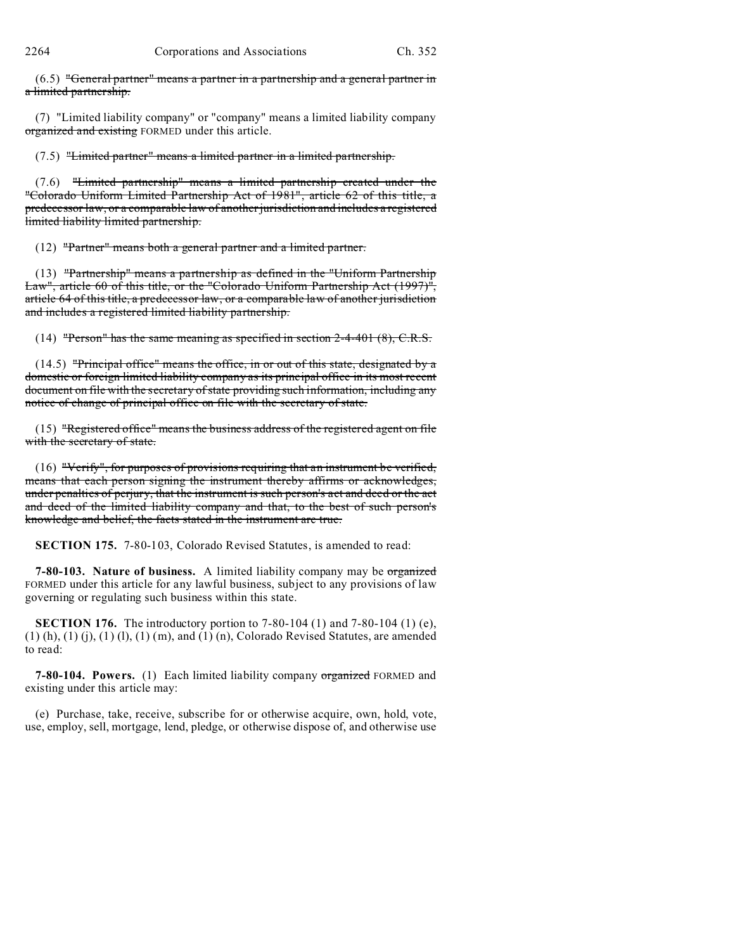$(6.5)$  "General partner" means a partner in a partnership and a general partner in a limited partnership.

(7) "Limited liability company" or "company" means a limited liability company organized and existing FORMED under this article.

(7.5) "Limited partner" means a limited partner in a limited partnership.

(7.6) "Limited partnership" means a limited partnership created under the "Colorado Uniform Limited Partnership Act of 1981", article 62 of this title, a predecessor law, or a comparable law of another jurisdiction and includes a registered limited liability limited partnership.

(12) "Partner" means both a general partner and a limited partner.

(13) "Partnership" means a partnership as defined in the "Uniform Partnership Law", article 60 of this title, or the "Colorado Uniform Partnership Act (1997)", article 64 of this title, a predecessor law, or a comparable law of another jurisdiction and includes a registered limited liability partnership.

(14) "Person" has the same meaning as specified in section  $2-4-401 (8)$ , C.R.S.

 $(14.5)$  "Principal office" means the office, in or out of this state, designated by a domestic or foreign limited liability company as its principal office in its most recent document on file with the secretary of state providing such information, including any notice of change of principal office on file with the secretary of state.

(15) "Registered office" means the business address of the registered agent on file with the secretary of state.

(16) "Verify", for purposes of provisions requiring that an instrument be verified, means that each person signing the instrument thereby affirms or acknowledges, under penalties of perjury, that the instrument is such person's act and deed or the act and deed of the limited liability company and that, to the best of such person's knowledge and belief, the facts stated in the instrument are true.

**SECTION 175.** 7-80-103, Colorado Revised Statutes, is amended to read:

**7-80-103. Nature of business.** A limited liability company may be organized FORMED under this article for any lawful business, subject to any provisions of law governing or regulating such business within this state.

**SECTION 176.** The introductory portion to 7-80-104 (1) and 7-80-104 (1) (e),  $(1)$  (h),  $(1)$  (j),  $(1)$  (l),  $(1)$  (m), and  $(1)$  (n), Colorado Revised Statutes, are amended to read:

**7-80-104. Powers.** (1) Each limited liability company organized FORMED and existing under this article may:

(e) Purchase, take, receive, subscribe for or otherwise acquire, own, hold, vote, use, employ, sell, mortgage, lend, pledge, or otherwise dispose of, and otherwise use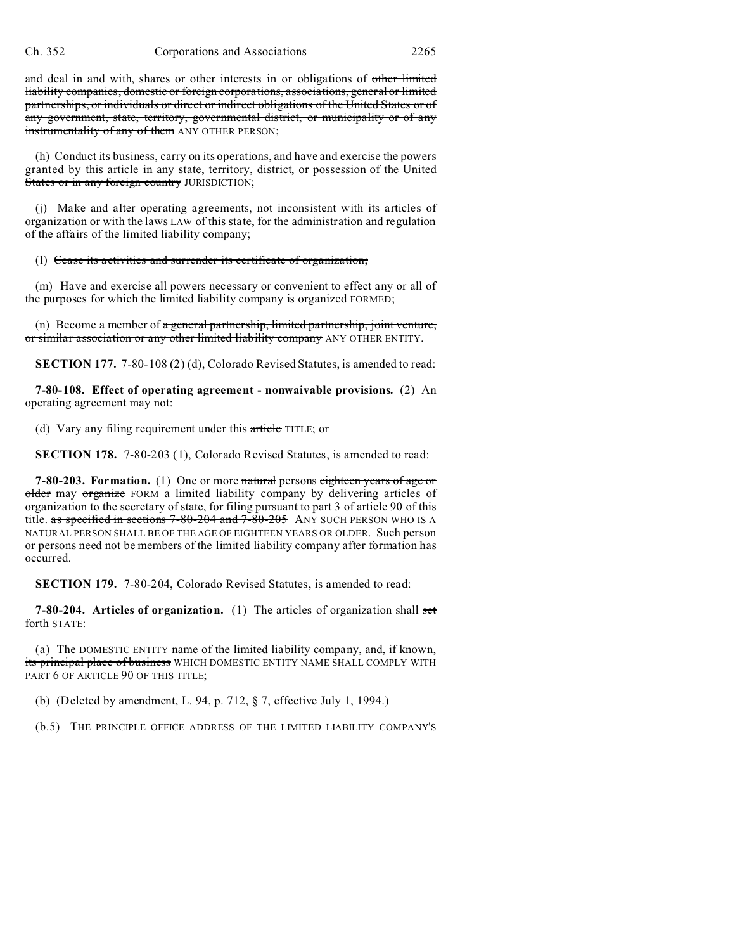and deal in and with, shares or other interests in or obligations of other limited liability companies, domestic or foreign corporations, associations, general or limited partnerships, or individuals or direct or indirect obligations of the United States or of any government, state, territory, governmental district, or municipality or of any instrumentality of any of them ANY OTHER PERSON;

(h) Conduct its business, carry on its operations, and have and exercise the powers granted by this article in any state, territory, district, or possession of the United States or in any foreign country JURISDICTION;

(j) Make and alter operating agreements, not inconsistent with its articles of organization or with the laws LAW of this state, for the administration and regulation of the affairs of the limited liability company;

(l) Cease its activities and surrender its certificate of organization;

(m) Have and exercise all powers necessary or convenient to effect any or all of the purposes for which the limited liability company is organized FORMED;

(n) Become a member of a general partnership, limited partnership, joint venture, or similar association or any other limited liability company ANY OTHER ENTITY.

**SECTION 177.** 7-80-108 (2) (d), Colorado Revised Statutes, is amended to read:

**7-80-108. Effect of operating agreement - nonwaivable provisions.** (2) An operating agreement may not:

(d) Vary any filing requirement under this article TITLE; or

**SECTION 178.** 7-80-203 (1), Colorado Revised Statutes, is amended to read:

**7-80-203. Formation.** (1) One or more natural persons eighteen years of age or older may organize FORM a limited liability company by delivering articles of organization to the secretary of state, for filing pursuant to part 3 of article 90 of this title. as specified in sections 7-80-204 and 7-80-205 ANY SUCH PERSON WHO IS A NATURAL PERSON SHALL BE OF THE AGE OF EIGHTEEN YEARS OR OLDER. Such person or persons need not be members of the limited liability company after formation has occurred.

**SECTION 179.** 7-80-204, Colorado Revised Statutes, is amended to read:

**7-80-204. Articles of organization.** (1) The articles of organization shall set forth STATE:

(a) The DOMESTIC ENTITY name of the limited liability company,  $\frac{1}{2}$  and, if known, its principal place of business WHICH DOMESTIC ENTITY NAME SHALL COMPLY WITH PART 6 OF ARTICLE 90 OF THIS TITLE;

(b) (Deleted by amendment, L. 94, p. 712, § 7, effective July 1, 1994.)

(b.5) THE PRINCIPLE OFFICE ADDRESS OF THE LIMITED LIABILITY COMPANY'S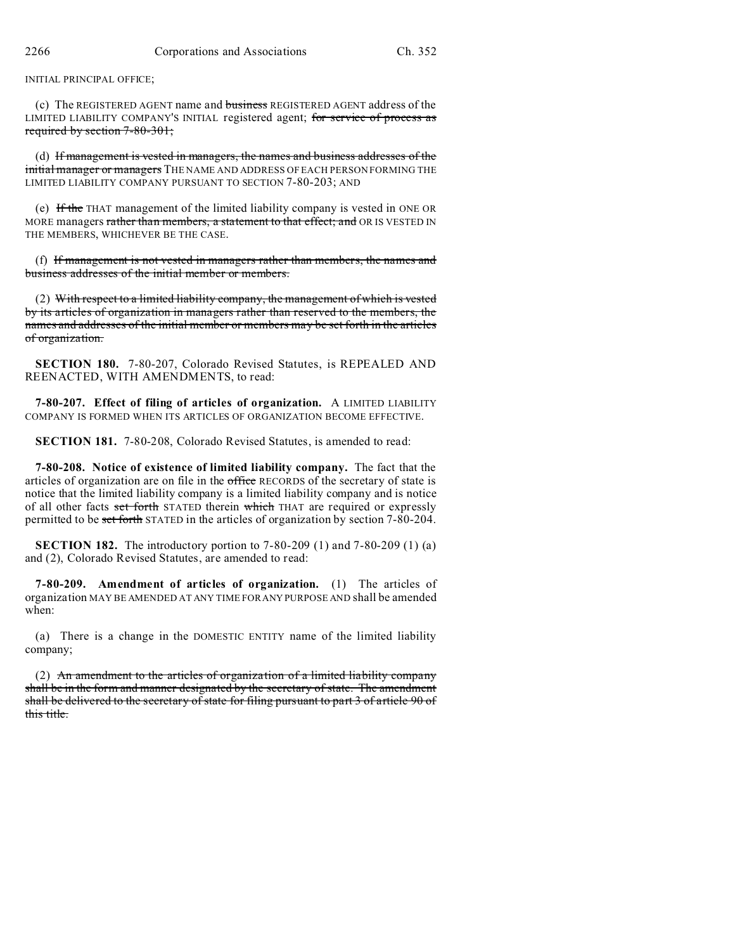### INITIAL PRINCIPAL OFFICE;

(c) The REGISTERED AGENT name and business REGISTERED AGENT address of the LIMITED LIABILITY COMPANY'S INITIAL registered agent; for service of process as required by section 7-80-301;

(d) If management is vested in managers, the names and business addresses of the initial manager or managers THE NAME AND ADDRESS OF EACH PERSON FORMING THE LIMITED LIABILITY COMPANY PURSUANT TO SECTION 7-80-203; AND

(e) If the THAT management of the limited liability company is vested in ONE OR MORE managers rather than members, a statement to that effect; and OR IS VESTED IN THE MEMBERS, WHICHEVER BE THE CASE.

(f) If management is not vested in managers rather than members, the names and business addresses of the initial member or members.

(2) With respect to a limited liability company, the management of which is vested by its articles of organization in managers rather than reserved to the members, the names and addresses of the initial member or members may be set forth in the articles of organization.

**SECTION 180.** 7-80-207, Colorado Revised Statutes, is REPEALED AND REENACTED, WITH AMENDMENTS, to read:

**7-80-207. Effect of filing of articles of organization.** A LIMITED LIABILITY COMPANY IS FORMED WHEN ITS ARTICLES OF ORGANIZATION BECOME EFFECTIVE.

**SECTION 181.** 7-80-208, Colorado Revised Statutes, is amended to read:

**7-80-208. Notice of existence of limited liability company.** The fact that the articles of organization are on file in the office RECORDS of the secretary of state is notice that the limited liability company is a limited liability company and is notice of all other facts set forth STATED therein which THAT are required or expressly permitted to be set forth STATED in the articles of organization by section 7-80-204.

**SECTION 182.** The introductory portion to 7-80-209 (1) and 7-80-209 (1) (a) and (2), Colorado Revised Statutes, are amended to read:

**7-80-209. Amendment of articles of organization.** (1) The articles of organization MAY BE AMENDED AT ANY TIME FOR ANY PURPOSE AND shall be amended when:

(a) There is a change in the DOMESTIC ENTITY name of the limited liability company;

(2) An amendment to the articles of organization of a limited liability company shall be in the form and manner designated by the secretary of state. The amendment shall be delivered to the secretary of state for filing pursuant to part 3 of article 90 of this title.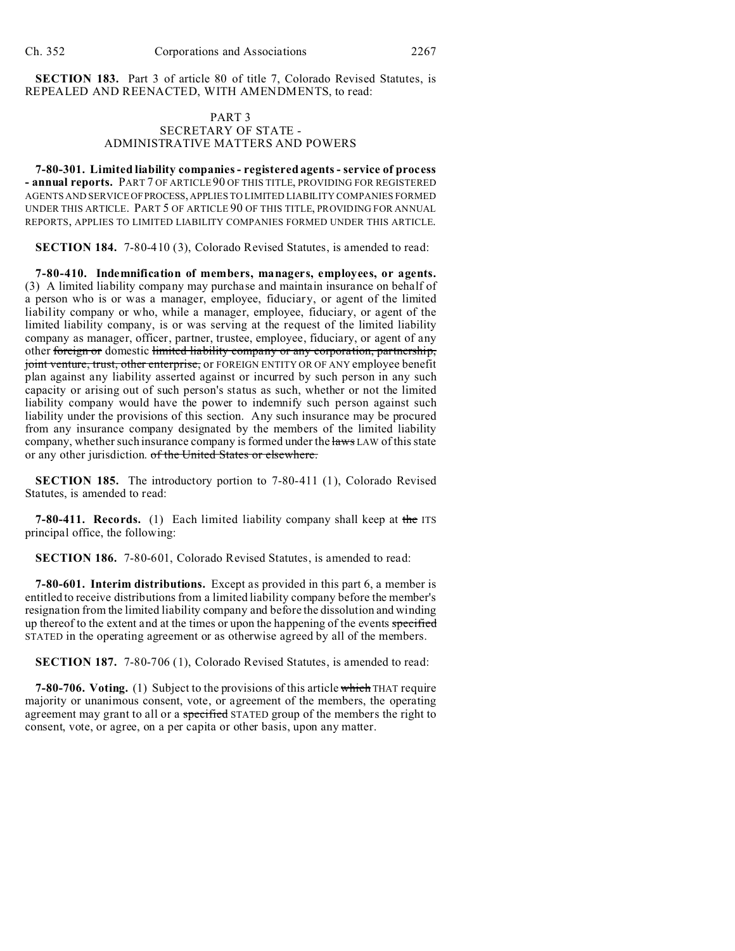**SECTION 183.** Part 3 of article 80 of title 7, Colorado Revised Statutes, is REPEALED AND REENACTED, WITH AMENDMENTS, to read:

## PART 3 SECRETARY OF STATE - ADMINISTRATIVE MATTERS AND POWERS

**7-80-301. Limited liability companies - registered agents - service of process - annual reports.** PART 7 OF ARTICLE 90 OF THIS TITLE, PROVIDING FOR REGISTERED AGENTS AND SERVICE OFPROCESS,APPLIES TO LIMITED LIABILITY COMPANIES FORMED UNDER THIS ARTICLE. PART 5 OF ARTICLE 90 OF THIS TITLE, PROVIDING FOR ANNUAL REPORTS, APPLIES TO LIMITED LIABILITY COMPANIES FORMED UNDER THIS ARTICLE.

**SECTION 184.** 7-80-410 (3), Colorado Revised Statutes, is amended to read:

**7-80-410. Indemnification of members, managers, employees, or agents.** (3) A limited liability company may purchase and maintain insurance on behalf of a person who is or was a manager, employee, fiduciary, or agent of the limited liability company or who, while a manager, employee, fiduciary, or agent of the limited liability company, is or was serving at the request of the limited liability company as manager, officer, partner, trustee, employee, fiduciary, or agent of any other foreign or domestic limited liability company or any corporation, partnership, joint venture, trust, other enterprise, or FOREIGN ENTITY OR OF ANY employee benefit plan against any liability asserted against or incurred by such person in any such capacity or arising out of such person's status as such, whether or not the limited liability company would have the power to indemnify such person against such liability under the provisions of this section. Any such insurance may be procured from any insurance company designated by the members of the limited liability company, whether such insurance company is formed under the laws LAW of this state or any other jurisdiction. of the United States or elsewhere.

**SECTION 185.** The introductory portion to 7-80-411 (1), Colorado Revised Statutes, is amended to read:

**7-80-411. Records.** (1) Each limited liability company shall keep at the ITS principal office, the following:

**SECTION 186.** 7-80-601, Colorado Revised Statutes, is amended to read:

**7-80-601. Interim distributions.** Except as provided in this part 6, a member is entitled to receive distributions from a limited liability company before the member's resignation from the limited liability company and before the dissolution and winding up thereof to the extent and at the times or upon the happening of the events specified STATED in the operating agreement or as otherwise agreed by all of the members.

**SECTION 187.** 7-80-706 (1), Colorado Revised Statutes, is amended to read:

**7-80-706. Voting.** (1) Subject to the provisions of this article which THAT require majority or unanimous consent, vote, or agreement of the members, the operating agreement may grant to all or a specified STATED group of the members the right to consent, vote, or agree, on a per capita or other basis, upon any matter.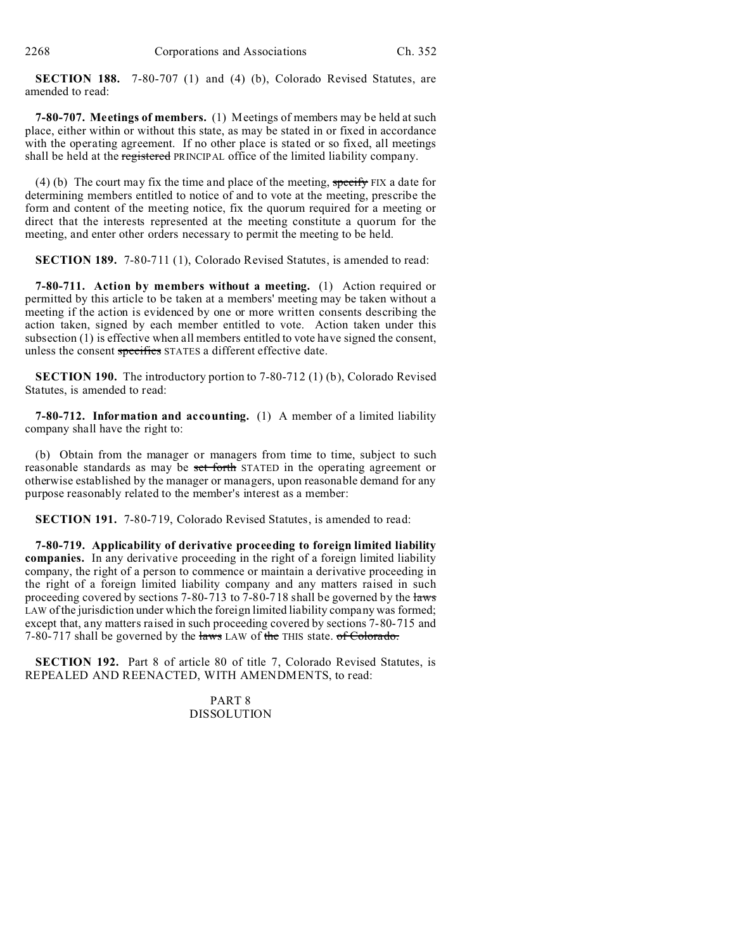**SECTION 188.** 7-80-707 (1) and (4) (b), Colorado Revised Statutes, are amended to read:

**7-80-707. Meetings of members.** (1) Meetings of members may be held at such place, either within or without this state, as may be stated in or fixed in accordance with the operating agreement. If no other place is stated or so fixed, all meetings shall be held at the registered PRINCIPAL office of the limited liability company.

(4) (b) The court may fix the time and place of the meeting, specify FIX a date for determining members entitled to notice of and to vote at the meeting, prescribe the form and content of the meeting notice, fix the quorum required for a meeting or direct that the interests represented at the meeting constitute a quorum for the meeting, and enter other orders necessary to permit the meeting to be held.

**SECTION 189.** 7-80-711 (1), Colorado Revised Statutes, is amended to read:

**7-80-711. Action by members without a meeting.** (1) Action required or permitted by this article to be taken at a members' meeting may be taken without a meeting if the action is evidenced by one or more written consents describing the action taken, signed by each member entitled to vote. Action taken under this subsection (1) is effective when all members entitled to vote have signed the consent, unless the consent specifies STATES a different effective date.

**SECTION 190.** The introductory portion to 7-80-712 (1) (b), Colorado Revised Statutes, is amended to read:

**7-80-712. Information and accounting.** (1) A member of a limited liability company shall have the right to:

(b) Obtain from the manager or managers from time to time, subject to such reasonable standards as may be set forth STATED in the operating agreement or otherwise established by the manager or managers, upon reasonable demand for any purpose reasonably related to the member's interest as a member:

**SECTION 191.** 7-80-719, Colorado Revised Statutes, is amended to read:

**7-80-719. Applicability of derivative proceeding to foreign limited liability companies.** In any derivative proceeding in the right of a foreign limited liability company, the right of a person to commence or maintain a derivative proceeding in the right of a foreign limited liability company and any matters raised in such proceeding covered by sections 7-80-713 to 7-80-718 shall be governed by the laws LAW of the jurisdiction under which the foreign limited liability company was formed; except that, any matters raised in such proceeding covered by sections 7-80-715 and 7-80-717 shall be governed by the laws LAW of the THIS state. of Colorado.

**SECTION 192.** Part 8 of article 80 of title 7, Colorado Revised Statutes, is REPEALED AND REENACTED, WITH AMENDMENTS, to read:

> PART 8 DISSOLUTION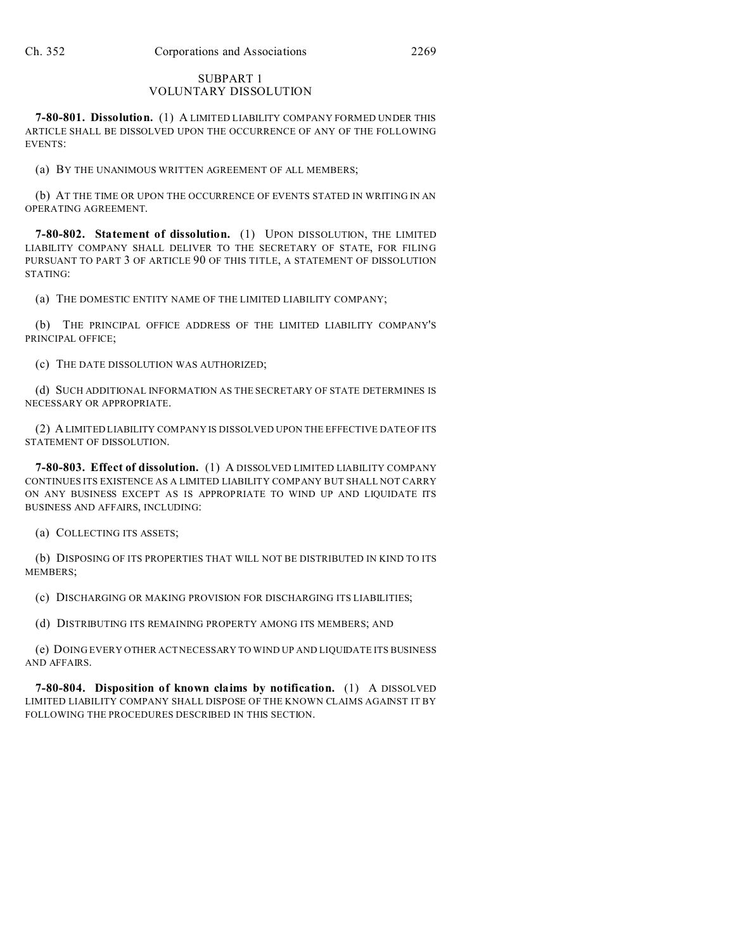### SUBPART 1 VOLUNTARY DISSOLUTION

**7-80-801. Dissolution.** (1) A LIMITED LIABILITY COMPANY FORMED UNDER THIS ARTICLE SHALL BE DISSOLVED UPON THE OCCURRENCE OF ANY OF THE FOLLOWING EVENTS:

(a) BY THE UNANIMOUS WRITTEN AGREEMENT OF ALL MEMBERS;

(b) AT THE TIME OR UPON THE OCCURRENCE OF EVENTS STATED IN WRITING IN AN OPERATING AGREEMENT.

**7-80-802. Statement of dissolution.** (1) UPON DISSOLUTION, THE LIMITED LIABILITY COMPANY SHALL DELIVER TO THE SECRETARY OF STATE, FOR FILING PURSUANT TO PART 3 OF ARTICLE 90 OF THIS TITLE, A STATEMENT OF DISSOLUTION STATING:

(a) THE DOMESTIC ENTITY NAME OF THE LIMITED LIABILITY COMPANY;

(b) THE PRINCIPAL OFFICE ADDRESS OF THE LIMITED LIABILITY COMPANY'S PRINCIPAL OFFICE;

(c) THE DATE DISSOLUTION WAS AUTHORIZED;

(d) SUCH ADDITIONAL INFORMATION AS THE SECRETARY OF STATE DETERMINES IS NECESSARY OR APPROPRIATE.

(2) A LIMITED LIABILITY COMPANY IS DISSOLVED UPON THE EFFECTIVE DATE OF ITS STATEMENT OF DISSOLUTION.

**7-80-803. Effect of dissolution.** (1) A DISSOLVED LIMITED LIABILITY COMPANY CONTINUES ITS EXISTENCE AS A LIMITED LIABILITY COMPANY BUT SHALL NOT CARRY ON ANY BUSINESS EXCEPT AS IS APPROPRIATE TO WIND UP AND LIQUIDATE ITS BUSINESS AND AFFAIRS, INCLUDING:

(a) COLLECTING ITS ASSETS;

(b) DISPOSING OF ITS PROPERTIES THAT WILL NOT BE DISTRIBUTED IN KIND TO ITS MEMBERS;

(c) DISCHARGING OR MAKING PROVISION FOR DISCHARGING ITS LIABILITIES;

(d) DISTRIBUTING ITS REMAINING PROPERTY AMONG ITS MEMBERS; AND

(e) DOING EVERY OTHER ACT NECESSARY TO WIND UP AND LIQUIDATE ITS BUSINESS AND AFFAIRS.

**7-80-804. Disposition of known claims by notification.** (1) A DISSOLVED LIMITED LIABILITY COMPANY SHALL DISPOSE OF THE KNOWN CLAIMS AGAINST IT BY FOLLOWING THE PROCEDURES DESCRIBED IN THIS SECTION.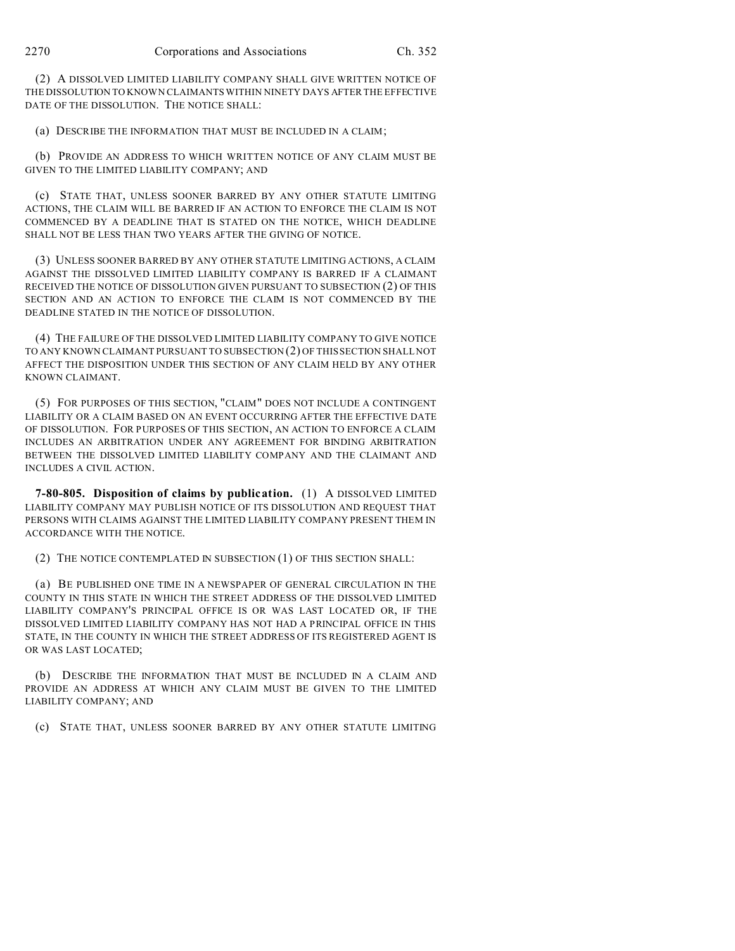(2) A DISSOLVED LIMITED LIABILITY COMPANY SHALL GIVE WRITTEN NOTICE OF THE DISSOLUTION TO KNOWN CLAIMANTS WITHIN NINETY DAYS AFTER THE EFFECTIVE DATE OF THE DISSOLUTION. THE NOTICE SHALL:

(a) DESCRIBE THE INFORMATION THAT MUST BE INCLUDED IN A CLAIM;

(b) PROVIDE AN ADDRESS TO WHICH WRITTEN NOTICE OF ANY CLAIM MUST BE GIVEN TO THE LIMITED LIABILITY COMPANY; AND

(c) STATE THAT, UNLESS SOONER BARRED BY ANY OTHER STATUTE LIMITING ACTIONS, THE CLAIM WILL BE BARRED IF AN ACTION TO ENFORCE THE CLAIM IS NOT COMMENCED BY A DEADLINE THAT IS STATED ON THE NOTICE, WHICH DEADLINE SHALL NOT BE LESS THAN TWO YEARS AFTER THE GIVING OF NOTICE.

(3) UNLESS SOONER BARRED BY ANY OTHER STATUTE LIMITING ACTIONS, A CLAIM AGAINST THE DISSOLVED LIMITED LIABILITY COMPANY IS BARRED IF A CLAIMANT RECEIVED THE NOTICE OF DISSOLUTION GIVEN PURSUANT TO SUBSECTION (2) OF THIS SECTION AND AN ACTION TO ENFORCE THE CLAIM IS NOT COMMENCED BY THE DEADLINE STATED IN THE NOTICE OF DISSOLUTION.

(4) THE FAILURE OF THE DISSOLVED LIMITED LIABILITY COMPANY TO GIVE NOTICE TO ANY KNOWN CLAIMANT PURSUANT TO SUBSECTION (2) OF THIS SECTION SHALL NOT AFFECT THE DISPOSITION UNDER THIS SECTION OF ANY CLAIM HELD BY ANY OTHER KNOWN CLAIMANT.

(5) FOR PURPOSES OF THIS SECTION, "CLAIM" DOES NOT INCLUDE A CONTINGENT LIABILITY OR A CLAIM BASED ON AN EVENT OCCURRING AFTER THE EFFECTIVE DATE OF DISSOLUTION. FOR PURPOSES OF THIS SECTION, AN ACTION TO ENFORCE A CLAIM INCLUDES AN ARBITRATION UNDER ANY AGREEMENT FOR BINDING ARBITRATION BETWEEN THE DISSOLVED LIMITED LIABILITY COMPANY AND THE CLAIMANT AND INCLUDES A CIVIL ACTION.

**7-80-805. Disposition of claims by publication.** (1) A DISSOLVED LIMITED LIABILITY COMPANY MAY PUBLISH NOTICE OF ITS DISSOLUTION AND REQUEST THAT PERSONS WITH CLAIMS AGAINST THE LIMITED LIABILITY COMPANY PRESENT THEM IN ACCORDANCE WITH THE NOTICE.

(2) THE NOTICE CONTEMPLATED IN SUBSECTION (1) OF THIS SECTION SHALL:

(a) BE PUBLISHED ONE TIME IN A NEWSPAPER OF GENERAL CIRCULATION IN THE COUNTY IN THIS STATE IN WHICH THE STREET ADDRESS OF THE DISSOLVED LIMITED LIABILITY COMPANY'S PRINCIPAL OFFICE IS OR WAS LAST LOCATED OR, IF THE DISSOLVED LIMITED LIABILITY COMPANY HAS NOT HAD A PRINCIPAL OFFICE IN THIS STATE, IN THE COUNTY IN WHICH THE STREET ADDRESS OF ITS REGISTERED AGENT IS OR WAS LAST LOCATED;

(b) DESCRIBE THE INFORMATION THAT MUST BE INCLUDED IN A CLAIM AND PROVIDE AN ADDRESS AT WHICH ANY CLAIM MUST BE GIVEN TO THE LIMITED LIABILITY COMPANY; AND

(c) STATE THAT, UNLESS SOONER BARRED BY ANY OTHER STATUTE LIMITING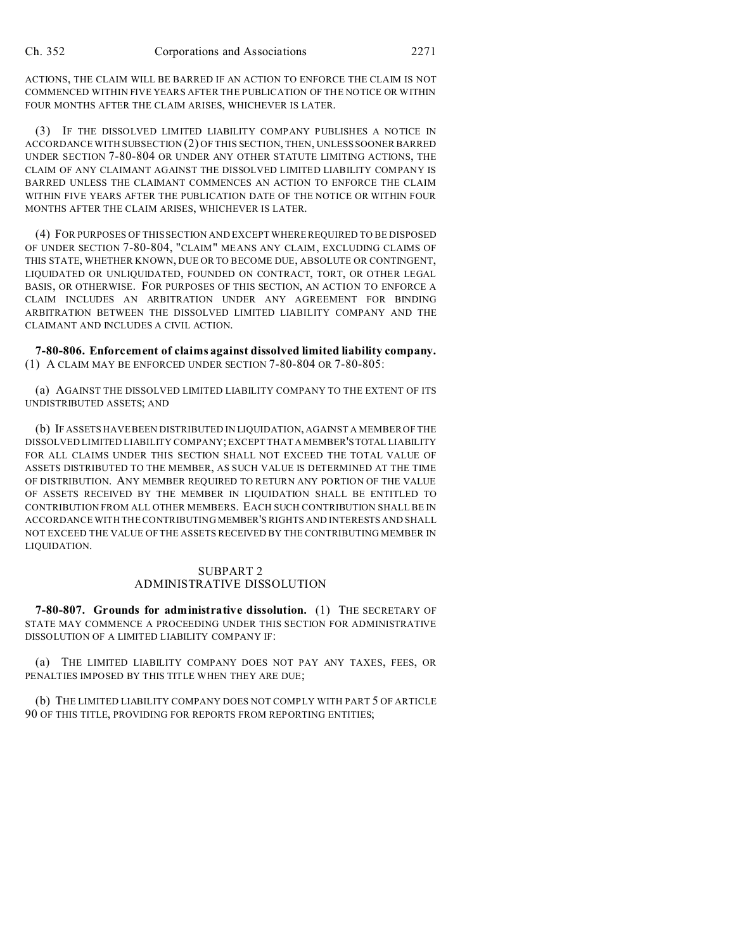ACTIONS, THE CLAIM WILL BE BARRED IF AN ACTION TO ENFORCE THE CLAIM IS NOT COMMENCED WITHIN FIVE YEARS AFTER THE PUBLICATION OF THE NOTICE OR WITHIN FOUR MONTHS AFTER THE CLAIM ARISES, WHICHEVER IS LATER.

(3) IF THE DISSOLVED LIMITED LIABILITY COMPANY PUBLISHES A NOTICE IN ACCORDANCE WITH SUBSECTION (2) OF THIS SECTION, THEN, UNLESS SOONER BARRED UNDER SECTION 7-80-804 OR UNDER ANY OTHER STATUTE LIMITING ACTIONS, THE CLAIM OF ANY CLAIMANT AGAINST THE DISSOLVED LIMITED LIABILITY COMPANY IS BARRED UNLESS THE CLAIMANT COMMENCES AN ACTION TO ENFORCE THE CLAIM WITHIN FIVE YEARS AFTER THE PUBLICATION DATE OF THE NOTICE OR WITHIN FOUR MONTHS AFTER THE CLAIM ARISES, WHICHEVER IS LATER.

(4) FOR PURPOSES OF THIS SECTION AND EXCEPT WHERE REQUIRED TO BE DISPOSED OF UNDER SECTION 7-80-804, "CLAIM" MEANS ANY CLAIM, EXCLUDING CLAIMS OF THIS STATE, WHETHER KNOWN, DUE OR TO BECOME DUE, ABSOLUTE OR CONTINGENT, LIQUIDATED OR UNLIQUIDATED, FOUNDED ON CONTRACT, TORT, OR OTHER LEGAL BASIS, OR OTHERWISE. FOR PURPOSES OF THIS SECTION, AN ACTION TO ENFORCE A CLAIM INCLUDES AN ARBITRATION UNDER ANY AGREEMENT FOR BINDING ARBITRATION BETWEEN THE DISSOLVED LIMITED LIABILITY COMPANY AND THE CLAIMANT AND INCLUDES A CIVIL ACTION.

**7-80-806. Enforcement of claims against dissolved limited liability company.** (1) A CLAIM MAY BE ENFORCED UNDER SECTION 7-80-804 OR 7-80-805:

(a) AGAINST THE DISSOLVED LIMITED LIABILITY COMPANY TO THE EXTENT OF ITS UNDISTRIBUTED ASSETS; AND

(b) IF ASSETS HAVE BEEN DISTRIBUTED IN LIQUIDATION, AGAINST A MEMBER OF THE DISSOLVED LIMITED LIABILITY COMPANY; EXCEPT THAT A MEMBER'STOTAL LIABILITY FOR ALL CLAIMS UNDER THIS SECTION SHALL NOT EXCEED THE TOTAL VALUE OF ASSETS DISTRIBUTED TO THE MEMBER, AS SUCH VALUE IS DETERMINED AT THE TIME OF DISTRIBUTION. ANY MEMBER REQUIRED TO RETURN ANY PORTION OF THE VALUE OF ASSETS RECEIVED BY THE MEMBER IN LIQUIDATION SHALL BE ENTITLED TO CONTRIBUTION FROM ALL OTHER MEMBERS. EACH SUCH CONTRIBUTION SHALL BE IN ACCORDANCE WITH THE CONTRIBUTING MEMBER'S RIGHTS AND INTERESTS AND SHALL NOT EXCEED THE VALUE OF THE ASSETS RECEIVED BY THE CONTRIBUTING MEMBER IN LIQUIDATION.

#### SUBPART 2 ADMINISTRATIVE DISSOLUTION

**7-80-807. Grounds for administrative dissolution.** (1) THE SECRETARY OF STATE MAY COMMENCE A PROCEEDING UNDER THIS SECTION FOR ADMINISTRATIVE DISSOLUTION OF A LIMITED LIABILITY COMPANY IF:

(a) THE LIMITED LIABILITY COMPANY DOES NOT PAY ANY TAXES, FEES, OR PENALTIES IMPOSED BY THIS TITLE WHEN THEY ARE DUE;

(b) THE LIMITED LIABILITY COMPANY DOES NOT COMPLY WITH PART 5 OF ARTICLE 90 OF THIS TITLE, PROVIDING FOR REPORTS FROM REPORTING ENTITIES;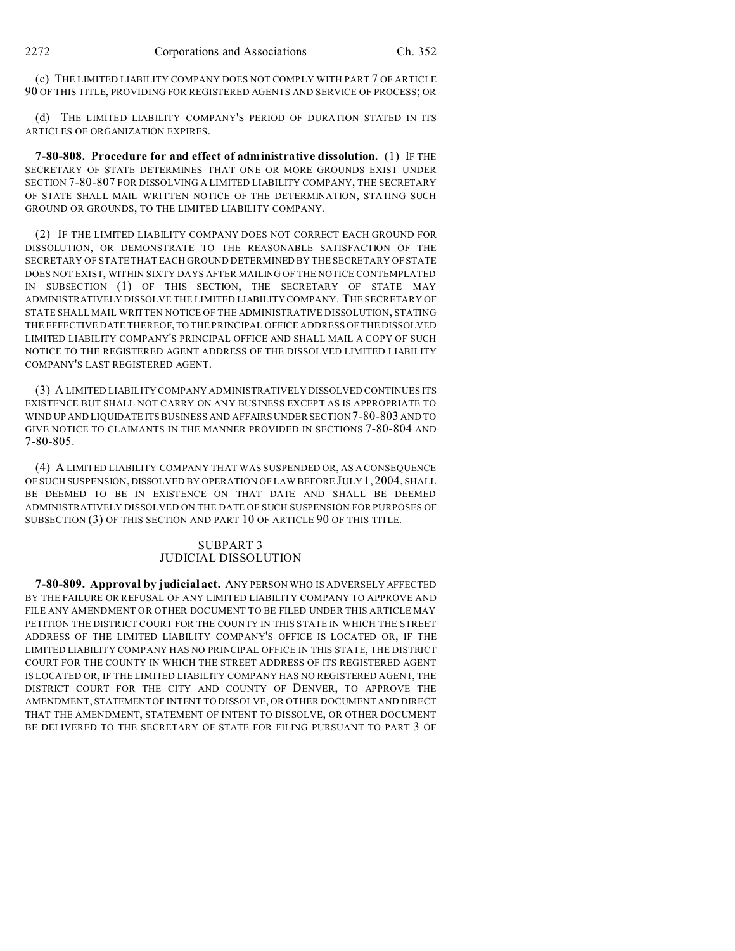(c) THE LIMITED LIABILITY COMPANY DOES NOT COMPLY WITH PART 7 OF ARTICLE 90 OF THIS TITLE, PROVIDING FOR REGISTERED AGENTS AND SERVICE OF PROCESS; OR

(d) THE LIMITED LIABILITY COMPANY'S PERIOD OF DURATION STATED IN ITS ARTICLES OF ORGANIZATION EXPIRES.

**7-80-808. Procedure for and effect of administrative dissolution.** (1) IF THE SECRETARY OF STATE DETERMINES THAT ONE OR MORE GROUNDS EXIST UNDER SECTION 7-80-807 FOR DISSOLVING A LIMITED LIABILITY COMPANY, THE SECRETARY OF STATE SHALL MAIL WRITTEN NOTICE OF THE DETERMINATION, STATING SUCH GROUND OR GROUNDS, TO THE LIMITED LIABILITY COMPANY.

(2) IF THE LIMITED LIABILITY COMPANY DOES NOT CORRECT EACH GROUND FOR DISSOLUTION, OR DEMONSTRATE TO THE REASONABLE SATISFACTION OF THE SECRETARY OF STATE THAT EACH GROUND DETERMINED BY THE SECRETARY OF STATE DOES NOT EXIST, WITHIN SIXTY DAYS AFTER MAILING OF THE NOTICE CONTEMPLATED IN SUBSECTION (1) OF THIS SECTION, THE SECRETARY OF STATE MAY ADMINISTRATIVELY DISSOLVE THE LIMITED LIABILITY COMPANY. THE SECRETARY OF STATE SHALL MAIL WRITTEN NOTICE OF THE ADMINISTRATIVE DISSOLUTION, STATING THE EFFECTIVE DATE THEREOF, TO THE PRINCIPAL OFFICE ADDRESS OF THE DISSOLVED LIMITED LIABILITY COMPANY'S PRINCIPAL OFFICE AND SHALL MAIL A COPY OF SUCH NOTICE TO THE REGISTERED AGENT ADDRESS OF THE DISSOLVED LIMITED LIABILITY COMPANY'S LAST REGISTERED AGENT.

(3) A LIMITED LIABILITY COMPANY ADMINISTRATIVELY DISSOLVED CONTINUES ITS EXISTENCE BUT SHALL NOT CARRY ON ANY BUSINESS EXCEPT AS IS APPROPRIATE TO WIND UP AND LIQUIDATE ITS BUSINESS AND AFFAIRS UNDER SECTION 7-80-803 AND TO GIVE NOTICE TO CLAIMANTS IN THE MANNER PROVIDED IN SECTIONS 7-80-804 AND 7-80-805.

(4) A LIMITED LIABILITY COMPANY THAT WAS SUSPENDED OR, AS A CONSEQUENCE OF SUCH SUSPENSION, DISSOLVED BY OPERATION OF LAW BEFORE JULY 1, 2004, SHALL BE DEEMED TO BE IN EXISTENCE ON THAT DATE AND SHALL BE DEEMED ADMINISTRATIVELY DISSOLVED ON THE DATE OF SUCH SUSPENSION FOR PURPOSES OF SUBSECTION (3) OF THIS SECTION AND PART 10 OF ARTICLE 90 OF THIS TITLE.

# SUBPART 3 JUDICIAL DISSOLUTION

**7-80-809. Approval by judicial act.** ANY PERSON WHO IS ADVERSELY AFFECTED BY THE FAILURE OR REFUSAL OF ANY LIMITED LIABILITY COMPANY TO APPROVE AND FILE ANY AMENDMENT OR OTHER DOCUMENT TO BE FILED UNDER THIS ARTICLE MAY PETITION THE DISTRICT COURT FOR THE COUNTY IN THIS STATE IN WHICH THE STREET ADDRESS OF THE LIMITED LIABILITY COMPANY'S OFFICE IS LOCATED OR, IF THE LIMITED LIABILITY COMPANY HAS NO PRINCIPAL OFFICE IN THIS STATE, THE DISTRICT COURT FOR THE COUNTY IN WHICH THE STREET ADDRESS OF ITS REGISTERED AGENT IS LOCATED OR, IF THE LIMITED LIABILITY COMPANY HAS NO REGISTERED AGENT, THE DISTRICT COURT FOR THE CITY AND COUNTY OF DENVER, TO APPROVE THE AMENDMENT, STATEMENTOF INTENT TO DISSOLVE, OR OTHER DOCUMENT AND DIRECT THAT THE AMENDMENT, STATEMENT OF INTENT TO DISSOLVE, OR OTHER DOCUMENT BE DELIVERED TO THE SECRETARY OF STATE FOR FILING PURSUANT TO PART 3 OF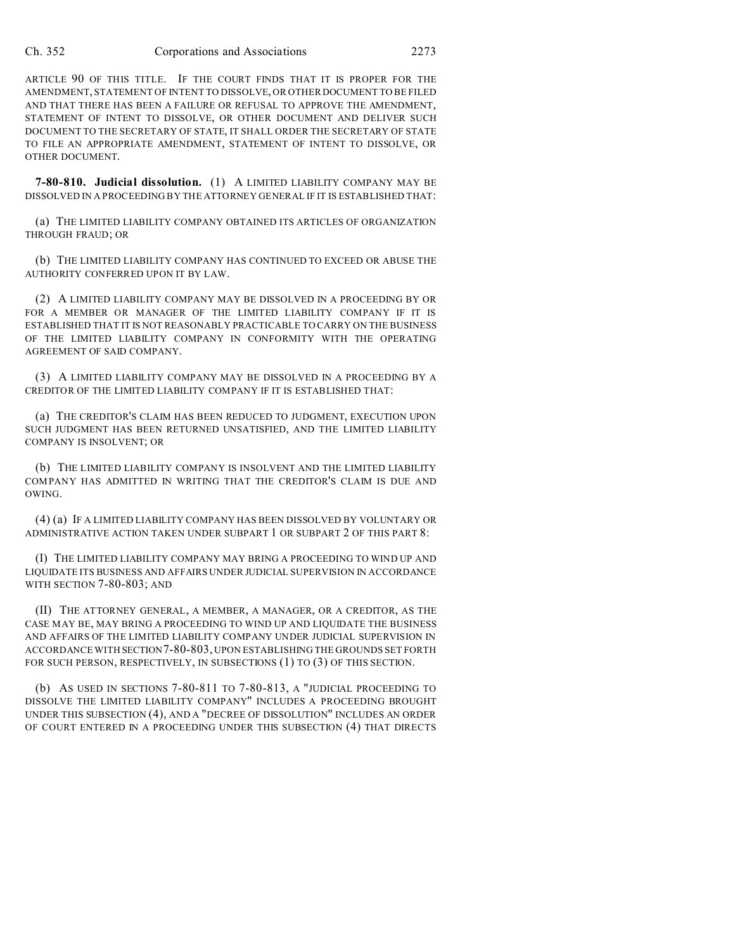ARTICLE 90 OF THIS TITLE. IF THE COURT FINDS THAT IT IS PROPER FOR THE AMENDMENT, STATEMENT OF INTENT TO DISSOLVE, OR OTHER DOCUMENT TO BE FILED AND THAT THERE HAS BEEN A FAILURE OR REFUSAL TO APPROVE THE AMENDMENT, STATEMENT OF INTENT TO DISSOLVE, OR OTHER DOCUMENT AND DELIVER SUCH DOCUMENT TO THE SECRETARY OF STATE, IT SHALL ORDER THE SECRETARY OF STATE TO FILE AN APPROPRIATE AMENDMENT, STATEMENT OF INTENT TO DISSOLVE, OR OTHER DOCUMENT.

**7-80-810. Judicial dissolution.** (1) A LIMITED LIABILITY COMPANY MAY BE DISSOLVED IN A PROCEEDING BY THE ATTORNEY GENERAL IF IT IS ESTABLISHED THAT:

(a) THE LIMITED LIABILITY COMPANY OBTAINED ITS ARTICLES OF ORGANIZATION THROUGH FRAUD; OR

(b) THE LIMITED LIABILITY COMPANY HAS CONTINUED TO EXCEED OR ABUSE THE AUTHORITY CONFERRED UPON IT BY LAW.

(2) A LIMITED LIABILITY COMPANY MAY BE DISSOLVED IN A PROCEEDING BY OR FOR A MEMBER OR MANAGER OF THE LIMITED LIABILITY COMPANY IF IT IS ESTABLISHED THAT IT IS NOT REASONABLY PRACTICABLE TO CARRY ON THE BUSINESS OF THE LIMITED LIABILITY COMPANY IN CONFORMITY WITH THE OPERATING AGREEMENT OF SAID COMPANY.

(3) A LIMITED LIABILITY COMPANY MAY BE DISSOLVED IN A PROCEEDING BY A CREDITOR OF THE LIMITED LIABILITY COMPANY IF IT IS ESTABLISHED THAT:

(a) THE CREDITOR'S CLAIM HAS BEEN REDUCED TO JUDGMENT, EXECUTION UPON SUCH JUDGMENT HAS BEEN RETURNED UNSATISFIED, AND THE LIMITED LIABILITY COMPANY IS INSOLVENT; OR

(b) THE LIMITED LIABILITY COMPANY IS INSOLVENT AND THE LIMITED LIABILITY COMPANY HAS ADMITTED IN WRITING THAT THE CREDITOR'S CLAIM IS DUE AND OWING.

(4) (a) IF A LIMITED LIABILITY COMPANY HAS BEEN DISSOLVED BY VOLUNTARY OR ADMINISTRATIVE ACTION TAKEN UNDER SUBPART 1 OR SUBPART 2 OF THIS PART 8:

(I) THE LIMITED LIABILITY COMPANY MAY BRING A PROCEEDING TO WIND UP AND LIQUIDATE ITS BUSINESS AND AFFAIRS UNDER JUDICIAL SUPERVISION IN ACCORDANCE WITH SECTION 7-80-803; AND

(II) THE ATTORNEY GENERAL, A MEMBER, A MANAGER, OR A CREDITOR, AS THE CASE MAY BE, MAY BRING A PROCEEDING TO WIND UP AND LIQUIDATE THE BUSINESS AND AFFAIRS OF THE LIMITED LIABILITY COMPANY UNDER JUDICIAL SUPERVISION IN ACCORDANCE WITH SECTION7-80-803, UPON ESTABLISHING THE GROUNDS SET FORTH FOR SUCH PERSON, RESPECTIVELY, IN SUBSECTIONS (1) TO (3) OF THIS SECTION.

(b) AS USED IN SECTIONS 7-80-811 TO 7-80-813, A "JUDICIAL PROCEEDING TO DISSOLVE THE LIMITED LIABILITY COMPANY" INCLUDES A PROCEEDING BROUGHT UNDER THIS SUBSECTION (4), AND A "DECREE OF DISSOLUTION" INCLUDES AN ORDER OF COURT ENTERED IN A PROCEEDING UNDER THIS SUBSECTION (4) THAT DIRECTS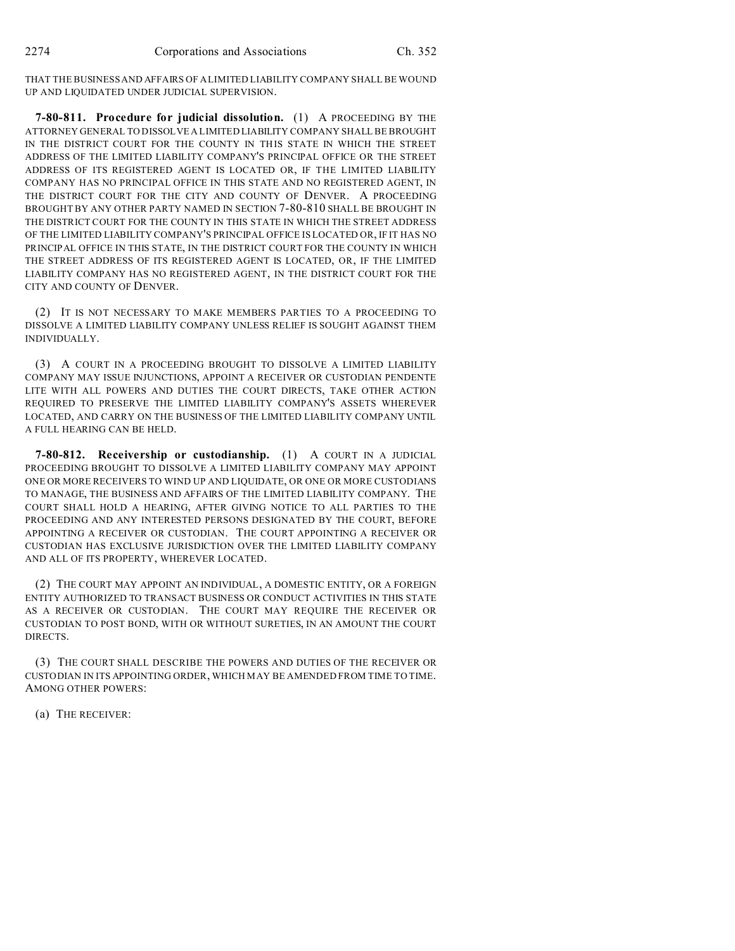THAT THE BUSINESS AND AFFAIRS OF A LIMITED LIABILITY COMPANY SHALL BE WOUND UP AND LIQUIDATED UNDER JUDICIAL SUPERVISION.

**7-80-811. Procedure for judicial dissolution.** (1) A PROCEEDING BY THE ATTORNEY GENERAL TO DISSOLVE A LIMITED LIABILITY COMPANY SHALL BE BROUGHT IN THE DISTRICT COURT FOR THE COUNTY IN THIS STATE IN WHICH THE STREET ADDRESS OF THE LIMITED LIABILITY COMPANY'S PRINCIPAL OFFICE OR THE STREET ADDRESS OF ITS REGISTERED AGENT IS LOCATED OR, IF THE LIMITED LIABILITY COMPANY HAS NO PRINCIPAL OFFICE IN THIS STATE AND NO REGISTERED AGENT, IN THE DISTRICT COURT FOR THE CITY AND COUNTY OF DENVER. A PROCEEDING BROUGHT BY ANY OTHER PARTY NAMED IN SECTION 7-80-810 SHALL BE BROUGHT IN THE DISTRICT COURT FOR THE COUNTY IN THIS STATE IN WHICH THE STREET ADDRESS OF THE LIMITED LIABILITY COMPANY'S PRINCIPAL OFFICE IS LOCATED OR, IF IT HAS NO PRINCIPAL OFFICE IN THIS STATE, IN THE DISTRICT COURT FOR THE COUNTY IN WHICH THE STREET ADDRESS OF ITS REGISTERED AGENT IS LOCATED, OR, IF THE LIMITED LIABILITY COMPANY HAS NO REGISTERED AGENT, IN THE DISTRICT COURT FOR THE CITY AND COUNTY OF DENVER.

(2) IT IS NOT NECESSARY TO MAKE MEMBERS PARTIES TO A PROCEEDING TO DISSOLVE A LIMITED LIABILITY COMPANY UNLESS RELIEF IS SOUGHT AGAINST THEM INDIVIDUALLY.

(3) A COURT IN A PROCEEDING BROUGHT TO DISSOLVE A LIMITED LIABILITY COMPANY MAY ISSUE INJUNCTIONS, APPOINT A RECEIVER OR CUSTODIAN PENDENTE LITE WITH ALL POWERS AND DUTIES THE COURT DIRECTS, TAKE OTHER ACTION REQUIRED TO PRESERVE THE LIMITED LIABILITY COMPANY'S ASSETS WHEREVER LOCATED, AND CARRY ON THE BUSINESS OF THE LIMITED LIABILITY COMPANY UNTIL A FULL HEARING CAN BE HELD.

**7-80-812. Receivership or custodianship.** (1) A COURT IN A JUDICIAL PROCEEDING BROUGHT TO DISSOLVE A LIMITED LIABILITY COMPANY MAY APPOINT ONE OR MORE RECEIVERS TO WIND UP AND LIQUIDATE, OR ONE OR MORE CUSTODIANS TO MANAGE, THE BUSINESS AND AFFAIRS OF THE LIMITED LIABILITY COMPANY. THE COURT SHALL HOLD A HEARING, AFTER GIVING NOTICE TO ALL PARTIES TO THE PROCEEDING AND ANY INTERESTED PERSONS DESIGNATED BY THE COURT, BEFORE APPOINTING A RECEIVER OR CUSTODIAN. THE COURT APPOINTING A RECEIVER OR CUSTODIAN HAS EXCLUSIVE JURISDICTION OVER THE LIMITED LIABILITY COMPANY AND ALL OF ITS PROPERTY, WHEREVER LOCATED.

(2) THE COURT MAY APPOINT AN INDIVIDUAL, A DOMESTIC ENTITY, OR A FOREIGN ENTITY AUTHORIZED TO TRANSACT BUSINESS OR CONDUCT ACTIVITIES IN THIS STATE AS A RECEIVER OR CUSTODIAN. THE COURT MAY REQUIRE THE RECEIVER OR CUSTODIAN TO POST BOND, WITH OR WITHOUT SURETIES, IN AN AMOUNT THE COURT DIRECTS.

(3) THE COURT SHALL DESCRIBE THE POWERS AND DUTIES OF THE RECEIVER OR CUSTODIAN IN ITS APPOINTING ORDER, WHICH MAY BE AMENDED FROM TIME TO TIME. AMONG OTHER POWERS:

(a) THE RECEIVER: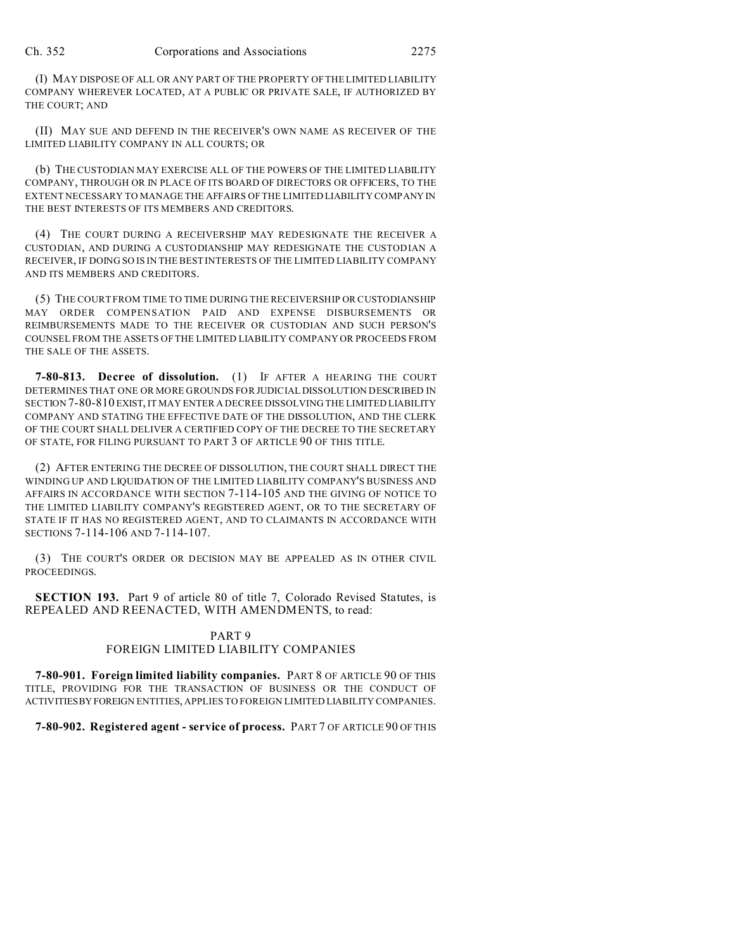(I) MAY DISPOSE OF ALL OR ANY PART OF THE PROPERTY OF THE LIMITED LIABILITY COMPANY WHEREVER LOCATED, AT A PUBLIC OR PRIVATE SALE, IF AUTHORIZED BY THE COURT; AND

(II) MAY SUE AND DEFEND IN THE RECEIVER'S OWN NAME AS RECEIVER OF THE LIMITED LIABILITY COMPANY IN ALL COURTS; OR

(b) THE CUSTODIAN MAY EXERCISE ALL OF THE POWERS OF THE LIMITED LIABILITY COMPANY, THROUGH OR IN PLACE OF ITS BOARD OF DIRECTORS OR OFFICERS, TO THE EXTENT NECESSARY TO MANAGE THE AFFAIRS OF THE LIMITED LIABILITY COMPANY IN THE BEST INTERESTS OF ITS MEMBERS AND CREDITORS.

(4) THE COURT DURING A RECEIVERSHIP MAY REDESIGNATE THE RECEIVER A CUSTODIAN, AND DURING A CUSTODIANSHIP MAY REDESIGNATE THE CUSTODIAN A RECEIVER, IF DOING SO IS IN THE BEST INTERESTS OF THE LIMITED LIABILITY COMPANY AND ITS MEMBERS AND CREDITORS.

(5) THE COURT FROM TIME TO TIME DURING THE RECEIVERSHIP OR CUSTODIANSHIP MAY ORDER COMPENSATION PAID AND EXPENSE DISBURSEMENTS OR REIMBURSEMENTS MADE TO THE RECEIVER OR CUSTODIAN AND SUCH PERSON'S COUNSEL FROM THE ASSETS OF THE LIMITED LIABILITY COMPANY OR PROCEEDS FROM THE SALE OF THE ASSETS.

**7-80-813. Decree of dissolution.** (1) IF AFTER A HEARING THE COURT DETERMINES THAT ONE OR MORE GROUNDS FOR JUDICIAL DISSOLUTION DESCRIBED IN SECTION 7-80-810 EXIST, IT MAY ENTER A DECREE DISSOLVING THE LIMITED LIABILITY COMPANY AND STATING THE EFFECTIVE DATE OF THE DISSOLUTION, AND THE CLERK OF THE COURT SHALL DELIVER A CERTIFIED COPY OF THE DECREE TO THE SECRETARY OF STATE, FOR FILING PURSUANT TO PART 3 OF ARTICLE 90 OF THIS TITLE.

(2) AFTER ENTERING THE DECREE OF DISSOLUTION, THE COURT SHALL DIRECT THE WINDING UP AND LIQUIDATION OF THE LIMITED LIABILITY COMPANY'S BUSINESS AND AFFAIRS IN ACCORDANCE WITH SECTION 7-114-105 AND THE GIVING OF NOTICE TO THE LIMITED LIABILITY COMPANY'S REGISTERED AGENT, OR TO THE SECRETARY OF STATE IF IT HAS NO REGISTERED AGENT, AND TO CLAIMANTS IN ACCORDANCE WITH SECTIONS 7-114-106 AND 7-114-107.

(3) THE COURT'S ORDER OR DECISION MAY BE APPEALED AS IN OTHER CIVIL PROCEEDINGS.

**SECTION 193.** Part 9 of article 80 of title 7, Colorado Revised Statutes, is REPEALED AND REENACTED, WITH AMENDMENTS, to read:

#### PART 9 FOREIGN LIMITED LIABILITY COMPANIES

**7-80-901. Foreign limited liability companies.** PART 8 OF ARTICLE 90 OF THIS TITLE, PROVIDING FOR THE TRANSACTION OF BUSINESS OR THE CONDUCT OF ACTIVITIESBY FOREIGN ENTITIES, APPLIES TO FOREIGN LIMITED LIABILITY COMPANIES.

**7-80-902. Registered agent - service of process.** PART 7 OF ARTICLE 90 OF THIS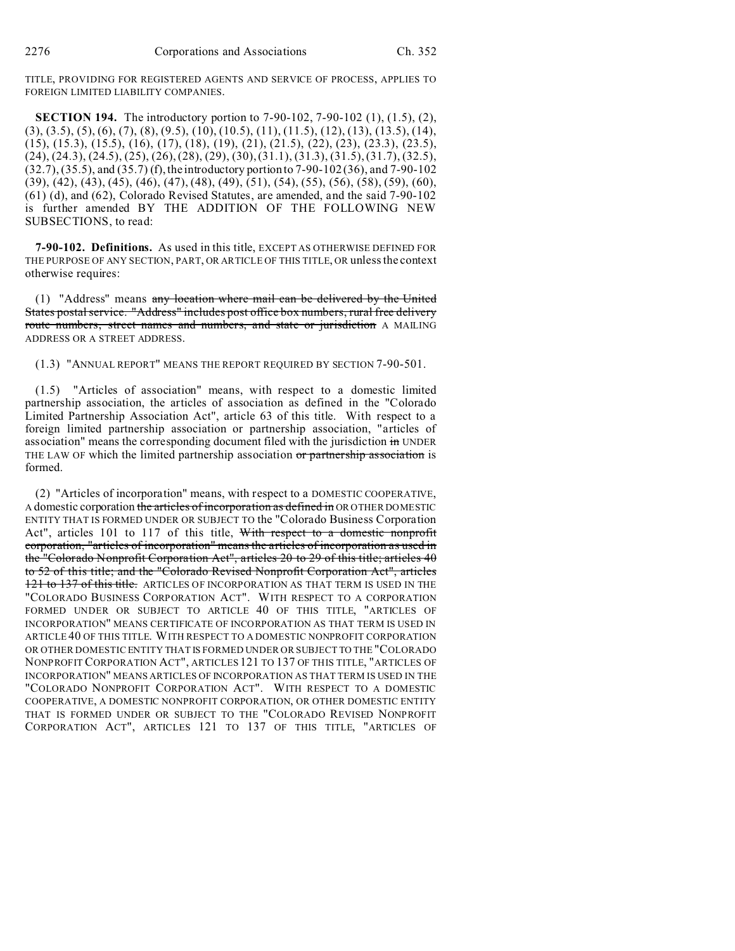TITLE, PROVIDING FOR REGISTERED AGENTS AND SERVICE OF PROCESS, APPLIES TO FOREIGN LIMITED LIABILITY COMPANIES.

**SECTION 194.** The introductory portion to 7-90-102, 7-90-102 (1), (1.5), (2),  $(3), (3.5), (5), (6), (7), (8), (9.5), (10), (10.5), (11), (11.5), (12), (13), (13.5), (14),$ (15), (15.3), (15.5), (16), (17), (18), (19), (21), (21.5), (22), (23), (23.3), (23.5), (24), (24.3), (24.5), (25), (26), (28), (29), (30), (31.1), (31.3), (31.5), (31.7), (32.5), (32.7), (35.5), and (35.7) (f), the introductory portion to 7-90-102 (36), and 7-90-102 (39), (42), (43), (45), (46), (47), (48), (49), (51), (54), (55), (56), (58), (59), (60), (61) (d), and (62), Colorado Revised Statutes, are amended, and the said 7-90-102 is further amended BY THE ADDITION OF THE FOLLOWING NEW SUBSECTIONS, to read:

**7-90-102. Definitions.** As used in this title, EXCEPT AS OTHERWISE DEFINED FOR THE PURPOSE OF ANY SECTION, PART, OR ARTICLE OF THIS TITLE, OR unless the context otherwise requires:

(1) "Address" means any location where mail can be delivered by the United States postal service. "Address" includes post office box numbers, rural free delivery route numbers, street names and numbers, and state or jurisdiction A MAILING ADDRESS OR A STREET ADDRESS.

(1.3) "ANNUAL REPORT" MEANS THE REPORT REQUIRED BY SECTION 7-90-501.

(1.5) "Articles of association" means, with respect to a domestic limited partnership association, the articles of association as defined in the "Colorado Limited Partnership Association Act", article 63 of this title. With respect to a foreign limited partnership association or partnership association, "articles of association" means the corresponding document filed with the jurisdiction in UNDER THE LAW OF which the limited partnership association or partnership association is formed.

(2) "Articles of incorporation" means, with respect to a DOMESTIC COOPERATIVE, A domestic corporation the articles of incorporation as defined in OR OTHER DOMESTIC ENTITY THAT IS FORMED UNDER OR SUBJECT TO the "Colorado Business Corporation Act", articles 101 to 117 of this title, With respect to a domestic nonprofit corporation, "articles of incorporation" means the articles of incorporation as used in the "Colorado Nonprofit Corporation Act", articles 20 to 29 of this title; articles 40 to 52 of this title; and the "Colorado Revised Nonprofit Corporation Act", articles 121 to 137 of this title. ARTICLES OF INCORPORATION AS THAT TERM IS USED IN THE "COLORADO BUSINESS CORPORATION ACT". WITH RESPECT TO A CORPORATION FORMED UNDER OR SUBJECT TO ARTICLE 40 OF THIS TITLE, "ARTICLES OF INCORPORATION" MEANS CERTIFICATE OF INCORPORATION AS THAT TERM IS USED IN ARTICLE 40 OF THIS TITLE. WITH RESPECT TO A DOMESTIC NONPROFIT CORPORATION OR OTHER DOMESTIC ENTITY THAT IS FORMED UNDER OR SUBJECT TO THE "COLORADO NONPROFIT CORPORATION ACT", ARTICLES 121 TO 137 OF THIS TITLE, "ARTICLES OF INCORPORATION" MEANS ARTICLES OF INCORPORATION AS THAT TERM IS USED IN THE "COLORADO NONPROFIT CORPORATION ACT". WITH RESPECT TO A DOMESTIC COOPERATIVE, A DOMESTIC NONPROFIT CORPORATION, OR OTHER DOMESTIC ENTITY THAT IS FORMED UNDER OR SUBJECT TO THE "COLORADO REVISED NONPROFIT CORPORATION ACT", ARTICLES 121 TO 137 OF THIS TITLE, "ARTICLES OF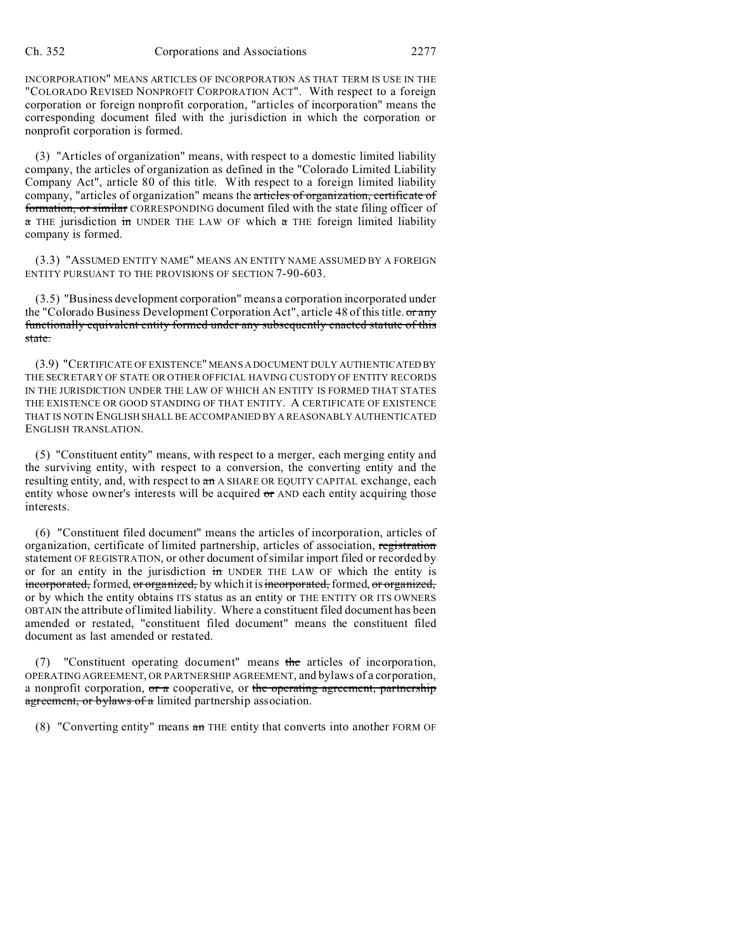INCORPORATION" MEANS ARTICLES OF INCORPORATION AS THAT TERM IS USE IN THE "COLORADO REVISED NONPROFIT CORPORATION ACT". With respect to a foreign corporation or foreign nonprofit corporation, "articles of incorporation" means the corresponding document filed with the jurisdiction in which the corporation or nonprofit corporation is formed.

(3) "Articles of organization" means, with respect to a domestic limited liability company, the articles of organization as defined in the "Colorado Limited Liability Company Act", article 80 of this title. With respect to a foreign limited liability company, "articles of organization" means the articles of organization, certificate of formation, or similar CORRESPONDING document filed with the state filing officer of  $\alpha$  THE jurisdiction in UNDER THE LAW OF which  $\alpha$  THE foreign limited liability company is formed.

(3.3) "ASSUMED ENTITY NAME" MEANS AN ENTITY NAME ASSUMED BY A FOREIGN ENTITY PURSUANT TO THE PROVISIONS OF SECTION 7-90-603.

(3.5) "Business development corporation" means a corporation incorporated under the "Colorado Business Development Corporation Act", article 48 of this title. or any functionally equivalent entity formed under any subsequently enacted statute of this state.

(3.9) "CERTIFICATE OF EXISTENCE" MEANS A DOCUMENT DULY AUTHENTICATED BY THE SECRETARY OF STATE OR OTHER OFFICIAL HAVING CUSTODY OF ENTITY RECORDS IN THE JURISDICTION UNDER THE LAW OF WHICH AN ENTITY IS FORMED THAT STATES THE EXISTENCE OR GOOD STANDING OF THAT ENTITY. A CERTIFICATE OF EXISTENCE THAT IS NOTIN ENGLISH SHALL BE ACCOMPANIED BY A REASONABLY AUTHENTICATED ENGLISH TRANSLATION.

(5) "Constituent entity" means, with respect to a merger, each merging entity and the surviving entity, with respect to a conversion, the converting entity and the resulting entity, and, with respect to  $a_n$  A SHARE OR EQUITY CAPITAL exchange, each entity whose owner's interests will be acquired or AND each entity acquiring those interests.

(6) "Constituent filed document" means the articles of incorporation, articles of organization, certificate of limited partnership, articles of association, registration statement OF REGISTRATION, or other document of similar import filed or recorded by or for an entity in the jurisdiction in UNDER THE LAW OF which the entity is incorporated, formed, or organized, by which it is incorporated, formed, or organized, or by which the entity obtains ITS status as an entity or THE ENTITY OR ITS OWNERS OBTAIN the attribute of limited liability. Where a constituent filed document has been amended or restated, "constituent filed document" means the constituent filed document as last amended or restated.

(7) "Constituent operating document" means the articles of incorporation, OPERATING AGREEMENT, OR PARTNERSHIP AGREEMENT, and bylaws of a corporation, a nonprofit corporation,  $\sigma r a$  cooperative, or the operating agreement, partnership agreement, or bylaws of a limited partnership association.

(8) "Converting entity" means  $a_n$  THE entity that converts into another FORM OF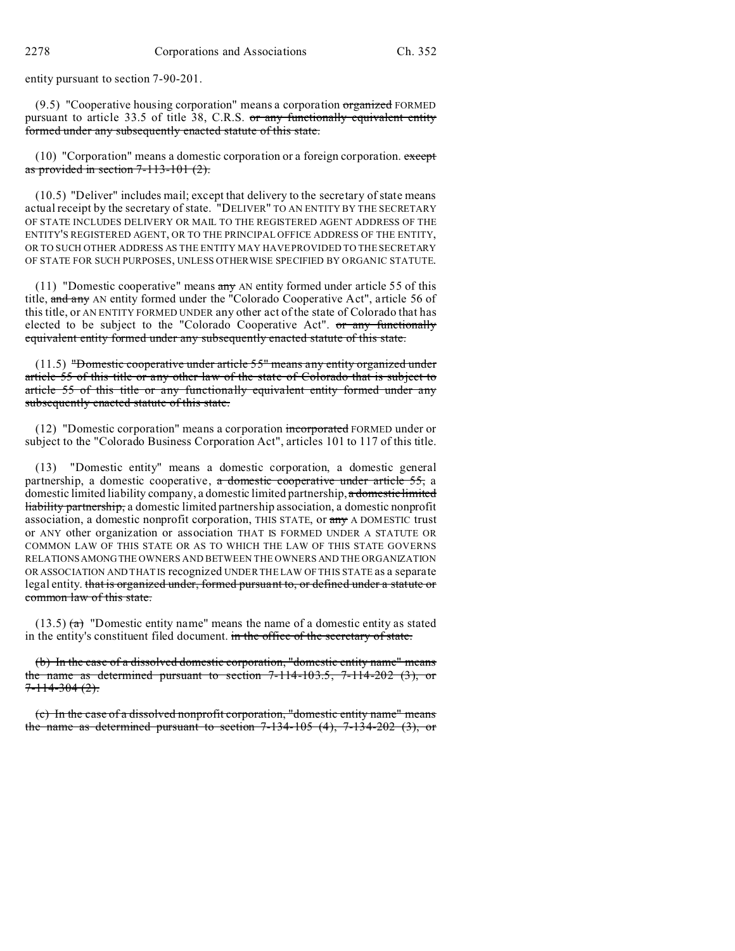entity pursuant to section 7-90-201.

 $(9.5)$  "Cooperative housing corporation" means a corporation organized FORMED pursuant to article 33.5 of title 38, C.R.S. or any functionally equivalent entity formed under any subsequently enacted statute of this state.

 $(10)$  "Corporation" means a domestic corporation or a foreign corporation. except as provided in section  $7-113-101$   $(2)$ .

(10.5) "Deliver" includes mail; except that delivery to the secretary of state means actual receipt by the secretary of state. "DELIVER" TO AN ENTITY BY THE SECRETARY OF STATE INCLUDES DELIVERY OR MAIL TO THE REGISTERED AGENT ADDRESS OF THE ENTITY'S REGISTERED AGENT, OR TO THE PRINCIPAL OFFICE ADDRESS OF THE ENTITY, OR TO SUCH OTHER ADDRESS AS THE ENTITY MAY HAVE PROVIDED TO THE SECRETARY OF STATE FOR SUCH PURPOSES, UNLESS OTHERWISE SPECIFIED BY ORGANIC STATUTE.

(11) "Domestic cooperative" means  $\frac{\text{any}}{\text{any}}$  AN entity formed under article 55 of this title, and any AN entity formed under the "Colorado Cooperative Act", article 56 of this title, or AN ENTITY FORMED UNDER any other act of the state of Colorado that has elected to be subject to the "Colorado Cooperative Act". or any functionally equivalent entity formed under any subsequently enacted statute of this state.

(11.5) "Domestic cooperative under article 55" means any entity organized under article 55 of this title or any other law of the state of Colorado that is subject to article 55 of this title or any functionally equivalent entity formed under any subsequently enacted statute of this state.

(12) "Domestic corporation" means a corporation incorporated FORMED under or subject to the "Colorado Business Corporation Act", articles 101 to 117 of this title.

(13) "Domestic entity" means a domestic corporation, a domestic general partnership, a domestic cooperative, a domestic cooperative under article 55, a domestic limited liability company, a domestic limited partnership, a domestic limited liability partnership, a domestic limited partnership association, a domestic nonprofit association, a domestic nonprofit corporation, THIS STATE, or any A DOMESTIC trust or ANY other organization or association THAT IS FORMED UNDER A STATUTE OR COMMON LAW OF THIS STATE OR AS TO WHICH THE LAW OF THIS STATE GOVERNS RELATIONSAMONGTHE OWNERS AND BETWEEN THE OWNERS AND THE ORGANIZATION OR ASSOCIATION AND THAT IS recognized UNDER THE LAW OF THIS STATE as a separate legal entity. that is organized under, formed pursuant to, or defined under a statute or common law of this state.

 $(13.5)$  (a) "Domestic entity name" means the name of a domestic entity as stated in the entity's constituent filed document. in the office of the secretary of state.

(b) In the case of a dissolved domestic corporation, "domestic entity name" means the name as determined pursuant to section  $7-114-103.5$ ,  $7-114-202$  (3), or  $7 - 114 - 304(2)$ .

(c) In the case of a dissolved nonprofit corporation, "domestic entity name" means the name as determined pursuant to section  $7-134-105$  (4),  $7-134-202$  (3), or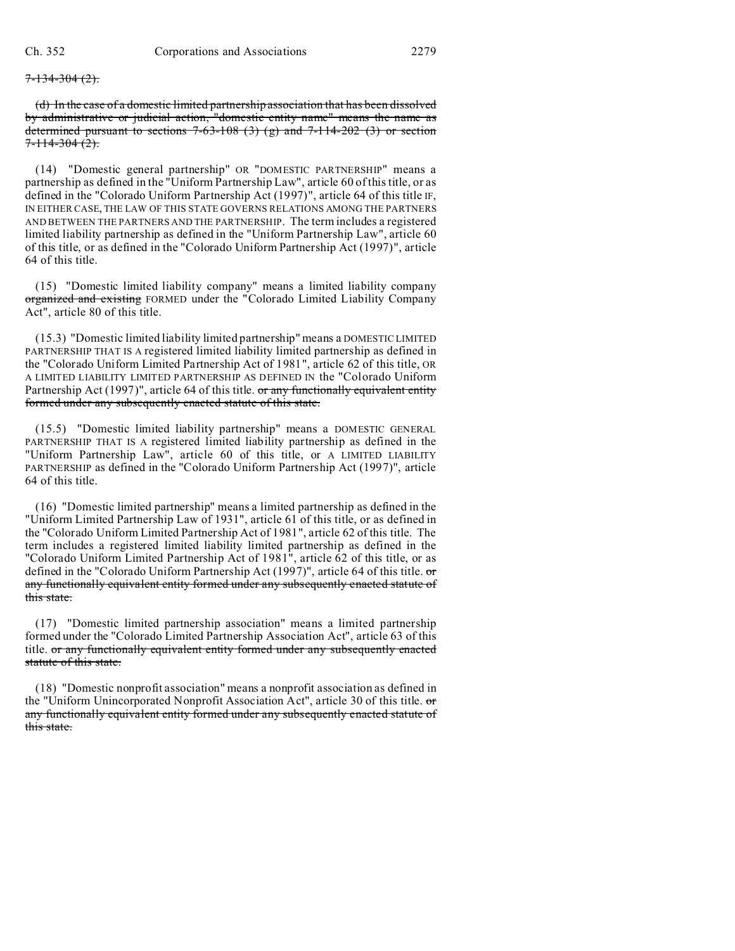#### $7 - 134 - 304(2)$ .

(d) In the case of a domestic limited partnership association that has been dissolved by administrative or judicial action, "domestic entity name" means the name as determined pursuant to sections  $7-63-108$  (3) (g) and  $7-114-202$  (3) or section  $7 - 114 - 304(2)$ .

(14) "Domestic general partnership" OR "DOMESTIC PARTNERSHIP" means a partnership as defined in the "Uniform Partnership Law", article 60 of this title, or as defined in the "Colorado Uniform Partnership Act (1997)", article 64 of this title IF, IN EITHER CASE, THE LAW OF THIS STATE GOVERNS RELATIONS AMONG THE PARTNERS AND BETWEEN THE PARTNERS AND THE PARTNERSHIP. The term includes a registered limited liability partnership as defined in the "Uniform Partnership Law", article 60 of this title, or as defined in the "Colorado Uniform Partnership Act (1997)", article 64 of this title.

(15) "Domestic limited liability company" means a limited liability company organized and existing FORMED under the "Colorado Limited Liability Company Act", article 80 of this title.

(15.3) "Domestic limited liability limited partnership" means a DOMESTIC LIMITED PARTNERSHIP THAT IS A registered limited liability limited partnership as defined in the "Colorado Uniform Limited Partnership Act of 1981", article 62 of this title, OR A LIMITED LIABILITY LIMITED PARTNERSHIP AS DEFINED IN the "Colorado Uniform Partnership Act (1997)", article 64 of this title. or any functionally equivalent entity formed under any subsequently enacted statute of this state.

(15.5) "Domestic limited liability partnership" means a DOMESTIC GENERAL PARTNERSHIP THAT IS A registered limited liability partnership as defined in the "Uniform Partnership Law", article 60 of this title, or A LIMITED LIABILITY PARTNERSHIP as defined in the "Colorado Uniform Partnership Act (1997)", article 64 of this title.

(16) "Domestic limited partnership" means a limited partnership as defined in the "Uniform Limited Partnership Law of 1931", article 61 of this title, or as defined in the "Colorado Uniform Limited Partnership Act of 1981", article 62 of this title. The term includes a registered limited liability limited partnership as defined in the "Colorado Uniform Limited Partnership Act of 1981", article 62 of this title, or as defined in the "Colorado Uniform Partnership Act (1997)", article 64 of this title. or any functionally equivalent entity formed under any subsequently enacted statute of this state.

(17) "Domestic limited partnership association" means a limited partnership formed under the "Colorado Limited Partnership Association Act", article 63 of this title. or any functionally equivalent entity formed under any subsequently enacted statute of this state.

(18) "Domestic nonprofit association" means a nonprofit association as defined in the "Uniform Unincorporated Nonprofit Association Act", article 30 of this title. or any functionally equivalent entity formed under any subsequently enacted statute of this state.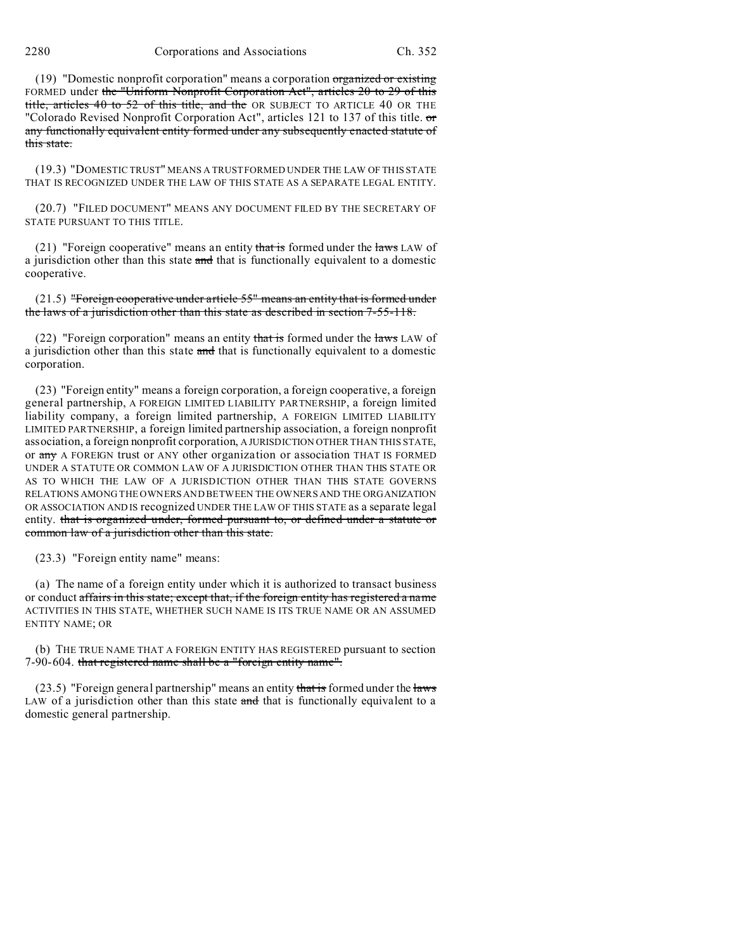(19) "Domestic nonprofit corporation" means a corporation  $\sigma$  organized or existing FORMED under the "Uniform Nonprofit Corporation Act", articles 20 to 29 of this title, articles 40 to 52 of this title, and the OR SUBJECT TO ARTICLE 40 OR THE "Colorado Revised Nonprofit Corporation Act", articles 121 to 137 of this title. or any functionally equivalent entity formed under any subsequently enacted statute of this state.

(19.3) "DOMESTIC TRUST" MEANS A TRUST FORMED UNDER THE LAW OF THIS STATE THAT IS RECOGNIZED UNDER THE LAW OF THIS STATE AS A SEPARATE LEGAL ENTITY.

(20.7) "FILED DOCUMENT" MEANS ANY DOCUMENT FILED BY THE SECRETARY OF STATE PURSUANT TO THIS TITLE.

(21) "Foreign cooperative" means an entity that is formed under the laws LAW of a jurisdiction other than this state and that is functionally equivalent to a domestic cooperative.

(21.5) "Foreign cooperative under article 55" means an entity that is formed under the laws of a jurisdiction other than this state as described in section 7-55-118.

(22) "Foreign corporation" means an entity that is formed under the laws LAW of a jurisdiction other than this state and that is functionally equivalent to a domestic corporation.

(23) "Foreign entity" means a foreign corporation, a foreign cooperative, a foreign general partnership, A FOREIGN LIMITED LIABILITY PARTNERSHIP, a foreign limited liability company, a foreign limited partnership, A FOREIGN LIMITED LIABILITY LIMITED PARTNERSHIP, a foreign limited partnership association, a foreign nonprofit association, a foreign nonprofit corporation, A JURISDICTION OTHER THAN THIS STATE, or any A FOREIGN trust or ANY other organization or association THAT IS FORMED UNDER A STATUTE OR COMMON LAW OF A JURISDICTION OTHER THAN THIS STATE OR AS TO WHICH THE LAW OF A JURISDICTION OTHER THAN THIS STATE GOVERNS RELATIONS AMONG THE OWNERS AND BETWEEN THE OWNERS AND THE ORGANIZATION OR ASSOCIATION AND IS recognized UNDER THE LAW OF THIS STATE as a separate legal entity. that is organized under, formed pursuant to, or defined under a statute or common law of a jurisdiction other than this state.

(23.3) "Foreign entity name" means:

(a) The name of a foreign entity under which it is authorized to transact business or conduct affairs in this state; except that, if the foreign entity has registered a name ACTIVITIES IN THIS STATE, WHETHER SUCH NAME IS ITS TRUE NAME OR AN ASSUMED ENTITY NAME; OR

(b) THE TRUE NAME THAT A FOREIGN ENTITY HAS REGISTERED pursuant to section 7-90-604. that registered name shall be a "foreign entity name".

(23.5) "Foreign general partnership" means an entity that is formed under the laws LAW of a jurisdiction other than this state and that is functionally equivalent to a domestic general partnership.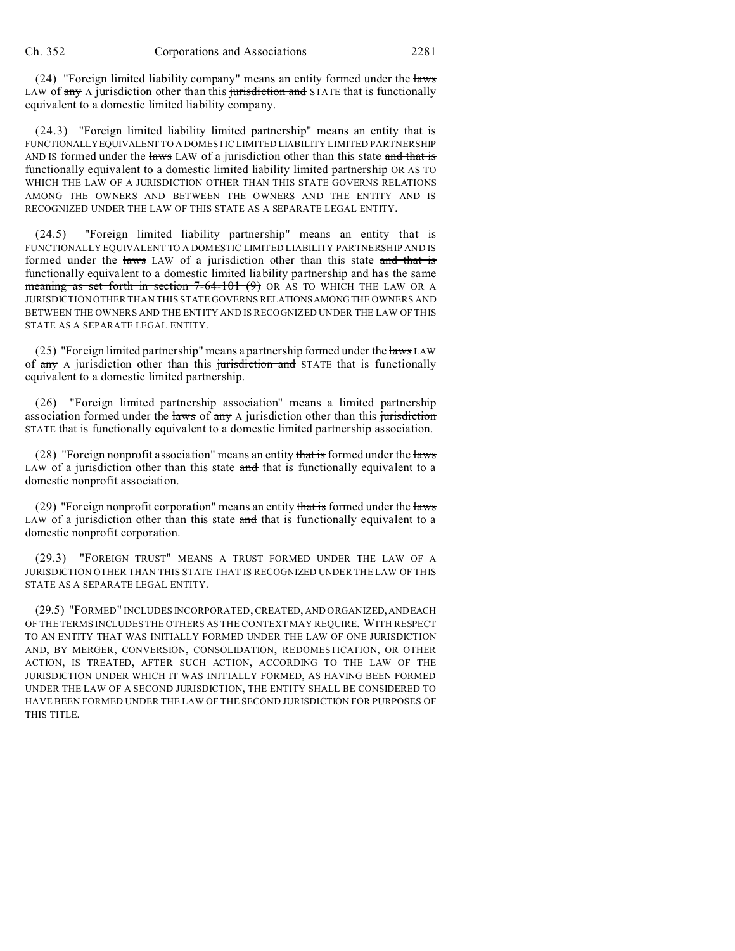(24) "Foreign limited liability company" means an entity formed under the laws LAW of  $\frac{any}{any}$  A jurisdiction other than this jurisdiction and STATE that is functionally equivalent to a domestic limited liability company.

(24.3) "Foreign limited liability limited partnership" means an entity that is FUNCTIONALLYEQUIVALENT TO A DOMESTIC LIMITED LIABILITY LIMITED PARTNERSHIP AND IS formed under the laws LAW of a jurisdiction other than this state and that is functionally equivalent to a domestic limited liability limited partnership OR AS TO WHICH THE LAW OF A JURISDICTION OTHER THAN THIS STATE GOVERNS RELATIONS AMONG THE OWNERS AND BETWEEN THE OWNERS AND THE ENTITY AND IS RECOGNIZED UNDER THE LAW OF THIS STATE AS A SEPARATE LEGAL ENTITY.

(24.5) "Foreign limited liability partnership" means an entity that is FUNCTIONALLY EQUIVALENT TO A DOMESTIC LIMITED LIABILITY PARTNERSHIP AND IS formed under the laws LAW of a jurisdiction other than this state and that is functionally equivalent to a domestic limited liability partnership and has the same meaning as set forth in section  $7-64-101$  (9) OR AS TO WHICH THE LAW OR A JURISDICTION OTHER THAN THIS STATE GOVERNS RELATIONSAMONGTHE OWNERS AND BETWEEN THE OWNERS AND THE ENTITY AND IS RECOGNIZED UNDER THE LAW OF THIS STATE AS A SEPARATE LEGAL ENTITY.

(25) "Foreign limited partnership" means a partnership formed under the  $\frac{1}{2}$  LAW of  $\frac{any}{any}$  A jurisdiction other than this jurisdiction and STATE that is functionally equivalent to a domestic limited partnership.

(26) "Foreign limited partnership association" means a limited partnership association formed under the laws of any A jurisdiction other than this jurisdiction STATE that is functionally equivalent to a domestic limited partnership association.

(28) "Foreign nonprofit association" means an entity that is formed under the laws LAW of a jurisdiction other than this state and that is functionally equivalent to a domestic nonprofit association.

(29) "Foreign nonprofit corporation" means an entity that is formed under the laws LAW of a jurisdiction other than this state and that is functionally equivalent to a domestic nonprofit corporation.

(29.3) "FOREIGN TRUST" MEANS A TRUST FORMED UNDER THE LAW OF A JURISDICTION OTHER THAN THIS STATE THAT IS RECOGNIZED UNDER THE LAW OF THIS STATE AS A SEPARATE LEGAL ENTITY.

(29.5) "FORMED" INCLUDES INCORPORATED, CREATED, AND ORGANIZED,ANDEACH OF THE TERMS INCLUDES THE OTHERS AS THE CONTEXT MAY REQUIRE. WITH RESPECT TO AN ENTITY THAT WAS INITIALLY FORMED UNDER THE LAW OF ONE JURISDICTION AND, BY MERGER, CONVERSION, CONSOLIDATION, REDOMESTICATION, OR OTHER ACTION, IS TREATED, AFTER SUCH ACTION, ACCORDING TO THE LAW OF THE JURISDICTION UNDER WHICH IT WAS INITIALLY FORMED, AS HAVING BEEN FORMED UNDER THE LAW OF A SECOND JURISDICTION, THE ENTITY SHALL BE CONSIDERED TO HAVE BEEN FORMED UNDER THE LAW OF THE SECOND JURISDICTION FOR PURPOSES OF THIS TITLE.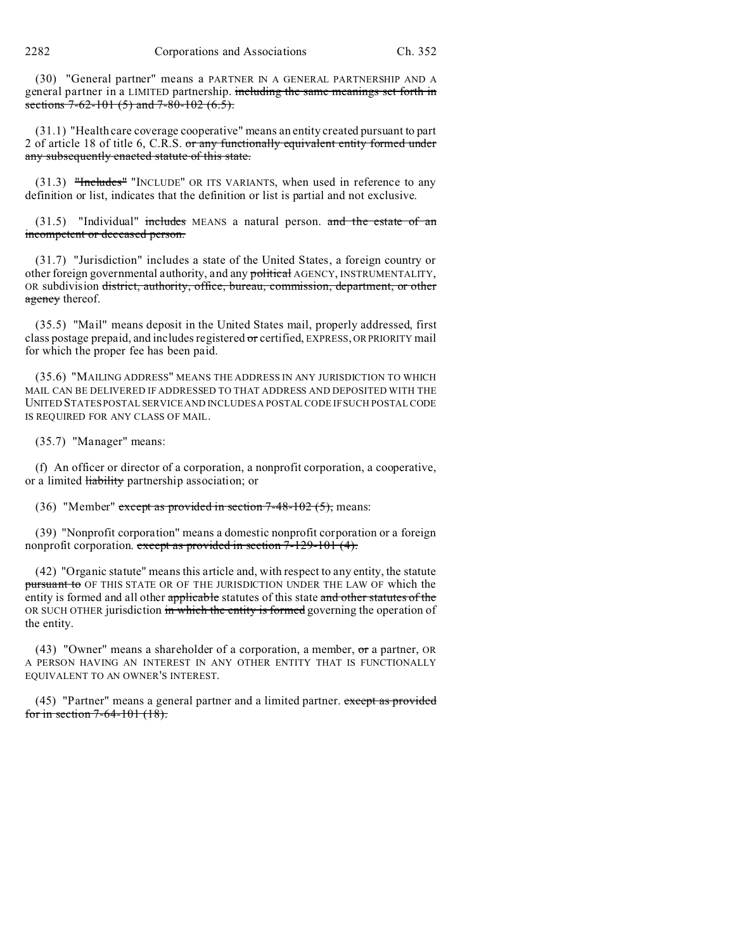2282 Corporations and Associations Ch. 352

(30) "General partner" means a PARTNER IN A GENERAL PARTNERSHIP AND A general partner in a LIMITED partnership. including the same meanings set forth in sections  $7-62-101(5)$  and  $7-80-102(6.5)$ .

(31.1) "Health care coverage cooperative" means an entity created pursuant to part 2 of article 18 of title 6, C.R.S. or any functionally equivalent entity formed under any subsequently enacted statute of this state.

 $(31.3)$  "Includes" "INCLUDE" OR ITS VARIANTS, when used in reference to any definition or list, indicates that the definition or list is partial and not exclusive.

 $(31.5)$  "Individual" includes MEANS a natural person. and the estate of an incompetent or deceased person.

(31.7) "Jurisdiction" includes a state of the United States, a foreign country or other foreign governmental authority, and any political AGENCY, INSTRUMENTALITY, OR subdivision district, authority, office, bureau, commission, department, or other agency thereof.

(35.5) "Mail" means deposit in the United States mail, properly addressed, first class postage prepaid, and includes registered or certified, EXPRESS, ORPRIORITY mail for which the proper fee has been paid.

(35.6) "MAILING ADDRESS" MEANS THE ADDRESS IN ANY JURISDICTION TO WHICH MAIL CAN BE DELIVERED IF ADDRESSED TO THAT ADDRESS AND DEPOSITED WITH THE UNITED STATES POSTAL SERVICE AND INCLUDES A POSTAL CODE IF SUCH POSTAL CODE IS REQUIRED FOR ANY CLASS OF MAIL.

(35.7) "Manager" means:

(f) An officer or director of a corporation, a nonprofit corporation, a cooperative, or a limited **liability** partnership association; or

(36) "Member" except as provided in section  $7-48-102$  (5), means:

(39) "Nonprofit corporation" means a domestic nonprofit corporation or a foreign nonprofit corporation. except as provided in section 7-129-101 (4).

(42) "Organic statute" means this article and, with respect to any entity, the statute pursuant to OF THIS STATE OR OF THE JURISDICTION UNDER THE LAW OF which the entity is formed and all other applicable statutes of this state and other statutes of the OR SUCH OTHER jurisdiction in which the entity is formed governing the operation of the entity.

(43) "Owner" means a shareholder of a corporation, a member,  $\sigma$  a partner, OR A PERSON HAVING AN INTEREST IN ANY OTHER ENTITY THAT IS FUNCTIONALLY EQUIVALENT TO AN OWNER'S INTEREST.

 $(45)$  "Partner" means a general partner and a limited partner. except as provided for in section 7-64-101 (18).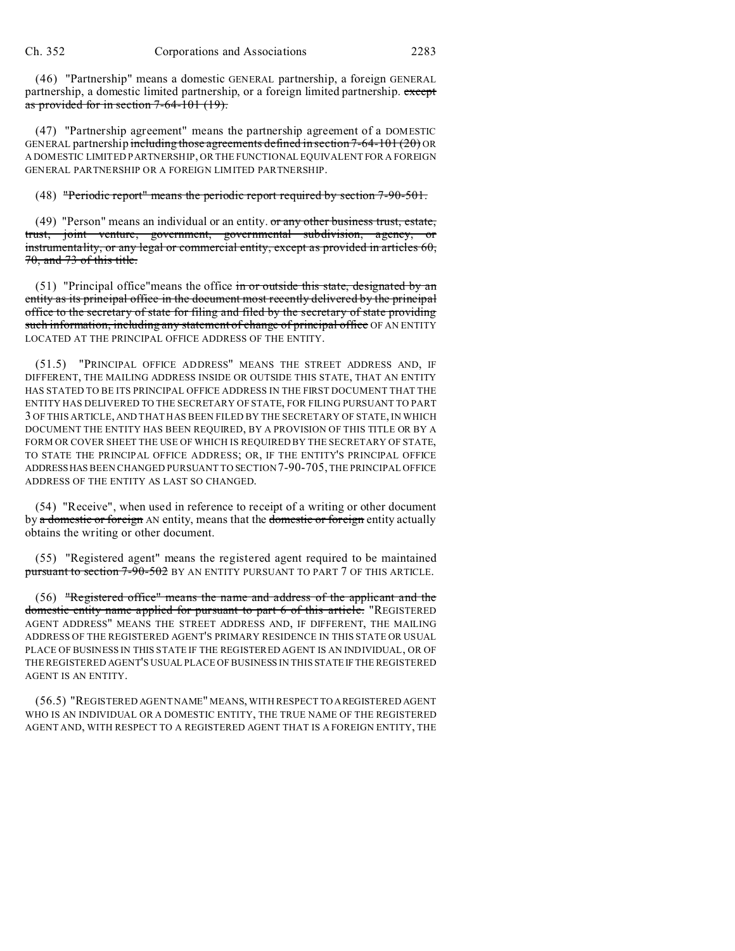(46) "Partnership" means a domestic GENERAL partnership, a foreign GENERAL partnership, a domestic limited partnership, or a foreign limited partnership. except as provided for in section 7-64-101 (19).

(47) "Partnership agreement" means the partnership agreement of a DOMESTIC GENERAL partnership including those agreements defined in section 7-64-101 (20) OR A DOMESTIC LIMITED PARTNERSHIP, OR THE FUNCTIONAL EQUIVALENT FOR A FOREIGN GENERAL PARTNERSHIP OR A FOREIGN LIMITED PARTNERSHIP.

## (48) "Periodic report" means the periodic report required by section 7-90-501.

(49) "Person" means an individual or an entity. or any other business trust, estate, trust, joint venture, government, governmental subdivision, agency, or instrumentality, or any legal or commercial entity, except as provided in articles 60, 70, and 73 of this title.

(51) "Principal office" means the office  $\overline{m}$  or outside this state, designated by an entity as its principal office in the document most recently delivered by the principal office to the secretary of state for filing and filed by the secretary of state providing such information, including any statement of change of principal office OF AN ENTITY LOCATED AT THE PRINCIPAL OFFICE ADDRESS OF THE ENTITY.

(51.5) "PRINCIPAL OFFICE ADDRESS" MEANS THE STREET ADDRESS AND, IF DIFFERENT, THE MAILING ADDRESS INSIDE OR OUTSIDE THIS STATE, THAT AN ENTITY HAS STATED TO BE ITS PRINCIPAL OFFICE ADDRESS IN THE FIRST DOCUMENT THAT THE ENTITY HAS DELIVERED TO THE SECRETARY OF STATE, FOR FILING PURSUANT TO PART 3 OF THIS ARTICLE, AND THAT HAS BEEN FILED BY THE SECRETARY OF STATE, IN WHICH DOCUMENT THE ENTITY HAS BEEN REQUIRED, BY A PROVISION OF THIS TITLE OR BY A FORM OR COVER SHEET THE USE OF WHICH IS REQUIRED BY THE SECRETARY OF STATE, TO STATE THE PRINCIPAL OFFICE ADDRESS; OR, IF THE ENTITY'S PRINCIPAL OFFICE ADDRESSHAS BEEN CHANGED PURSUANT TO SECTION 7-90-705, THE PRINCIPAL OFFICE ADDRESS OF THE ENTITY AS LAST SO CHANGED.

(54) "Receive", when used in reference to receipt of a writing or other document by a domestic or foreign AN entity, means that the domestic or foreign entity actually obtains the writing or other document.

(55) "Registered agent" means the registered agent required to be maintained pursuant to section 7-90-502 BY AN ENTITY PURSUANT TO PART 7 OF THIS ARTICLE.

(56) "Registered office" means the name and address of the applicant and the domestic entity name applied for pursuant to part 6 of this article. "REGISTERED AGENT ADDRESS" MEANS THE STREET ADDRESS AND, IF DIFFERENT, THE MAILING ADDRESS OF THE REGISTERED AGENT'S PRIMARY RESIDENCE IN THIS STATE OR USUAL PLACE OF BUSINESS IN THIS STATE IF THE REGISTERED AGENT IS AN INDIVIDUAL, OR OF THE REGISTERED AGENT'S USUAL PLACE OF BUSINESS IN THIS STATEIF THE REGISTERED AGENT IS AN ENTITY.

(56.5) "REGISTERED AGENT NAME" MEANS, WITH RESPECT TO AREGISTERED AGENT WHO IS AN INDIVIDUAL OR A DOMESTIC ENTITY, THE TRUE NAME OF THE REGISTERED AGENT AND, WITH RESPECT TO A REGISTERED AGENT THAT IS A FOREIGN ENTITY, THE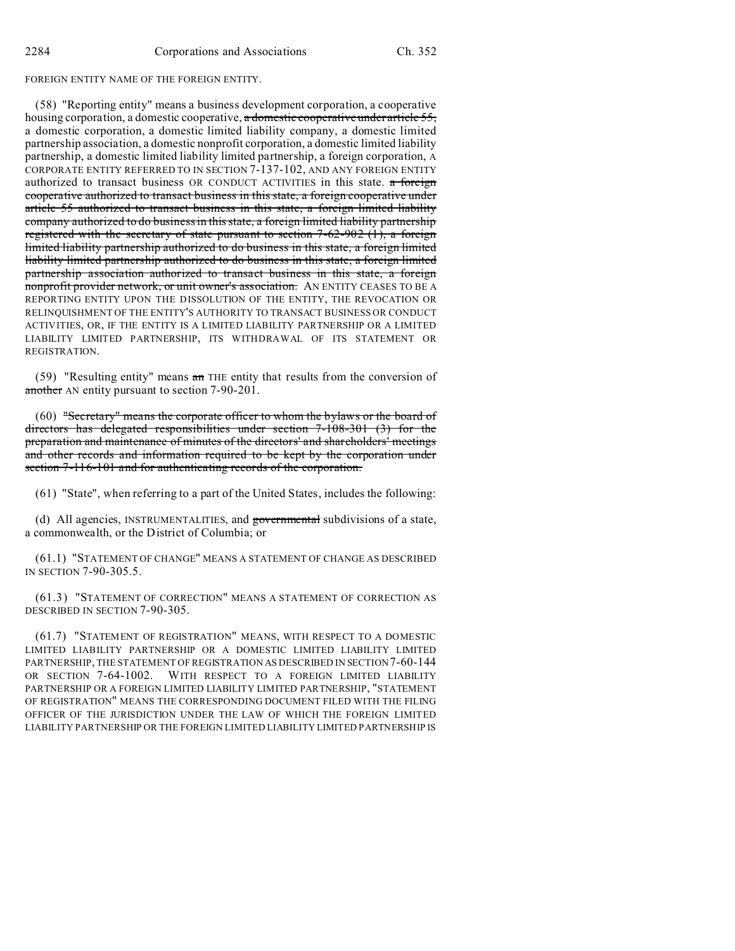### FOREIGN ENTITY NAME OF THE FOREIGN ENTITY.

(58) "Reporting entity" means a business development corporation, a cooperative housing corporation, a domestic cooperative, a domestic cooperative under article 55, a domestic corporation, a domestic limited liability company, a domestic limited partnership association, a domestic nonprofit corporation, a domestic limited liability partnership, a domestic limited liability limited partnership, a foreign corporation, A CORPORATE ENTITY REFERRED TO IN SECTION 7-137-102, AND ANY FOREIGN ENTITY authorized to transact business OR CONDUCT ACTIVITIES in this state. a foreign cooperative authorized to transact business in this state, a foreign cooperative under article 55 authorized to transact business in this state, a foreign limited liability company authorized to do business in this state, a foreign limited liability partnership registered with the secretary of state pursuant to section  $7-62-902$  (1), a foreign limited liability partnership authorized to do business in this state, a foreign limited liability limited partnership authorized to do business in this state, a foreign limited partnership association authorized to transact business in this state, a foreign nonprofit provider network, or unit owner's association. AN ENTITY CEASES TO BE A REPORTING ENTITY UPON THE DISSOLUTION OF THE ENTITY, THE REVOCATION OR RELINQUISHMENT OF THE ENTITY'S AUTHORITY TO TRANSACT BUSINESS OR CONDUCT ACTIVITIES, OR, IF THE ENTITY IS A LIMITED LIABILITY PARTNERSHIP OR A LIMITED LIABILITY LIMITED PARTNERSHIP, ITS WITHDRAWAL OF ITS STATEMENT OR REGISTRATION.

(59) "Resulting entity" means an THE entity that results from the conversion of another AN entity pursuant to section 7-90-201.

(60) "Secretary" means the corporate officer to whom the bylaws or the board of directors has delegated responsibilities under section 7-108-301 (3) for the preparation and maintenance of minutes of the directors' and shareholders' meetings and other records and information required to be kept by the corporation under section 7-116-101 and for authenticating records of the corporation.

(61) "State", when referring to a part of the United States, includes the following:

(d) All agencies, INSTRUMENTALITIES, and governmental subdivisions of a state, a commonwealth, or the District of Columbia; or

(61.1) "STATEMENT OF CHANGE" MEANS A STATEMENT OF CHANGE AS DESCRIBED IN SECTION 7-90-305.5.

(61.3) "STATEMENT OF CORRECTION" MEANS A STATEMENT OF CORRECTION AS DESCRIBED IN SECTION 7-90-305.

(61.7) "STATEMENT OF REGISTRATION" MEANS, WITH RESPECT TO A DOMESTIC LIMITED LIABILITY PARTNERSHIP OR A DOMESTIC LIMITED LIABILITY LIMITED PARTNERSHIP, THE STATEMENT OF REGISTRATION AS DESCRIBED IN SECTION 7-60-144 OR SECTION 7-64-1002. WITH RESPECT TO A FOREIGN LIMITED LIABILITY PARTNERSHIP OR A FOREIGN LIMITED LIABILITY LIMITED PARTNERSHIP, "STATEMENT OF REGISTRATION" MEANS THE CORRESPONDING DOCUMENT FILED WITH THE FILING OFFICER OF THE JURISDICTION UNDER THE LAW OF WHICH THE FOREIGN LIMITED LIABILITY PARTNERSHIP OR THE FOREIGN LIMITED LIABILITY LIMITED PARTNERSHIP IS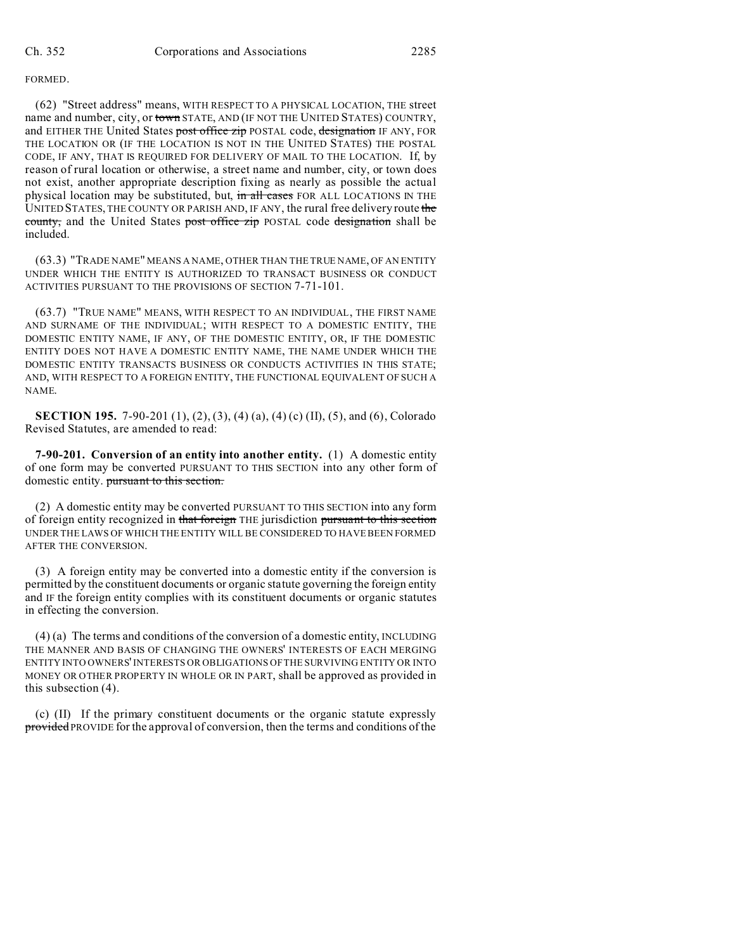#### FORMED.

(62) "Street address" means, WITH RESPECT TO A PHYSICAL LOCATION, THE street name and number, city, or town STATE, AND (IF NOT THE UNITED STATES) COUNTRY, and EITHER THE United States post office zip POSTAL code, designation IF ANY, FOR THE LOCATION OR (IF THE LOCATION IS NOT IN THE UNITED STATES) THE POSTAL CODE, IF ANY, THAT IS REQUIRED FOR DELIVERY OF MAIL TO THE LOCATION. If, by reason of rural location or otherwise, a street name and number, city, or town does not exist, another appropriate description fixing as nearly as possible the actual physical location may be substituted, but, in all cases FOR ALL LOCATIONS IN THE UNITED STATES, THE COUNTY OR PARISH AND, IF ANY, the rural free delivery route the county, and the United States post office zip POSTAL code designation shall be included.

(63.3) "TRADE NAME" MEANS A NAME, OTHER THAN THE TRUE NAME, OF AN ENTITY UNDER WHICH THE ENTITY IS AUTHORIZED TO TRANSACT BUSINESS OR CONDUCT ACTIVITIES PURSUANT TO THE PROVISIONS OF SECTION 7-71-101.

(63.7) "TRUE NAME" MEANS, WITH RESPECT TO AN INDIVIDUAL, THE FIRST NAME AND SURNAME OF THE INDIVIDUAL; WITH RESPECT TO A DOMESTIC ENTITY, THE DOMESTIC ENTITY NAME, IF ANY, OF THE DOMESTIC ENTITY, OR, IF THE DOMESTIC ENTITY DOES NOT HAVE A DOMESTIC ENTITY NAME, THE NAME UNDER WHICH THE DOMESTIC ENTITY TRANSACTS BUSINESS OR CONDUCTS ACTIVITIES IN THIS STATE; AND, WITH RESPECT TO A FOREIGN ENTITY, THE FUNCTIONAL EQUIVALENT OF SUCH A NAME.

**SECTION 195.** 7-90-201 (1), (2), (3), (4) (a), (4) (c) (II), (5), and (6), Colorado Revised Statutes, are amended to read:

**7-90-201. Conversion of an entity into another entity.** (1) A domestic entity of one form may be converted PURSUANT TO THIS SECTION into any other form of domestic entity. pursuant to this section.

(2) A domestic entity may be converted PURSUANT TO THIS SECTION into any form of foreign entity recognized in that foreign THE jurisdiction pursuant to this section UNDER THE LAWS OF WHICH THE ENTITY WILL BE CONSIDERED TO HAVE BEEN FORMED AFTER THE CONVERSION.

(3) A foreign entity may be converted into a domestic entity if the conversion is permitted by the constituent documents or organic statute governing the foreign entity and IF the foreign entity complies with its constituent documents or organic statutes in effecting the conversion.

(4) (a) The terms and conditions of the conversion of a domestic entity, INCLUDING THE MANNER AND BASIS OF CHANGING THE OWNERS' INTERESTS OF EACH MERGING ENTITY INTO OWNERS' INTERESTS OR OBLIGATIONS OF THE SURVIVING ENTITY OR INTO MONEY OR OTHER PROPERTY IN WHOLE OR IN PART, shall be approved as provided in this subsection (4).

(c) (II) If the primary constituent documents or the organic statute expressly provided PROVIDE for the approval of conversion, then the terms and conditions of the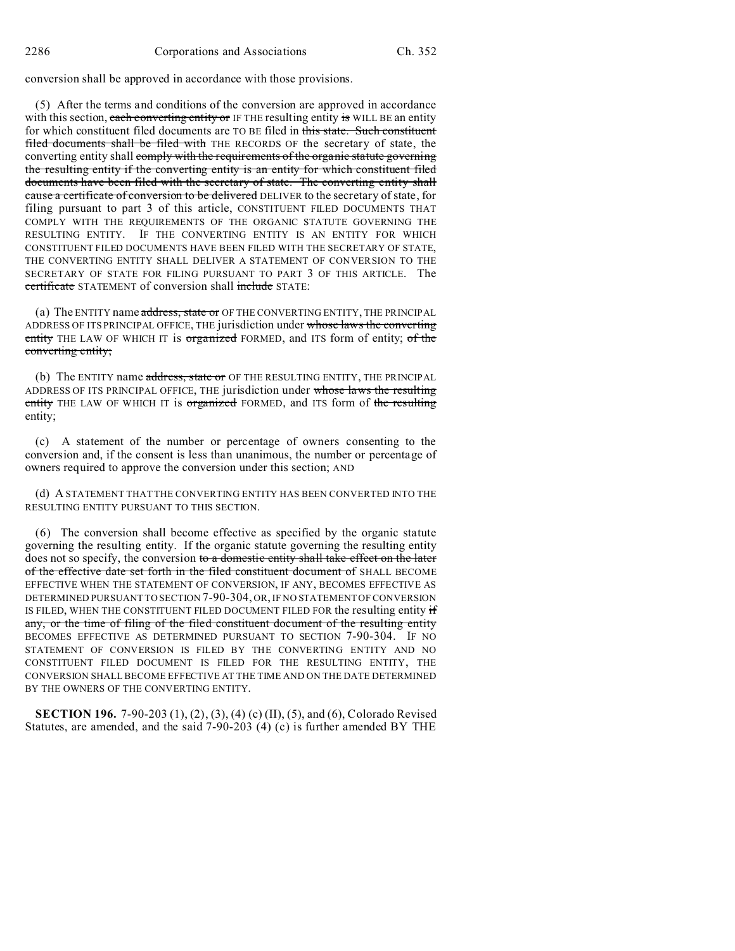conversion shall be approved in accordance with those provisions.

(5) After the terms and conditions of the conversion are approved in accordance with this section, each converting entity or IF THE resulting entity is WILL BE an entity for which constituent filed documents are TO BE filed in this state. Such constituent filed documents shall be filed with THE RECORDS OF the secretary of state, the converting entity shall comply with the requirements of the organic statute governing the resulting entity if the converting entity is an entity for which constituent filed documents have been filed with the secretary of state. The converting entity shall cause a certificate of conversion to be delivered DELIVER to the secretary of state, for filing pursuant to part 3 of this article, CONSTITUENT FILED DOCUMENTS THAT COMPLY WITH THE REQUIREMENTS OF THE ORGANIC STATUTE GOVERNING THE RESULTING ENTITY. IF THE CONVERTING ENTITY IS AN ENTITY FOR WHICH CONSTITUENT FILED DOCUMENTS HAVE BEEN FILED WITH THE SECRETARY OF STATE, THE CONVERTING ENTITY SHALL DELIVER A STATEMENT OF CONVERSION TO THE SECRETARY OF STATE FOR FILING PURSUANT TO PART 3 OF THIS ARTICLE. The certificate STATEMENT of conversion shall include STATE:

(a) The ENTITY name address, state or OF THE CONVERTING ENTITY, THE PRINCIPAL ADDRESS OF ITS PRINCIPAL OFFICE, THE jurisdiction under whose laws the converting entity THE LAW OF WHICH IT is organized FORMED, and ITS form of entity; of the converting entity;

(b) The ENTITY name address, state or OF THE RESULTING ENTITY, THE PRINCIPAL ADDRESS OF ITS PRINCIPAL OFFICE, THE jurisdiction under whose laws the resulting entity THE LAW OF WHICH IT is organized FORMED, and ITS form of the resulting entity;

(c) A statement of the number or percentage of owners consenting to the conversion and, if the consent is less than unanimous, the number or percentage of owners required to approve the conversion under this section; AND

(d) A STATEMENT THAT THE CONVERTING ENTITY HAS BEEN CONVERTED INTO THE RESULTING ENTITY PURSUANT TO THIS SECTION.

(6) The conversion shall become effective as specified by the organic statute governing the resulting entity. If the organic statute governing the resulting entity does not so specify, the conversion to a domestic entity shall take effect on the later of the effective date set forth in the filed constituent document of SHALL BECOME EFFECTIVE WHEN THE STATEMENT OF CONVERSION, IF ANY, BECOMES EFFECTIVE AS DETERMINED PURSUANT TO SECTION 7-90-304, OR, IF NO STATEMENT OF CONVERSION IS FILED, WHEN THE CONSTITUENT FILED DOCUMENT FILED FOR the resulting entity if any, or the time of filing of the filed constituent document of the resulting entity BECOMES EFFECTIVE AS DETERMINED PURSUANT TO SECTION 7-90-304. IF NO STATEMENT OF CONVERSION IS FILED BY THE CONVERTING ENTITY AND NO CONSTITUENT FILED DOCUMENT IS FILED FOR THE RESULTING ENTITY, THE CONVERSION SHALL BECOME EFFECTIVE AT THE TIME AND ON THE DATE DETERMINED BY THE OWNERS OF THE CONVERTING ENTITY.

**SECTION 196.** 7-90-203 (1), (2), (3), (4) (c) (II), (5), and (6), Colorado Revised Statutes, are amended, and the said 7-90-203 (4) (c) is further amended BY THE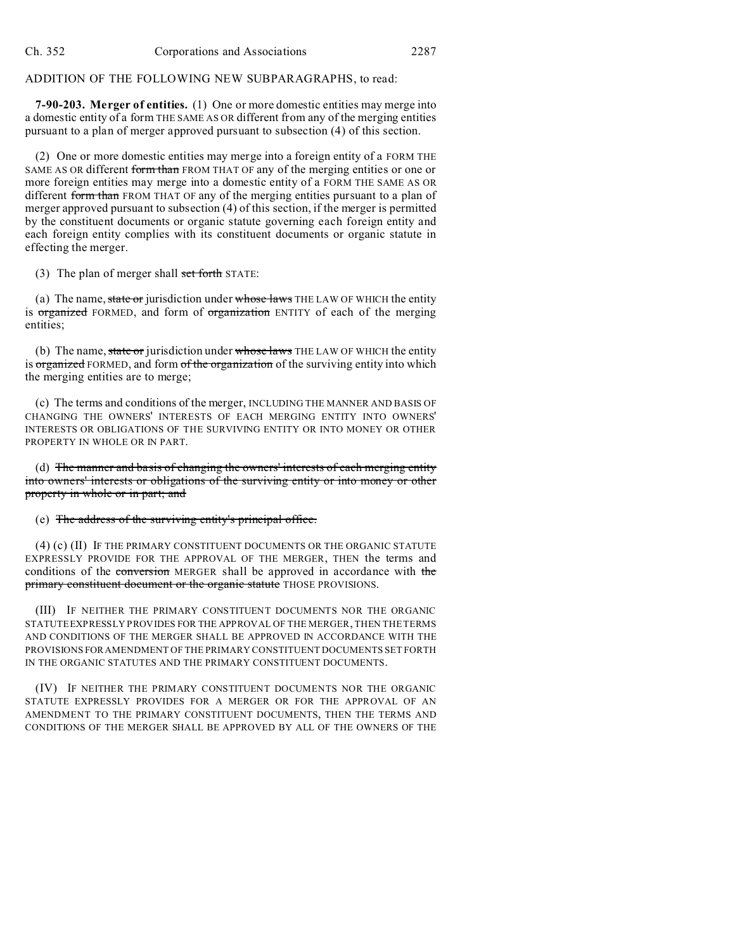### ADDITION OF THE FOLLOWING NEW SUBPARAGRAPHS, to read:

**7-90-203. Merger of entities.** (1) One or more domestic entities may merge into a domestic entity of a form THE SAME AS OR different from any of the merging entities pursuant to a plan of merger approved pursuant to subsection (4) of this section.

(2) One or more domestic entities may merge into a foreign entity of a FORM THE SAME AS OR different form than FROM THAT OF any of the merging entities or one or more foreign entities may merge into a domestic entity of a FORM THE SAME AS OR different form than FROM THAT OF any of the merging entities pursuant to a plan of merger approved pursuant to subsection (4) of this section, if the merger is permitted by the constituent documents or organic statute governing each foreign entity and each foreign entity complies with its constituent documents or organic statute in effecting the merger.

(3) The plan of merger shall set forth STATE:

(a) The name, state or jurisdiction under whose laws THE LAW OF WHICH the entity is organized FORMED, and form of organization ENTITY of each of the merging entities;

(b) The name, state or jurisdiction under whose laws THE LAW OF WHICH the entity is organized FORMED, and form of the organization of the surviving entity into which the merging entities are to merge;

(c) The terms and conditions of the merger, INCLUDING THE MANNER AND BASIS OF CHANGING THE OWNERS' INTERESTS OF EACH MERGING ENTITY INTO OWNERS' INTERESTS OR OBLIGATIONS OF THE SURVIVING ENTITY OR INTO MONEY OR OTHER PROPERTY IN WHOLE OR IN PART.

(d) The manner and basis of changing the owners' interests of each merging entity into owners' interests or obligations of the surviving entity or into money or other property in whole or in part; and

#### (e) The address of the surviving entity's principal office.

(4) (c) (II) IF THE PRIMARY CONSTITUENT DOCUMENTS OR THE ORGANIC STATUTE EXPRESSLY PROVIDE FOR THE APPROVAL OF THE MERGER, THEN the terms and conditions of the conversion MERGER shall be approved in accordance with the primary constituent document or the organic statute THOSE PROVISIONS.

(III) IF NEITHER THE PRIMARY CONSTITUENT DOCUMENTS NOR THE ORGANIC STATUTE EXPRESSLY PROVIDES FOR THE APPROVAL OF THE MERGER, THEN THE TERMS AND CONDITIONS OF THE MERGER SHALL BE APPROVED IN ACCORDANCE WITH THE PROVISIONS FOR AMENDMENT OF THE PRIMARY CONSTITUENT DOCUMENTS SET FORTH IN THE ORGANIC STATUTES AND THE PRIMARY CONSTITUENT DOCUMENTS.

(IV) IF NEITHER THE PRIMARY CONSTITUENT DOCUMENTS NOR THE ORGANIC STATUTE EXPRESSLY PROVIDES FOR A MERGER OR FOR THE APPROVAL OF AN AMENDMENT TO THE PRIMARY CONSTITUENT DOCUMENTS, THEN THE TERMS AND CONDITIONS OF THE MERGER SHALL BE APPROVED BY ALL OF THE OWNERS OF THE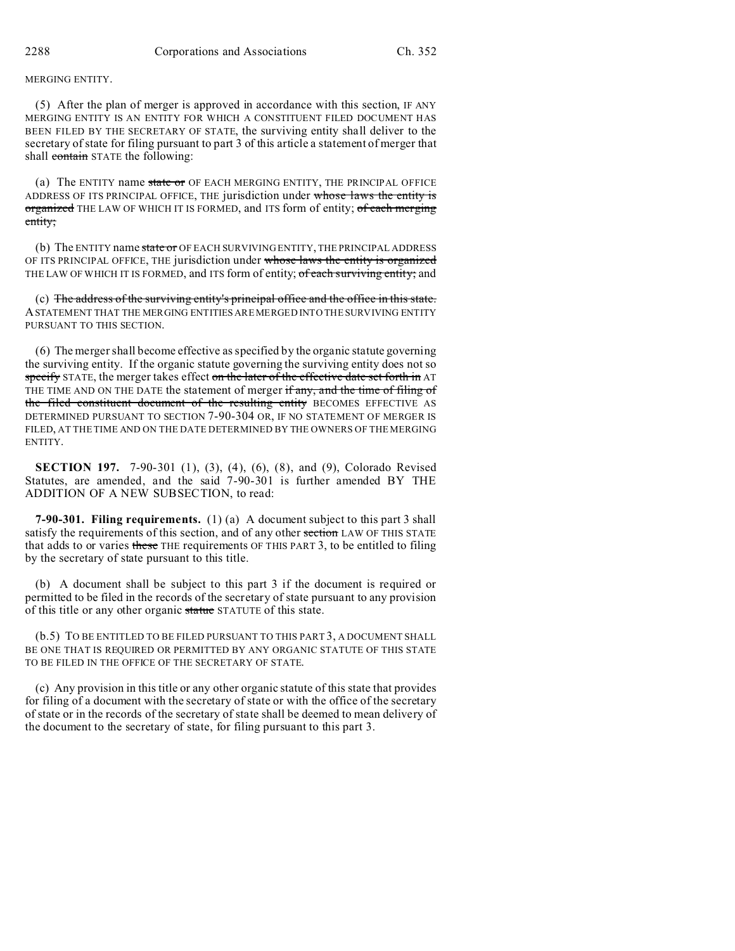MERGING ENTITY.

(5) After the plan of merger is approved in accordance with this section, IF ANY MERGING ENTITY IS AN ENTITY FOR WHICH A CONSTITUENT FILED DOCUMENT HAS BEEN FILED BY THE SECRETARY OF STATE, the surviving entity shall deliver to the secretary of state for filing pursuant to part 3 of this article a statement of merger that shall contain STATE the following:

(a) The ENTITY name state or OF EACH MERGING ENTITY, THE PRINCIPAL OFFICE ADDRESS OF ITS PRINCIPAL OFFICE, THE jurisdiction under whose laws the entity is organized THE LAW OF WHICH IT IS FORMED, and ITS form of entity; of each merging entity;

(b) The ENTITY name state or OF EACH SURVIVING ENTITY, THE PRINCIPAL ADDRESS OF ITS PRINCIPAL OFFICE, THE jurisdiction under whose laws the entity is organized THE LAW OF WHICH IT IS FORMED, and ITS form of entity; of each surviving entity; and

(c) The address of the surviving entity's principal office and the office in this state. ASTATEMENT THAT THE MERGING ENTITIES ARE MERGED INTO THE SURVIVING ENTITY PURSUANT TO THIS SECTION.

(6) The merger shall become effective as specified by the organic statute governing the surviving entity. If the organic statute governing the surviving entity does not so specify STATE, the merger takes effect on the later of the effective date set forth in AT THE TIME AND ON THE DATE the statement of merger if any, and the time of filing of the filed constituent document of the resulting entity BECOMES EFFECTIVE AS DETERMINED PURSUANT TO SECTION 7-90-304 OR, IF NO STATEMENT OF MERGER IS FILED, AT THE TIME AND ON THE DATE DETERMINED BY THE OWNERS OF THE MERGING ENTITY.

**SECTION 197.** 7-90-301 (1), (3), (4), (6), (8), and (9), Colorado Revised Statutes, are amended, and the said 7-90-301 is further amended BY THE ADDITION OF A NEW SUBSECTION, to read:

**7-90-301. Filing requirements.** (1) (a) A document subject to this part 3 shall satisfy the requirements of this section, and of any other section LAW OF THIS STATE that adds to or varies these THE requirements OF THIS PART 3, to be entitled to filing by the secretary of state pursuant to this title.

(b) A document shall be subject to this part 3 if the document is required or permitted to be filed in the records of the secretary of state pursuant to any provision of this title or any other organic statue STATUTE of this state.

(b.5) TO BE ENTITLED TO BE FILED PURSUANT TO THIS PART 3, A DOCUMENT SHALL BE ONE THAT IS REQUIRED OR PERMITTED BY ANY ORGANIC STATUTE OF THIS STATE TO BE FILED IN THE OFFICE OF THE SECRETARY OF STATE.

(c) Any provision in this title or any other organic statute of this state that provides for filing of a document with the secretary of state or with the office of the secretary of state or in the records of the secretary of state shall be deemed to mean delivery of the document to the secretary of state, for filing pursuant to this part 3.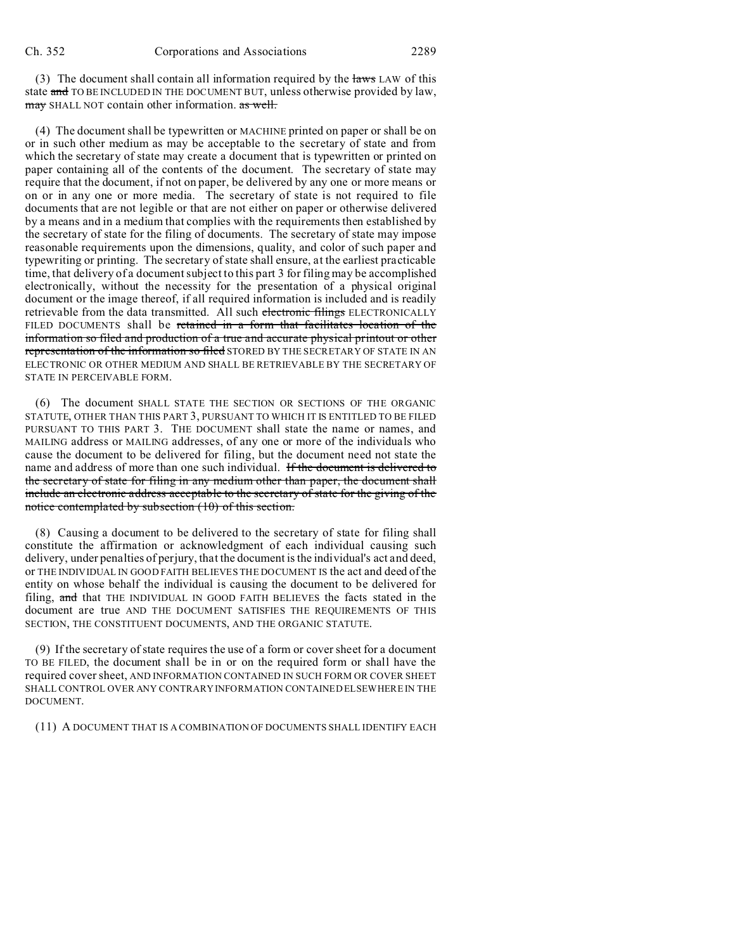(3) The document shall contain all information required by the laws LAW of this state and TO BE INCLUDED IN THE DOCUMENT BUT, unless otherwise provided by law, may SHALL NOT contain other information. as well.

(4) The document shall be typewritten or MACHINE printed on paper or shall be on or in such other medium as may be acceptable to the secretary of state and from which the secretary of state may create a document that is typewritten or printed on paper containing all of the contents of the document. The secretary of state may require that the document, if not on paper, be delivered by any one or more means or on or in any one or more media. The secretary of state is not required to file documents that are not legible or that are not either on paper or otherwise delivered by a means and in a medium that complies with the requirements then established by the secretary of state for the filing of documents. The secretary of state may impose reasonable requirements upon the dimensions, quality, and color of such paper and typewriting or printing. The secretary of state shall ensure, at the earliest practicable time, that delivery of a document subject to this part 3 for filing may be accomplished electronically, without the necessity for the presentation of a physical original document or the image thereof, if all required information is included and is readily retrievable from the data transmitted. All such electronic filings ELECTRONICALLY FILED DOCUMENTS shall be retained in a form that facilitates location of the information so filed and production of a true and accurate physical printout or other representation of the information so filed STORED BY THE SECRETARY OF STATE IN AN ELECTRONIC OR OTHER MEDIUM AND SHALL BE RETRIEVABLE BY THE SECRETARY OF STATE IN PERCEIVABLE FORM.

(6) The document SHALL STATE THE SECTION OR SECTIONS OF THE ORGANIC STATUTE, OTHER THAN THIS PART 3, PURSUANT TO WHICH IT IS ENTITLED TO BE FILED PURSUANT TO THIS PART 3. THE DOCUMENT shall state the name or names, and MAILING address or MAILING addresses, of any one or more of the individuals who cause the document to be delivered for filing, but the document need not state the name and address of more than one such individual. If the document is delivered to the secretary of state for filing in any medium other than paper, the document shall include an electronic address acceptable to the secretary of state for the giving of the notice contemplated by subsection (10) of this section.

(8) Causing a document to be delivered to the secretary of state for filing shall constitute the affirmation or acknowledgment of each individual causing such delivery, under penalties of perjury, that the document is the individual's act and deed, or THE INDIVIDUAL IN GOOD FAITH BELIEVES THE DOCUMENT IS the act and deed of the entity on whose behalf the individual is causing the document to be delivered for filing, and that THE INDIVIDUAL IN GOOD FAITH BELIEVES the facts stated in the document are true AND THE DOCUMENT SATISFIES THE REQUIREMENTS OF THIS SECTION, THE CONSTITUENT DOCUMENTS, AND THE ORGANIC STATUTE.

(9) If the secretary of state requires the use of a form or cover sheet for a document TO BE FILED, the document shall be in or on the required form or shall have the required cover sheet, AND INFORMATION CONTAINED IN SUCH FORM OR COVER SHEET SHALL CONTROL OVER ANY CONTRARY INFORMATION CONTAINED ELSEWHERE IN THE DOCUMENT.

(11) A DOCUMENT THAT IS A COMBINATION OF DOCUMENTS SHALL IDENTIFY EACH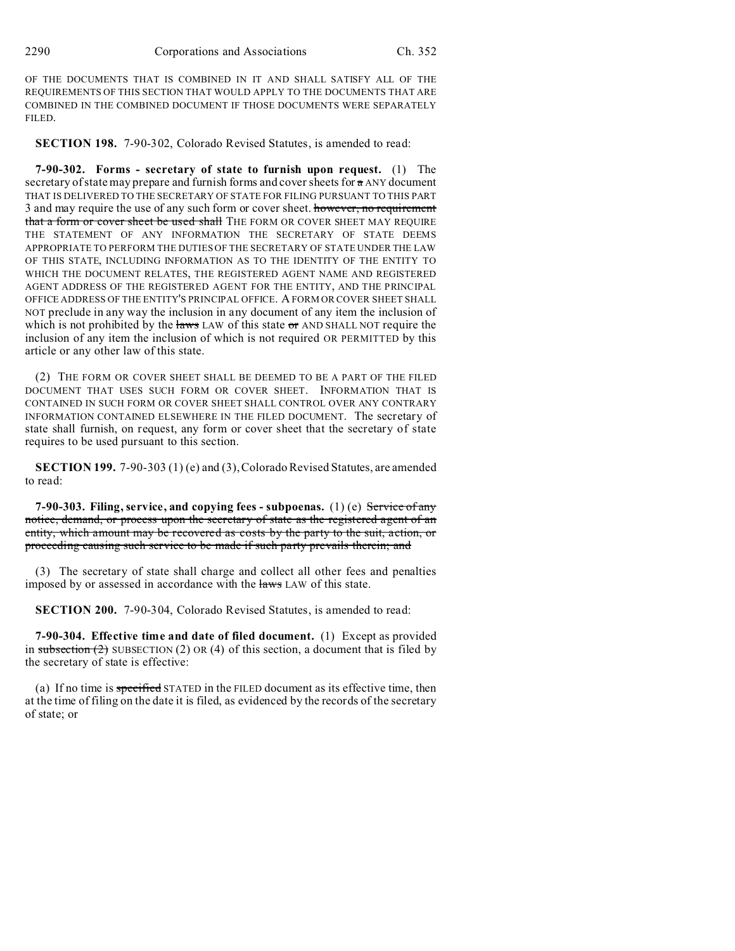OF THE DOCUMENTS THAT IS COMBINED IN IT AND SHALL SATISFY ALL OF THE REQUIREMENTS OF THIS SECTION THAT WOULD APPLY TO THE DOCUMENTS THAT ARE COMBINED IN THE COMBINED DOCUMENT IF THOSE DOCUMENTS WERE SEPARATELY FILED.

**SECTION 198.** 7-90-302, Colorado Revised Statutes, is amended to read:

**7-90-302. Forms - secretary of state to furnish upon request.** (1) The secretary of state may prepare and furnish forms and cover sheets for  $\pi$  ANY document THAT IS DELIVERED TO THE SECRETARY OF STATE FOR FILING PURSUANT TO THIS PART 3 and may require the use of any such form or cover sheet. however, no requirement that a form or cover sheet be used shall THE FORM OR COVER SHEET MAY REQUIRE THE STATEMENT OF ANY INFORMATION THE SECRETARY OF STATE DEEMS APPROPRIATE TO PERFORM THE DUTIES OF THE SECRETARY OF STATE UNDER THE LAW OF THIS STATE, INCLUDING INFORMATION AS TO THE IDENTITY OF THE ENTITY TO WHICH THE DOCUMENT RELATES, THE REGISTERED AGENT NAME AND REGISTERED AGENT ADDRESS OF THE REGISTERED AGENT FOR THE ENTITY, AND THE PRINCIPAL OFFICE ADDRESS OF THE ENTITY'S PRINCIPAL OFFICE. A FORM OR COVER SHEET SHALL NOT preclude in any way the inclusion in any document of any item the inclusion of which is not prohibited by the laws LAW of this state  $\sigma$  AND SHALL NOT require the inclusion of any item the inclusion of which is not required OR PERMITTED by this article or any other law of this state.

(2) THE FORM OR COVER SHEET SHALL BE DEEMED TO BE A PART OF THE FILED DOCUMENT THAT USES SUCH FORM OR COVER SHEET. INFORMATION THAT IS CONTAINED IN SUCH FORM OR COVER SHEET SHALL CONTROL OVER ANY CONTRARY INFORMATION CONTAINED ELSEWHERE IN THE FILED DOCUMENT. The secretary of state shall furnish, on request, any form or cover sheet that the secretary of state requires to be used pursuant to this section.

**SECTION 199.** 7-90-303 (1) (e) and (3), Colorado Revised Statutes, are amended to read:

**7-90-303. Filing, service, and copying fees - subpoenas.** (1) (e) Service of any notice, demand, or process upon the secretary of state as the registered agent of an entity, which amount may be recovered as costs by the party to the suit, action, or proceeding causing such service to be made if such party prevails therein; and

(3) The secretary of state shall charge and collect all other fees and penalties imposed by or assessed in accordance with the laws LAW of this state.

**SECTION 200.** 7-90-304, Colorado Revised Statutes, is amended to read:

**7-90-304. Effective time and date of filed document.** (1) Except as provided in subsection  $(2)$  SUBSECTION  $(2)$  OR  $(4)$  of this section, a document that is filed by the secretary of state is effective:

(a) If no time is specified STATED in the FILED document as its effective time, then at the time of filing on the date it is filed, as evidenced by the records of the secretary of state; or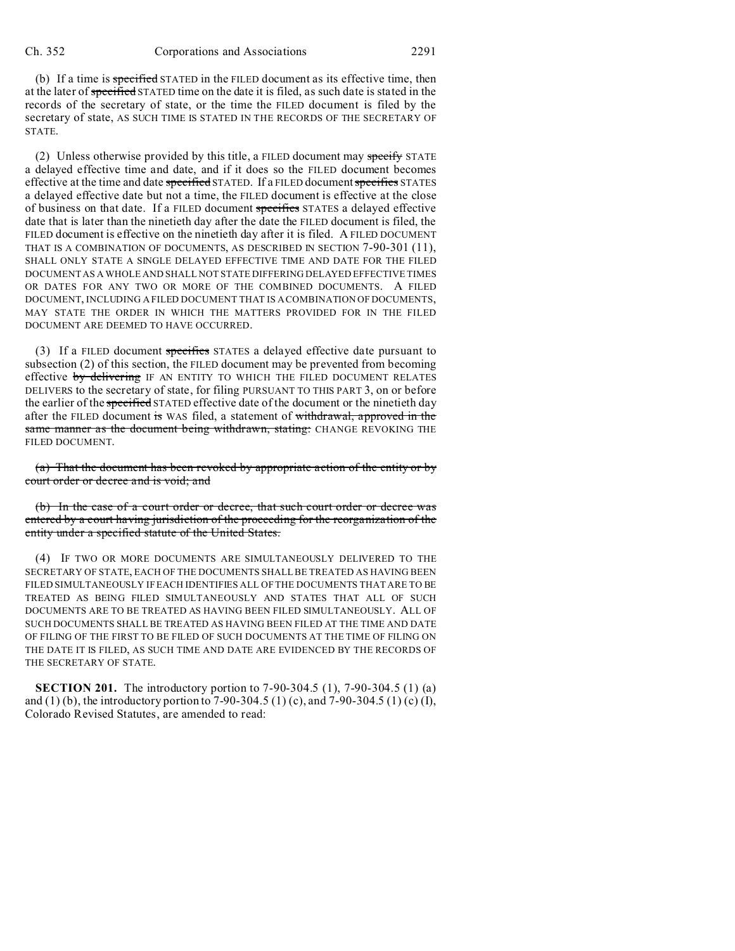(b) If a time is specified STATED in the FILED document as its effective time, then at the later of specified STATED time on the date it is filed, as such date is stated in the records of the secretary of state, or the time the FILED document is filed by the secretary of state, AS SUCH TIME IS STATED IN THE RECORDS OF THE SECRETARY OF STATE.

(2) Unless otherwise provided by this title, a FILED document may specify STATE a delayed effective time and date, and if it does so the FILED document becomes effective at the time and date specified STATED. If a FILED document specifies STATES a delayed effective date but not a time, the FILED document is effective at the close of business on that date. If a FILED document specifies STATES a delayed effective date that is later than the ninetieth day after the date the FILED document is filed, the FILED document is effective on the ninetieth day after it is filed. A FILED DOCUMENT THAT IS A COMBINATION OF DOCUMENTS, AS DESCRIBED IN SECTION 7-90-301 (11), SHALL ONLY STATE A SINGLE DELAYED EFFECTIVE TIME AND DATE FOR THE FILED DOCUMENT AS A WHOLE AND SHALL NOT STATE DIFFERING DELAYED EFFECTIVE TIMES OR DATES FOR ANY TWO OR MORE OF THE COMBINED DOCUMENTS. A FILED DOCUMENT, INCLUDING A FILED DOCUMENT THAT IS A COMBINATION OF DOCUMENTS, MAY STATE THE ORDER IN WHICH THE MATTERS PROVIDED FOR IN THE FILED DOCUMENT ARE DEEMED TO HAVE OCCURRED.

(3) If a FILED document specifies STATES a delayed effective date pursuant to subsection (2) of this section, the FILED document may be prevented from becoming effective by delivering IF AN ENTITY TO WHICH THE FILED DOCUMENT RELATES DELIVERS to the secretary of state, for filing PURSUANT TO THIS PART 3, on or before the earlier of the specified STATED effective date of the document or the ninetieth day after the FILED document is WAS filed, a statement of withdrawal, approved in the same manner as the document being withdrawn, stating: CHANGE REVOKING THE FILED DOCUMENT.

(a) That the document has been revoked by appropriate action of the entity or by court order or decree and is void; and

(b) In the case of a court order or decree, that such court order or decree was entered by a court having jurisdiction of the proceeding for the reorganization of the entity under a specified statute of the United States.

(4) IF TWO OR MORE DOCUMENTS ARE SIMULTANEOUSLY DELIVERED TO THE SECRETARY OF STATE, EACH OF THE DOCUMENTS SHALL BE TREATED AS HAVING BEEN FILED SIMULTANEOUSLY IF EACH IDENTIFIES ALL OF THE DOCUMENTS THAT ARE TO BE TREATED AS BEING FILED SIMULTANEOUSLY AND STATES THAT ALL OF SUCH DOCUMENTS ARE TO BE TREATED AS HAVING BEEN FILED SIMULTANEOUSLY. ALL OF SUCH DOCUMENTS SHALL BE TREATED AS HAVING BEEN FILED AT THE TIME AND DATE OF FILING OF THE FIRST TO BE FILED OF SUCH DOCUMENTS AT THE TIME OF FILING ON THE DATE IT IS FILED, AS SUCH TIME AND DATE ARE EVIDENCED BY THE RECORDS OF THE SECRETARY OF STATE.

**SECTION 201.** The introductory portion to 7-90-304.5 (1), 7-90-304.5 (1) (a) and (1) (b), the introductory portion to 7-90-304.5 (1) (c), and 7-90-304.5 (1) (c) (I), Colorado Revised Statutes, are amended to read: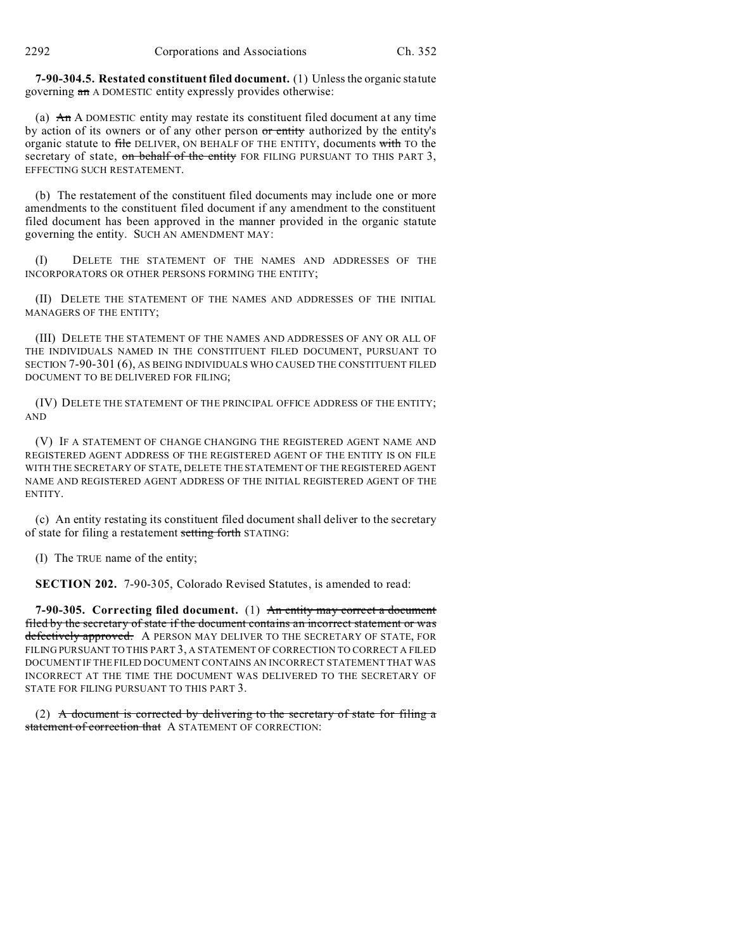**7-90-304.5. Restated constituent filed document.** (1) Unless the organic statute governing an A DOMESTIC entity expressly provides otherwise:

(a)  $An A$  DOMESTIC entity may restate its constituent filed document at any time by action of its owners or of any other person or entity authorized by the entity's organic statute to file DELIVER, ON BEHALF OF THE ENTITY, documents with TO the secretary of state, on behalf of the entity FOR FILING PURSUANT TO THIS PART 3, EFFECTING SUCH RESTATEMENT.

(b) The restatement of the constituent filed documents may include one or more amendments to the constituent filed document if any amendment to the constituent filed document has been approved in the manner provided in the organic statute governing the entity. SUCH AN AMENDMENT MAY:

(I) DELETE THE STATEMENT OF THE NAMES AND ADDRESSES OF THE INCORPORATORS OR OTHER PERSONS FORMING THE ENTITY;

(II) DELETE THE STATEMENT OF THE NAMES AND ADDRESSES OF THE INITIAL MANAGERS OF THE ENTITY;

(III) DELETE THE STATEMENT OF THE NAMES AND ADDRESSES OF ANY OR ALL OF THE INDIVIDUALS NAMED IN THE CONSTITUENT FILED DOCUMENT, PURSUANT TO SECTION 7-90-301 (6), AS BEING INDIVIDUALS WHO CAUSED THE CONSTITUENT FILED DOCUMENT TO BE DELIVERED FOR FILING;

(IV) DELETE THE STATEMENT OF THE PRINCIPAL OFFICE ADDRESS OF THE ENTITY; AND

(V) IF A STATEMENT OF CHANGE CHANGING THE REGISTERED AGENT NAME AND REGISTERED AGENT ADDRESS OF THE REGISTERED AGENT OF THE ENTITY IS ON FILE WITH THE SECRETARY OF STATE, DELETE THE STATEMENT OF THE REGISTERED AGENT NAME AND REGISTERED AGENT ADDRESS OF THE INITIAL REGISTERED AGENT OF THE ENTITY.

(c) An entity restating its constituent filed document shall deliver to the secretary of state for filing a restatement setting forth STATING:

(I) The TRUE name of the entity;

**SECTION 202.** 7-90-305, Colorado Revised Statutes, is amended to read:

**7-90-305. Correcting filed document.** (1) An entity may correct a document filed by the secretary of state if the document contains an incorrect statement or was defectively approved. A PERSON MAY DELIVER TO THE SECRETARY OF STATE, FOR FILING PURSUANT TO THIS PART 3, A STATEMENT OF CORRECTION TO CORRECT A FILED DOCUMENT IF THE FILED DOCUMENT CONTAINS AN INCORRECT STATEMENT THAT WAS INCORRECT AT THE TIME THE DOCUMENT WAS DELIVERED TO THE SECRETARY OF STATE FOR FILING PURSUANT TO THIS PART 3.

(2) A document is corrected by delivering to the secretary of state for filing a statement of correction that A STATEMENT OF CORRECTION: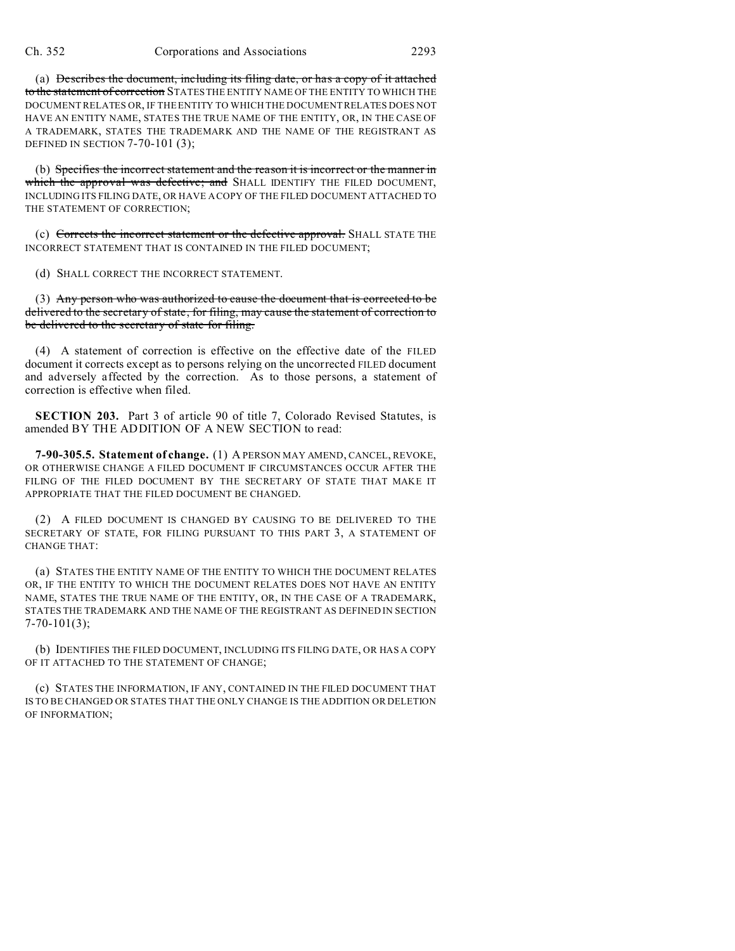(a) Describes the document, including its filing date, or has a copy of it attached to the statement of correction STATES THE ENTITY NAME OF THE ENTITY TO WHICH THE DOCUMENT RELATES OR, IF THE ENTITY TO WHICH THE DOCUMENT RELATES DOES NOT HAVE AN ENTITY NAME, STATES THE TRUE NAME OF THE ENTITY, OR, IN THE CASE OF A TRADEMARK, STATES THE TRADEMARK AND THE NAME OF THE REGISTRANT AS DEFINED IN SECTION 7-70-101 (3);

(b) Specifies the incorrect statement and the reason it is incorrect or the manner in which the approval was defective; and SHALL IDENTIFY THE FILED DOCUMENT, INCLUDING ITS FILING DATE, OR HAVE A COPY OF THE FILED DOCUMENT ATTACHED TO THE STATEMENT OF CORRECTION;

(c) Corrects the incorrect statement or the defective approval. SHALL STATE THE INCORRECT STATEMENT THAT IS CONTAINED IN THE FILED DOCUMENT;

(d) SHALL CORRECT THE INCORRECT STATEMENT.

(3) Any person who was authorized to cause the document that is corrected to be delivered to the secretary of state, for filing, may cause the statement of correction to be delivered to the secretary of state for filing.

(4) A statement of correction is effective on the effective date of the FILED document it corrects except as to persons relying on the uncorrected FILED document and adversely affected by the correction. As to those persons, a statement of correction is effective when filed.

**SECTION 203.** Part 3 of article 90 of title 7, Colorado Revised Statutes, is amended BY THE ADDITION OF A NEW SECTION to read:

**7-90-305.5. Statement of change.** (1) A PERSON MAY AMEND, CANCEL, REVOKE, OR OTHERWISE CHANGE A FILED DOCUMENT IF CIRCUMSTANCES OCCUR AFTER THE FILING OF THE FILED DOCUMENT BY THE SECRETARY OF STATE THAT MAKE IT APPROPRIATE THAT THE FILED DOCUMENT BE CHANGED.

(2) A FILED DOCUMENT IS CHANGED BY CAUSING TO BE DELIVERED TO THE SECRETARY OF STATE, FOR FILING PURSUANT TO THIS PART 3, A STATEMENT OF CHANGE THAT:

(a) STATES THE ENTITY NAME OF THE ENTITY TO WHICH THE DOCUMENT RELATES OR, IF THE ENTITY TO WHICH THE DOCUMENT RELATES DOES NOT HAVE AN ENTITY NAME, STATES THE TRUE NAME OF THE ENTITY, OR, IN THE CASE OF A TRADEMARK, STATES THE TRADEMARK AND THE NAME OF THE REGISTRANT AS DEFINED IN SECTION 7-70-101(3);

(b) IDENTIFIES THE FILED DOCUMENT, INCLUDING ITS FILING DATE, OR HAS A COPY OF IT ATTACHED TO THE STATEMENT OF CHANGE;

(c) STATES THE INFORMATION, IF ANY, CONTAINED IN THE FILED DOCUMENT THAT IS TO BE CHANGED OR STATES THAT THE ONLY CHANGE IS THE ADDITION OR DELETION OF INFORMATION;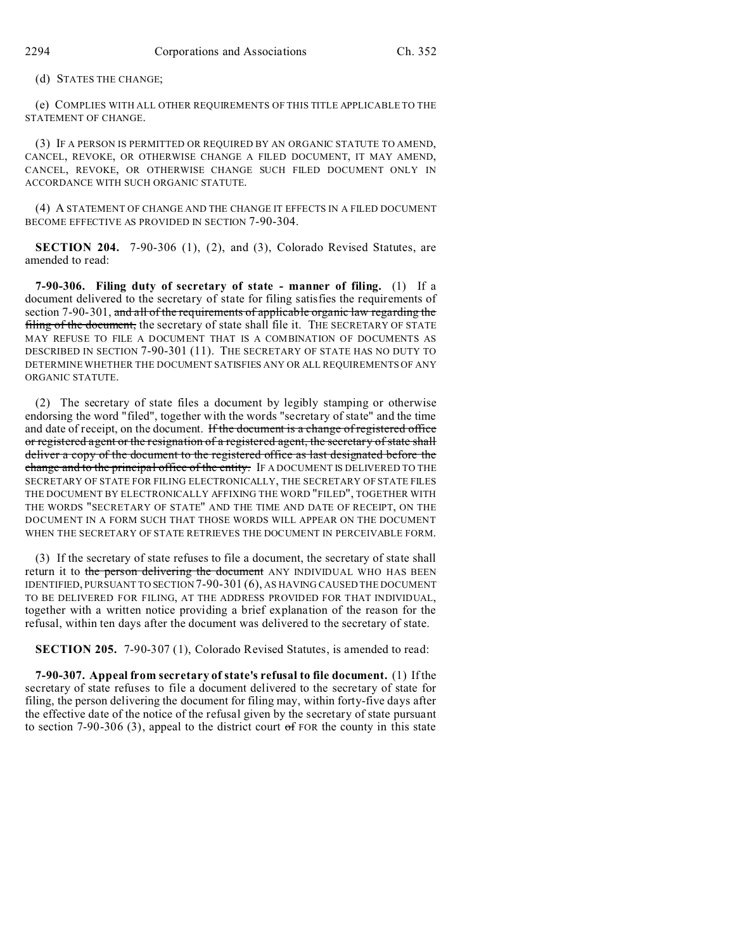(d) STATES THE CHANGE;

(e) COMPLIES WITH ALL OTHER REQUIREMENTS OF THIS TITLE APPLICABLE TO THE STATEMENT OF CHANGE.

(3) IF A PERSON IS PERMITTED OR REQUIRED BY AN ORGANIC STATUTE TO AMEND, CANCEL, REVOKE, OR OTHERWISE CHANGE A FILED DOCUMENT, IT MAY AMEND, CANCEL, REVOKE, OR OTHERWISE CHANGE SUCH FILED DOCUMENT ONLY IN ACCORDANCE WITH SUCH ORGANIC STATUTE.

(4) A STATEMENT OF CHANGE AND THE CHANGE IT EFFECTS IN A FILED DOCUMENT BECOME EFFECTIVE AS PROVIDED IN SECTION 7-90-304.

**SECTION 204.** 7-90-306 (1), (2), and (3), Colorado Revised Statutes, are amended to read:

**7-90-306. Filing duty of secretary of state - manner of filing.** (1) If a document delivered to the secretary of state for filing satisfies the requirements of section 7-90-301, and all of the requirements of applicable organic law regarding the filing of the document, the secretary of state shall file it. THE SECRETARY OF STATE MAY REFUSE TO FILE A DOCUMENT THAT IS A COMBINATION OF DOCUMENTS AS DESCRIBED IN SECTION 7-90-301 (11). THE SECRETARY OF STATE HAS NO DUTY TO DETERMINE WHETHER THE DOCUMENT SATISFIES ANY OR ALL REQUIREMENTS OF ANY ORGANIC STATUTE.

(2) The secretary of state files a document by legibly stamping or otherwise endorsing the word "filed", together with the words "secretary of state" and the time and date of receipt, on the document. If the document is a change of registered office or registered agent or the resignation of a registered agent, the secretary of state shall deliver a copy of the document to the registered office as last designated before the change and to the principal office of the entity. IF A DOCUMENT IS DELIVERED TO THE SECRETARY OF STATE FOR FILING ELECTRONICALLY, THE SECRETARY OF STATE FILES THE DOCUMENT BY ELECTRONICALLY AFFIXING THE WORD "FILED", TOGETHER WITH THE WORDS "SECRETARY OF STATE" AND THE TIME AND DATE OF RECEIPT, ON THE DOCUMENT IN A FORM SUCH THAT THOSE WORDS WILL APPEAR ON THE DOCUMENT WHEN THE SECRETARY OF STATE RETRIEVES THE DOCUMENT IN PERCEIVABLE FORM.

(3) If the secretary of state refuses to file a document, the secretary of state shall return it to the person delivering the document ANY INDIVIDUAL WHO HAS BEEN IDENTIFIED, PURSUANT TO SECTION 7-90-301 (6), AS HAVING CAUSED THE DOCUMENT TO BE DELIVERED FOR FILING, AT THE ADDRESS PROVIDED FOR THAT INDIVIDUAL, together with a written notice providing a brief explanation of the reason for the refusal, within ten days after the document was delivered to the secretary of state.

**SECTION 205.** 7-90-307 (1), Colorado Revised Statutes, is amended to read:

**7-90-307. Appeal from secretary of state's refusal to file document.** (1) If the secretary of state refuses to file a document delivered to the secretary of state for filing, the person delivering the document for filing may, within forty-five days after the effective date of the notice of the refusal given by the secretary of state pursuant to section 7-90-306 (3), appeal to the district court of FOR the county in this state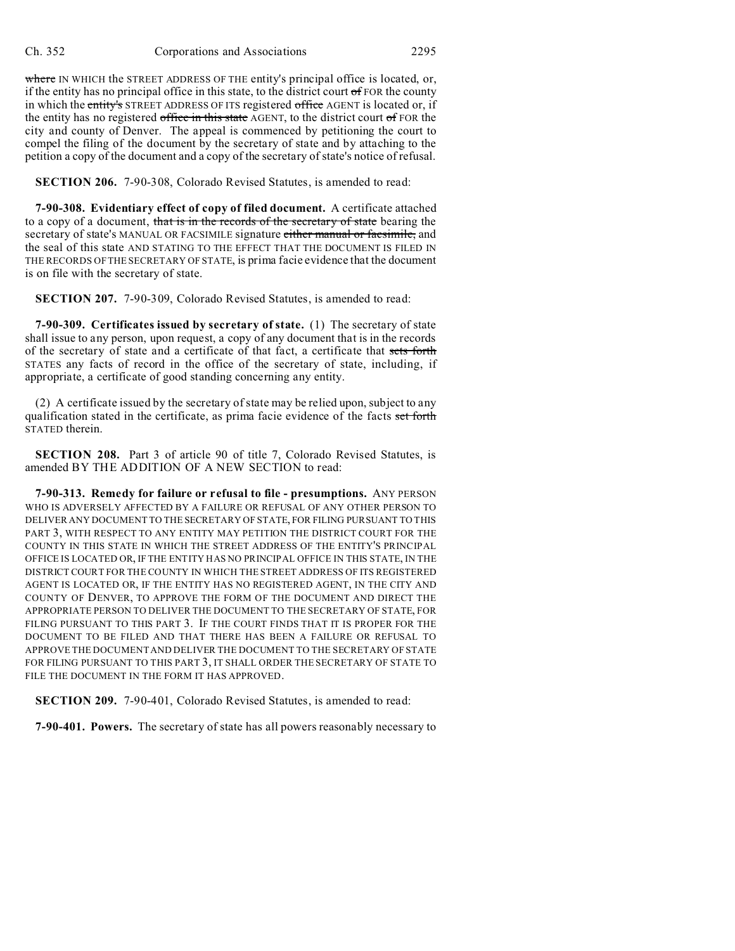where IN WHICH the STREET ADDRESS OF THE entity's principal office is located, or, if the entity has no principal office in this state, to the district court  $\sigma$  FOR the county in which the entity's STREET ADDRESS OF ITS registered office AGENT is located or, if the entity has no registered office in this state  $AGENT$ , to the district court of FOR the city and county of Denver. The appeal is commenced by petitioning the court to compel the filing of the document by the secretary of state and by attaching to the petition a copy of the document and a copy of the secretary of state's notice of refusal.

**SECTION 206.** 7-90-308, Colorado Revised Statutes, is amended to read:

**7-90-308. Evidentiary effect of copy of filed document.** A certificate attached to a copy of a document, that is in the records of the secretary of state bearing the secretary of state's MANUAL OR FACSIMILE signature either manual or facsimile, and the seal of this state AND STATING TO THE EFFECT THAT THE DOCUMENT IS FILED IN THE RECORDS OF THE SECRETARY OF STATE, is prima facie evidence that the document is on file with the secretary of state.

**SECTION 207.** 7-90-309, Colorado Revised Statutes, is amended to read:

**7-90-309. Certificates issued by secretary of state.** (1) The secretary of state shall issue to any person, upon request, a copy of any document that is in the records of the secretary of state and a certificate of that fact, a certificate that sets forth STATES any facts of record in the office of the secretary of state, including, if appropriate, a certificate of good standing concerning any entity.

(2) A certificate issued by the secretary of state may be relied upon, subject to any qualification stated in the certificate, as prima facie evidence of the facts set forth STATED therein.

**SECTION 208.** Part 3 of article 90 of title 7, Colorado Revised Statutes, is amended BY THE ADDITION OF A NEW SECTION to read:

**7-90-313. Remedy for failure or refusal to file - presumptions.** ANY PERSON WHO IS ADVERSELY AFFECTED BY A FAILURE OR REFUSAL OF ANY OTHER PERSON TO DELIVER ANY DOCUMENT TO THE SECRETARY OF STATE, FOR FILING PURSUANT TO THIS PART 3, WITH RESPECT TO ANY ENTITY MAY PETITION THE DISTRICT COURT FOR THE COUNTY IN THIS STATE IN WHICH THE STREET ADDRESS OF THE ENTITY'S PRINCIPAL OFFICE IS LOCATED OR, IF THE ENTITY HAS NO PRINCIPAL OFFICE IN THIS STATE, IN THE DISTRICT COURT FOR THE COUNTY IN WHICH THE STREET ADDRESS OF ITS REGISTERED AGENT IS LOCATED OR, IF THE ENTITY HAS NO REGISTERED AGENT, IN THE CITY AND COUNTY OF DENVER, TO APPROVE THE FORM OF THE DOCUMENT AND DIRECT THE APPROPRIATE PERSON TO DELIVER THE DOCUMENT TO THE SECRETARY OF STATE, FOR FILING PURSUANT TO THIS PART 3. IF THE COURT FINDS THAT IT IS PROPER FOR THE DOCUMENT TO BE FILED AND THAT THERE HAS BEEN A FAILURE OR REFUSAL TO APPROVE THE DOCUMENT AND DELIVER THE DOCUMENT TO THE SECRETARY OF STATE FOR FILING PURSUANT TO THIS PART 3, IT SHALL ORDER THE SECRETARY OF STATE TO FILE THE DOCUMENT IN THE FORM IT HAS APPROVED.

**SECTION 209.** 7-90-401, Colorado Revised Statutes, is amended to read:

**7-90-401. Powers.** The secretary of state has all powers reasonably necessary to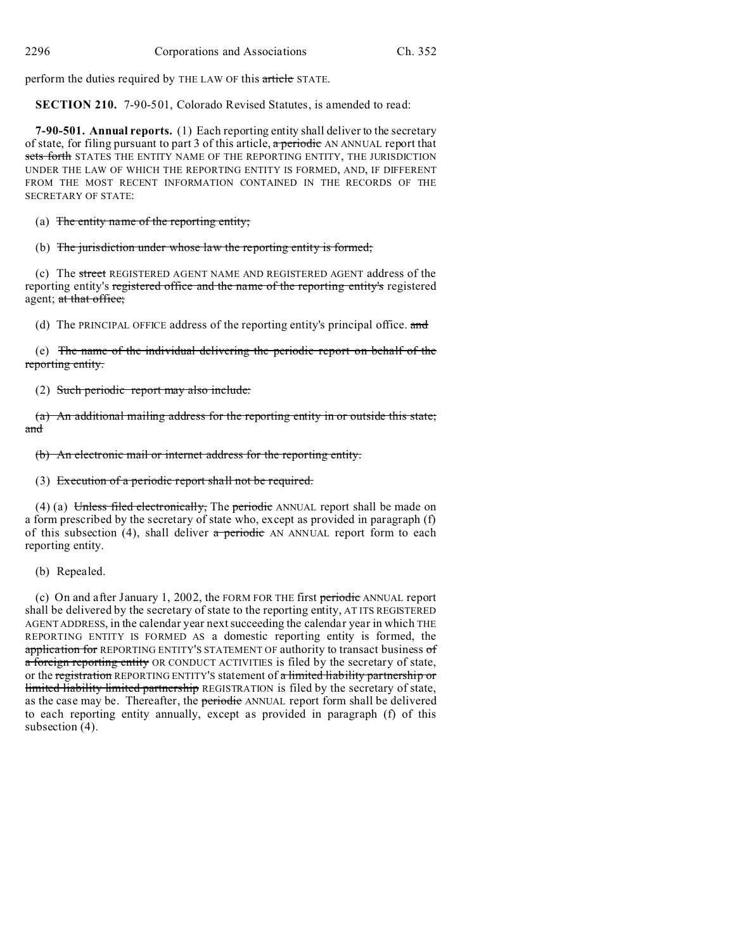perform the duties required by THE LAW OF this article STATE.

**SECTION 210.** 7-90-501, Colorado Revised Statutes, is amended to read:

**7-90-501. Annual reports.** (1) Each reporting entity shall deliver to the secretary of state, for filing pursuant to part 3 of this article,  $a$  periodic AN ANNUAL report that sets forth STATES THE ENTITY NAME OF THE REPORTING ENTITY, THE JURISDICTION UNDER THE LAW OF WHICH THE REPORTING ENTITY IS FORMED, AND, IF DIFFERENT FROM THE MOST RECENT INFORMATION CONTAINED IN THE RECORDS OF THE SECRETARY OF STATE:

(a) The entity name of the reporting entity;

(b) The jurisdiction under whose law the reporting entity is formed;

(c) The street REGISTERED AGENT NAME AND REGISTERED AGENT address of the reporting entity's registered office and the name of the reporting entity's registered agent; at that office;

(d) The PRINCIPAL OFFICE address of the reporting entity's principal office. and

(e) The name of the individual delivering the periodic report on behalf of the reporting entity.

(2) Such periodic report may also include:

(a) An additional mailing address for the reporting entity in or outside this state; and

(b) An electronic mail or internet address for the reporting entity.

(3) Execution of a periodic report shall not be required.

(4) (a) Unless filed electronically, The periodic ANNUAL report shall be made on a form prescribed by the secretary of state who, except as provided in paragraph (f) of this subsection  $(4)$ , shall deliver a periodic AN ANNUAL report form to each reporting entity.

# (b) Repealed.

(c) On and after January 1, 2002, the FORM FOR THE first periodic ANNUAL report shall be delivered by the secretary of state to the reporting entity, AT ITS REGISTERED AGENT ADDRESS, in the calendar year next succeeding the calendar year in which THE REPORTING ENTITY IS FORMED AS a domestic reporting entity is formed, the application for REPORTING ENTITY'S STATEMENT OF authority to transact business of a foreign reporting entity OR CONDUCT ACTIVITIES is filed by the secretary of state, or the registration REPORTING ENTITY'S statement of a limited liability partnership or limited liability limited partnership REGISTRATION is filed by the secretary of state, as the case may be. Thereafter, the periodic ANNUAL report form shall be delivered to each reporting entity annually, except as provided in paragraph (f) of this subsection (4).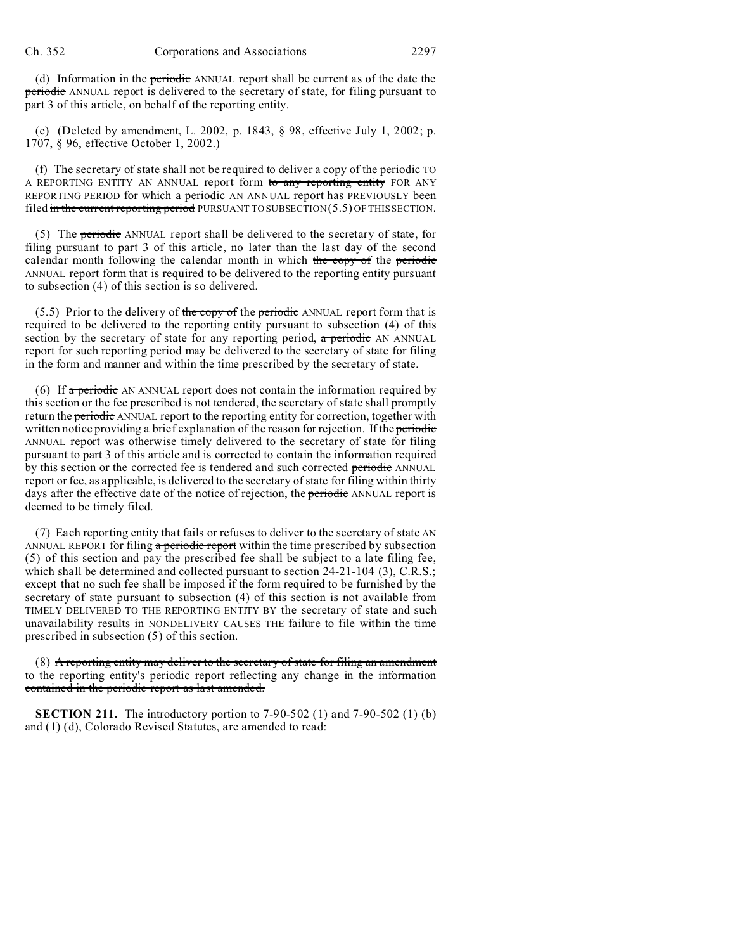(d) Information in the periodic ANNUAL report shall be current as of the date the periodic ANNUAL report is delivered to the secretary of state, for filing pursuant to part 3 of this article, on behalf of the reporting entity.

(e) (Deleted by amendment, L. 2002, p. 1843, § 98, effective July 1, 2002; p. 1707, § 96, effective October 1, 2002.)

(f) The secretary of state shall not be required to deliver  $\alpha$  copy of the periodic TO A REPORTING ENTITY AN ANNUAL report form to any reporting entity FOR ANY REPORTING PERIOD for which a periodic AN ANNUAL report has PREVIOUSLY been filed in the current reporting period PURSUANT TO SUBSECTION  $(5.5)$  OF THIS SECTION.

(5) The periodic ANNUAL report shall be delivered to the secretary of state, for filing pursuant to part 3 of this article, no later than the last day of the second calendar month following the calendar month in which the copy of the periodic ANNUAL report form that is required to be delivered to the reporting entity pursuant to subsection (4) of this section is so delivered.

 $(5.5)$  Prior to the delivery of the copy of the periodic ANNUAL report form that is required to be delivered to the reporting entity pursuant to subsection (4) of this section by the secretary of state for any reporting period,  $\alpha$  periodic AN ANNUAL report for such reporting period may be delivered to the secretary of state for filing in the form and manner and within the time prescribed by the secretary of state.

(6) If  $\alpha$  periodic AN ANNUAL report does not contain the information required by this section or the fee prescribed is not tendered, the secretary of state shall promptly return the **periodic** ANNUAL report to the reporting entity for correction, together with written notice providing a brief explanation of the reason for rejection. If the periodic ANNUAL report was otherwise timely delivered to the secretary of state for filing pursuant to part 3 of this article and is corrected to contain the information required by this section or the corrected fee is tendered and such corrected periodic ANNUAL report or fee, as applicable, is delivered to the secretary of state for filing within thirty days after the effective date of the notice of rejection, the periodic ANNUAL report is deemed to be timely filed.

(7) Each reporting entity that fails or refuses to deliver to the secretary of state AN ANNUAL REPORT for filing  $\alpha$  periodic report within the time prescribed by subsection (5) of this section and pay the prescribed fee shall be subject to a late filing fee, which shall be determined and collected pursuant to section 24-21-104 (3), C.R.S.; except that no such fee shall be imposed if the form required to be furnished by the secretary of state pursuant to subsection (4) of this section is not available from TIMELY DELIVERED TO THE REPORTING ENTITY BY the secretary of state and such unavailability results in NONDELIVERY CAUSES THE failure to file within the time prescribed in subsection (5) of this section.

(8) A reporting entity may deliver to the secretary of state for filing an amendment to the reporting entity's periodic report reflecting any change in the information contained in the periodic report as last amended.

**SECTION 211.** The introductory portion to 7-90-502 (1) and 7-90-502 (1) (b) and (1) (d), Colorado Revised Statutes, are amended to read: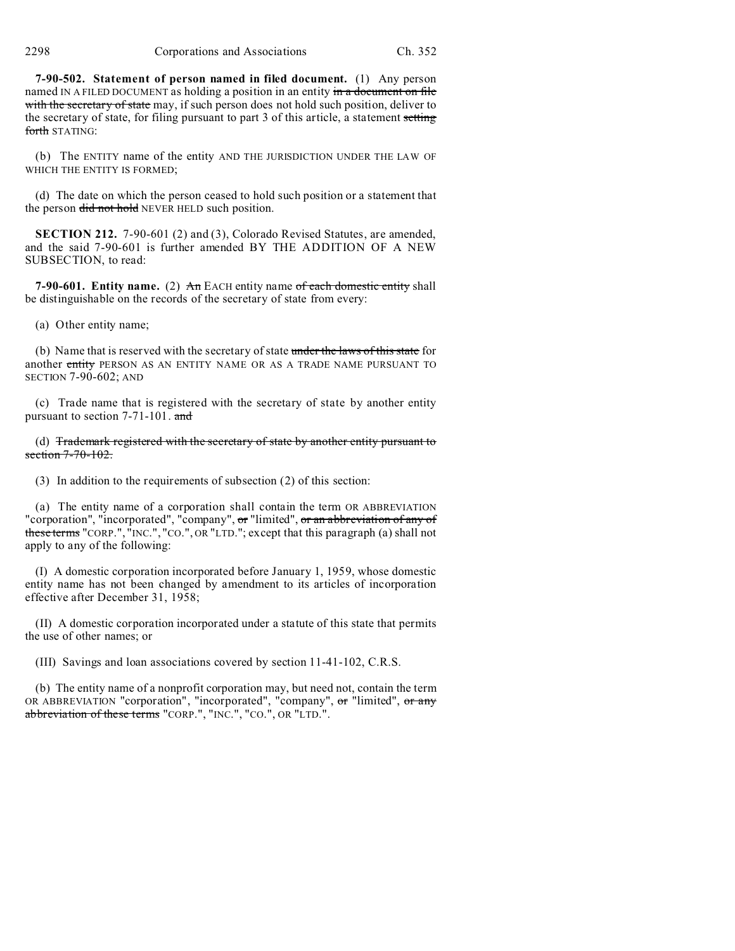**7-90-502. Statement of person named in filed document.** (1) Any person named IN A FILED DOCUMENT as holding a position in an entity in a document on file with the secretary of state may, if such person does not hold such position, deliver to the secretary of state, for filing pursuant to part 3 of this article, a statement setting forth STATING:

(b) The ENTITY name of the entity AND THE JURISDICTION UNDER THE LAW OF WHICH THE ENTITY IS FORMED;

(d) The date on which the person ceased to hold such position or a statement that the person did not hold NEVER HELD such position.

**SECTION 212.** 7-90-601 (2) and (3), Colorado Revised Statutes, are amended, and the said 7-90-601 is further amended BY THE ADDITION OF A NEW SUBSECTION, to read:

**7-90-601. Entity name.** (2) An EACH entity name of each domestic entity shall be distinguishable on the records of the secretary of state from every:

(a) Other entity name;

(b) Name that is reserved with the secretary of state under the laws of this state for another entity PERSON AS AN ENTITY NAME OR AS A TRADE NAME PURSUANT TO SECTION 7-90-602; AND

(c) Trade name that is registered with the secretary of state by another entity pursuant to section 7-71-101. and

(d) Trademark registered with the secretary of state by another entity pursuant to section 7-70-102.

(3) In addition to the requirements of subsection (2) of this section:

(a) The entity name of a corporation shall contain the term OR ABBREVIATION "corporation", "incorporated", "company", or "limited", or an abbreviation of any of these terms "CORP.", "INC.", "CO.", OR "LTD."; except that this paragraph (a) shall not apply to any of the following:

(I) A domestic corporation incorporated before January 1, 1959, whose domestic entity name has not been changed by amendment to its articles of incorporation effective after December 31, 1958;

(II) A domestic corporation incorporated under a statute of this state that permits the use of other names; or

(III) Savings and loan associations covered by section 11-41-102, C.R.S.

(b) The entity name of a nonprofit corporation may, but need not, contain the term OR ABBREVIATION "corporation", "incorporated", "company", or "limited", or any abbreviation of these terms "CORP.", "INC.", "CO.", OR "LTD.".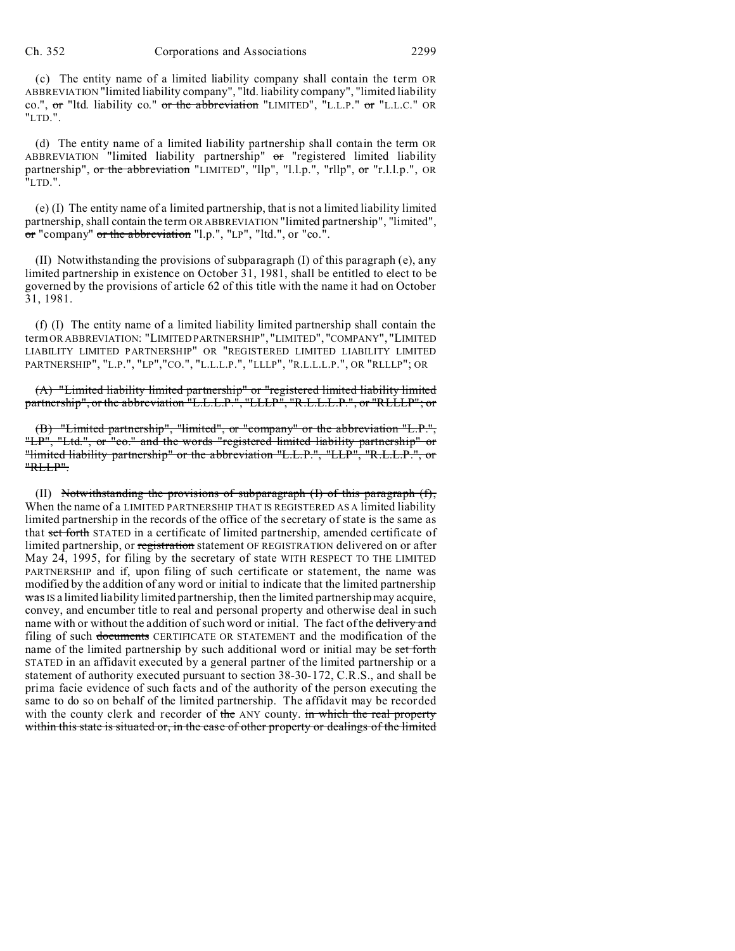(c) The entity name of a limited liability company shall contain the term OR ABBREVIATION "limited liability company", "ltd. liability company", "limited liability co.", or "ltd. liability co." or the abbreviation "LIMITED", "L.L.P." or "L.L.C." OR "LTD.".

(d) The entity name of a limited liability partnership shall contain the term OR ABBREVIATION "limited liability partnership" or "registered limited liability partnership", or the abbreviation "LIMITED", "llp", "l.l.p.", "rllp", or "r.l.l.p.", OR "LTD.".

(e) (I) The entity name of a limited partnership, that is not a limited liability limited partnership, shall contain the term OR ABBREVIATION "limited partnership", "limited", or "company" or the abbreviation "l.p.", "LP", "ltd.", or "co.".

(II) Notwithstanding the provisions of subparagraph (I) of this paragraph (e), any limited partnership in existence on October 31, 1981, shall be entitled to elect to be governed by the provisions of article 62 of this title with the name it had on October 31, 1981.

(f) (I) The entity name of a limited liability limited partnership shall contain the termOR ABBREVIATION: "LIMITED PARTNERSHIP", "LIMITED", "COMPANY", "LIMITED LIABILITY LIMITED PARTNERSHIP" OR "REGISTERED LIMITED LIABILITY LIMITED PARTNERSHIP", "L.P.", "LP","CO.", "L.L.L.P.", "LLLP", "R.L.L.L.P.", OR "RLLLP"; OR

(A) "Limited liability limited partnership" or "registered limited liability limited partnership", or the abbreviation "L.L.L.P.", "LLLP", "R.L.L.L.P.", or "RLLLP"; or

(B) "Limited partnership", "limited", or "company" or the abbreviation "L.P.", "LP", "Ltd.", or "co." and the words "registered limited liability partnership" or "limited liability partnership" or the abbreviation "L.L.P.", "LLP", "R.L.L.P.", or "RLLP".

(II) Notwithstanding the provisions of subparagraph  $(I)$  of this paragraph  $(f)$ , When the name of a LIMITED PARTNERSHIP THAT IS REGISTERED AS A limited liability limited partnership in the records of the office of the secretary of state is the same as that set forth STATED in a certificate of limited partnership, amended certificate of limited partnership, or registration statement OF REGISTRATION delivered on or after May 24, 1995, for filing by the secretary of state WITH RESPECT TO THE LIMITED PARTNERSHIP and if, upon filing of such certificate or statement, the name was modified by the addition of any word or initial to indicate that the limited partnership  $\frac{1}{2}$  substituted liability limited partnership, then the limited partnership may acquire, convey, and encumber title to real and personal property and otherwise deal in such name with or without the addition of such word or initial. The fact of the delivery and filing of such documents CERTIFICATE OR STATEMENT and the modification of the name of the limited partnership by such additional word or initial may be set forth STATED in an affidavit executed by a general partner of the limited partnership or a statement of authority executed pursuant to section 38-30-172, C.R.S., and shall be prima facie evidence of such facts and of the authority of the person executing the same to do so on behalf of the limited partnership. The affidavit may be recorded with the county clerk and recorder of the ANY county. in which the real property within this state is situated or, in the case of other property or dealings of the limited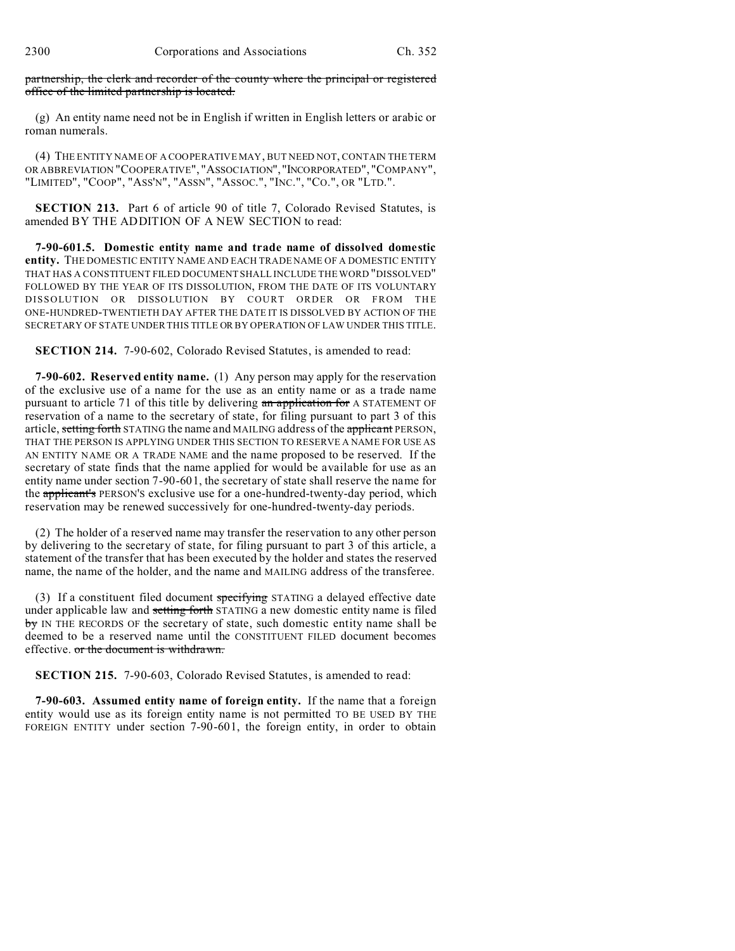partnership, the clerk and recorder of the county where the principal or registered office of the limited partnership is located.

(g) An entity name need not be in English if written in English letters or arabic or roman numerals.

(4) THE ENTITY NAME OF A COOPERATIVE MAY, BUT NEED NOT, CONTAIN THE TERM OR ABBREVIATION "COOPERATIVE", "ASSOCIATION", "INCORPORATED", "COMPANY", "LIMITED", "COOP", "ASS'N", "ASSN", "ASSOC.", "INC.", "CO.", OR "LTD.".

**SECTION 213.** Part 6 of article 90 of title 7, Colorado Revised Statutes, is amended BY THE ADDITION OF A NEW SECTION to read:

**7-90-601.5. Domestic entity name and trade name of dissolved domestic entity.** THE DOMESTIC ENTITY NAME AND EACH TRADE NAME OF A DOMESTIC ENTITY THAT HAS A CONSTITUENT FILED DOCUMENT SHALL INCLUDE THE WORD "DISSOLVED" FOLLOWED BY THE YEAR OF ITS DISSOLUTION, FROM THE DATE OF ITS VOLUNTARY DISSOLUTION OR DISSOLUTION BY COURT ORDER OR FROM THE ONE-HUNDRED-TWENTIETH DAY AFTER THE DATE IT IS DISSOLVED BY ACTION OF THE SECRETARY OF STATE UNDER THIS TITLE OR BY OPERATION OF LAW UNDER THIS TITLE.

**SECTION 214.** 7-90-602, Colorado Revised Statutes, is amended to read:

**7-90-602. Reserved entity name.** (1) Any person may apply for the reservation of the exclusive use of a name for the use as an entity name or as a trade name pursuant to article 71 of this title by delivering an application for A STATEMENT OF reservation of a name to the secretary of state, for filing pursuant to part 3 of this article, setting forth STATING the name and MAILING address of the applicant PERSON, THAT THE PERSON IS APPLYING UNDER THIS SECTION TO RESERVE A NAME FOR USE AS AN ENTITY NAME OR A TRADE NAME and the name proposed to be reserved. If the secretary of state finds that the name applied for would be available for use as an entity name under section 7-90-601, the secretary of state shall reserve the name for the applicant's PERSON'S exclusive use for a one-hundred-twenty-day period, which reservation may be renewed successively for one-hundred-twenty-day periods.

(2) The holder of a reserved name may transfer the reservation to any other person by delivering to the secretary of state, for filing pursuant to part 3 of this article, a statement of the transfer that has been executed by the holder and states the reserved name, the name of the holder, and the name and MAILING address of the transferee.

(3) If a constituent filed document specifying STATING a delayed effective date under applicable law and setting forth STATING a new domestic entity name is filed by IN THE RECORDS OF the secretary of state, such domestic entity name shall be deemed to be a reserved name until the CONSTITUENT FILED document becomes effective. or the document is withdrawn.

**SECTION 215.** 7-90-603, Colorado Revised Statutes, is amended to read:

**7-90-603. Assumed entity name of foreign entity.** If the name that a foreign entity would use as its foreign entity name is not permitted TO BE USED BY THE FOREIGN ENTITY under section 7-90-601, the foreign entity, in order to obtain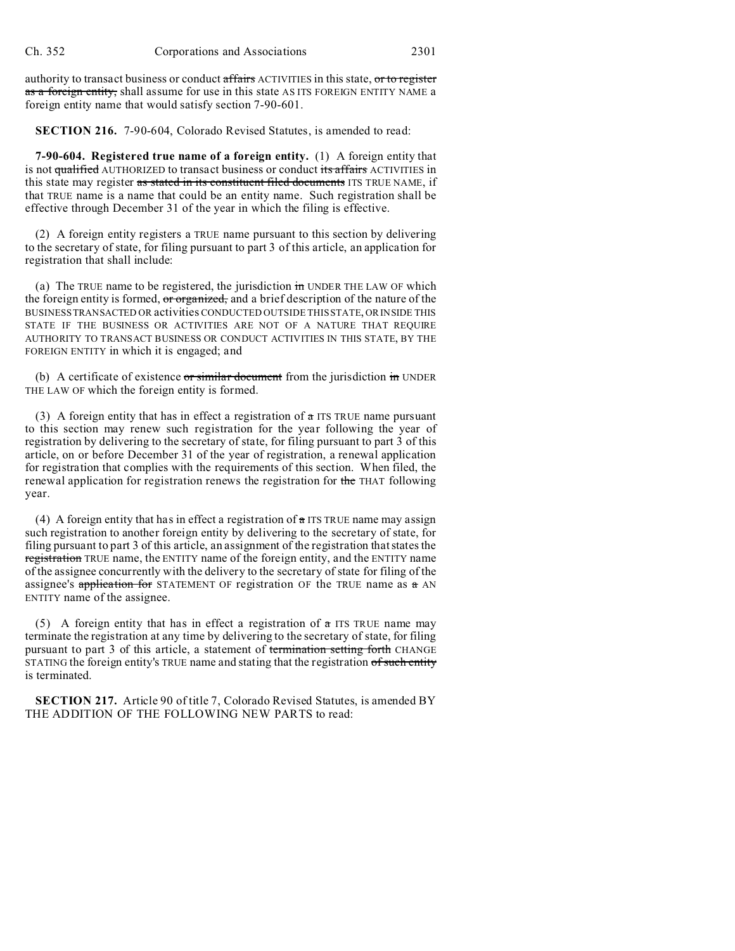authority to transact business or conduct affairs ACTIVITIES in this state, or to register as a foreign entity, shall assume for use in this state AS ITS FOREIGN ENTITY NAME a foreign entity name that would satisfy section 7-90-601.

**SECTION 216.** 7-90-604, Colorado Revised Statutes, is amended to read:

**7-90-604. Registered true name of a foreign entity.** (1) A foreign entity that is not qualified AUTHORIZED to transact business or conduct its affairs ACTIVITIES in this state may register as stated in its constituent filed documents ITS TRUE NAME, if that TRUE name is a name that could be an entity name. Such registration shall be effective through December 31 of the year in which the filing is effective.

(2) A foreign entity registers a TRUE name pursuant to this section by delivering to the secretary of state, for filing pursuant to part 3 of this article, an application for registration that shall include:

(a) The TRUE name to be registered, the jurisdiction  $\frac{1}{10}$  UNDER THE LAW OF which the foreign entity is formed, or organized, and a brief description of the nature of the BUSINESS TRANSACTED OR activities CONDUCTED OUTSIDE THIS STATE, OR INSIDE THIS STATE IF THE BUSINESS OR ACTIVITIES ARE NOT OF A NATURE THAT REQUIRE AUTHORITY TO TRANSACT BUSINESS OR CONDUCT ACTIVITIES IN THIS STATE, BY THE FOREIGN ENTITY in which it is engaged; and

(b) A certificate of existence  $\sigma r \sin \theta$  document from the jurisdiction  $\dot{m}$  UNDER THE LAW OF which the foreign entity is formed.

(3) A foreign entity that has in effect a registration of  $\alpha$  ITS TRUE name pursuant to this section may renew such registration for the year following the year of registration by delivering to the secretary of state, for filing pursuant to part 3 of this article, on or before December 31 of the year of registration, a renewal application for registration that complies with the requirements of this section. When filed, the renewal application for registration renews the registration for the THAT following year.

(4) A foreign entity that has in effect a registration of  $\alpha$  ITS TRUE name may assign such registration to another foreign entity by delivering to the secretary of state, for filing pursuant to part 3 of this article, an assignment of the registration that states the registration TRUE name, the ENTITY name of the foreign entity, and the ENTITY name of the assignee concurrently with the delivery to the secretary of state for filing of the assignee's application for STATEMENT OF registration OF the TRUE name as  $a$  AN ENTITY name of the assignee.

(5) A foreign entity that has in effect a registration of  $\alpha$  ITS TRUE name may terminate the registration at any time by delivering to the secretary of state, for filing pursuant to part 3 of this article, a statement of termination setting forth CHANGE STATING the foreign entity's TRUE name and stating that the registration of such entity is terminated.

**SECTION 217.** Article 90 of title 7, Colorado Revised Statutes, is amended BY THE ADDITION OF THE FOLLOWING NEW PARTS to read: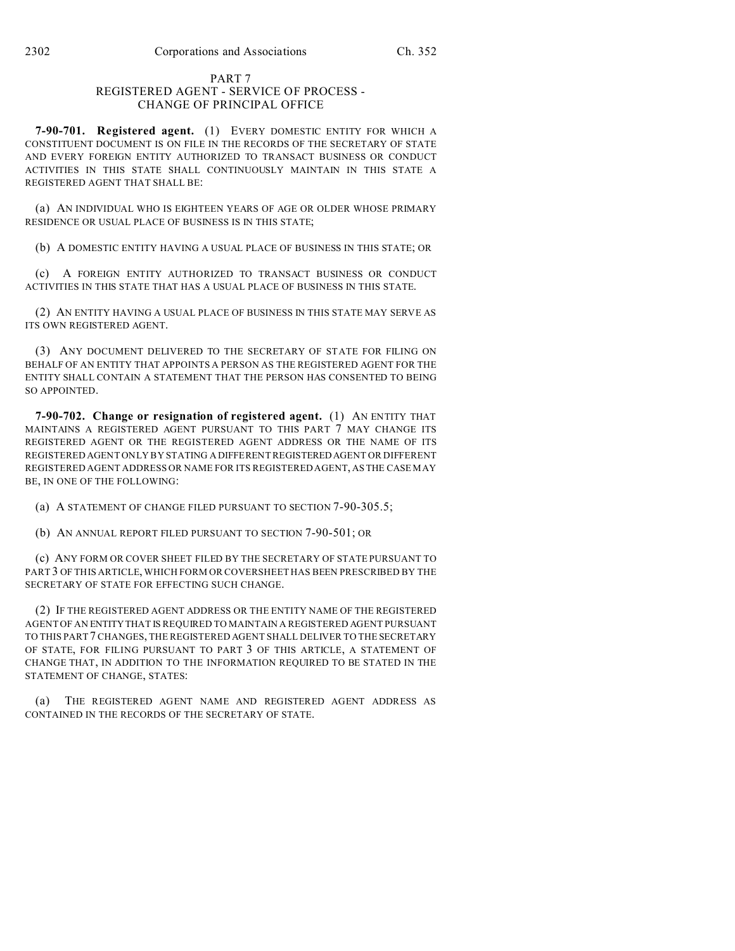#### PART 7 REGISTERED AGENT - SERVICE OF PROCESS - CHANGE OF PRINCIPAL OFFICE

**7-90-701. Registered agent.** (1) EVERY DOMESTIC ENTITY FOR WHICH A CONSTITUENT DOCUMENT IS ON FILE IN THE RECORDS OF THE SECRETARY OF STATE AND EVERY FOREIGN ENTITY AUTHORIZED TO TRANSACT BUSINESS OR CONDUCT ACTIVITIES IN THIS STATE SHALL CONTINUOUSLY MAINTAIN IN THIS STATE A REGISTERED AGENT THAT SHALL BE:

(a) AN INDIVIDUAL WHO IS EIGHTEEN YEARS OF AGE OR OLDER WHOSE PRIMARY RESIDENCE OR USUAL PLACE OF BUSINESS IS IN THIS STATE;

(b) A DOMESTIC ENTITY HAVING A USUAL PLACE OF BUSINESS IN THIS STATE; OR

(c) A FOREIGN ENTITY AUTHORIZED TO TRANSACT BUSINESS OR CONDUCT ACTIVITIES IN THIS STATE THAT HAS A USUAL PLACE OF BUSINESS IN THIS STATE.

(2) AN ENTITY HAVING A USUAL PLACE OF BUSINESS IN THIS STATE MAY SERVE AS ITS OWN REGISTERED AGENT.

(3) ANY DOCUMENT DELIVERED TO THE SECRETARY OF STATE FOR FILING ON BEHALF OF AN ENTITY THAT APPOINTS A PERSON AS THE REGISTERED AGENT FOR THE ENTITY SHALL CONTAIN A STATEMENT THAT THE PERSON HAS CONSENTED TO BEING SO APPOINTED.

**7-90-702. Change or resignation of registered agent.** (1) AN ENTITY THAT MAINTAINS A REGISTERED AGENT PURSUANT TO THIS PART 7 MAY CHANGE ITS REGISTERED AGENT OR THE REGISTERED AGENT ADDRESS OR THE NAME OF ITS REGISTERED AGENT ONLY BY STATING A DIFFERENT REGISTERED AGENT OR DIFFERENT REGISTERED AGENT ADDRESS OR NAME FOR ITS REGISTERED AGENT, AS THE CASE MAY BE, IN ONE OF THE FOLLOWING:

(a) A STATEMENT OF CHANGE FILED PURSUANT TO SECTION 7-90-305.5;

(b) AN ANNUAL REPORT FILED PURSUANT TO SECTION 7-90-501; OR

(c) ANY FORM OR COVER SHEET FILED BY THE SECRETARY OF STATE PURSUANT TO PART 3 OF THIS ARTICLE, WHICH FORM OR COVERSHEET HAS BEEN PRESCRIBED BY THE SECRETARY OF STATE FOR EFFECTING SUCH CHANGE.

(2) IF THE REGISTERED AGENT ADDRESS OR THE ENTITY NAME OF THE REGISTERED AGENT OF AN ENTITYTHAT IS REQUIRED TO MAINTAIN A REGISTERED AGENT PURSUANT TO THIS PART 7 CHANGES, THE REGISTERED AGENT SHALL DELIVER TO THE SECRETARY OF STATE, FOR FILING PURSUANT TO PART 3 OF THIS ARTICLE, A STATEMENT OF CHANGE THAT, IN ADDITION TO THE INFORMATION REQUIRED TO BE STATED IN THE STATEMENT OF CHANGE, STATES:

(a) THE REGISTERED AGENT NAME AND REGISTERED AGENT ADDRESS AS CONTAINED IN THE RECORDS OF THE SECRETARY OF STATE.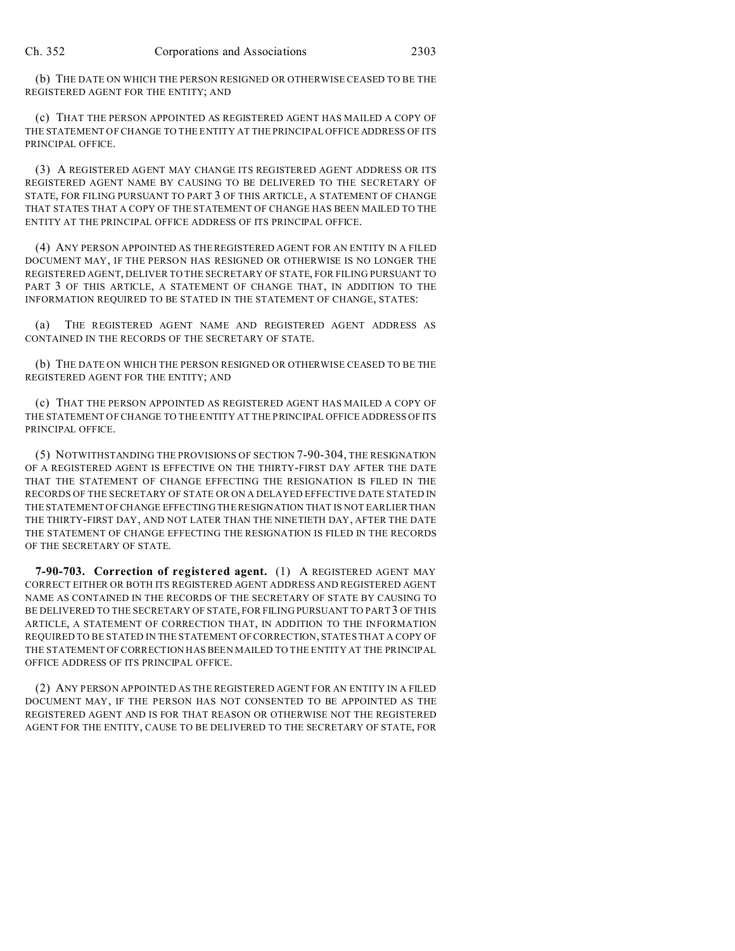(b) THE DATE ON WHICH THE PERSON RESIGNED OR OTHERWISE CEASED TO BE THE REGISTERED AGENT FOR THE ENTITY; AND

(c) THAT THE PERSON APPOINTED AS REGISTERED AGENT HAS MAILED A COPY OF THE STATEMENT OF CHANGE TO THE ENTITY AT THE PRINCIPAL OFFICE ADDRESS OF ITS PRINCIPAL OFFICE.

(3) A REGISTERED AGENT MAY CHANGE ITS REGISTERED AGENT ADDRESS OR ITS REGISTERED AGENT NAME BY CAUSING TO BE DELIVERED TO THE SECRETARY OF STATE, FOR FILING PURSUANT TO PART 3 OF THIS ARTICLE, A STATEMENT OF CHANGE THAT STATES THAT A COPY OF THE STATEMENT OF CHANGE HAS BEEN MAILED TO THE ENTITY AT THE PRINCIPAL OFFICE ADDRESS OF ITS PRINCIPAL OFFICE.

(4) ANY PERSON APPOINTED AS THE REGISTERED AGENT FOR AN ENTITY IN A FILED DOCUMENT MAY, IF THE PERSON HAS RESIGNED OR OTHERWISE IS NO LONGER THE REGISTERED AGENT, DELIVER TO THE SECRETARY OF STATE, FOR FILING PURSUANT TO PART 3 OF THIS ARTICLE, A STATEMENT OF CHANGE THAT, IN ADDITION TO THE INFORMATION REQUIRED TO BE STATED IN THE STATEMENT OF CHANGE, STATES:

(a) THE REGISTERED AGENT NAME AND REGISTERED AGENT ADDRESS AS CONTAINED IN THE RECORDS OF THE SECRETARY OF STATE.

(b) THE DATE ON WHICH THE PERSON RESIGNED OR OTHERWISE CEASED TO BE THE REGISTERED AGENT FOR THE ENTITY; AND

(c) THAT THE PERSON APPOINTED AS REGISTERED AGENT HAS MAILED A COPY OF THE STATEMENT OF CHANGE TO THE ENTITY AT THE PRINCIPAL OFFICE ADDRESS OF ITS PRINCIPAL OFFICE.

(5) NOTWITHSTANDING THE PROVISIONS OF SECTION 7-90-304, THE RESIGNATION OF A REGISTERED AGENT IS EFFECTIVE ON THE THIRTY-FIRST DAY AFTER THE DATE THAT THE STATEMENT OF CHANGE EFFECTING THE RESIGNATION IS FILED IN THE RECORDS OF THE SECRETARY OF STATE OR ON A DELAYED EFFECTIVE DATE STATED IN THE STATEMENT OF CHANGE EFFECTING THE RESIGNATION THAT IS NOT EARLIER THAN THE THIRTY-FIRST DAY, AND NOT LATER THAN THE NINETIETH DAY, AFTER THE DATE THE STATEMENT OF CHANGE EFFECTING THE RESIGNATION IS FILED IN THE RECORDS OF THE SECRETARY OF STATE.

**7-90-703. Correction of registered agent.** (1) A REGISTERED AGENT MAY CORRECT EITHER OR BOTH ITS REGISTERED AGENT ADDRESS AND REGISTERED AGENT NAME AS CONTAINED IN THE RECORDS OF THE SECRETARY OF STATE BY CAUSING TO BE DELIVERED TO THE SECRETARY OF STATE, FOR FILING PURSUANT TO PART 3 OF THIS ARTICLE, A STATEMENT OF CORRECTION THAT, IN ADDITION TO THE INFORMATION REQUIRED TO BE STATED IN THE STATEMENT OF CORRECTION, STATES THAT A COPY OF THE STATEMENT OF CORRECTION HAS BEEN MAILED TO THE ENTITY AT THE PRINCIPAL OFFICE ADDRESS OF ITS PRINCIPAL OFFICE.

(2) ANY PERSON APPOINTED AS THE REGISTERED AGENT FOR AN ENTITY IN A FILED DOCUMENT MAY, IF THE PERSON HAS NOT CONSENTED TO BE APPOINTED AS THE REGISTERED AGENT AND IS FOR THAT REASON OR OTHERWISE NOT THE REGISTERED AGENT FOR THE ENTITY, CAUSE TO BE DELIVERED TO THE SECRETARY OF STATE, FOR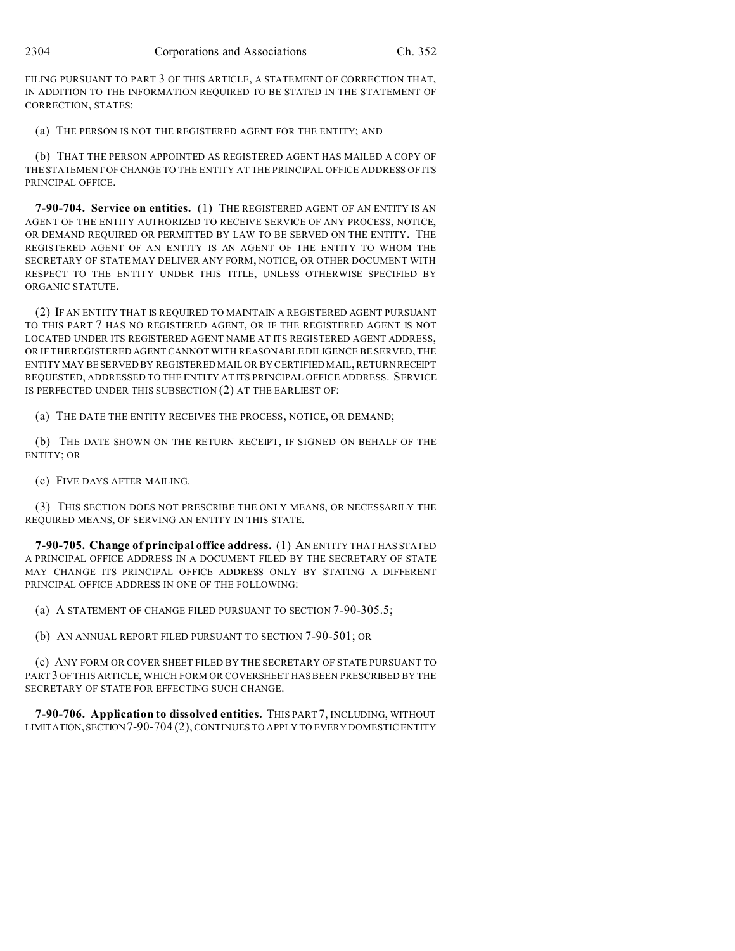FILING PURSUANT TO PART 3 OF THIS ARTICLE, A STATEMENT OF CORRECTION THAT, IN ADDITION TO THE INFORMATION REQUIRED TO BE STATED IN THE STATEMENT OF CORRECTION, STATES:

(a) THE PERSON IS NOT THE REGISTERED AGENT FOR THE ENTITY; AND

(b) THAT THE PERSON APPOINTED AS REGISTERED AGENT HAS MAILED A COPY OF THE STATEMENT OF CHANGE TO THE ENTITY AT THE PRINCIPAL OFFICE ADDRESS OF ITS PRINCIPAL OFFICE.

**7-90-704. Service on entities.** (1) THE REGISTERED AGENT OF AN ENTITY IS AN AGENT OF THE ENTITY AUTHORIZED TO RECEIVE SERVICE OF ANY PROCESS, NOTICE, OR DEMAND REQUIRED OR PERMITTED BY LAW TO BE SERVED ON THE ENTITY. THE REGISTERED AGENT OF AN ENTITY IS AN AGENT OF THE ENTITY TO WHOM THE SECRETARY OF STATE MAY DELIVER ANY FORM, NOTICE, OR OTHER DOCUMENT WITH RESPECT TO THE ENTITY UNDER THIS TITLE, UNLESS OTHERWISE SPECIFIED BY ORGANIC STATUTE.

(2) IF AN ENTITY THAT IS REQUIRED TO MAINTAIN A REGISTERED AGENT PURSUANT TO THIS PART 7 HAS NO REGISTERED AGENT, OR IF THE REGISTERED AGENT IS NOT LOCATED UNDER ITS REGISTERED AGENT NAME AT ITS REGISTERED AGENT ADDRESS, OR IF THE REGISTERED AGENT CANNOT WITH REASONABLE DILIGENCE BE SERVED, THE ENTITY MAY BE SERVED BY REGISTERED MAIL OR BY CERTIFIED MAIL, RETURN RECEIPT REQUESTED, ADDRESSED TO THE ENTITY AT ITS PRINCIPAL OFFICE ADDRESS. SERVICE IS PERFECTED UNDER THIS SUBSECTION (2) AT THE EARLIEST OF:

(a) THE DATE THE ENTITY RECEIVES THE PROCESS, NOTICE, OR DEMAND;

(b) THE DATE SHOWN ON THE RETURN RECEIPT, IF SIGNED ON BEHALF OF THE ENTITY; OR

(c) FIVE DAYS AFTER MAILING.

(3) THIS SECTION DOES NOT PRESCRIBE THE ONLY MEANS, OR NECESSARILY THE REQUIRED MEANS, OF SERVING AN ENTITY IN THIS STATE.

**7-90-705. Change of principal office address.** (1) AN ENTITY THAT HAS STATED A PRINCIPAL OFFICE ADDRESS IN A DOCUMENT FILED BY THE SECRETARY OF STATE MAY CHANGE ITS PRINCIPAL OFFICE ADDRESS ONLY BY STATING A DIFFERENT PRINCIPAL OFFICE ADDRESS IN ONE OF THE FOLLOWING:

(a) A STATEMENT OF CHANGE FILED PURSUANT TO SECTION 7-90-305.5;

(b) AN ANNUAL REPORT FILED PURSUANT TO SECTION 7-90-501; OR

(c) ANY FORM OR COVER SHEET FILED BY THE SECRETARY OF STATE PURSUANT TO PART3 OF THIS ARTICLE, WHICH FORM OR COVERSHEET HAS BEEN PRESCRIBED BY THE SECRETARY OF STATE FOR EFFECTING SUCH CHANGE.

**7-90-706. Application to dissolved entities.** THIS PART 7, INCLUDING, WITHOUT LIMITATION, SECTION 7-90-704 (2), CONTINUES TO APPLY TO EVERY DOMESTIC ENTITY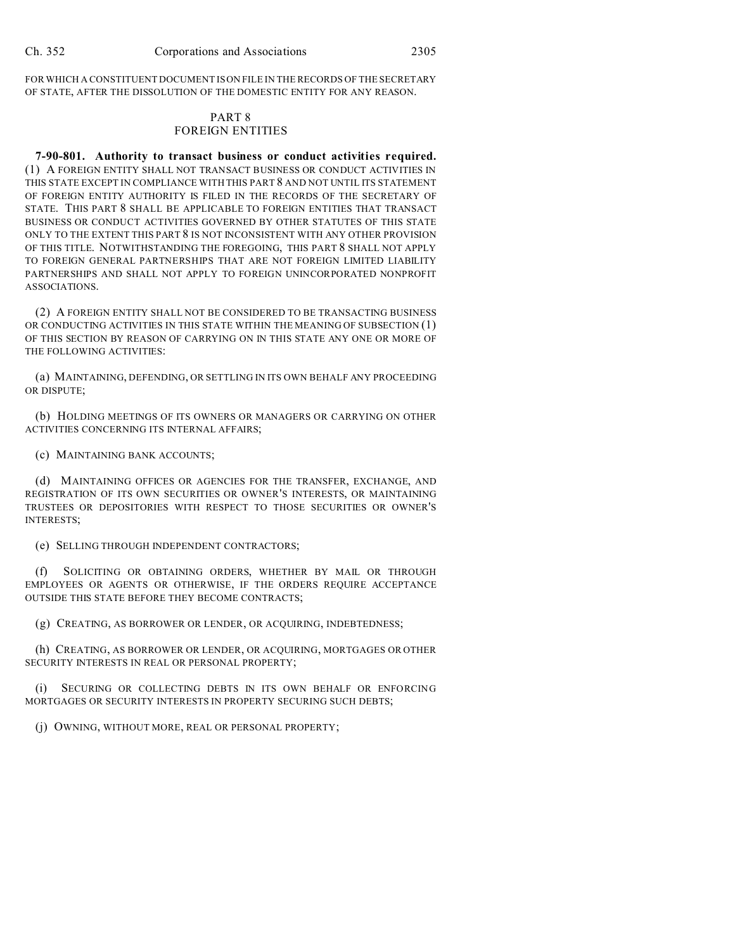FOR WHICH A CONSTITUENT DOCUMENT IS ON FILE IN THE RECORDS OF THE SECRETARY OF STATE, AFTER THE DISSOLUTION OF THE DOMESTIC ENTITY FOR ANY REASON.

### PART 8 FOREIGN ENTITIES

**7-90-801. Authority to transact business or conduct activities required.** (1) A FOREIGN ENTITY SHALL NOT TRANSACT BUSINESS OR CONDUCT ACTIVITIES IN THIS STATE EXCEPT IN COMPLIANCE WITH THIS PART 8 AND NOT UNTIL ITS STATEMENT OF FOREIGN ENTITY AUTHORITY IS FILED IN THE RECORDS OF THE SECRETARY OF STATE. THIS PART 8 SHALL BE APPLICABLE TO FOREIGN ENTITIES THAT TRANSACT BUSINESS OR CONDUCT ACTIVITIES GOVERNED BY OTHER STATUTES OF THIS STATE ONLY TO THE EXTENT THIS PART 8 IS NOT INCONSISTENT WITH ANY OTHER PROVISION OF THIS TITLE. NOTWITHSTANDING THE FOREGOING, THIS PART 8 SHALL NOT APPLY TO FOREIGN GENERAL PARTNERSHIPS THAT ARE NOT FOREIGN LIMITED LIABILITY PARTNERSHIPS AND SHALL NOT APPLY TO FOREIGN UNINCORPORATED NONPROFIT ASSOCIATIONS.

(2) A FOREIGN ENTITY SHALL NOT BE CONSIDERED TO BE TRANSACTING BUSINESS OR CONDUCTING ACTIVITIES IN THIS STATE WITHIN THE MEANING OF SUBSECTION (1) OF THIS SECTION BY REASON OF CARRYING ON IN THIS STATE ANY ONE OR MORE OF THE FOLLOWING ACTIVITIES:

(a) MAINTAINING, DEFENDING, OR SETTLING IN ITS OWN BEHALF ANY PROCEEDING OR DISPUTE;

(b) HOLDING MEETINGS OF ITS OWNERS OR MANAGERS OR CARRYING ON OTHER ACTIVITIES CONCERNING ITS INTERNAL AFFAIRS;

(c) MAINTAINING BANK ACCOUNTS;

(d) MAINTAINING OFFICES OR AGENCIES FOR THE TRANSFER, EXCHANGE, AND REGISTRATION OF ITS OWN SECURITIES OR OWNER'S INTERESTS, OR MAINTAINING TRUSTEES OR DEPOSITORIES WITH RESPECT TO THOSE SECURITIES OR OWNER'S INTERESTS;

(e) SELLING THROUGH INDEPENDENT CONTRACTORS;

(f) SOLICITING OR OBTAINING ORDERS, WHETHER BY MAIL OR THROUGH EMPLOYEES OR AGENTS OR OTHERWISE, IF THE ORDERS REQUIRE ACCEPTANCE OUTSIDE THIS STATE BEFORE THEY BECOME CONTRACTS;

(g) CREATING, AS BORROWER OR LENDER, OR ACQUIRING, INDEBTEDNESS;

(h) CREATING, AS BORROWER OR LENDER, OR ACQUIRING, MORTGAGES OR OTHER SECURITY INTERESTS IN REAL OR PERSONAL PROPERTY;

(i) SECURING OR COLLECTING DEBTS IN ITS OWN BEHALF OR ENFORCING MORTGAGES OR SECURITY INTERESTS IN PROPERTY SECURING SUCH DEBTS;

(j) OWNING, WITHOUT MORE, REAL OR PERSONAL PROPERTY;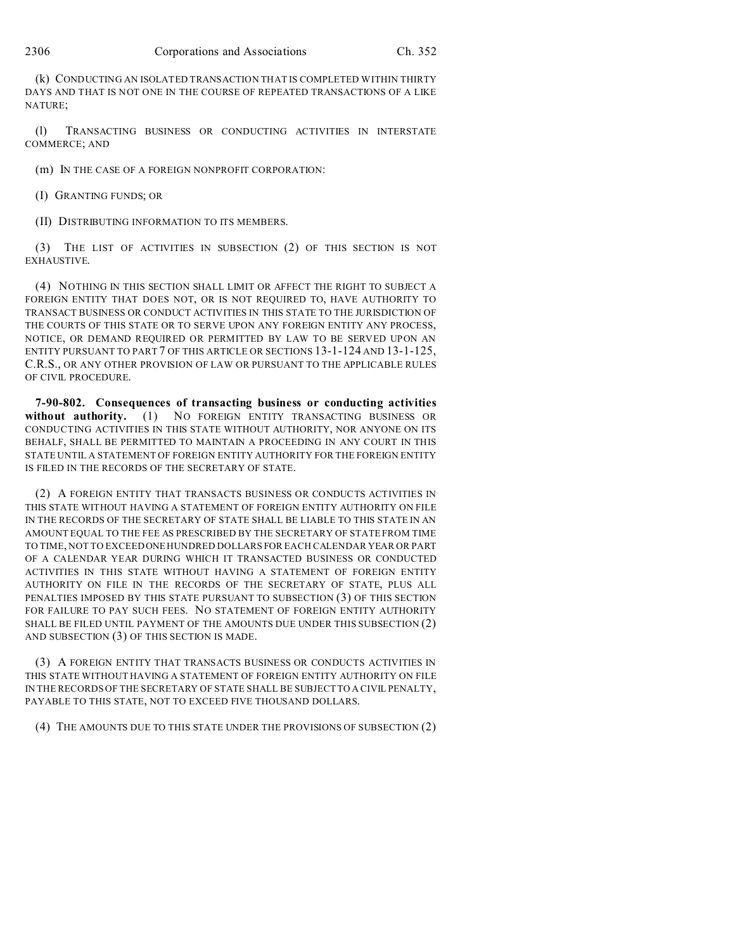(k) CONDUCTING AN ISOLATED TRANSACTION THAT IS COMPLETED WITHIN THIRTY DAYS AND THAT IS NOT ONE IN THE COURSE OF REPEATED TRANSACTIONS OF A LIKE NATURE;

(l) TRANSACTING BUSINESS OR CONDUCTING ACTIVITIES IN INTERSTATE COMMERCE; AND

(m) IN THE CASE OF A FOREIGN NONPROFIT CORPORATION:

(I) GRANTING FUNDS; OR

(II) DISTRIBUTING INFORMATION TO ITS MEMBERS.

(3) THE LIST OF ACTIVITIES IN SUBSECTION (2) OF THIS SECTION IS NOT EXHAUSTIVE.

(4) NOTHING IN THIS SECTION SHALL LIMIT OR AFFECT THE RIGHT TO SUBJECT A FOREIGN ENTITY THAT DOES NOT, OR IS NOT REQUIRED TO, HAVE AUTHORITY TO TRANSACT BUSINESS OR CONDUCT ACTIVITIES IN THIS STATE TO THE JURISDICTION OF THE COURTS OF THIS STATE OR TO SERVE UPON ANY FOREIGN ENTITY ANY PROCESS, NOTICE, OR DEMAND REQUIRED OR PERMITTED BY LAW TO BE SERVED UPON AN ENTITY PURSUANT TO PART 7 OF THIS ARTICLE OR SECTIONS 13-1-124 AND 13-1-125, C.R.S., OR ANY OTHER PROVISION OF LAW OR PURSUANT TO THE APPLICABLE RULES OF CIVIL PROCEDURE.

**7-90-802. Consequences of transacting business or conducting activities** without authority. (1) NO FOREIGN ENTITY TRANSACTING BUSINESS OR CONDUCTING ACTIVITIES IN THIS STATE WITHOUT AUTHORITY, NOR ANYONE ON ITS BEHALF, SHALL BE PERMITTED TO MAINTAIN A PROCEEDING IN ANY COURT IN THIS STATE UNTIL A STATEMENT OF FOREIGN ENTITY AUTHORITY FOR THE FOREIGN ENTITY IS FILED IN THE RECORDS OF THE SECRETARY OF STATE.

(2) A FOREIGN ENTITY THAT TRANSACTS BUSINESS OR CONDUCTS ACTIVITIES IN THIS STATE WITHOUT HAVING A STATEMENT OF FOREIGN ENTITY AUTHORITY ON FILE IN THE RECORDS OF THE SECRETARY OF STATE SHALL BE LIABLE TO THIS STATE IN AN AMOUNT EQUAL TO THE FEE AS PRESCRIBED BY THE SECRETARY OF STATE FROM TIME TO TIME, NOT TO EXCEED ONE HUNDRED DOLLARS FOR EACH CALENDAR YEAR OR PART OF A CALENDAR YEAR DURING WHICH IT TRANSACTED BUSINESS OR CONDUCTED ACTIVITIES IN THIS STATE WITHOUT HAVING A STATEMENT OF FOREIGN ENTITY AUTHORITY ON FILE IN THE RECORDS OF THE SECRETARY OF STATE, PLUS ALL PENALTIES IMPOSED BY THIS STATE PURSUANT TO SUBSECTION (3) OF THIS SECTION FOR FAILURE TO PAY SUCH FEES. NO STATEMENT OF FOREIGN ENTITY AUTHORITY SHALL BE FILED UNTIL PAYMENT OF THE AMOUNTS DUE UNDER THIS SUBSECTION (2) AND SUBSECTION (3) OF THIS SECTION IS MADE.

(3) A FOREIGN ENTITY THAT TRANSACTS BUSINESS OR CONDUCTS ACTIVITIES IN THIS STATE WITHOUT HAVING A STATEMENT OF FOREIGN ENTITY AUTHORITY ON FILE IN THE RECORDS OF THE SECRETARY OF STATE SHALL BE SUBJECT TO A CIVIL PENALTY, PAYABLE TO THIS STATE, NOT TO EXCEED FIVE THOUSAND DOLLARS.

(4) THE AMOUNTS DUE TO THIS STATE UNDER THE PROVISIONS OF SUBSECTION (2)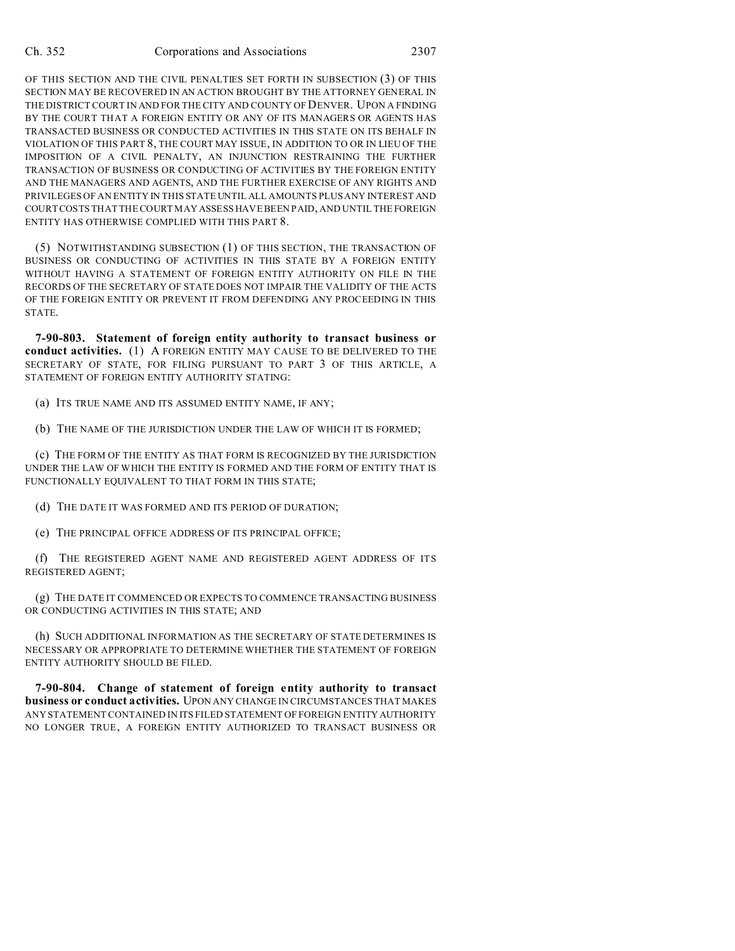OF THIS SECTION AND THE CIVIL PENALTIES SET FORTH IN SUBSECTION (3) OF THIS SECTION MAY BE RECOVERED IN AN ACTION BROUGHT BY THE ATTORNEY GENERAL IN THE DISTRICT COURT IN AND FOR THE CITY AND COUNTY OF DENVER. UPON A FINDING BY THE COURT THAT A FOREIGN ENTITY OR ANY OF ITS MANAGERS OR AGENTS HAS TRANSACTED BUSINESS OR CONDUCTED ACTIVITIES IN THIS STATE ON ITS BEHALF IN VIOLATION OF THIS PART 8, THE COURT MAY ISSUE, IN ADDITION TO OR IN LIEU OF THE IMPOSITION OF A CIVIL PENALTY, AN INJUNCTION RESTRAINING THE FURTHER TRANSACTION OF BUSINESS OR CONDUCTING OF ACTIVITIES BY THE FOREIGN ENTITY AND THE MANAGERS AND AGENTS, AND THE FURTHER EXERCISE OF ANY RIGHTS AND PRIVILEGES OF AN ENTITY IN THIS STATE UNTIL ALL AMOUNTS PLUS ANY INTEREST AND COURT COSTS THAT THE COURT MAY ASSESS HAVE BEEN PAID, AND UNTIL THE FOREIGN ENTITY HAS OTHERWISE COMPLIED WITH THIS PART 8.

(5) NOTWITHSTANDING SUBSECTION (1) OF THIS SECTION, THE TRANSACTION OF BUSINESS OR CONDUCTING OF ACTIVITIES IN THIS STATE BY A FOREIGN ENTITY WITHOUT HAVING A STATEMENT OF FOREIGN ENTITY AUTHORITY ON FILE IN THE RECORDS OF THE SECRETARY OF STATE DOES NOT IMPAIR THE VALIDITY OF THE ACTS OF THE FOREIGN ENTITY OR PREVENT IT FROM DEFENDING ANY PROCEEDING IN THIS STATE.

**7-90-803. Statement of foreign entity authority to transact business or conduct activities.** (1) A FOREIGN ENTITY MAY CAUSE TO BE DELIVERED TO THE SECRETARY OF STATE, FOR FILING PURSUANT TO PART 3 OF THIS ARTICLE, A STATEMENT OF FOREIGN ENTITY AUTHORITY STATING:

(a) ITS TRUE NAME AND ITS ASSUMED ENTITY NAME, IF ANY;

(b) THE NAME OF THE JURISDICTION UNDER THE LAW OF WHICH IT IS FORMED;

(c) THE FORM OF THE ENTITY AS THAT FORM IS RECOGNIZED BY THE JURISDICTION UNDER THE LAW OF WHICH THE ENTITY IS FORMED AND THE FORM OF ENTITY THAT IS FUNCTIONALLY EQUIVALENT TO THAT FORM IN THIS STATE;

(d) THE DATE IT WAS FORMED AND ITS PERIOD OF DURATION;

(e) THE PRINCIPAL OFFICE ADDRESS OF ITS PRINCIPAL OFFICE;

(f) THE REGISTERED AGENT NAME AND REGISTERED AGENT ADDRESS OF ITS REGISTERED AGENT;

(g) THE DATE IT COMMENCED OR EXPECTS TO COMMENCE TRANSACTING BUSINESS OR CONDUCTING ACTIVITIES IN THIS STATE; AND

(h) SUCH ADDITIONAL INFORMATION AS THE SECRETARY OF STATE DETERMINES IS NECESSARY OR APPROPRIATE TO DETERMINE WHETHER THE STATEMENT OF FOREIGN ENTITY AUTHORITY SHOULD BE FILED.

**7-90-804. Change of statement of foreign entity authority to transact business or conduct activities.** UPON ANY CHANGE IN CIRCUMSTANCES THAT MAKES ANY STATEMENT CONTAINED IN ITS FILED STATEMENT OF FOREIGN ENTITY AUTHORITY NO LONGER TRUE, A FOREIGN ENTITY AUTHORIZED TO TRANSACT BUSINESS OR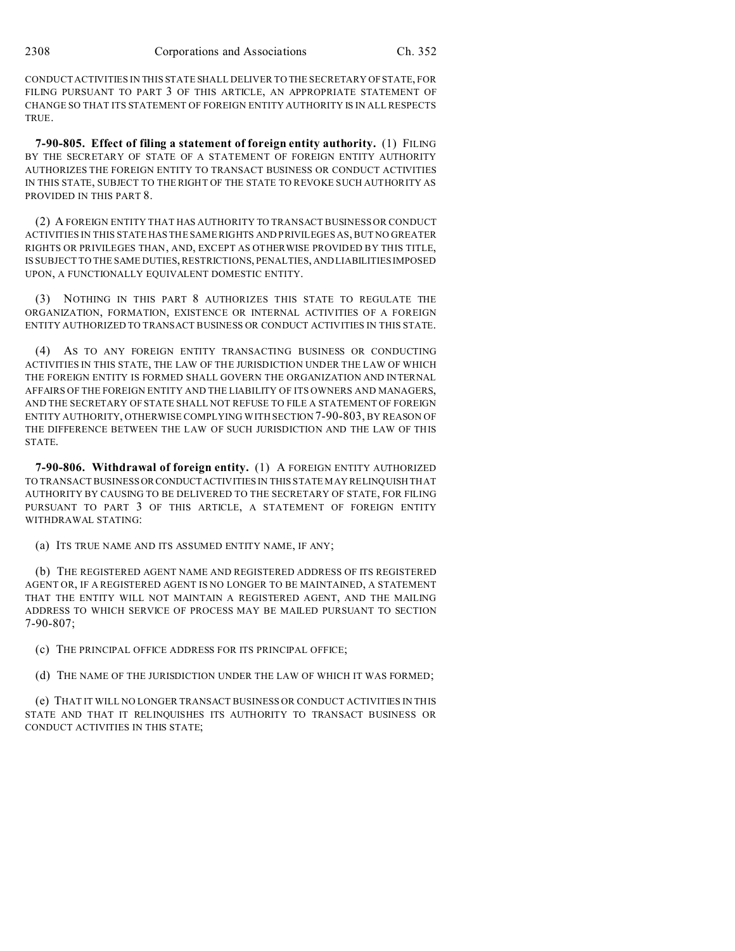CONDUCT ACTIVITIES IN THIS STATE SHALL DELIVER TO THE SECRETARY OF STATE, FOR FILING PURSUANT TO PART 3 OF THIS ARTICLE, AN APPROPRIATE STATEMENT OF CHANGE SO THAT ITS STATEMENT OF FOREIGN ENTITY AUTHORITY IS IN ALL RESPECTS TRUE.

**7-90-805. Effect of filing a statement of foreign entity authority.** (1) FILING BY THE SECRETARY OF STATE OF A STATEMENT OF FOREIGN ENTITY AUTHORITY AUTHORIZES THE FOREIGN ENTITY TO TRANSACT BUSINESS OR CONDUCT ACTIVITIES IN THIS STATE, SUBJECT TO THE RIGHT OF THE STATE TO REVOKE SUCH AUTHORITY AS PROVIDED IN THIS PART 8.

(2) A FOREIGN ENTITY THAT HAS AUTHORITY TO TRANSACT BUSINESS OR CONDUCT ACTIVITIES IN THIS STATE HAS THE SAME RIGHTS AND PRIVILEGES AS, BUT NO GREATER RIGHTS OR PRIVILEGES THAN, AND, EXCEPT AS OTHERWISE PROVIDED BY THIS TITLE, IS SUBJECT TO THE SAME DUTIES, RESTRICTIONS, PENALTIES, AND LIABILITIES IMPOSED UPON, A FUNCTIONALLY EQUIVALENT DOMESTIC ENTITY.

(3) NOTHING IN THIS PART 8 AUTHORIZES THIS STATE TO REGULATE THE ORGANIZATION, FORMATION, EXISTENCE OR INTERNAL ACTIVITIES OF A FOREIGN ENTITY AUTHORIZED TO TRANSACT BUSINESS OR CONDUCT ACTIVITIES IN THIS STATE.

(4) AS TO ANY FOREIGN ENTITY TRANSACTING BUSINESS OR CONDUCTING ACTIVITIES IN THIS STATE, THE LAW OF THE JURISDICTION UNDER THE LAW OF WHICH THE FOREIGN ENTITY IS FORMED SHALL GOVERN THE ORGANIZATION AND INTERNAL AFFAIRS OF THE FOREIGN ENTITY AND THE LIABILITY OF ITS OWNERS AND MANAGERS, AND THE SECRETARY OF STATE SHALL NOT REFUSE TO FILE A STATEMENT OF FOREIGN ENTITY AUTHORITY, OTHERWISE COMPLYING WITH SECTION 7-90-803, BY REASON OF THE DIFFERENCE BETWEEN THE LAW OF SUCH JURISDICTION AND THE LAW OF THIS STATE.

**7-90-806. Withdrawal of foreign entity.** (1) A FOREIGN ENTITY AUTHORIZED TO TRANSACT BUSINESS ORCONDUCT ACTIVITIES IN THIS STATE MAY RELINQUISH THAT AUTHORITY BY CAUSING TO BE DELIVERED TO THE SECRETARY OF STATE, FOR FILING PURSUANT TO PART 3 OF THIS ARTICLE, A STATEMENT OF FOREIGN ENTITY WITHDRAWAL STATING:

(a) ITS TRUE NAME AND ITS ASSUMED ENTITY NAME, IF ANY;

(b) THE REGISTERED AGENT NAME AND REGISTERED ADDRESS OF ITS REGISTERED AGENT OR, IF A REGISTERED AGENT IS NO LONGER TO BE MAINTAINED, A STATEMENT THAT THE ENTITY WILL NOT MAINTAIN A REGISTERED AGENT, AND THE MAILING ADDRESS TO WHICH SERVICE OF PROCESS MAY BE MAILED PURSUANT TO SECTION 7-90-807;

(c) THE PRINCIPAL OFFICE ADDRESS FOR ITS PRINCIPAL OFFICE;

(d) THE NAME OF THE JURISDICTION UNDER THE LAW OF WHICH IT WAS FORMED;

(e) THAT IT WILL NO LONGER TRANSACT BUSINESS OR CONDUCT ACTIVITIES IN THIS STATE AND THAT IT RELINQUISHES ITS AUTHORITY TO TRANSACT BUSINESS OR CONDUCT ACTIVITIES IN THIS STATE;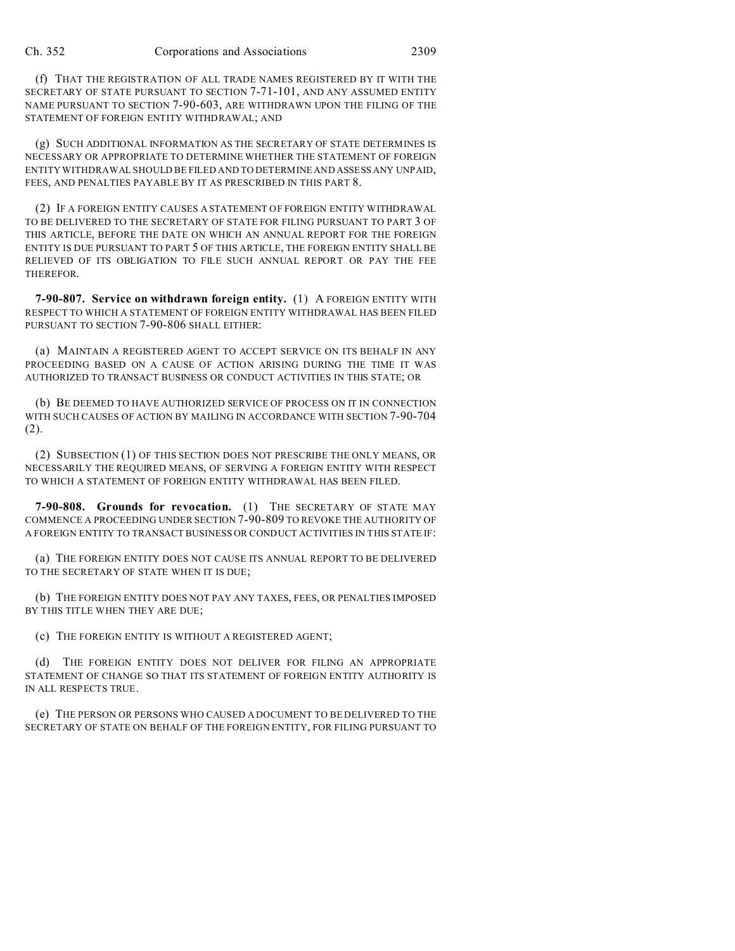(f) THAT THE REGISTRATION OF ALL TRADE NAMES REGISTERED BY IT WITH THE SECRETARY OF STATE PURSUANT TO SECTION 7-71-101, AND ANY ASSUMED ENTITY NAME PURSUANT TO SECTION 7-90-603, ARE WITHDRAWN UPON THE FILING OF THE STATEMENT OF FOREIGN ENTITY WITHDRAWAL; AND

(g) SUCH ADDITIONAL INFORMATION AS THE SECRETARY OF STATE DETERMINES IS NECESSARY OR APPROPRIATE TO DETERMINE WHETHER THE STATEMENT OF FOREIGN ENTITY WITHDRAWAL SHOULD BE FILED AND TO DETERMINE AND ASSESS ANY UNPAID, FEES, AND PENALTIES PAYABLE BY IT AS PRESCRIBED IN THIS PART 8.

(2) IF A FOREIGN ENTITY CAUSES A STATEMENT OF FOREIGN ENTITY WITHDRAWAL TO BE DELIVERED TO THE SECRETARY OF STATE FOR FILING PURSUANT TO PART 3 OF THIS ARTICLE, BEFORE THE DATE ON WHICH AN ANNUAL REPORT FOR THE FOREIGN ENTITY IS DUE PURSUANT TO PART 5 OF THIS ARTICLE, THE FOREIGN ENTITY SHALL BE RELIEVED OF ITS OBLIGATION TO FILE SUCH ANNUAL REPORT OR PAY THE FEE THEREFOR.

**7-90-807. Service on withdrawn foreign entity.** (1) A FOREIGN ENTITY WITH RESPECT TO WHICH A STATEMENT OF FOREIGN ENTITY WITHDRAWAL HAS BEEN FILED PURSUANT TO SECTION 7-90-806 SHALL EITHER:

(a) MAINTAIN A REGISTERED AGENT TO ACCEPT SERVICE ON ITS BEHALF IN ANY PROCEEDING BASED ON A CAUSE OF ACTION ARISING DURING THE TIME IT WAS AUTHORIZED TO TRANSACT BUSINESS OR CONDUCT ACTIVITIES IN THIS STATE; OR

(b) BE DEEMED TO HAVE AUTHORIZED SERVICE OF PROCESS ON IT IN CONNECTION WITH SUCH CAUSES OF ACTION BY MAILING IN ACCORDANCE WITH SECTION 7-90-704 (2).

(2) SUBSECTION (1) OF THIS SECTION DOES NOT PRESCRIBE THE ONLY MEANS, OR NECESSARILY THE REQUIRED MEANS, OF SERVING A FOREIGN ENTITY WITH RESPECT TO WHICH A STATEMENT OF FOREIGN ENTITY WITHDRAWAL HAS BEEN FILED.

**7-90-808. Grounds for revocation.** (1) THE SECRETARY OF STATE MAY COMMENCE A PROCEEDING UNDER SECTION 7-90-809 TO REVOKE THE AUTHORITY OF A FOREIGN ENTITY TO TRANSACT BUSINESS OR CONDUCT ACTIVITIES IN THIS STATE IF:

(a) THE FOREIGN ENTITY DOES NOT CAUSE ITS ANNUAL REPORT TO BE DELIVERED TO THE SECRETARY OF STATE WHEN IT IS DUE;

(b) THE FOREIGN ENTITY DOES NOT PAY ANY TAXES, FEES, OR PENALTIES IMPOSED BY THIS TITLE WHEN THEY ARE DUE;

(c) THE FOREIGN ENTITY IS WITHOUT A REGISTERED AGENT;

(d) THE FOREIGN ENTITY DOES NOT DELIVER FOR FILING AN APPROPRIATE STATEMENT OF CHANGE SO THAT ITS STATEMENT OF FOREIGN ENTITY AUTHORITY IS IN ALL RESPECTS TRUE.

(e) THE PERSON OR PERSONS WHO CAUSED A DOCUMENT TO BE DELIVERED TO THE SECRETARY OF STATE ON BEHALF OF THE FOREIGN ENTITY, FOR FILING PURSUANT TO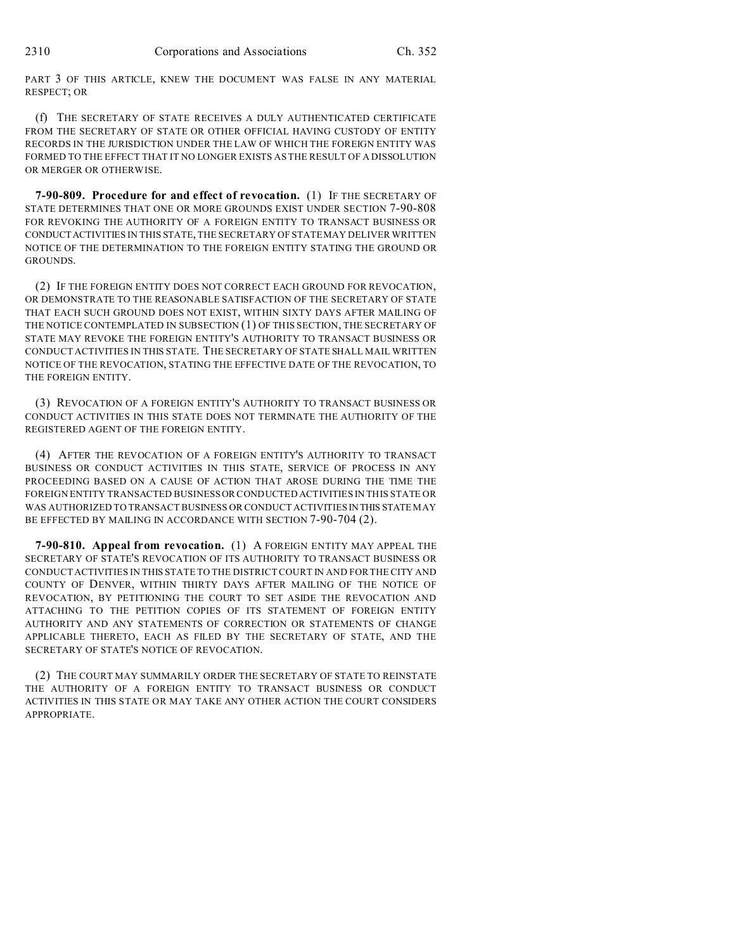PART 3 OF THIS ARTICLE, KNEW THE DOCUMENT WAS FALSE IN ANY MATERIAL RESPECT; OR

(f) THE SECRETARY OF STATE RECEIVES A DULY AUTHENTICATED CERTIFICATE FROM THE SECRETARY OF STATE OR OTHER OFFICIAL HAVING CUSTODY OF ENTITY RECORDS IN THE JURISDICTION UNDER THE LAW OF WHICH THE FOREIGN ENTITY WAS FORMED TO THE EFFECT THAT IT NO LONGER EXISTS AS THE RESULT OF A DISSOLUTION OR MERGER OR OTHERWISE.

**7-90-809. Procedure for and effect of revocation.** (1) IF THE SECRETARY OF STATE DETERMINES THAT ONE OR MORE GROUNDS EXIST UNDER SECTION 7-90-808 FOR REVOKING THE AUTHORITY OF A FOREIGN ENTITY TO TRANSACT BUSINESS OR CONDUCTACTIVITIES IN THIS STATE, THE SECRETARY OF STATE MAY DELIVER WRITTEN NOTICE OF THE DETERMINATION TO THE FOREIGN ENTITY STATING THE GROUND OR GROUNDS.

(2) IF THE FOREIGN ENTITY DOES NOT CORRECT EACH GROUND FOR REVOCATION, OR DEMONSTRATE TO THE REASONABLE SATISFACTION OF THE SECRETARY OF STATE THAT EACH SUCH GROUND DOES NOT EXIST, WITHIN SIXTY DAYS AFTER MAILING OF THE NOTICE CONTEMPLATED IN SUBSECTION (1) OF THIS SECTION, THE SECRETARY OF STATE MAY REVOKE THE FOREIGN ENTITY'S AUTHORITY TO TRANSACT BUSINESS OR CONDUCT ACTIVITIES IN THIS STATE. THE SECRETARY OF STATE SHALL MAIL WRITTEN NOTICE OF THE REVOCATION, STATING THE EFFECTIVE DATE OF THE REVOCATION, TO THE FOREIGN ENTITY.

(3) REVOCATION OF A FOREIGN ENTITY'S AUTHORITY TO TRANSACT BUSINESS OR CONDUCT ACTIVITIES IN THIS STATE DOES NOT TERMINATE THE AUTHORITY OF THE REGISTERED AGENT OF THE FOREIGN ENTITY.

(4) AFTER THE REVOCATION OF A FOREIGN ENTITY'S AUTHORITY TO TRANSACT BUSINESS OR CONDUCT ACTIVITIES IN THIS STATE, SERVICE OF PROCESS IN ANY PROCEEDING BASED ON A CAUSE OF ACTION THAT AROSE DURING THE TIME THE FOREIGN ENTITY TRANSACTED BUSINESS OR CONDUCTED ACTIVITIES IN THIS STATE OR WAS AUTHORIZED TO TRANSACT BUSINESS OR CONDUCT ACTIVITIES IN THIS STATE MAY BE EFFECTED BY MAILING IN ACCORDANCE WITH SECTION 7-90-704 (2).

**7-90-810. Appeal from revocation.** (1) A FOREIGN ENTITY MAY APPEAL THE SECRETARY OF STATE'S REVOCATION OF ITS AUTHORITY TO TRANSACT BUSINESS OR CONDUCT ACTIVITIES IN THIS STATE TO THE DISTRICT COURT IN AND FOR THE CITY AND COUNTY OF DENVER, WITHIN THIRTY DAYS AFTER MAILING OF THE NOTICE OF REVOCATION, BY PETITIONING THE COURT TO SET ASIDE THE REVOCATION AND ATTACHING TO THE PETITION COPIES OF ITS STATEMENT OF FOREIGN ENTITY AUTHORITY AND ANY STATEMENTS OF CORRECTION OR STATEMENTS OF CHANGE APPLICABLE THERETO, EACH AS FILED BY THE SECRETARY OF STATE, AND THE SECRETARY OF STATE'S NOTICE OF REVOCATION.

(2) THE COURT MAY SUMMARILY ORDER THE SECRETARY OF STATE TO REINSTATE THE AUTHORITY OF A FOREIGN ENTITY TO TRANSACT BUSINESS OR CONDUCT ACTIVITIES IN THIS STATE OR MAY TAKE ANY OTHER ACTION THE COURT CONSIDERS APPROPRIATE.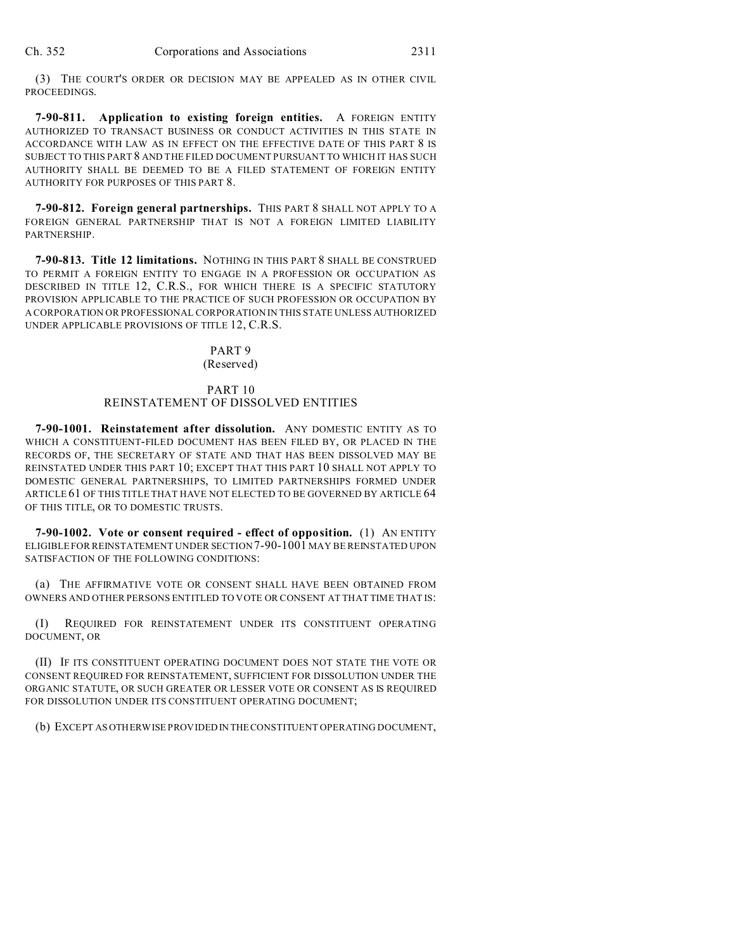(3) THE COURT'S ORDER OR DECISION MAY BE APPEALED AS IN OTHER CIVIL PROCEEDINGS.

**7-90-811. Application to existing foreign entities.** A FOREIGN ENTITY AUTHORIZED TO TRANSACT BUSINESS OR CONDUCT ACTIVITIES IN THIS STATE IN ACCORDANCE WITH LAW AS IN EFFECT ON THE EFFECTIVE DATE OF THIS PART 8 IS SUBJECT TO THIS PART 8 AND THE FILED DOCUMENT PURSUANT TO WHICH IT HAS SUCH AUTHORITY SHALL BE DEEMED TO BE A FILED STATEMENT OF FOREIGN ENTITY AUTHORITY FOR PURPOSES OF THIS PART 8.

**7-90-812. Foreign general partnerships.** THIS PART 8 SHALL NOT APPLY TO A FOREIGN GENERAL PARTNERSHIP THAT IS NOT A FOREIGN LIMITED LIABILITY PARTNERSHIP.

**7-90-813. Title 12 limitations.** NOTHING IN THIS PART 8 SHALL BE CONSTRUED TO PERMIT A FOREIGN ENTITY TO ENGAGE IN A PROFESSION OR OCCUPATION AS DESCRIBED IN TITLE 12, C.R.S., FOR WHICH THERE IS A SPECIFIC STATUTORY PROVISION APPLICABLE TO THE PRACTICE OF SUCH PROFESSION OR OCCUPATION BY A CORPORATION OR PROFESSIONAL CORPORATION IN THIS STATE UNLESS AUTHORIZED UNDER APPLICABLE PROVISIONS OF TITLE 12, C.R.S.

# PART 9

# (Reserved)

## PART 10 REINSTATEMENT OF DISSOLVED ENTITIES

**7-90-1001. Reinstatement after dissolution.** ANY DOMESTIC ENTITY AS TO WHICH A CONSTITUENT-FILED DOCUMENT HAS BEEN FILED BY, OR PLACED IN THE RECORDS OF, THE SECRETARY OF STATE AND THAT HAS BEEN DISSOLVED MAY BE REINSTATED UNDER THIS PART 10; EXCEPT THAT THIS PART 10 SHALL NOT APPLY TO DOMESTIC GENERAL PARTNERSHIPS, TO LIMITED PARTNERSHIPS FORMED UNDER ARTICLE 61 OF THIS TITLE THAT HAVE NOT ELECTED TO BE GOVERNED BY ARTICLE 64 OF THIS TITLE, OR TO DOMESTIC TRUSTS.

**7-90-1002. Vote or consent required - effect of opposition.** (1) AN ENTITY ELIGIBLE FOR REINSTATEMENT UNDER SECTION7-90-1001 MAY BE REINSTATED UPON SATISFACTION OF THE FOLLOWING CONDITIONS:

(a) THE AFFIRMATIVE VOTE OR CONSENT SHALL HAVE BEEN OBTAINED FROM OWNERS AND OTHER PERSONS ENTITLED TO VOTE OR CONSENT AT THAT TIME THAT IS:

(I) REQUIRED FOR REINSTATEMENT UNDER ITS CONSTITUENT OPERATING DOCUMENT, OR

(II) IF ITS CONSTITUENT OPERATING DOCUMENT DOES NOT STATE THE VOTE OR CONSENT REQUIRED FOR REINSTATEMENT, SUFFICIENT FOR DISSOLUTION UNDER THE ORGANIC STATUTE, OR SUCH GREATER OR LESSER VOTE OR CONSENT AS IS REQUIRED FOR DISSOLUTION UNDER ITS CONSTITUENT OPERATING DOCUMENT;

(b) EXCEPT AS OTHERWISE PROVIDED IN THECONSTITUENT OPERATING DOCUMENT,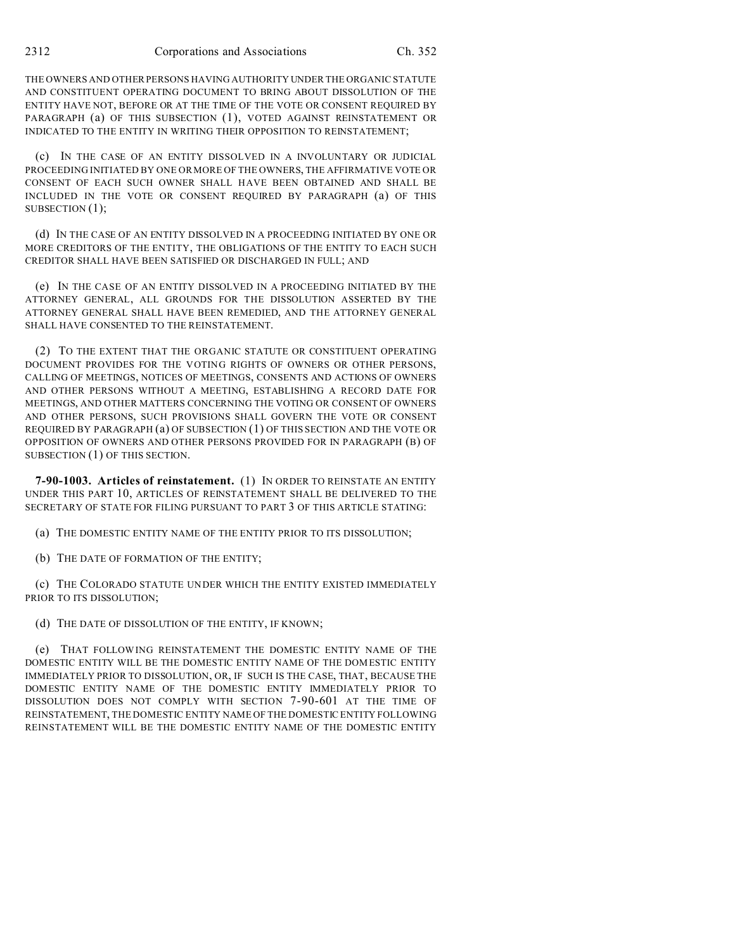THE OWNERS AND OTHER PERSONS HAVING AUTHORITY UNDER THE ORGANIC STATUTE AND CONSTITUENT OPERATING DOCUMENT TO BRING ABOUT DISSOLUTION OF THE ENTITY HAVE NOT, BEFORE OR AT THE TIME OF THE VOTE OR CONSENT REQUIRED BY PARAGRAPH (a) OF THIS SUBSECTION (1), VOTED AGAINST REINSTATEMENT OR INDICATED TO THE ENTITY IN WRITING THEIR OPPOSITION TO REINSTATEMENT;

(c) IN THE CASE OF AN ENTITY DISSOLVED IN A INVOLUNTARY OR JUDICIAL PROCEEDING INITIATED BY ONE OR MORE OF THE OWNERS, THE AFFIRMATIVE VOTE OR CONSENT OF EACH SUCH OWNER SHALL HAVE BEEN OBTAINED AND SHALL BE INCLUDED IN THE VOTE OR CONSENT REQUIRED BY PARAGRAPH (a) OF THIS SUBSECTION  $(1)$ ;

(d) IN THE CASE OF AN ENTITY DISSOLVED IN A PROCEEDING INITIATED BY ONE OR MORE CREDITORS OF THE ENTITY, THE OBLIGATIONS OF THE ENTITY TO EACH SUCH CREDITOR SHALL HAVE BEEN SATISFIED OR DISCHARGED IN FULL; AND

(e) IN THE CASE OF AN ENTITY DISSOLVED IN A PROCEEDING INITIATED BY THE ATTORNEY GENERAL, ALL GROUNDS FOR THE DISSOLUTION ASSERTED BY THE ATTORNEY GENERAL SHALL HAVE BEEN REMEDIED, AND THE ATTORNEY GENERAL SHALL HAVE CONSENTED TO THE REINSTATEMENT.

(2) TO THE EXTENT THAT THE ORGANIC STATUTE OR CONSTITUENT OPERATING DOCUMENT PROVIDES FOR THE VOTING RIGHTS OF OWNERS OR OTHER PERSONS, CALLING OF MEETINGS, NOTICES OF MEETINGS, CONSENTS AND ACTIONS OF OWNERS AND OTHER PERSONS WITHOUT A MEETING, ESTABLISHING A RECORD DATE FOR MEETINGS, AND OTHER MATTERS CONCERNING THE VOTING OR CONSENT OF OWNERS AND OTHER PERSONS, SUCH PROVISIONS SHALL GOVERN THE VOTE OR CONSENT REQUIRED BY PARAGRAPH (a) OF SUBSECTION (1) OF THIS SECTION AND THE VOTE OR OPPOSITION OF OWNERS AND OTHER PERSONS PROVIDED FOR IN PARAGRAPH (B) OF SUBSECTION (1) OF THIS SECTION.

**7-90-1003. Articles of reinstatement.** (1) IN ORDER TO REINSTATE AN ENTITY UNDER THIS PART 10, ARTICLES OF REINSTATEMENT SHALL BE DELIVERED TO THE SECRETARY OF STATE FOR FILING PURSUANT TO PART 3 OF THIS ARTICLE STATING:

(a) THE DOMESTIC ENTITY NAME OF THE ENTITY PRIOR TO ITS DISSOLUTION;

(b) THE DATE OF FORMATION OF THE ENTITY;

(c) THE COLORADO STATUTE UNDER WHICH THE ENTITY EXISTED IMMEDIATELY PRIOR TO ITS DISSOLUTION;

(d) THE DATE OF DISSOLUTION OF THE ENTITY, IF KNOWN;

(e) THAT FOLLOWING REINSTATEMENT THE DOMESTIC ENTITY NAME OF THE DOMESTIC ENTITY WILL BE THE DOMESTIC ENTITY NAME OF THE DOMESTIC ENTITY IMMEDIATELY PRIOR TO DISSOLUTION, OR, IF SUCH IS THE CASE, THAT, BECAUSE THE DOMESTIC ENTITY NAME OF THE DOMESTIC ENTITY IMMEDIATELY PRIOR TO DISSOLUTION DOES NOT COMPLY WITH SECTION 7-90-601 AT THE TIME OF REINSTATEMENT, THE DOMESTIC ENTITY NAME OF THE DOMESTIC ENTITY FOLLOWING REINSTATEMENT WILL BE THE DOMESTIC ENTITY NAME OF THE DOMESTIC ENTITY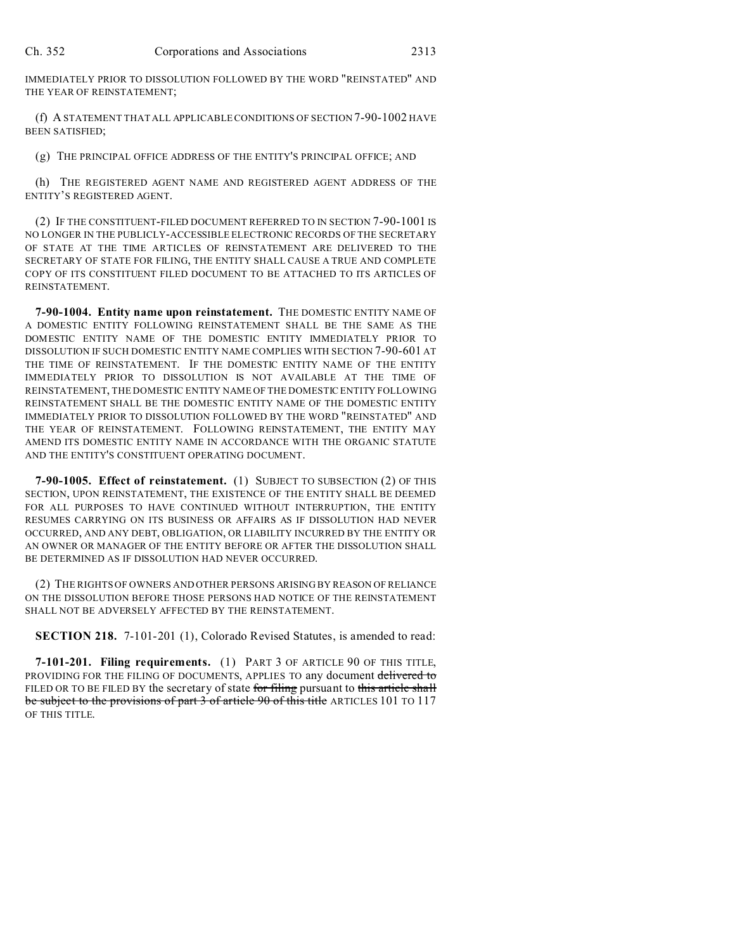IMMEDIATELY PRIOR TO DISSOLUTION FOLLOWED BY THE WORD "REINSTATED" AND THE YEAR OF REINSTATEMENT;

(f) A STATEMENT THAT ALL APPLICABLE CONDITIONS OF SECTION 7-90-1002 HAVE BEEN SATISFIED;

(g) THE PRINCIPAL OFFICE ADDRESS OF THE ENTITY'S PRINCIPAL OFFICE; AND

(h) THE REGISTERED AGENT NAME AND REGISTERED AGENT ADDRESS OF THE ENTITY'S REGISTERED AGENT.

(2) IF THE CONSTITUENT-FILED DOCUMENT REFERRED TO IN SECTION 7-90-1001 IS NO LONGER IN THE PUBLICLY-ACCESSIBLE ELECTRONIC RECORDS OF THE SECRETARY OF STATE AT THE TIME ARTICLES OF REINSTATEMENT ARE DELIVERED TO THE SECRETARY OF STATE FOR FILING, THE ENTITY SHALL CAUSE A TRUE AND COMPLETE COPY OF ITS CONSTITUENT FILED DOCUMENT TO BE ATTACHED TO ITS ARTICLES OF REINSTATEMENT.

**7-90-1004. Entity name upon reinstatement.** THE DOMESTIC ENTITY NAME OF A DOMESTIC ENTITY FOLLOWING REINSTATEMENT SHALL BE THE SAME AS THE DOMESTIC ENTITY NAME OF THE DOMESTIC ENTITY IMMEDIATELY PRIOR TO DISSOLUTION IF SUCH DOMESTIC ENTITY NAME COMPLIES WITH SECTION 7-90-601 AT THE TIME OF REINSTATEMENT. IF THE DOMESTIC ENTITY NAME OF THE ENTITY IMMEDIATELY PRIOR TO DISSOLUTION IS NOT AVAILABLE AT THE TIME OF REINSTATEMENT, THE DOMESTIC ENTITY NAME OF THE DOMESTIC ENTITY FOLLOWING REINSTATEMENT SHALL BE THE DOMESTIC ENTITY NAME OF THE DOMESTIC ENTITY IMMEDIATELY PRIOR TO DISSOLUTION FOLLOWED BY THE WORD "REINSTATED" AND THE YEAR OF REINSTATEMENT. FOLLOWING REINSTATEMENT, THE ENTITY MAY AMEND ITS DOMESTIC ENTITY NAME IN ACCORDANCE WITH THE ORGANIC STATUTE AND THE ENTITY'S CONSTITUENT OPERATING DOCUMENT.

**7-90-1005. Effect of reinstatement.** (1) SUBJECT TO SUBSECTION (2) OF THIS SECTION, UPON REINSTATEMENT, THE EXISTENCE OF THE ENTITY SHALL BE DEEMED FOR ALL PURPOSES TO HAVE CONTINUED WITHOUT INTERRUPTION, THE ENTITY RESUMES CARRYING ON ITS BUSINESS OR AFFAIRS AS IF DISSOLUTION HAD NEVER OCCURRED, AND ANY DEBT, OBLIGATION, OR LIABILITY INCURRED BY THE ENTITY OR AN OWNER OR MANAGER OF THE ENTITY BEFORE OR AFTER THE DISSOLUTION SHALL BE DETERMINED AS IF DISSOLUTION HAD NEVER OCCURRED.

(2) THE RIGHTS OF OWNERS AND OTHER PERSONS ARISING BY REASON OF RELIANCE ON THE DISSOLUTION BEFORE THOSE PERSONS HAD NOTICE OF THE REINSTATEMENT SHALL NOT BE ADVERSELY AFFECTED BY THE REINSTATEMENT.

**SECTION 218.** 7-101-201 (1), Colorado Revised Statutes, is amended to read:

**7-101-201. Filing requirements.** (1) PART 3 OF ARTICLE 90 OF THIS TITLE, PROVIDING FOR THE FILING OF DOCUMENTS, APPLIES TO any document delivered to FILED OR TO BE FILED BY the secretary of state for filing pursuant to this article shall be subject to the provisions of part 3 of article 90 of this title ARTICLES 101 TO 117 OF THIS TITLE.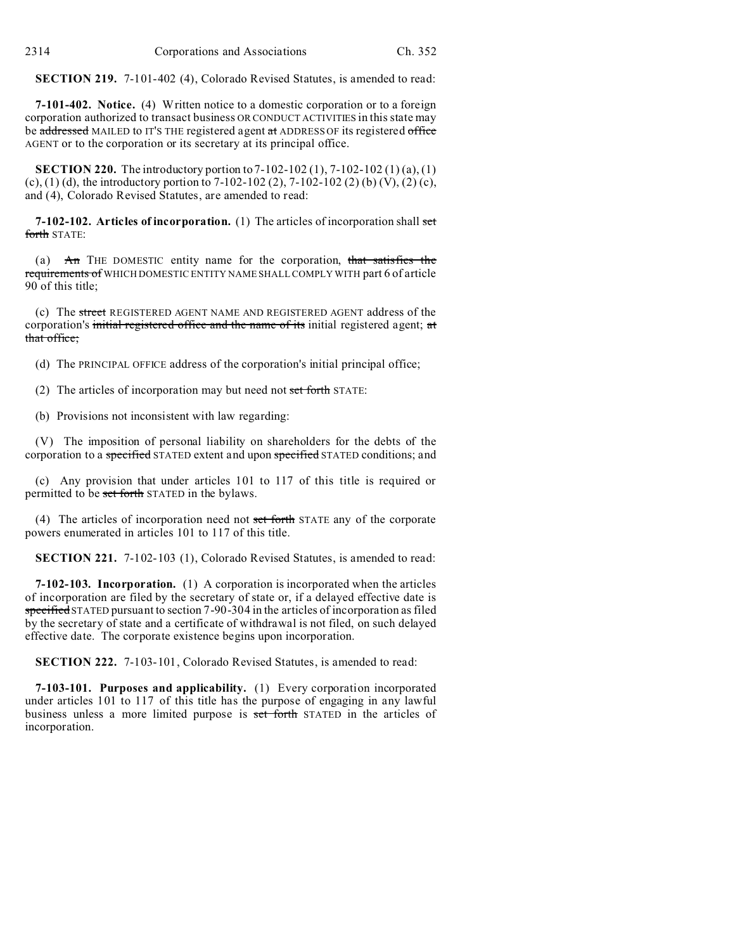**SECTION 219.** 7-101-402 (4), Colorado Revised Statutes, is amended to read:

**7-101-402. Notice.** (4) Written notice to a domestic corporation or to a foreign corporation authorized to transact business OR CONDUCT ACTIVITIES in this state may be addressed MAILED to IT'S THE registered agent at ADDRESS OF its registered office AGENT or to the corporation or its secretary at its principal office.

**SECTION 220.** The introductory portion to 7-102-102 (1), 7-102-102 (1) (a), (1) (c), (1) (d), the introductory portion to 7-102-102 (2), 7-102-102 (2) (b) (V), (2) (c), and (4), Colorado Revised Statutes, are amended to read:

**7-102-102. Articles of incorporation.** (1) The articles of incorporation shall set forth STATE:

(a) An THE DOMESTIC entity name for the corporation, that satisfies the requirements of WHICH DOMESTIC ENTITY NAME SHALL COMPLY WITH part 6 of article 90 of this title;

(c) The street REGISTERED AGENT NAME AND REGISTERED AGENT address of the corporation's initial registered office and the name of its initial registered agent; at that office;

(d) The PRINCIPAL OFFICE address of the corporation's initial principal office;

(2) The articles of incorporation may but need not set forth STATE:

(b) Provisions not inconsistent with law regarding:

(V) The imposition of personal liability on shareholders for the debts of the corporation to a specified STATED extent and upon specified STATED conditions; and

(c) Any provision that under articles 101 to 117 of this title is required or permitted to be set forth STATED in the bylaws.

(4) The articles of incorporation need not set forth STATE any of the corporate powers enumerated in articles 101 to 117 of this title.

**SECTION 221.** 7-102-103 (1), Colorado Revised Statutes, is amended to read:

**7-102-103. Incorporation.** (1) A corporation is incorporated when the articles of incorporation are filed by the secretary of state or, if a delayed effective date is specified STATED pursuant to section 7-90-304 in the articles of incorporation as filed by the secretary of state and a certificate of withdrawal is not filed, on such delayed effective date. The corporate existence begins upon incorporation.

**SECTION 222.** 7-103-101, Colorado Revised Statutes, is amended to read:

**7-103-101. Purposes and applicability.** (1) Every corporation incorporated under articles 101 to 117 of this title has the purpose of engaging in any lawful business unless a more limited purpose is set forth STATED in the articles of incorporation.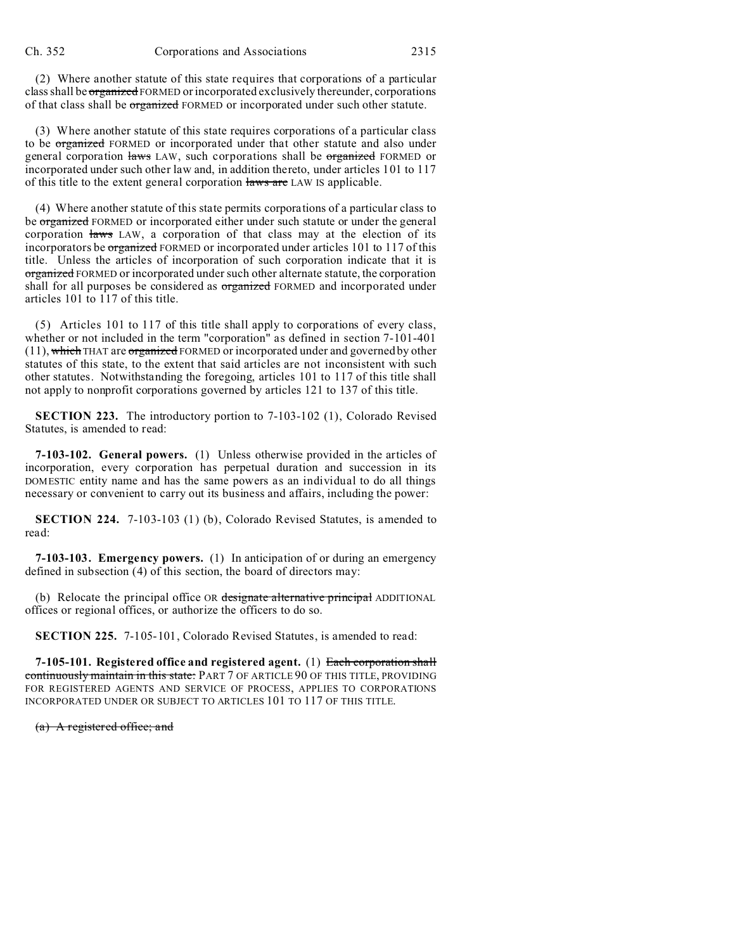(2) Where another statute of this state requires that corporations of a particular class shall be organized FORMED or incorporated exclusively thereunder, corporations of that class shall be organized FORMED or incorporated under such other statute.

(3) Where another statute of this state requires corporations of a particular class to be organized FORMED or incorporated under that other statute and also under general corporation laws LAW, such corporations shall be organized FORMED or incorporated under such other law and, in addition thereto, under articles 101 to 117 of this title to the extent general corporation laws are LAW IS applicable.

(4) Where another statute of this state permits corporations of a particular class to be organized FORMED or incorporated either under such statute or under the general corporation laws LAW, a corporation of that class may at the election of its incorporators be organized FORMED or incorporated under articles 101 to 117 of this title. Unless the articles of incorporation of such corporation indicate that it is organized FORMED or incorporated under such other alternate statute, the corporation shall for all purposes be considered as **organized** FORMED and incorporated under articles 101 to 117 of this title.

(5) Articles 101 to 117 of this title shall apply to corporations of every class, whether or not included in the term "corporation" as defined in section 7-101-401  $(11)$ , which THAT are organized FORMED or incorporated under and governed by other statutes of this state, to the extent that said articles are not inconsistent with such other statutes. Notwithstanding the foregoing, articles 101 to 117 of this title shall not apply to nonprofit corporations governed by articles 121 to 137 of this title.

**SECTION 223.** The introductory portion to 7-103-102 (1), Colorado Revised Statutes, is amended to read:

**7-103-102. General powers.** (1) Unless otherwise provided in the articles of incorporation, every corporation has perpetual duration and succession in its DOMESTIC entity name and has the same powers as an individual to do all things necessary or convenient to carry out its business and affairs, including the power:

**SECTION 224.** 7-103-103 (1) (b), Colorado Revised Statutes, is amended to read:

**7-103-103. Emergency powers.** (1) In anticipation of or during an emergency defined in subsection (4) of this section, the board of directors may:

(b) Relocate the principal office OR designate alternative principal ADDITIONAL offices or regional offices, or authorize the officers to do so.

**SECTION 225.** 7-105-101, Colorado Revised Statutes, is amended to read:

**7-105-101. Registered office and registered agent.** (1) Each corporation shall continuously maintain in this state: PART 7 OF ARTICLE 90 OF THIS TITLE, PROVIDING FOR REGISTERED AGENTS AND SERVICE OF PROCESS, APPLIES TO CORPORATIONS INCORPORATED UNDER OR SUBJECT TO ARTICLES 101 TO 117 OF THIS TITLE.

(a) A registered office; and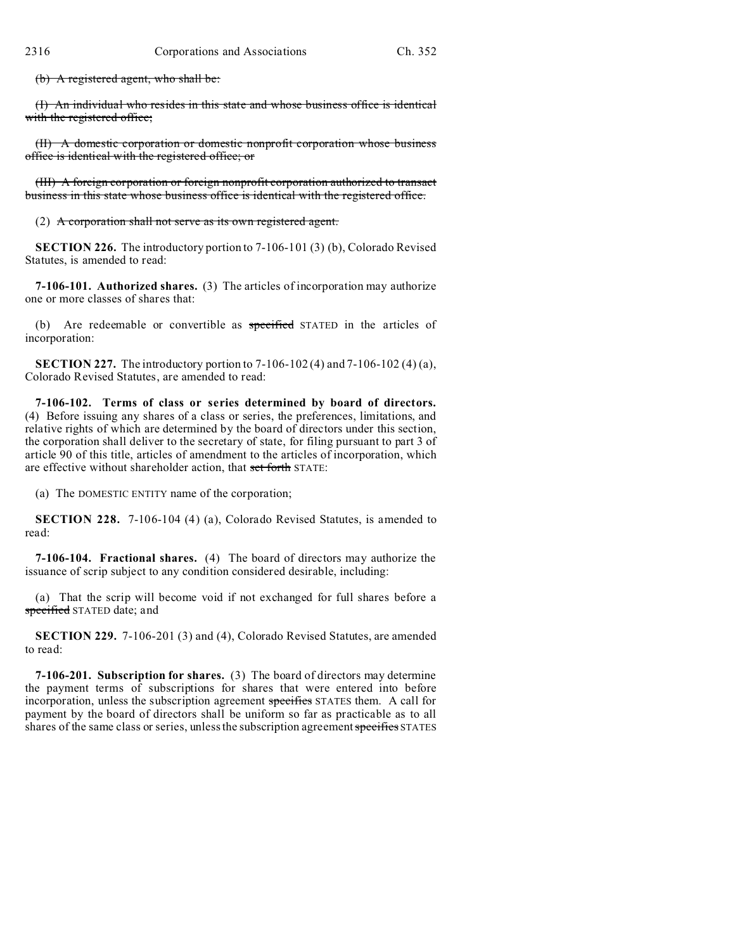(b) A registered agent, who shall be:

(I) An individual who resides in this state and whose business office is identical with the registered office;

(II) A domestic corporation or domestic nonprofit corporation whose business office is identical with the registered office; or

(III) A foreign corporation or foreign nonprofit corporation authorized to transact business in this state whose business office is identical with the registered office.

(2) A corporation shall not serve as its own registered agent.

**SECTION 226.** The introductory portion to 7-106-101 (3) (b), Colorado Revised Statutes, is amended to read:

**7-106-101. Authorized shares.** (3) The articles of incorporation may authorize one or more classes of shares that:

(b) Are redeemable or convertible as specified STATED in the articles of incorporation:

**SECTION 227.** The introductory portion to 7-106-102 (4) and 7-106-102 (4) (a), Colorado Revised Statutes, are amended to read:

**7-106-102. Terms of class or series determined by board of directors.** (4) Before issuing any shares of a class or series, the preferences, limitations, and relative rights of which are determined by the board of directors under this section, the corporation shall deliver to the secretary of state, for filing pursuant to part 3 of article 90 of this title, articles of amendment to the articles of incorporation, which are effective without shareholder action, that set forth STATE:

(a) The DOMESTIC ENTITY name of the corporation;

**SECTION 228.** 7-106-104 (4) (a), Colorado Revised Statutes, is amended to read:

**7-106-104. Fractional shares.** (4) The board of directors may authorize the issuance of scrip subject to any condition considered desirable, including:

(a) That the scrip will become void if not exchanged for full shares before a specified STATED date; and

**SECTION 229.** 7-106-201 (3) and (4), Colorado Revised Statutes, are amended to read:

**7-106-201. Subscription for shares.** (3) The board of directors may determine the payment terms of subscriptions for shares that were entered into before incorporation, unless the subscription agreement specifies STATES them. A call for payment by the board of directors shall be uniform so far as practicable as to all shares of the same class or series, unless the subscription agreement specifies STATES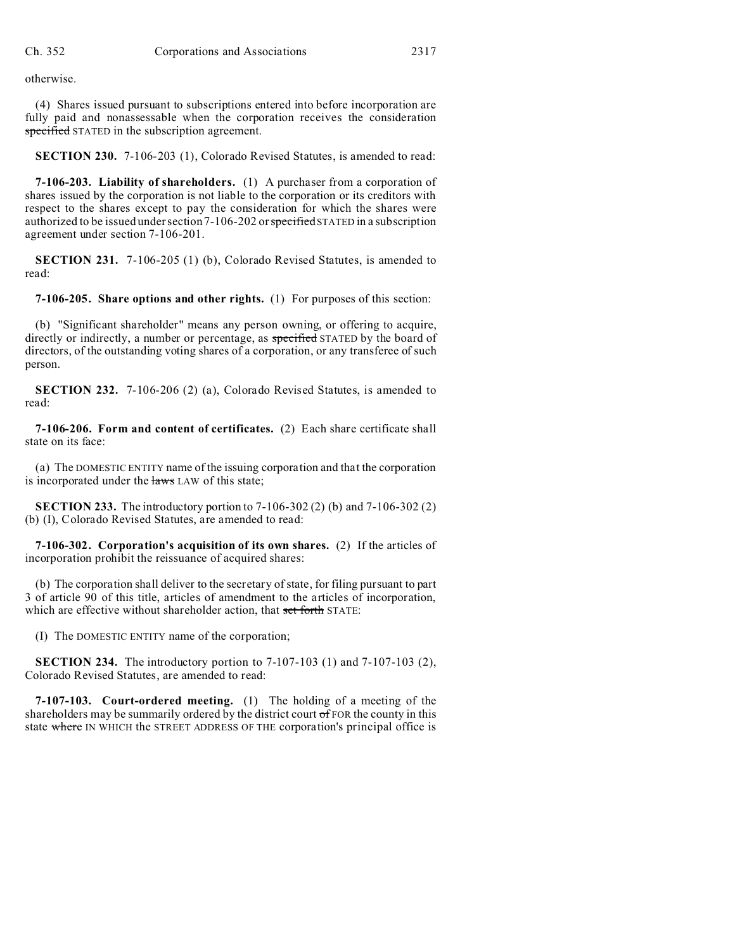otherwise.

(4) Shares issued pursuant to subscriptions entered into before incorporation are fully paid and nonassessable when the corporation receives the consideration specified STATED in the subscription agreement.

**SECTION 230.** 7-106-203 (1), Colorado Revised Statutes, is amended to read:

**7-106-203. Liability of shareholders.** (1) A purchaser from a corporation of shares issued by the corporation is not liable to the corporation or its creditors with respect to the shares except to pay the consideration for which the shares were authorized to be issued under section  $7-106-202$  or specified STATED in a subscription agreement under section 7-106-201.

**SECTION 231.** 7-106-205 (1) (b), Colorado Revised Statutes, is amended to read:

**7-106-205. Share options and other rights.** (1) For purposes of this section:

(b) "Significant shareholder" means any person owning, or offering to acquire, directly or indirectly, a number or percentage, as specified STATED by the board of directors, of the outstanding voting shares of a corporation, or any transferee of such person.

**SECTION 232.** 7-106-206 (2) (a), Colorado Revised Statutes, is amended to read:

**7-106-206. Form and content of certificates.** (2) Each share certificate shall state on its face:

(a) The DOMESTIC ENTITY name of the issuing corporation and that the corporation is incorporated under the laws LAW of this state;

**SECTION 233.** The introductory portion to 7-106-302 (2) (b) and 7-106-302 (2) (b) (I), Colorado Revised Statutes, are amended to read:

**7-106-302. Corporation's acquisition of its own shares.** (2) If the articles of incorporation prohibit the reissuance of acquired shares:

(b) The corporation shall deliver to the secretary of state, for filing pursuant to part 3 of article 90 of this title, articles of amendment to the articles of incorporation, which are effective without shareholder action, that set forth STATE:

(I) The DOMESTIC ENTITY name of the corporation;

**SECTION 234.** The introductory portion to 7-107-103 (1) and 7-107-103 (2), Colorado Revised Statutes, are amended to read:

**7-107-103. Court-ordered meeting.** (1) The holding of a meeting of the shareholders may be summarily ordered by the district court of FOR the county in this state where IN WHICH the STREET ADDRESS OF THE corporation's principal office is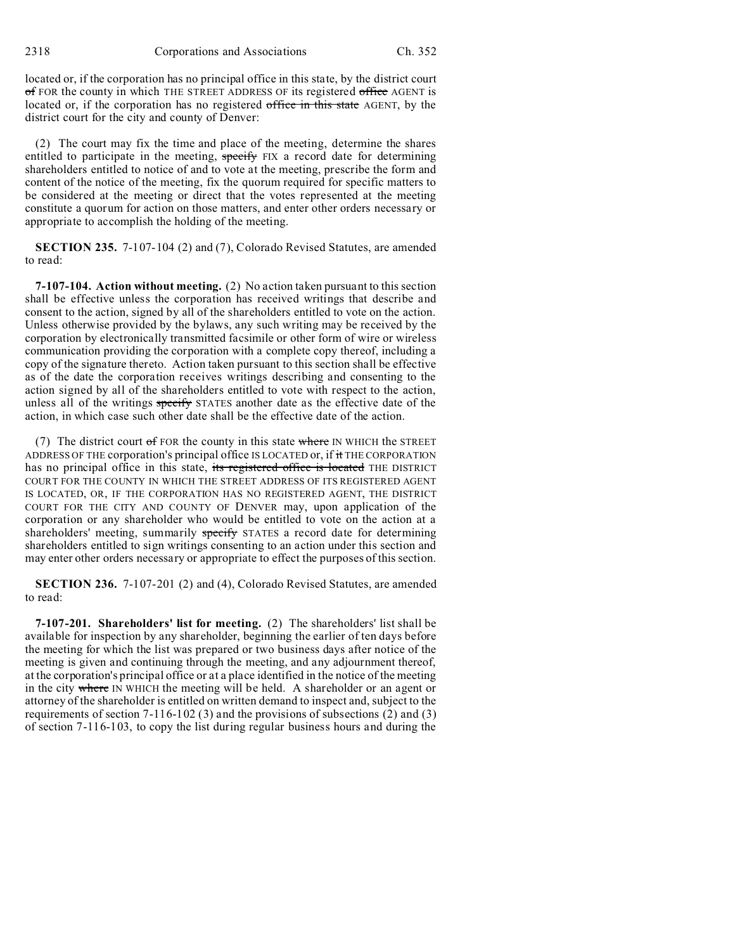2318 Corporations and Associations Ch. 352

located or, if the corporation has no principal office in this state, by the district court of FOR the county in which THE STREET ADDRESS OF its registered office AGENT is located or, if the corporation has no registered office in this state AGENT, by the district court for the city and county of Denver:

(2) The court may fix the time and place of the meeting, determine the shares entitled to participate in the meeting, specify FIX a record date for determining shareholders entitled to notice of and to vote at the meeting, prescribe the form and content of the notice of the meeting, fix the quorum required for specific matters to be considered at the meeting or direct that the votes represented at the meeting constitute a quorum for action on those matters, and enter other orders necessary or appropriate to accomplish the holding of the meeting.

**SECTION 235.** 7-107-104 (2) and (7), Colorado Revised Statutes, are amended to read:

**7-107-104. Action without meeting.** (2) No action taken pursuant to this section shall be effective unless the corporation has received writings that describe and consent to the action, signed by all of the shareholders entitled to vote on the action. Unless otherwise provided by the bylaws, any such writing may be received by the corporation by electronically transmitted facsimile or other form of wire or wireless communication providing the corporation with a complete copy thereof, including a copy of the signature thereto. Action taken pursuant to this section shall be effective as of the date the corporation receives writings describing and consenting to the action signed by all of the shareholders entitled to vote with respect to the action, unless all of the writings specify STATES another date as the effective date of the action, in which case such other date shall be the effective date of the action.

(7) The district court  $\sigma$  FOR the county in this state where IN WHICH the STREET ADDRESS OF THE corporation's principal office IS LOCATED or, if it THE CORPORATION has no principal office in this state, its registered office is located THE DISTRICT COURT FOR THE COUNTY IN WHICH THE STREET ADDRESS OF ITS REGISTERED AGENT IS LOCATED, OR, IF THE CORPORATION HAS NO REGISTERED AGENT, THE DISTRICT COURT FOR THE CITY AND COUNTY OF DENVER may, upon application of the corporation or any shareholder who would be entitled to vote on the action at a shareholders' meeting, summarily specify STATES a record date for determining shareholders entitled to sign writings consenting to an action under this section and may enter other orders necessary or appropriate to effect the purposes of this section.

**SECTION 236.** 7-107-201 (2) and (4), Colorado Revised Statutes, are amended to read:

**7-107-201. Shareholders' list for meeting.** (2) The shareholders' list shall be available for inspection by any shareholder, beginning the earlier of ten days before the meeting for which the list was prepared or two business days after notice of the meeting is given and continuing through the meeting, and any adjournment thereof, at the corporation's principal office or at a place identified in the notice of the meeting in the city where IN WHICH the meeting will be held. A shareholder or an agent or attorney of the shareholder is entitled on written demand to inspect and, subject to the requirements of section 7-116-102 (3) and the provisions of subsections (2) and (3) of section 7-116-103, to copy the list during regular business hours and during the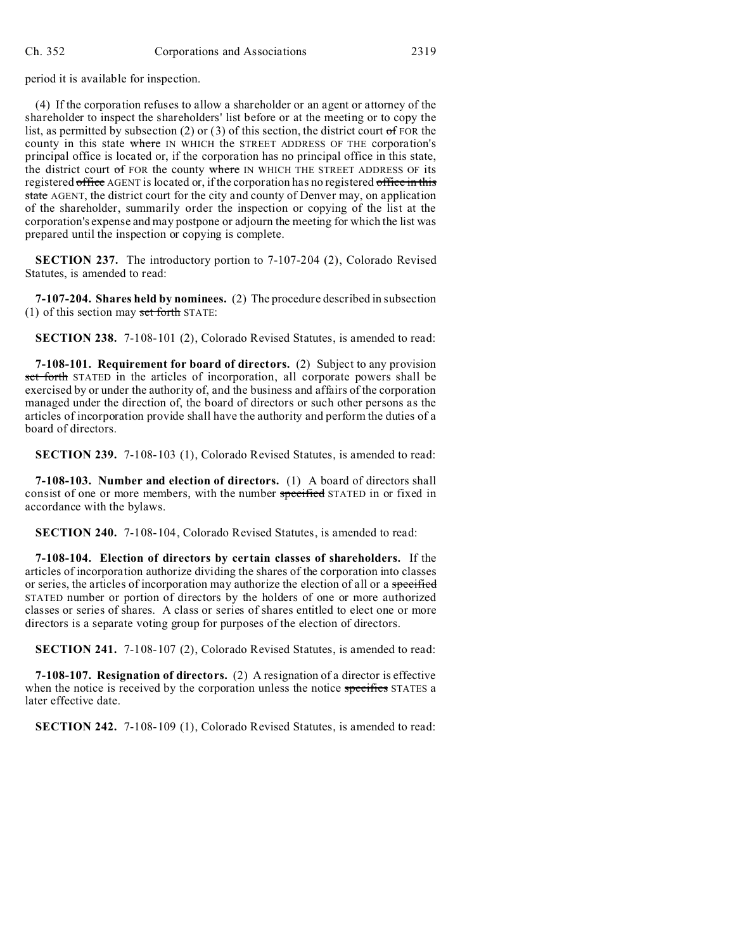period it is available for inspection.

(4) If the corporation refuses to allow a shareholder or an agent or attorney of the shareholder to inspect the shareholders' list before or at the meeting or to copy the list, as permitted by subsection (2) or (3) of this section, the district court of FOR the county in this state where IN WHICH the STREET ADDRESS OF THE corporation's principal office is located or, if the corporation has no principal office in this state, the district court of FOR the county where IN WHICH THE STREET ADDRESS OF its registered office AGENT is located or, if the corporation has no registered office in this state AGENT, the district court for the city and county of Denver may, on application of the shareholder, summarily order the inspection or copying of the list at the corporation's expense and may postpone or adjourn the meeting for which the list was prepared until the inspection or copying is complete.

**SECTION 237.** The introductory portion to 7-107-204 (2), Colorado Revised Statutes, is amended to read:

**7-107-204. Shares held by nominees.** (2) The procedure described in subsection (1) of this section may set forth STATE:

**SECTION 238.** 7-108-101 (2), Colorado Revised Statutes, is amended to read:

**7-108-101. Requirement for board of directors.** (2) Subject to any provision set forth STATED in the articles of incorporation, all corporate powers shall be exercised by or under the authority of, and the business and affairs of the corporation managed under the direction of, the board of directors or such other persons as the articles of incorporation provide shall have the authority and perform the duties of a board of directors.

**SECTION 239.** 7-108-103 (1), Colorado Revised Statutes, is amended to read:

**7-108-103. Number and election of directors.** (1) A board of directors shall consist of one or more members, with the number specified STATED in or fixed in accordance with the bylaws.

**SECTION 240.** 7-108-104, Colorado Revised Statutes, is amended to read:

**7-108-104. Election of directors by certain classes of shareholders.** If the articles of incorporation authorize dividing the shares of the corporation into classes or series, the articles of incorporation may authorize the election of all or a specified STATED number or portion of directors by the holders of one or more authorized classes or series of shares. A class or series of shares entitled to elect one or more directors is a separate voting group for purposes of the election of directors.

**SECTION 241.** 7-108-107 (2), Colorado Revised Statutes, is amended to read:

**7-108-107. Resignation of directors.** (2) A resignation of a director is effective when the notice is received by the corporation unless the notice specifies STATES a later effective date.

**SECTION 242.** 7-108-109 (1), Colorado Revised Statutes, is amended to read: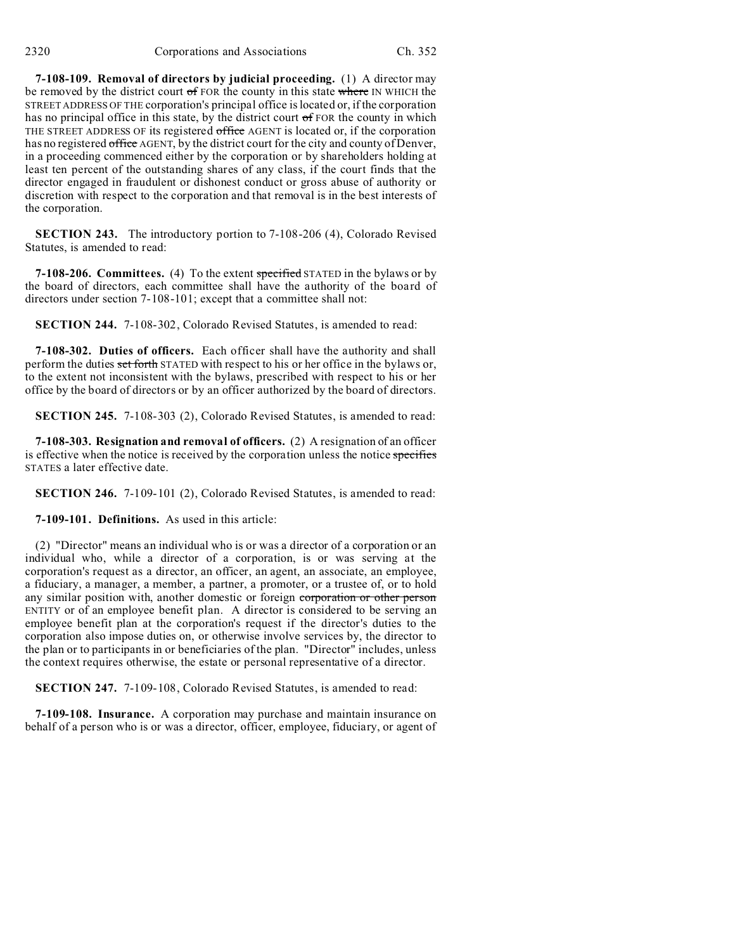**7-108-109. Removal of directors by judicial proceeding.** (1) A director may be removed by the district court of FOR the county in this state where IN WHICH the STREET ADDRESS OF THE corporation's principal office is located or, if the corporation has no principal office in this state, by the district court  $\sigma f$  FOR the county in which THE STREET ADDRESS OF its registered office AGENT is located or, if the corporation has no registered office AGENT, by the district court for the city and county of Denver, in a proceeding commenced either by the corporation or by shareholders holding at least ten percent of the outstanding shares of any class, if the court finds that the director engaged in fraudulent or dishonest conduct or gross abuse of authority or discretion with respect to the corporation and that removal is in the best interests of the corporation.

**SECTION 243.** The introductory portion to 7-108-206 (4), Colorado Revised Statutes, is amended to read:

**7-108-206. Committees.** (4) To the extent specified STATED in the bylaws or by the board of directors, each committee shall have the authority of the board of directors under section 7-108-101; except that a committee shall not:

**SECTION 244.** 7-108-302, Colorado Revised Statutes, is amended to read:

**7-108-302. Duties of officers.** Each officer shall have the authority and shall perform the duties set forth STATED with respect to his or her office in the bylaws or, to the extent not inconsistent with the bylaws, prescribed with respect to his or her office by the board of directors or by an officer authorized by the board of directors.

**SECTION 245.** 7-108-303 (2), Colorado Revised Statutes, is amended to read:

**7-108-303. Resignation and removal of officers.** (2) A resignation of an officer is effective when the notice is received by the corporation unless the notice specifies STATES a later effective date.

**SECTION 246.** 7-109-101 (2), Colorado Revised Statutes, is amended to read:

**7-109-101. Definitions.** As used in this article:

(2) "Director" means an individual who is or was a director of a corporation or an individual who, while a director of a corporation, is or was serving at the corporation's request as a director, an officer, an agent, an associate, an employee, a fiduciary, a manager, a member, a partner, a promoter, or a trustee of, or to hold any similar position with, another domestic or foreign corporation or other person ENTITY or of an employee benefit plan. A director is considered to be serving an employee benefit plan at the corporation's request if the director's duties to the corporation also impose duties on, or otherwise involve services by, the director to the plan or to participants in or beneficiaries of the plan. "Director" includes, unless the context requires otherwise, the estate or personal representative of a director.

**SECTION 247.** 7-109-108, Colorado Revised Statutes, is amended to read:

**7-109-108. Insurance.** A corporation may purchase and maintain insurance on behalf of a person who is or was a director, officer, employee, fiduciary, or agent of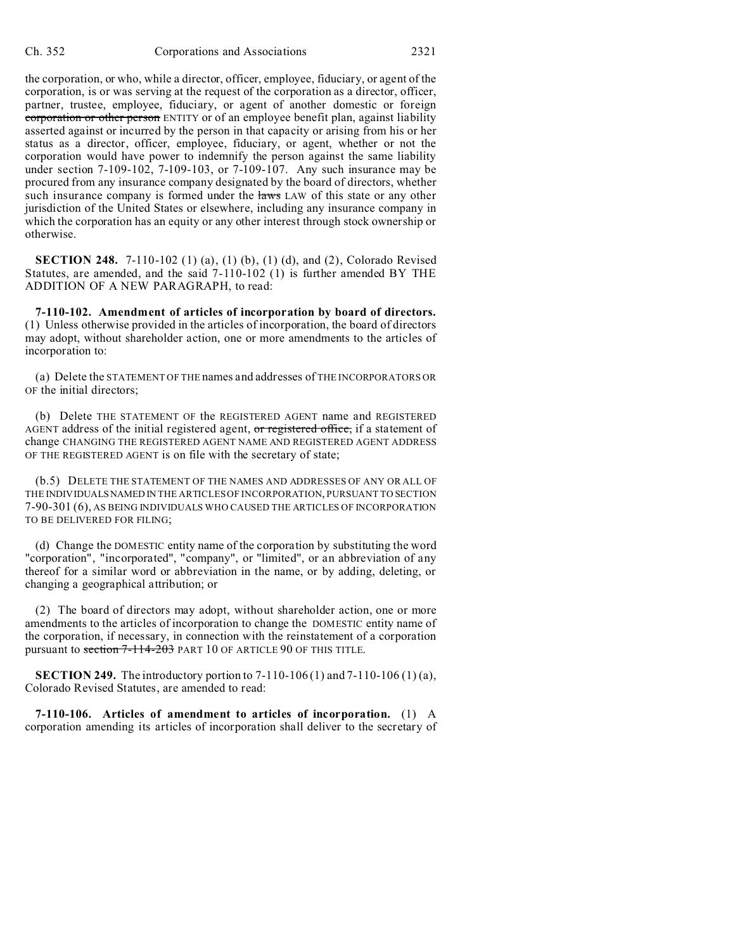the corporation, or who, while a director, officer, employee, fiduciary, or agent of the corporation, is or was serving at the request of the corporation as a director, officer, partner, trustee, employee, fiduciary, or agent of another domestic or foreign corporation or other person ENTITY or of an employee benefit plan, against liability asserted against or incurred by the person in that capacity or arising from his or her status as a director, officer, employee, fiduciary, or agent, whether or not the corporation would have power to indemnify the person against the same liability under section 7-109-102, 7-109-103, or 7-109-107. Any such insurance may be procured from any insurance company designated by the board of directors, whether such insurance company is formed under the laws LAW of this state or any other jurisdiction of the United States or elsewhere, including any insurance company in which the corporation has an equity or any other interest through stock ownership or otherwise.

**SECTION 248.** 7-110-102 (1) (a), (1) (b), (1) (d), and (2), Colorado Revised Statutes, are amended, and the said 7-110-102 (1) is further amended BY THE ADDITION OF A NEW PARAGRAPH, to read:

**7-110-102. Amendment of articles of incorporation by board of directors.** (1) Unless otherwise provided in the articles of incorporation, the board of directors may adopt, without shareholder action, one or more amendments to the articles of incorporation to:

(a) Delete the STATEMENT OF THE names and addresses of THE INCORPORATORS OR OF the initial directors;

(b) Delete THE STATEMENT OF the REGISTERED AGENT name and REGISTERED AGENT address of the initial registered agent, or registered office, if a statement of change CHANGING THE REGISTERED AGENT NAME AND REGISTERED AGENT ADDRESS OF THE REGISTERED AGENT is on file with the secretary of state;

(b.5) DELETE THE STATEMENT OF THE NAMES AND ADDRESSES OF ANY OR ALL OF THE INDIVIDUALSNAMED IN THE ARTICLES OF INCORPORATION, PURSUANT TO SECTION 7-90-301 (6), AS BEING INDIVIDUALS WHO CAUSED THE ARTICLES OF INCORPORATION TO BE DELIVERED FOR FILING;

(d) Change the DOMESTIC entity name of the corporation by substituting the word "corporation", "incorporated", "company", or "limited", or an abbreviation of any thereof for a similar word or abbreviation in the name, or by adding, deleting, or changing a geographical attribution; or

(2) The board of directors may adopt, without shareholder action, one or more amendments to the articles of incorporation to change the DOMESTIC entity name of the corporation, if necessary, in connection with the reinstatement of a corporation pursuant to section 7-114-203 PART 10 OF ARTICLE 90 OF THIS TITLE.

**SECTION 249.** The introductory portion to  $7-110-106(1)$  and  $7-110-106(1)$  (a), Colorado Revised Statutes, are amended to read:

**7-110-106. Articles of amendment to articles of incorporation.** (1) A corporation amending its articles of incorporation shall deliver to the secretary of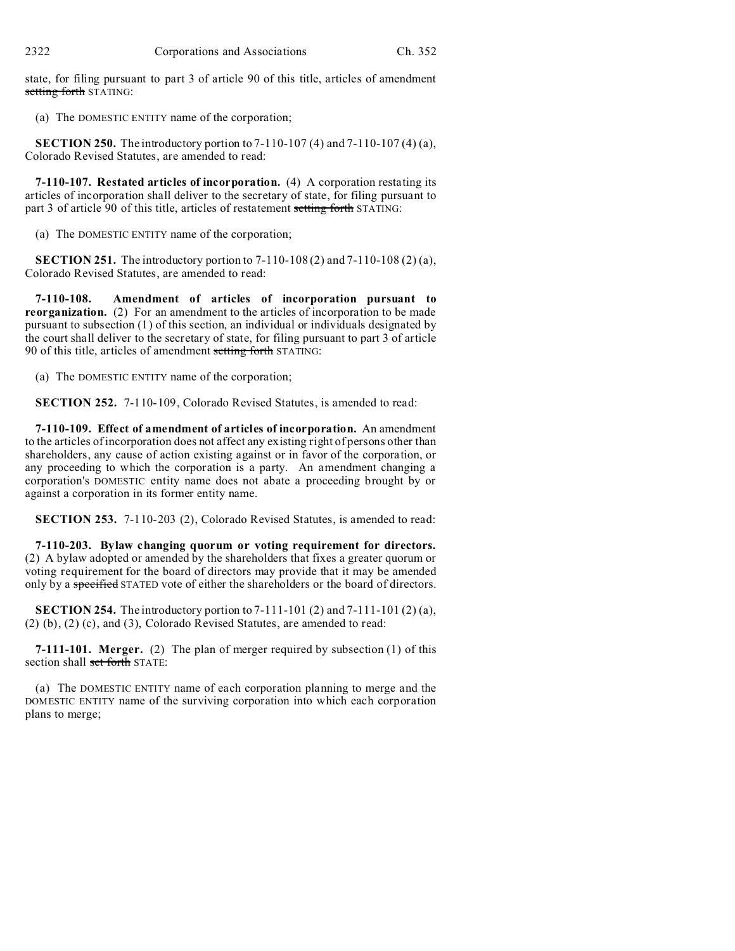state, for filing pursuant to part 3 of article 90 of this title, articles of amendment setting forth STATING:

(a) The DOMESTIC ENTITY name of the corporation;

**SECTION 250.** The introductory portion to 7-110-107 (4) and 7-110-107 (4) (a), Colorado Revised Statutes, are amended to read:

**7-110-107. Restated articles of incorporation.** (4) A corporation restating its articles of incorporation shall deliver to the secretary of state, for filing pursuant to part 3 of article 90 of this title, articles of restatement setting forth STATING:

(a) The DOMESTIC ENTITY name of the corporation;

**SECTION 251.** The introductory portion to  $7-110-108(2)$  and  $7-110-108(2)$  (a), Colorado Revised Statutes, are amended to read:

**7-110-108. Amendment of articles of incorporation pursuant to reorganization.** (2) For an amendment to the articles of incorporation to be made pursuant to subsection (1) of this section, an individual or individuals designated by the court shall deliver to the secretary of state, for filing pursuant to part 3 of article 90 of this title, articles of amendment setting forth STATING:

(a) The DOMESTIC ENTITY name of the corporation;

**SECTION 252.** 7-110-109, Colorado Revised Statutes, is amended to read:

**7-110-109. Effect of amendment of articles of incorporation.** An amendment to the articles of incorporation does not affect any existing right of persons other than shareholders, any cause of action existing against or in favor of the corporation, or any proceeding to which the corporation is a party. An amendment changing a corporation's DOMESTIC entity name does not abate a proceeding brought by or against a corporation in its former entity name.

**SECTION 253.** 7-110-203 (2), Colorado Revised Statutes, is amended to read:

**7-110-203. Bylaw changing quorum or voting requirement for directors.** (2) A bylaw adopted or amended by the shareholders that fixes a greater quorum or voting requirement for the board of directors may provide that it may be amended only by a specified STATED vote of either the shareholders or the board of directors.

**SECTION 254.** The introductory portion to 7-111-101 (2) and 7-111-101 (2) (a), (2) (b), (2) (c), and (3), Colorado Revised Statutes, are amended to read:

**7-111-101. Merger.** (2) The plan of merger required by subsection (1) of this section shall set forth STATE:

(a) The DOMESTIC ENTITY name of each corporation planning to merge and the DOMESTIC ENTITY name of the surviving corporation into which each corporation plans to merge;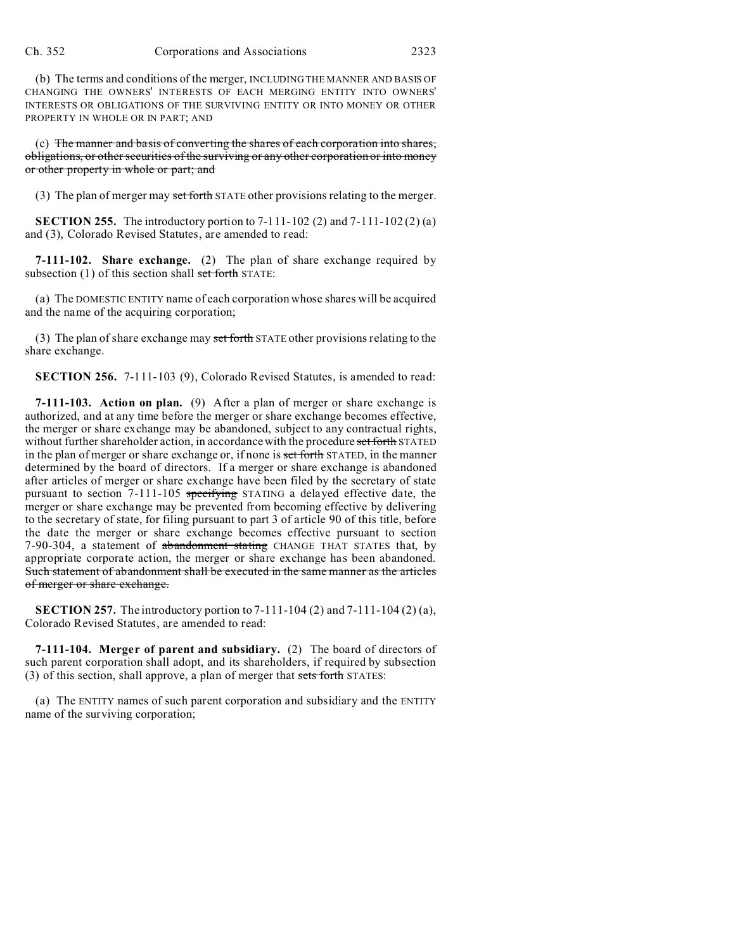(b) The terms and conditions of the merger, INCLUDING THE MANNER AND BASIS OF CHANGING THE OWNERS' INTERESTS OF EACH MERGING ENTITY INTO OWNERS' INTERESTS OR OBLIGATIONS OF THE SURVIVING ENTITY OR INTO MONEY OR OTHER PROPERTY IN WHOLE OR IN PART; AND

(c) The manner and basis of converting the shares of each corporation into shares, obligations, or other securities of the surviving or any other corporation or into money or other property in whole or part; and

(3) The plan of merger may set forth STATE other provisions relating to the merger.

**SECTION 255.** The introductory portion to 7-111-102 (2) and 7-111-102 (2) (a) and (3), Colorado Revised Statutes, are amended to read:

**7-111-102. Share exchange.** (2) The plan of share exchange required by subsection  $(1)$  of this section shall set forth STATE:

(a) The DOMESTIC ENTITY name of each corporation whose shares will be acquired and the name of the acquiring corporation;

(3) The plan of share exchange may set forth STATE other provisions relating to the share exchange.

**SECTION 256.** 7-111-103 (9), Colorado Revised Statutes, is amended to read:

**7-111-103. Action on plan.** (9) After a plan of merger or share exchange is authorized, and at any time before the merger or share exchange becomes effective, the merger or share exchange may be abandoned, subject to any contractual rights, without further shareholder action, in accordance with the procedure set forth STATED in the plan of merger or share exchange or, if none is set forth STATED, in the manner determined by the board of directors. If a merger or share exchange is abandoned after articles of merger or share exchange have been filed by the secretary of state pursuant to section 7-111-105 specifying STATING a delayed effective date, the merger or share exchange may be prevented from becoming effective by delivering to the secretary of state, for filing pursuant to part 3 of article 90 of this title, before the date the merger or share exchange becomes effective pursuant to section 7-90-304, a statement of abandonment stating CHANGE THAT STATES that, by appropriate corporate action, the merger or share exchange has been abandoned. Such statement of abandonment shall be executed in the same manner as the articles of merger or share exchange.

**SECTION 257.** The introductory portion to 7-111-104 (2) and 7-111-104 (2) (a), Colorado Revised Statutes, are amended to read:

**7-111-104. Merger of parent and subsidiary.** (2) The board of directors of such parent corporation shall adopt, and its shareholders, if required by subsection (3) of this section, shall approve, a plan of merger that sets forth STATES:

(a) The ENTITY names of such parent corporation and subsidiary and the ENTITY name of the surviving corporation;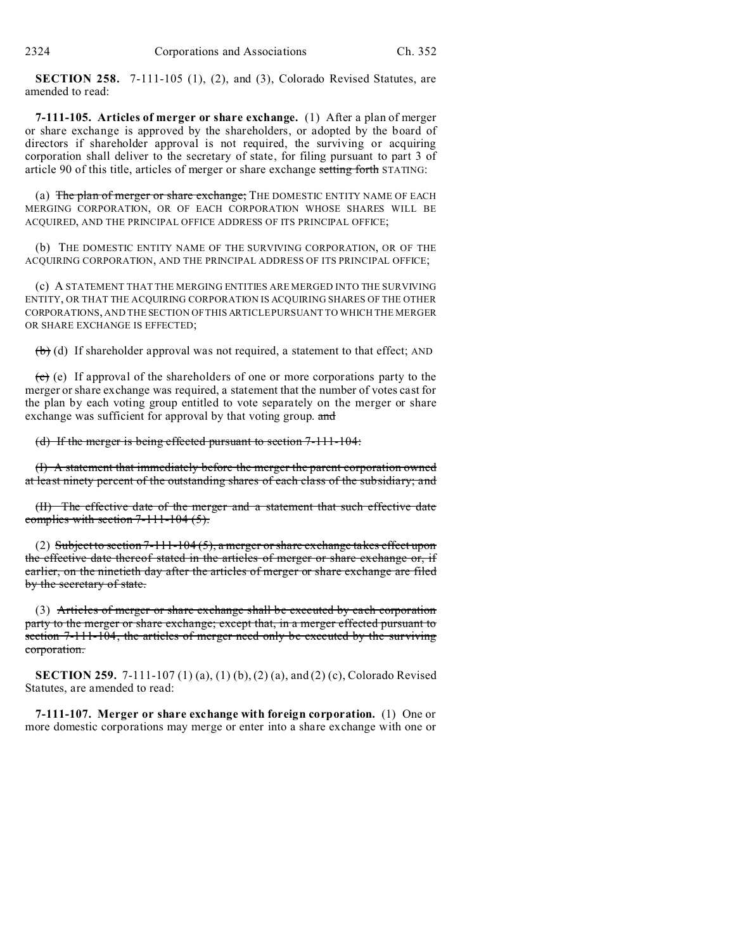**SECTION 258.** 7-111-105 (1), (2), and (3), Colorado Revised Statutes, are amended to read:

**7-111-105. Articles of merger or share exchange.** (1) After a plan of merger or share exchange is approved by the shareholders, or adopted by the board of directors if shareholder approval is not required, the surviving or acquiring corporation shall deliver to the secretary of state, for filing pursuant to part 3 of article 90 of this title, articles of merger or share exchange setting forth STATING:

(a) The plan of merger or share exchange; THE DOMESTIC ENTITY NAME OF EACH MERGING CORPORATION, OR OF EACH CORPORATION WHOSE SHARES WILL BE ACQUIRED, AND THE PRINCIPAL OFFICE ADDRESS OF ITS PRINCIPAL OFFICE;

(b) THE DOMESTIC ENTITY NAME OF THE SURVIVING CORPORATION, OR OF THE ACQUIRING CORPORATION, AND THE PRINCIPAL ADDRESS OF ITS PRINCIPAL OFFICE;

(c) A STATEMENT THAT THE MERGING ENTITIES ARE MERGED INTO THE SURVIVING ENTITY, OR THAT THE ACQUIRING CORPORATION IS ACQUIRING SHARES OF THE OTHER CORPORATIONS, AND THE SECTION OF THIS ARTICLE PURSUANT TO WHICH THE MERGER OR SHARE EXCHANGE IS EFFECTED;

 $(b)$  (d) If shareholder approval was not required, a statement to that effect; AND

 $(c)$  (e) If approval of the shareholders of one or more corporations party to the merger or share exchange was required, a statement that the number of votes cast for the plan by each voting group entitled to vote separately on the merger or share exchange was sufficient for approval by that voting group. and

(d) If the merger is being effected pursuant to section 7-111-104:

(I) A statement that immediately before the merger the parent corporation owned at least ninety percent of the outstanding shares of each class of the subsidiary; and

(II) The effective date of the merger and a statement that such effective date complies with section  $7-111-104$   $(5)$ .

(2) Subject to section  $7-111-104(5)$ , a merger or share exchange takes effect upon the effective date thereof stated in the articles of merger or share exchange or, if earlier, on the ninetieth day after the articles of merger or share exchange are filed by the secretary of state.

(3) Articles of merger or share exchange shall be executed by each corporation party to the merger or share exchange; except that, in a merger effected pursuant to section 7-111-104, the articles of merger need only be executed by the surviving corporation.

**SECTION 259.** 7-111-107 (1) (a), (1) (b), (2) (a), and (2) (c), Colorado Revised Statutes, are amended to read:

**7-111-107. Merger or share exchange with foreign corporation.** (1) One or more domestic corporations may merge or enter into a share exchange with one or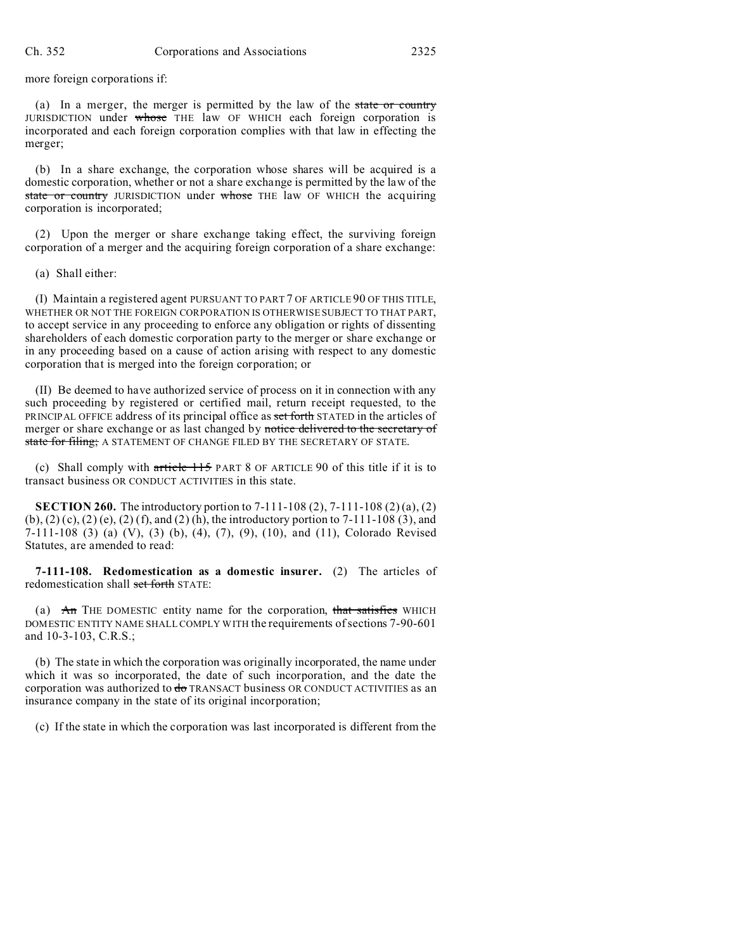more foreign corporations if:

(a) In a merger, the merger is permitted by the law of the state or country JURISDICTION under whose THE law OF WHICH each foreign corporation is incorporated and each foreign corporation complies with that law in effecting the merger;

(b) In a share exchange, the corporation whose shares will be acquired is a domestic corporation, whether or not a share exchange is permitted by the law of the state or country JURISDICTION under whose THE law OF WHICH the acquiring corporation is incorporated;

(2) Upon the merger or share exchange taking effect, the surviving foreign corporation of a merger and the acquiring foreign corporation of a share exchange:

(a) Shall either:

(I) Maintain a registered agent PURSUANT TO PART 7 OF ARTICLE 90 OF THIS TITLE, WHETHER OR NOT THE FOREIGN CORPORATION IS OTHERWISE SUBJECT TO THAT PART, to accept service in any proceeding to enforce any obligation or rights of dissenting shareholders of each domestic corporation party to the merger or share exchange or in any proceeding based on a cause of action arising with respect to any domestic corporation that is merged into the foreign corporation; or

(II) Be deemed to have authorized service of process on it in connection with any such proceeding by registered or certified mail, return receipt requested, to the PRINCIPAL OFFICE address of its principal office as set forth STATED in the articles of merger or share exchange or as last changed by notice delivered to the secretary of state for filing; A STATEMENT OF CHANGE FILED BY THE SECRETARY OF STATE.

(c) Shall comply with article 115 PART 8 OF ARTICLE 90 of this title if it is to transact business OR CONDUCT ACTIVITIES in this state.

**SECTION 260.** The introductory portion to 7-111-108 (2), 7-111-108 (2) (a), (2)  $(b)$ ,  $(2)$   $(c)$ ,  $(2)$   $(e)$ ,  $(2)$   $(f)$ , and  $(2)$   $(h)$ , the introductory portion to 7-111-108  $(3)$ , and 7-111-108 (3) (a) (V), (3) (b), (4), (7), (9), (10), and (11), Colorado Revised Statutes, are amended to read:

**7-111-108. Redomestication as a domestic insurer.** (2) The articles of redomestication shall set forth STATE:

(a)  $\overrightarrow{An}$  THE DOMESTIC entity name for the corporation, that satisfies WHICH DOMESTIC ENTITY NAME SHALL COMPLY WITH the requirements of sections 7-90-601 and 10-3-103, C.R.S.;

(b) The state in which the corporation was originally incorporated, the name under which it was so incorporated, the date of such incorporation, and the date the corporation was authorized to  $\frac{d}{d\theta}$  TRANSACT business OR CONDUCT ACTIVITIES as an insurance company in the state of its original incorporation;

(c) If the state in which the corporation was last incorporated is different from the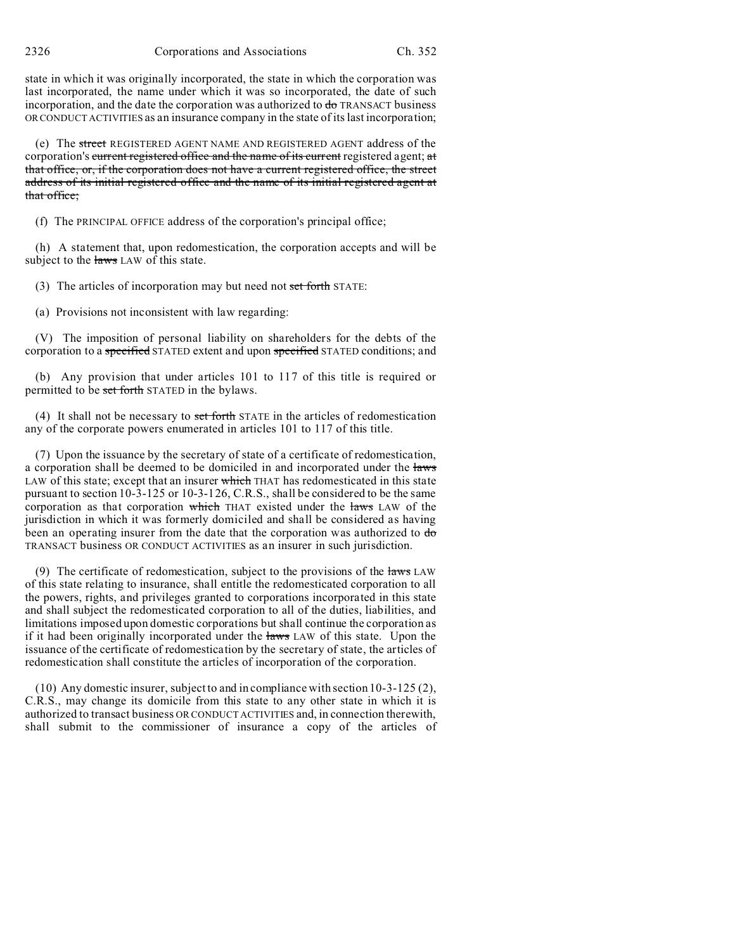state in which it was originally incorporated, the state in which the corporation was last incorporated, the name under which it was so incorporated, the date of such incorporation, and the date the corporation was authorized to do TRANSACT business OR CONDUCT ACTIVITIES as an insurance company in the state of its last incorporation;

(e) The street REGISTERED AGENT NAME AND REGISTERED AGENT address of the corporation's current registered office and the name of its current registered agent; at that office, or, if the corporation does not have a current registered office, the street address of its initial registered office and the name of its initial registered agent at that office;

(f) The PRINCIPAL OFFICE address of the corporation's principal office;

(h) A statement that, upon redomestication, the corporation accepts and will be subject to the laws LAW of this state.

(3) The articles of incorporation may but need not set forth STATE:

(a) Provisions not inconsistent with law regarding:

(V) The imposition of personal liability on shareholders for the debts of the corporation to a specified STATED extent and upon specified STATED conditions; and

(b) Any provision that under articles 101 to 117 of this title is required or permitted to be set forth STATED in the bylaws.

(4) It shall not be necessary to set forth STATE in the articles of redomestication any of the corporate powers enumerated in articles 101 to 117 of this title.

(7) Upon the issuance by the secretary of state of a certificate of redomestication, a corporation shall be deemed to be domiciled in and incorporated under the laws LAW of this state; except that an insurer which THAT has redomesticated in this state pursuant to section 10-3-125 or 10-3-126, C.R.S., shall be considered to be the same corporation as that corporation which THAT existed under the laws LAW of the jurisdiction in which it was formerly domiciled and shall be considered as having been an operating insurer from the date that the corporation was authorized to  $d\sigma$ TRANSACT business OR CONDUCT ACTIVITIES as an insurer in such jurisdiction.

(9) The certificate of redomestication, subject to the provisions of the  $\frac{1}{2}$  LAW of this state relating to insurance, shall entitle the redomesticated corporation to all the powers, rights, and privileges granted to corporations incorporated in this state and shall subject the redomesticated corporation to all of the duties, liabilities, and limitations imposed upon domestic corporations but shall continue the corporation as if it had been originally incorporated under the laws LAW of this state. Upon the issuance of the certificate of redomestication by the secretary of state, the articles of redomestication shall constitute the articles of incorporation of the corporation.

(10) Any domestic insurer, subject to and in compliance with section 10-3-125 (2), C.R.S., may change its domicile from this state to any other state in which it is authorized to transact business OR CONDUCT ACTIVITIES and, in connection therewith, shall submit to the commissioner of insurance a copy of the articles of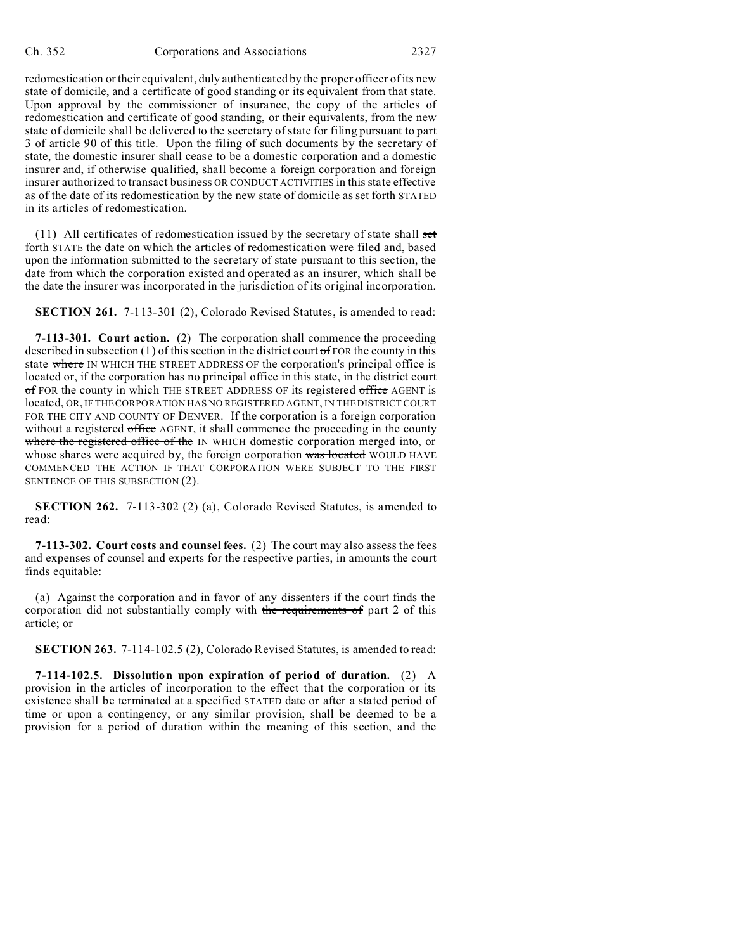redomestication or their equivalent, duly authenticated by the proper officer of its new state of domicile, and a certificate of good standing or its equivalent from that state. Upon approval by the commissioner of insurance, the copy of the articles of redomestication and certificate of good standing, or their equivalents, from the new state of domicile shall be delivered to the secretary of state for filing pursuant to part 3 of article 90 of this title. Upon the filing of such documents by the secretary of state, the domestic insurer shall cease to be a domestic corporation and a domestic insurer and, if otherwise qualified, shall become a foreign corporation and foreign insurer authorized to transact business OR CONDUCT ACTIVITIES in this state effective as of the date of its redomestication by the new state of domicile as set forth STATED in its articles of redomestication.

 $(11)$  All certificates of redomestication issued by the secretary of state shall set forth STATE the date on which the articles of redomestication were filed and, based upon the information submitted to the secretary of state pursuant to this section, the date from which the corporation existed and operated as an insurer, which shall be the date the insurer was incorporated in the jurisdiction of its original incorporation.

**SECTION 261.** 7-113-301 (2), Colorado Revised Statutes, is amended to read:

**7-113-301. Court action.** (2) The corporation shall commence the proceeding described in subsection (1) of this section in the district court of FOR the county in this state where IN WHICH THE STREET ADDRESS OF the corporation's principal office is located or, if the corporation has no principal office in this state, in the district court of FOR the county in which THE STREET ADDRESS OF its registered office AGENT is located, OR, IF THE CORPORATION HAS NO REGISTERED AGENT, IN THE DISTRICT COURT FOR THE CITY AND COUNTY OF DENVER. If the corporation is a foreign corporation without a registered office AGENT, it shall commence the proceeding in the county where the registered office of the IN WHICH domestic corporation merged into, or whose shares were acquired by, the foreign corporation was located WOULD HAVE COMMENCED THE ACTION IF THAT CORPORATION WERE SUBJECT TO THE FIRST SENTENCE OF THIS SUBSECTION (2).

**SECTION 262.** 7-113-302 (2) (a), Colorado Revised Statutes, is amended to read:

**7-113-302. Court costs and counsel fees.** (2) The court may also assess the fees and expenses of counsel and experts for the respective parties, in amounts the court finds equitable:

(a) Against the corporation and in favor of any dissenters if the court finds the corporation did not substantially comply with the requirements of part 2 of this article; or

**SECTION 263.** 7-114-102.5 (2), Colorado Revised Statutes, is amended to read:

**7-114-102.5. Dissolution upon expiration of period of duration.** (2) A provision in the articles of incorporation to the effect that the corporation or its existence shall be terminated at a specified STATED date or after a stated period of time or upon a contingency, or any similar provision, shall be deemed to be a provision for a period of duration within the meaning of this section, and the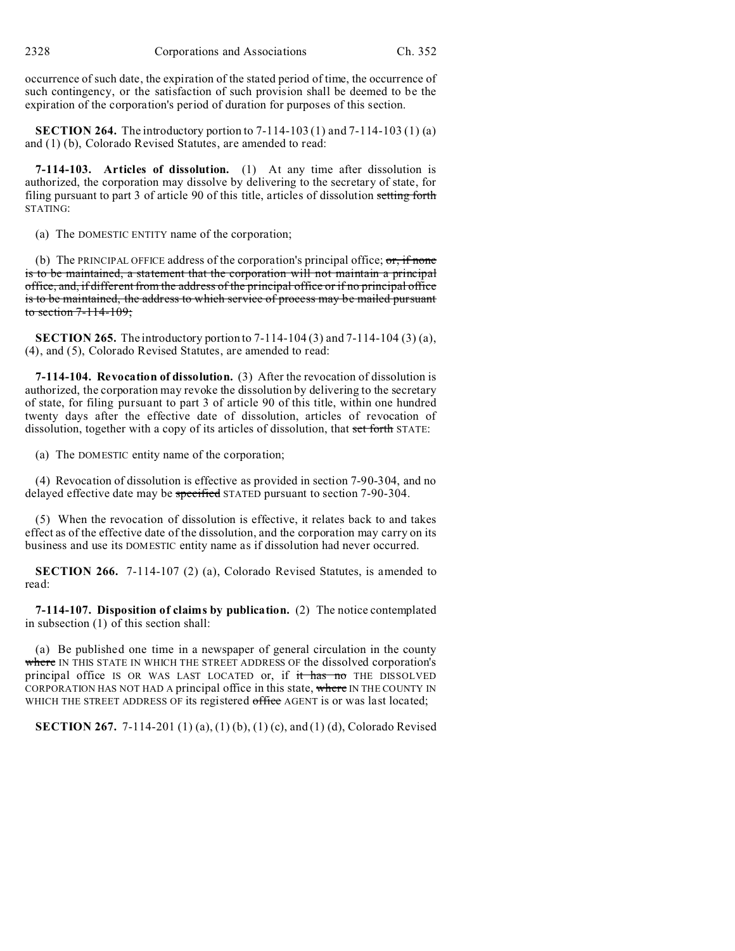occurrence of such date, the expiration of the stated period of time, the occurrence of such contingency, or the satisfaction of such provision shall be deemed to be the expiration of the corporation's period of duration for purposes of this section.

**SECTION 264.** The introductory portion to 7-114-103 (1) and 7-114-103 (1) (a) and (1) (b), Colorado Revised Statutes, are amended to read:

**7-114-103. Articles of dissolution.** (1) At any time after dissolution is authorized, the corporation may dissolve by delivering to the secretary of state, for filing pursuant to part 3 of article 90 of this title, articles of dissolution setting forth STATING:

(a) The DOMESTIC ENTITY name of the corporation;

(b) The PRINCIPAL OFFICE address of the corporation's principal office;  $\sigma$ , if none is to be maintained, a statement that the corporation will not maintain a principal office, and, if different from the address of the principal office or if no principal office is to be maintained, the address to which service of process may be mailed pursuant to section 7-114-109;

**SECTION 265.** The introductory portion to 7-114-104 (3) and 7-114-104 (3) (a), (4), and (5), Colorado Revised Statutes, are amended to read:

**7-114-104. Revocation of dissolution.** (3) After the revocation of dissolution is authorized, the corporation may revoke the dissolution by delivering to the secretary of state, for filing pursuant to part 3 of article 90 of this title, within one hundred twenty days after the effective date of dissolution, articles of revocation of dissolution, together with a copy of its articles of dissolution, that set forth STATE:

(a) The DOMESTIC entity name of the corporation;

(4) Revocation of dissolution is effective as provided in section 7-90-304, and no delayed effective date may be specified STATED pursuant to section 7-90-304.

(5) When the revocation of dissolution is effective, it relates back to and takes effect as of the effective date of the dissolution, and the corporation may carry on its business and use its DOMESTIC entity name as if dissolution had never occurred.

**SECTION 266.** 7-114-107 (2) (a), Colorado Revised Statutes, is amended to read:

**7-114-107. Disposition of claims by publication.** (2) The notice contemplated in subsection (1) of this section shall:

(a) Be published one time in a newspaper of general circulation in the county where IN THIS STATE IN WHICH THE STREET ADDRESS OF the dissolved corporation's principal office IS OR WAS LAST LOCATED or, if it has no THE DISSOLVED CORPORATION HAS NOT HAD A principal office in this state, where IN THE COUNTY IN WHICH THE STREET ADDRESS OF its registered office AGENT is or was last located;

**SECTION 267.** 7-114-201 (1) (a), (1) (b), (1) (c), and (1) (d), Colorado Revised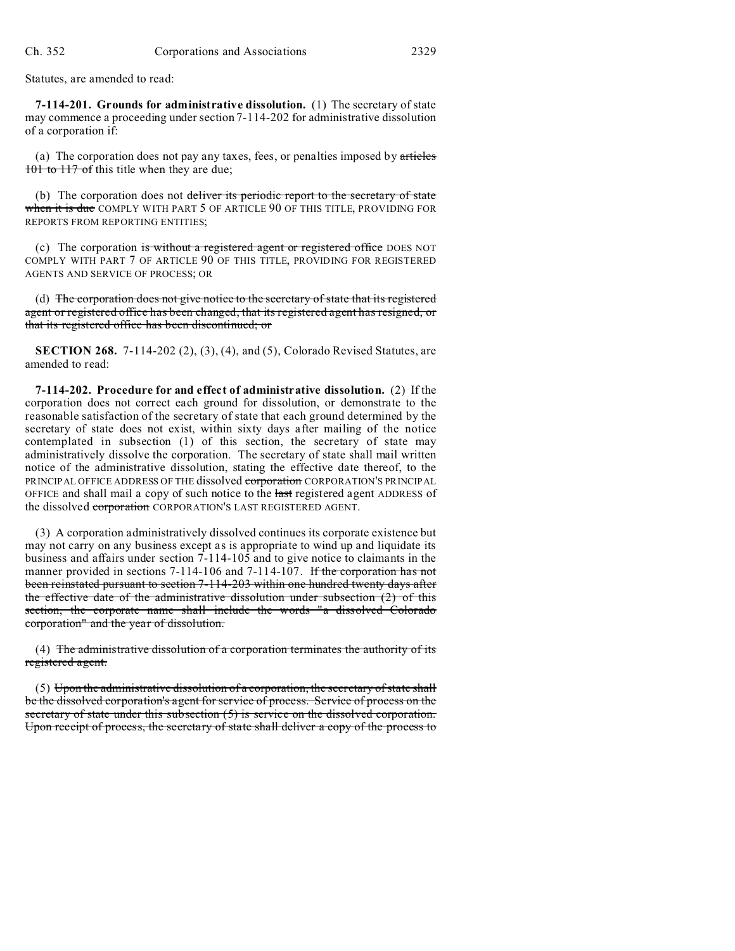Statutes, are amended to read:

**7-114-201. Grounds for administrative dissolution.** (1) The secretary of state may commence a proceeding under section 7-114-202 for administrative dissolution of a corporation if:

(a) The corporation does not pay any taxes, fees, or penalties imposed by  $\alpha$ rticles 101 to 117 of this title when they are due;

(b) The corporation does not deliver its periodic report to the secretary of state when it is due COMPLY WITH PART 5 OF ARTICLE 90 OF THIS TITLE, PROVIDING FOR REPORTS FROM REPORTING ENTITIES;

(c) The corporation is without a registered agent or registered office DOES NOT COMPLY WITH PART 7 OF ARTICLE 90 OF THIS TITLE, PROVIDING FOR REGISTERED AGENTS AND SERVICE OF PROCESS; OR

(d) The corporation does not give notice to the secretary of state that its registered agent or registered office has been changed, that its registered agent has resigned, or that its registered office has been discontinued; or

**SECTION 268.** 7-114-202 (2), (3), (4), and (5), Colorado Revised Statutes, are amended to read:

**7-114-202. Procedure for and effect of administrative dissolution.** (2) If the corporation does not correct each ground for dissolution, or demonstrate to the reasonable satisfaction of the secretary of state that each ground determined by the secretary of state does not exist, within sixty days after mailing of the notice contemplated in subsection (1) of this section, the secretary of state may administratively dissolve the corporation. The secretary of state shall mail written notice of the administrative dissolution, stating the effective date thereof, to the PRINCIPAL OFFICE ADDRESS OF THE dissolved corporation CORPORATION'S PRINCIPAL OFFICE and shall mail a copy of such notice to the last registered agent ADDRESS of the dissolved corporation CORPORATION'S LAST REGISTERED AGENT.

(3) A corporation administratively dissolved continues its corporate existence but may not carry on any business except as is appropriate to wind up and liquidate its business and affairs under section 7-114-105 and to give notice to claimants in the manner provided in sections 7-114-106 and 7-114-107. If the corporation has not been reinstated pursuant to section 7-114-203 within one hundred twenty days after the effective date of the administrative dissolution under subsection (2) of this section, the corporate name shall include the words "a dissolved Colorado corporation" and the year of dissolution.

(4) The administrative dissolution of a corporation terminates the authority of its registered agent.

 $(5)$  Upon the administrative dissolution of a corporation, the secretary of state shall be the dissolved corporation's agent for service of process. Service of process on the secretary of state under this subsection (5) is service on the dissolved corporation. Upon receipt of process, the secretary of state shall deliver a copy of the process to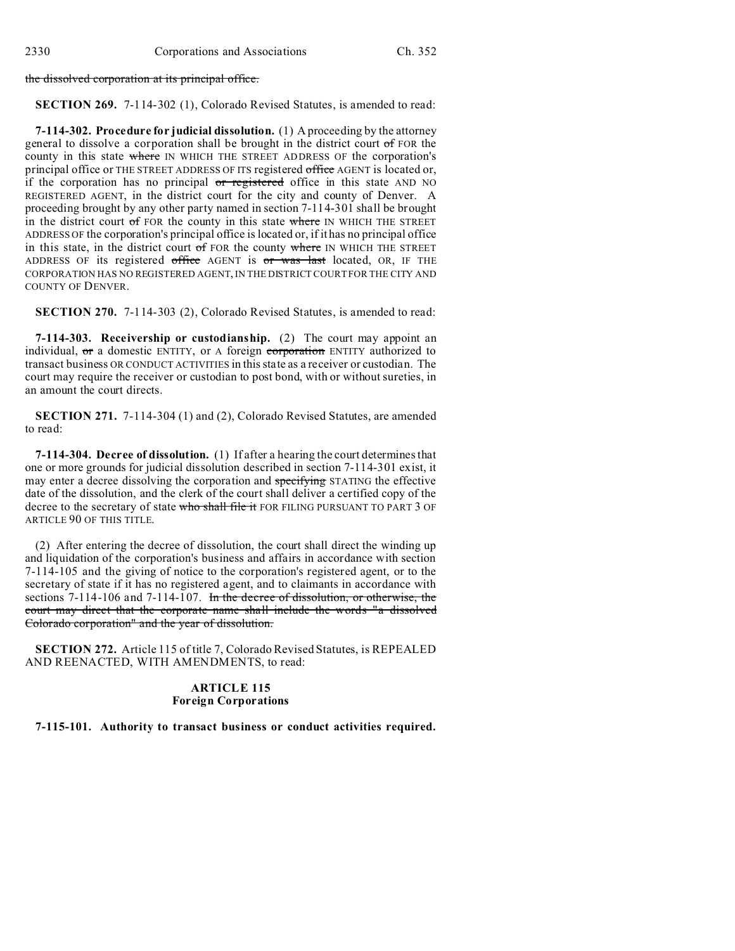the dissolved corporation at its principal office.

**SECTION 269.** 7-114-302 (1), Colorado Revised Statutes, is amended to read:

**7-114-302. Procedure for judicial dissolution.** (1) A proceeding by the attorney general to dissolve a corporation shall be brought in the district court of FOR the county in this state where IN WHICH THE STREET ADDRESS OF the corporation's principal office or THE STREET ADDRESS OF ITS registered office AGENT is located or, if the corporation has no principal or registered office in this state AND NO REGISTERED AGENT, in the district court for the city and county of Denver. A proceeding brought by any other party named in section 7-114-301 shall be brought in the district court of FOR the county in this state where IN WHICH THE STREET ADDRESS OF the corporation's principal office is located or, if it has no principal office in this state, in the district court of FOR the county where IN WHICH THE STREET ADDRESS OF its registered office AGENT is or was last located, OR, IF THE CORPORATION HAS NO REGISTERED AGENT, IN THE DISTRICT COURT FOR THE CITY AND COUNTY OF DENVER.

**SECTION 270.** 7-114-303 (2), Colorado Revised Statutes, is amended to read:

**7-114-303. Receivership or custodianship.** (2) The court may appoint an individual,  $\sigma$  a domestic ENTITY, or A foreign corporation ENTITY authorized to transact business OR CONDUCT ACTIVITIES in this state as a receiver or custodian. The court may require the receiver or custodian to post bond, with or without sureties, in an amount the court directs.

**SECTION 271.** 7-114-304 (1) and (2), Colorado Revised Statutes, are amended to read:

**7-114-304. Decree of dissolution.** (1) If after a hearing the court determines that one or more grounds for judicial dissolution described in section 7-114-301 exist, it may enter a decree dissolving the corporation and specifying STATING the effective date of the dissolution, and the clerk of the court shall deliver a certified copy of the decree to the secretary of state who shall file it FOR FILING PURSUANT TO PART 3 OF ARTICLE 90 OF THIS TITLE.

(2) After entering the decree of dissolution, the court shall direct the winding up and liquidation of the corporation's business and affairs in accordance with section 7-114-105 and the giving of notice to the corporation's registered agent, or to the secretary of state if it has no registered agent, and to claimants in accordance with sections 7-114-106 and 7-114-107. In the decree of dissolution, or otherwise, the court may direct that the corporate name shall include the words "a dissolved Colorado corporation" and the year of dissolution.

**SECTION 272.** Article 115 of title 7, Colorado Revised Statutes, is REPEALED AND REENACTED, WITH AMENDMENTS, to read:

#### **ARTICLE 115 Foreign Corporations**

**7-115-101. Authority to transact business or conduct activities required.**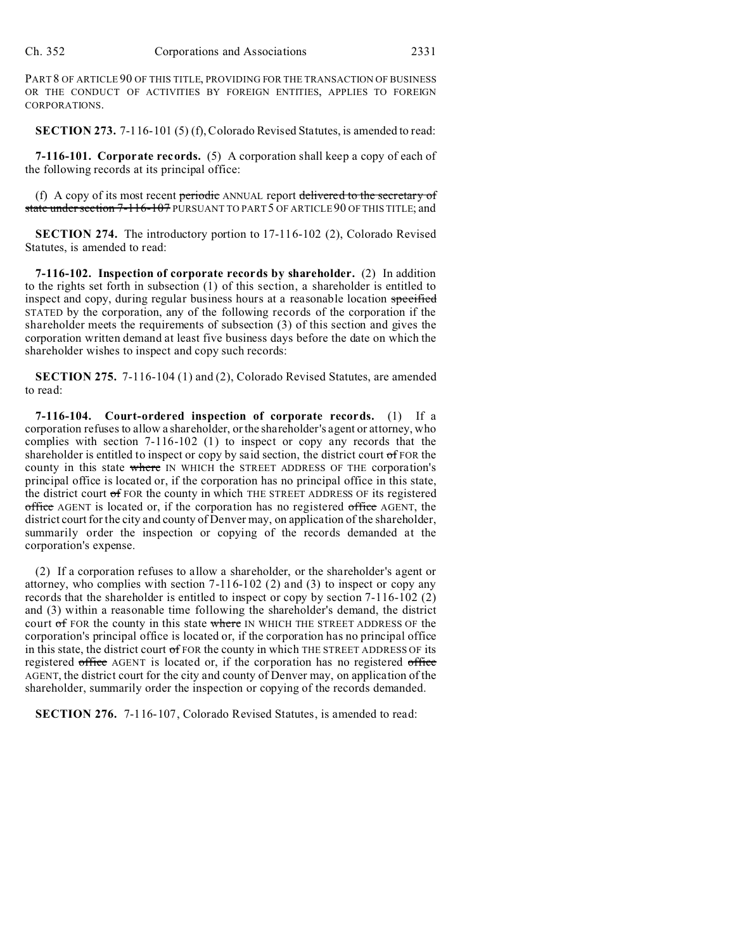PART 8 OF ARTICLE 90 OF THIS TITLE, PROVIDING FOR THE TRANSACTION OF BUSINESS OR THE CONDUCT OF ACTIVITIES BY FOREIGN ENTITIES, APPLIES TO FOREIGN CORPORATIONS.

**SECTION 273.** 7-116-101 (5) (f), Colorado Revised Statutes, is amended to read:

**7-116-101. Corporate records.** (5) A corporation shall keep a copy of each of the following records at its principal office:

(f) A copy of its most recent periodic ANNUAL report delivered to the secretary of state under section 7-116-107 PURSUANT TO PART 5 OF ARTICLE 90 OF THIS TITLE; and

**SECTION 274.** The introductory portion to 17-116-102 (2), Colorado Revised Statutes, is amended to read:

**7-116-102. Inspection of corporate records by shareholder.** (2) In addition to the rights set forth in subsection (1) of this section, a shareholder is entitled to inspect and copy, during regular business hours at a reasonable location specified STATED by the corporation, any of the following records of the corporation if the shareholder meets the requirements of subsection (3) of this section and gives the corporation written demand at least five business days before the date on which the shareholder wishes to inspect and copy such records:

**SECTION 275.** 7-116-104 (1) and (2), Colorado Revised Statutes, are amended to read:

**7-116-104. Court-ordered inspection of corporate records.** (1) If a corporation refuses to allow a shareholder, or the shareholder's agent or attorney, who complies with section 7-116-102 (1) to inspect or copy any records that the shareholder is entitled to inspect or copy by said section, the district court of FOR the county in this state where IN WHICH the STREET ADDRESS OF THE corporation's principal office is located or, if the corporation has no principal office in this state, the district court  $\sigma$  FOR the county in which THE STREET ADDRESS OF its registered office AGENT is located or, if the corporation has no registered office AGENT, the district court for the city and county of Denver may, on application of the shareholder, summarily order the inspection or copying of the records demanded at the corporation's expense.

(2) If a corporation refuses to allow a shareholder, or the shareholder's agent or attorney, who complies with section 7-116-102 (2) and (3) to inspect or copy any records that the shareholder is entitled to inspect or copy by section 7-116-102 (2) and (3) within a reasonable time following the shareholder's demand, the district court of FOR the county in this state where IN WHICH THE STREET ADDRESS OF the corporation's principal office is located or, if the corporation has no principal office in this state, the district court of FOR the county in which THE STREET ADDRESS OF its registered office AGENT is located or, if the corporation has no registered office AGENT, the district court for the city and county of Denver may, on application of the shareholder, summarily order the inspection or copying of the records demanded.

**SECTION 276.** 7-116-107, Colorado Revised Statutes, is amended to read: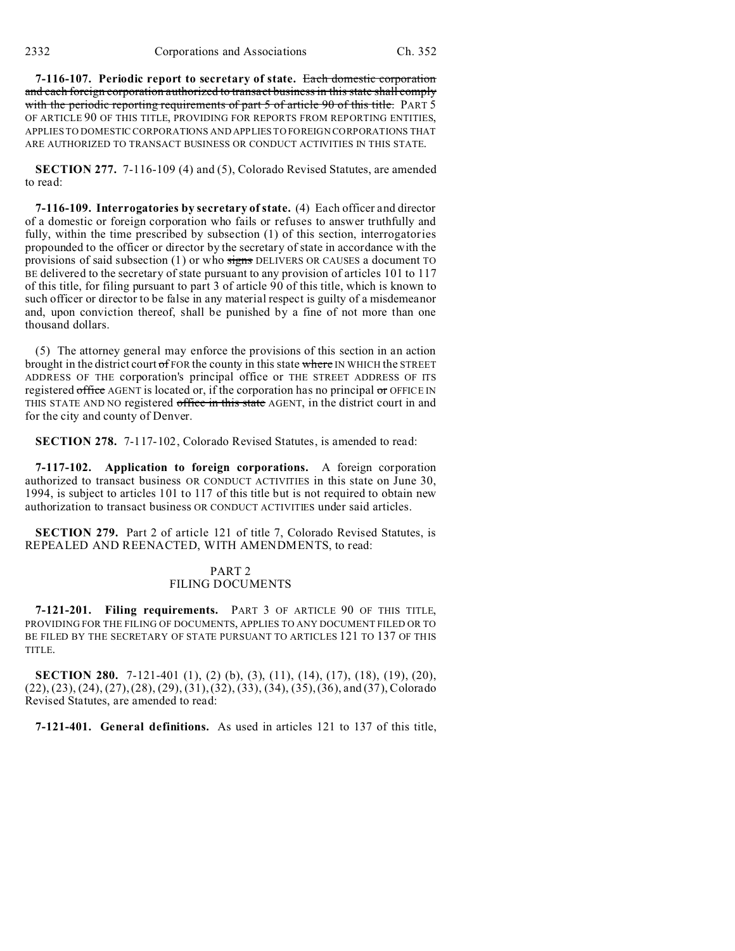**7-116-107. Periodic report to secretary of state.** Each domestic corporation and each foreign corporation authorized to transact business in this state shall comply with the periodic reporting requirements of part 5 of article 90 of this title. PART 5 OF ARTICLE 90 OF THIS TITLE, PROVIDING FOR REPORTS FROM REPORTING ENTITIES, APPLIES TO DOMESTIC CORPORATIONS AND APPLIES TO FOREIGN CORPORATIONS THAT ARE AUTHORIZED TO TRANSACT BUSINESS OR CONDUCT ACTIVITIES IN THIS STATE.

**SECTION 277.** 7-116-109 (4) and (5), Colorado Revised Statutes, are amended to read:

**7-116-109. Interrogatories by secretary of state.** (4) Each officer and director of a domestic or foreign corporation who fails or refuses to answer truthfully and fully, within the time prescribed by subsection (1) of this section, interrogatories propounded to the officer or director by the secretary of state in accordance with the provisions of said subsection  $(1)$  or who signs DELIVERS OR CAUSES a document TO BE delivered to the secretary of state pursuant to any provision of articles 101 to 117 of this title, for filing pursuant to part 3 of article 90 of this title, which is known to such officer or director to be false in any material respect is guilty of a misdemeanor and, upon conviction thereof, shall be punished by a fine of not more than one thousand dollars.

(5) The attorney general may enforce the provisions of this section in an action brought in the district court  $\sigma$  FOR the county in this state where IN WHICH the STREET ADDRESS OF THE corporation's principal office or THE STREET ADDRESS OF ITS registered  $of$  Fice AGENT is located or, if the corporation has no principal  $\sigma$ r OFFICE IN THIS STATE AND NO registered office in this state AGENT, in the district court in and for the city and county of Denver.

**SECTION 278.** 7-117-102, Colorado Revised Statutes, is amended to read:

**7-117-102. Application to foreign corporations.** A foreign corporation authorized to transact business OR CONDUCT ACTIVITIES in this state on June 30, 1994, is subject to articles 101 to 117 of this title but is not required to obtain new authorization to transact business OR CONDUCT ACTIVITIES under said articles.

**SECTION 279.** Part 2 of article 121 of title 7, Colorado Revised Statutes, is REPEALED AND REENACTED, WITH AMENDMENTS, to read:

### PART 2 FILING DOCUMENTS

**7-121-201. Filing requirements.** PART 3 OF ARTICLE 90 OF THIS TITLE, PROVIDING FOR THE FILING OF DOCUMENTS, APPLIES TO ANY DOCUMENT FILED OR TO BE FILED BY THE SECRETARY OF STATE PURSUANT TO ARTICLES 121 TO 137 OF THIS TITLE.

**SECTION 280.** 7-121-401 (1), (2) (b), (3), (11), (14), (17), (18), (19), (20), (22), (23), (24), (27), (28), (29), (31), (32), (33), (34), (35), (36), and (37), Colorado Revised Statutes, are amended to read:

**7-121-401. General definitions.** As used in articles 121 to 137 of this title,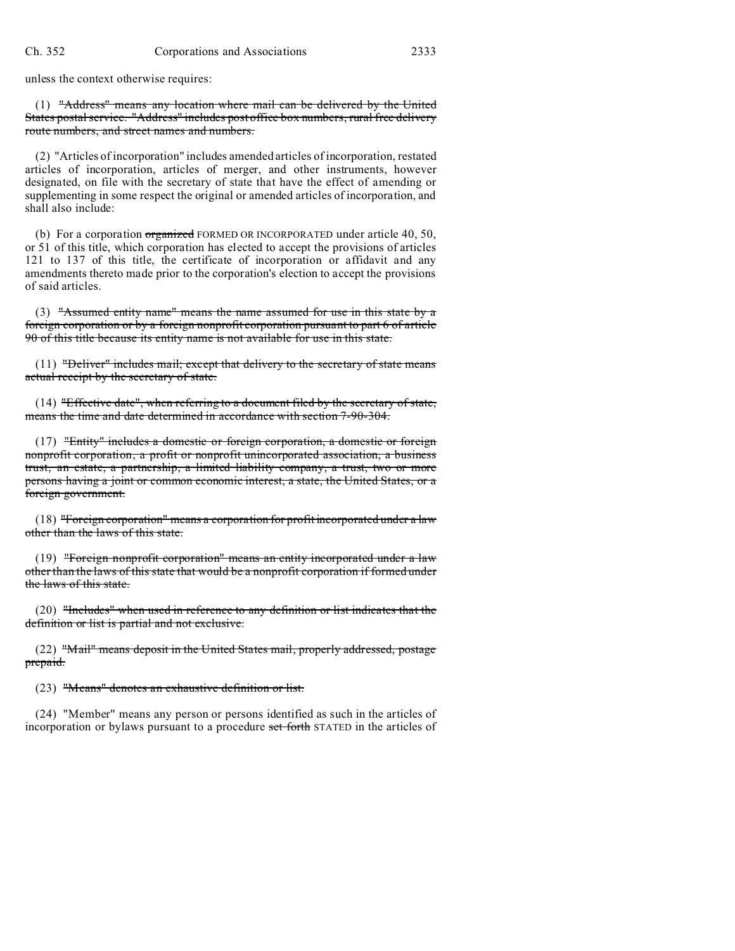unless the context otherwise requires:

(1) "Address" means any location where mail can be delivered by the United States postal service. "Address" includes post office box numbers, rural free delivery route numbers, and street names and numbers.

(2) "Articles of incorporation" includes amended articles of incorporation, restated articles of incorporation, articles of merger, and other instruments, however designated, on file with the secretary of state that have the effect of amending or supplementing in some respect the original or amended articles of incorporation, and shall also include:

(b) For a corporation organized FORMED OR INCORPORATED under article 40, 50, or 51 of this title, which corporation has elected to accept the provisions of articles 121 to 137 of this title, the certificate of incorporation or affidavit and any amendments thereto made prior to the corporation's election to accept the provisions of said articles.

(3) "Assumed entity name" means the name assumed for use in this state by a foreign corporation or by a foreign nonprofit corporation pursuant to part 6 of article 90 of this title because its entity name is not available for use in this state.

(11) "Deliver" includes mail; except that delivery to the secretary of state means actual receipt by the secretary of state.

 $(14)$  "Effective date", when referring to a document filed by the secretary of state, means the time and date determined in accordance with section 7-90-304.

(17) "Entity" includes a domestic or foreign corporation, a domestic or foreign nonprofit corporation, a profit or nonprofit unincorporated association, a business trust, an estate, a partnership, a limited liability company, a trust, two or more persons having a joint or common economic interest, a state, the United States, or a foreign government.

(18) "Foreign corporation" means a corporation for profit incorporated under a law other than the laws of this state.

(19) "Foreign nonprofit corporation" means an entity incorporated under a law other than the laws of this state that would be a nonprofit corporation if formed under the laws of this state.

(20) "Includes" when used in reference to any definition or list indicates that the definition or list is partial and not exclusive.

 $(22)$  "Mail" means deposit in the United States mail, properly addressed, postage prepaid.

(23) "Means" denotes an exhaustive definition or list.

(24) "Member" means any person or persons identified as such in the articles of incorporation or bylaws pursuant to a procedure set forth STATED in the articles of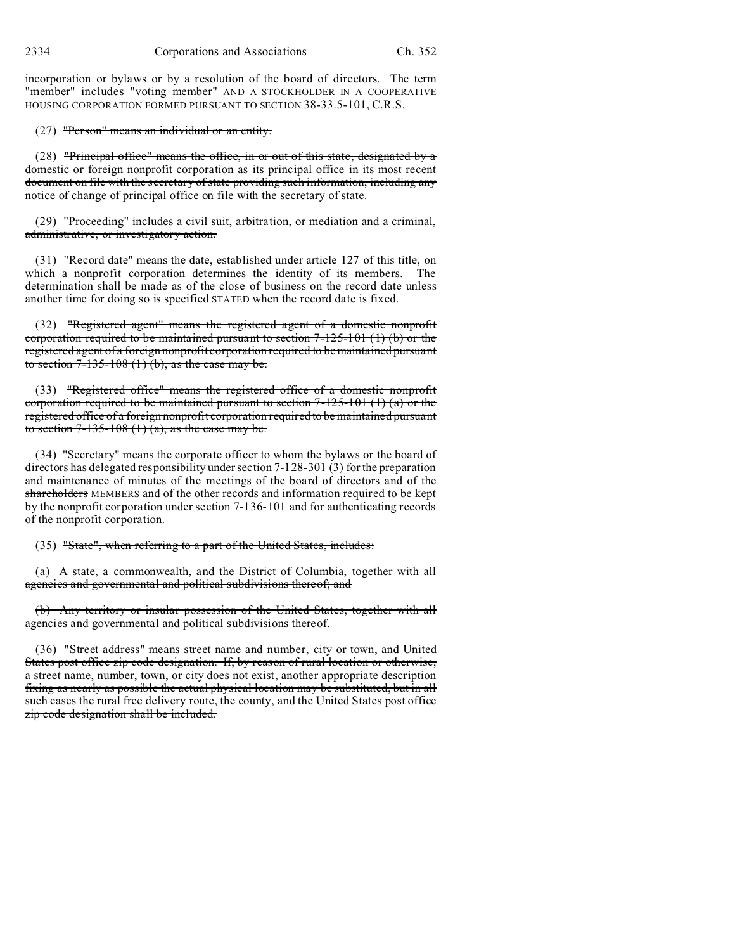incorporation or bylaws or by a resolution of the board of directors. The term "member" includes "voting member" AND A STOCKHOLDER IN A COOPERATIVE HOUSING CORPORATION FORMED PURSUANT TO SECTION 38-33.5-101, C.R.S.

#### (27) "Person" means an individual or an entity.

(28) "Principal office" means the office, in or out of this state, designated by a domestic or foreign nonprofit corporation as its principal office in its most recent document on file with the secretary of state providing such information, including any notice of change of principal office on file with the secretary of state.

(29) "Proceeding" includes a civil suit, arbitration, or mediation and a criminal, administrative, or investigatory action.

(31) "Record date" means the date, established under article 127 of this title, on which a nonprofit corporation determines the identity of its members. The determination shall be made as of the close of business on the record date unless another time for doing so is specified STATED when the record date is fixed.

(32) "Registered agent" means the registered agent of a domestic nonprofit corporation required to be maintained pursuant to section  $7-125-101$  (1) (b) or the registered agent of a foreign nonprofit corporation required to be maintained pursuant to section  $7-135-108(1)$  (b), as the case may be.

(33) "Registered office" means the registered office of a domestic nonprofit corporation required to be maintained pursuant to section  $7-125-101$  (1) (a) or the registered office of a foreign nonprofit corporation required to be maintained pursuant to section  $7-135-108(1)(a)$ , as the case may be.

(34) "Secretary" means the corporate officer to whom the bylaws or the board of directors has delegated responsibility under section 7-128-301 (3) for the preparation and maintenance of minutes of the meetings of the board of directors and of the shareholders MEMBERS and of the other records and information required to be kept by the nonprofit corporation under section 7-136-101 and for authenticating records of the nonprofit corporation.

(35) "State", when referring to a part of the United States, includes:

(a) A state, a commonwealth, and the District of Columbia, together with all agencies and governmental and political subdivisions thereof; and

(b) Any territory or insular possession of the United States, together with all agencies and governmental and political subdivisions thereof.

(36) "Street address" means street name and number, city or town, and United States post office zip code designation. If, by reason of rural location or otherwise, a street name, number, town, or city does not exist, another appropriate description fixing as nearly as possible the actual physical location may be substituted, but in all such cases the rural free delivery route, the county, and the United States post office zip code designation shall be included.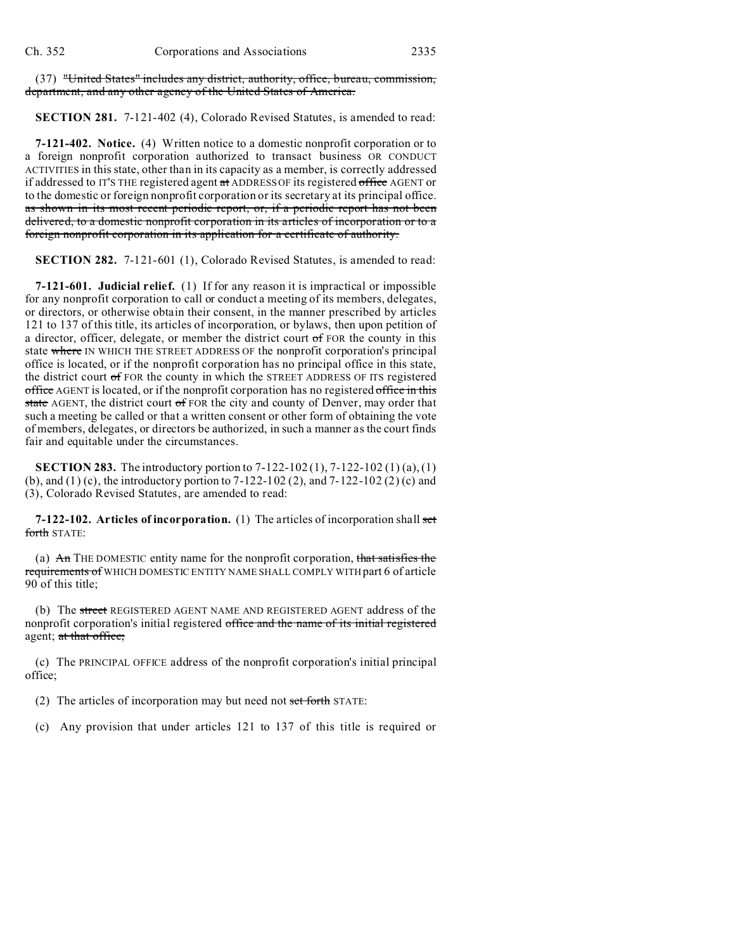(37) "United States" includes any district, authority, office, bureau, commission, department, and any other agency of the United States of America.

**SECTION 281.** 7-121-402 (4), Colorado Revised Statutes, is amended to read:

**7-121-402. Notice.** (4) Written notice to a domestic nonprofit corporation or to a foreign nonprofit corporation authorized to transact business OR CONDUCT ACTIVITIES in this state, other than in its capacity as a member, is correctly addressed if addressed to IT'S THE registered agent at ADDRESS OF its registered office AGENT or to the domestic or foreign nonprofit corporation or its secretary at its principal office. as shown in its most recent periodic report, or, if a periodic report has not been delivered, to a domestic nonprofit corporation in its articles of incorporation or to a foreign nonprofit corporation in its application for a certificate of authority.

**SECTION 282.** 7-121-601 (1), Colorado Revised Statutes, is amended to read:

**7-121-601. Judicial relief.** (1) If for any reason it is impractical or impossible for any nonprofit corporation to call or conduct a meeting of its members, delegates, or directors, or otherwise obtain their consent, in the manner prescribed by articles 121 to 137 of this title, its articles of incorporation, or bylaws, then upon petition of a director, officer, delegate, or member the district court  $\sigma$  FOR the county in this state where IN WHICH THE STREET ADDRESS OF the nonprofit corporation's principal office is located, or if the nonprofit corporation has no principal office in this state, the district court of FOR the county in which the STREET ADDRESS OF ITS registered office AGENT is located, or if the nonprofit corporation has no registered office in this state AGENT, the district court of FOR the city and county of Denver, may order that such a meeting be called or that a written consent or other form of obtaining the vote of members, delegates, or directors be authorized, in such a manner as the court finds fair and equitable under the circumstances.

**SECTION 283.** The introductory portion to 7-122-102 (1), 7-122-102 (1) (a), (1) (b), and (1) (c), the introductory portion to 7-122-102 (2), and 7-122-102 (2) (c) and (3), Colorado Revised Statutes, are amended to read:

**7-122-102. Articles of incorporation.** (1) The articles of incorporation shall set forth STATE:

(a) An THE DOMESTIC entity name for the nonprofit corporation, that satisfies the requirements of WHICH DOMESTIC ENTITY NAME SHALL COMPLY WITH part 6 of article 90 of this title;

(b) The street REGISTERED AGENT NAME AND REGISTERED AGENT address of the nonprofit corporation's initial registered office and the name of its initial registered agent; at that office;

(c) The PRINCIPAL OFFICE address of the nonprofit corporation's initial principal office;

(2) The articles of incorporation may but need not set forth STATE:

(c) Any provision that under articles 121 to 137 of this title is required or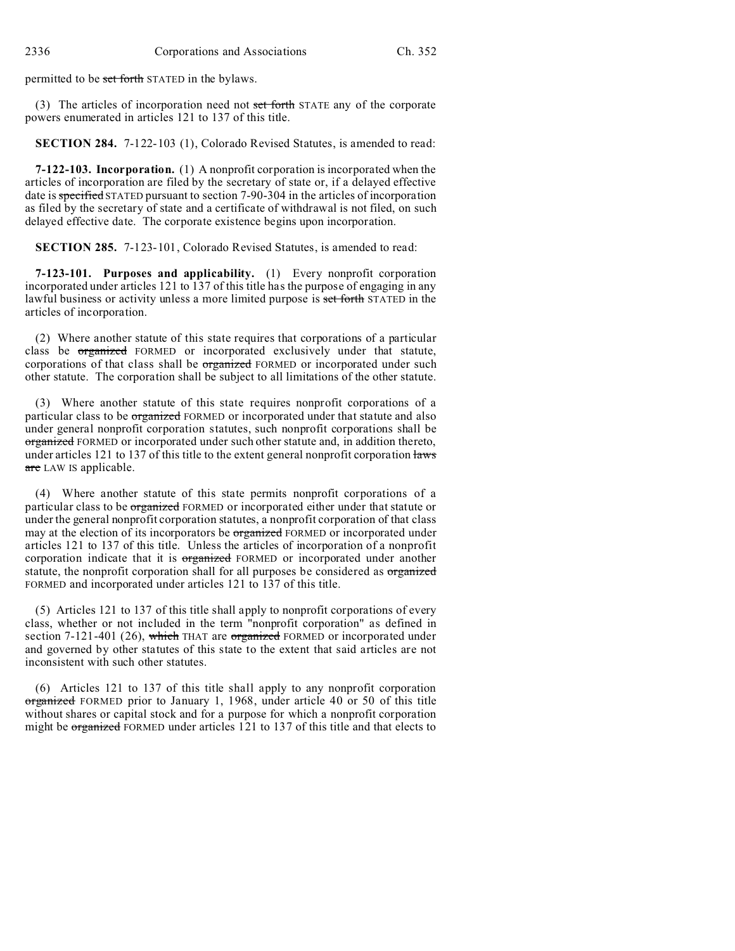permitted to be set forth STATED in the bylaws.

(3) The articles of incorporation need not set forth STATE any of the corporate powers enumerated in articles 121 to 137 of this title.

**SECTION 284.** 7-122-103 (1), Colorado Revised Statutes, is amended to read:

**7-122-103. Incorporation.** (1) A nonprofit corporation is incorporated when the articles of incorporation are filed by the secretary of state or, if a delayed effective date is specified STATED pursuant to section 7-90-304 in the articles of incorporation as filed by the secretary of state and a certificate of withdrawal is not filed, on such delayed effective date. The corporate existence begins upon incorporation.

**SECTION 285.** 7-123-101, Colorado Revised Statutes, is amended to read:

**7-123-101. Purposes and applicability.** (1) Every nonprofit corporation incorporated under articles 121 to 137 of this title has the purpose of engaging in any lawful business or activity unless a more limited purpose is set forth STATED in the articles of incorporation.

(2) Where another statute of this state requires that corporations of a particular class be organized FORMED or incorporated exclusively under that statute, corporations of that class shall be organized FORMED or incorporated under such other statute. The corporation shall be subject to all limitations of the other statute.

(3) Where another statute of this state requires nonprofit corporations of a particular class to be *organized* FORMED or incorporated under that statute and also under general nonprofit corporation statutes, such nonprofit corporations shall be organized FORMED or incorporated under such other statute and, in addition thereto, under articles 121 to 137 of this title to the extent general nonprofit corporation laws are LAW IS applicable.

(4) Where another statute of this state permits nonprofit corporations of a particular class to be organized FORMED or incorporated either under that statute or under the general nonprofit corporation statutes, a nonprofit corporation of that class may at the election of its incorporators be organized FORMED or incorporated under articles 121 to 137 of this title. Unless the articles of incorporation of a nonprofit corporation indicate that it is organized FORMED or incorporated under another statute, the nonprofit corporation shall for all purposes be considered as organized FORMED and incorporated under articles 121 to 137 of this title.

(5) Articles 121 to 137 of this title shall apply to nonprofit corporations of every class, whether or not included in the term "nonprofit corporation" as defined in section 7-121-401 (26), which THAT are organized FORMED or incorporated under and governed by other statutes of this state to the extent that said articles are not inconsistent with such other statutes.

(6) Articles 121 to 137 of this title shall apply to any nonprofit corporation organized FORMED prior to January 1, 1968, under article 40 or 50 of this title without shares or capital stock and for a purpose for which a nonprofit corporation might be organized FORMED under articles 121 to 137 of this title and that elects to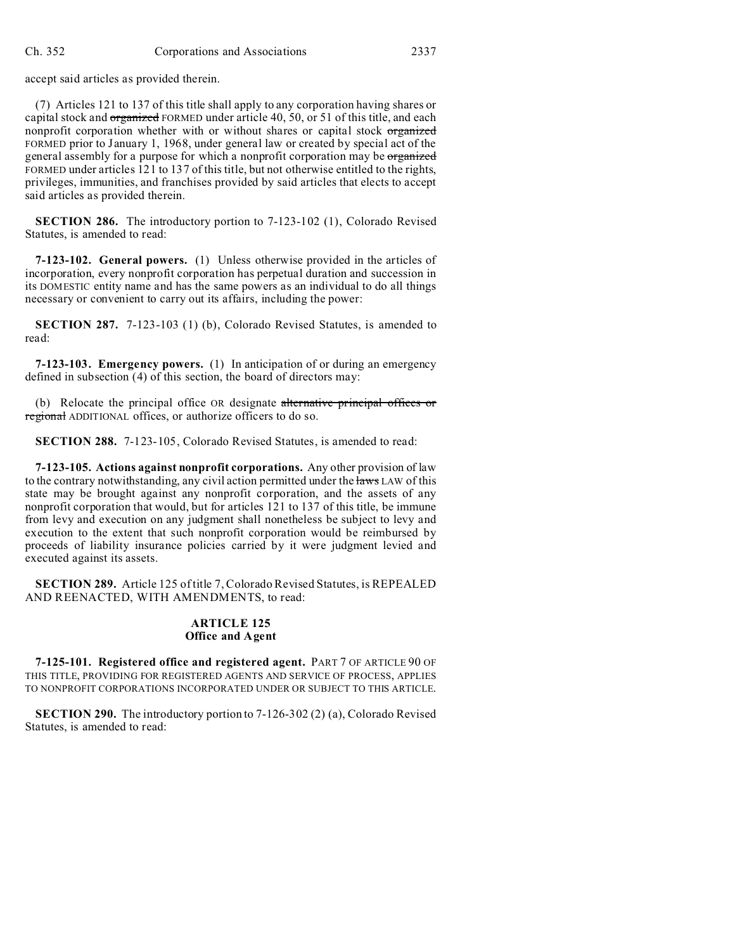accept said articles as provided therein.

(7) Articles 121 to 137 of this title shall apply to any corporation having shares or capital stock and organized FORMED under article 40, 50, or 51 of this title, and each nonprofit corporation whether with or without shares or capital stock organized FORMED prior to January 1, 1968, under general law or created by special act of the general assembly for a purpose for which a nonprofit corporation may be organized FORMED under articles 121 to 137 of this title, but not otherwise entitled to the rights, privileges, immunities, and franchises provided by said articles that elects to accept said articles as provided therein.

**SECTION 286.** The introductory portion to 7-123-102 (1), Colorado Revised Statutes, is amended to read:

**7-123-102. General powers.** (1) Unless otherwise provided in the articles of incorporation, every nonprofit corporation has perpetual duration and succession in its DOMESTIC entity name and has the same powers as an individual to do all things necessary or convenient to carry out its affairs, including the power:

**SECTION 287.** 7-123-103 (1) (b), Colorado Revised Statutes, is amended to read:

**7-123-103. Emergency powers.** (1) In anticipation of or during an emergency defined in subsection (4) of this section, the board of directors may:

(b) Relocate the principal office OR designate alternative principal offices or regional ADDITIONAL offices, or authorize officers to do so.

**SECTION 288.** 7-123-105, Colorado Revised Statutes, is amended to read:

**7-123-105. Actions against nonprofit corporations.** Any other provision of law to the contrary notwithstanding, any civil action permitted under the laws LAW of this state may be brought against any nonprofit corporation, and the assets of any nonprofit corporation that would, but for articles 121 to 137 of this title, be immune from levy and execution on any judgment shall nonetheless be subject to levy and execution to the extent that such nonprofit corporation would be reimbursed by proceeds of liability insurance policies carried by it were judgment levied and executed against its assets.

**SECTION 289.** Article 125 of title 7, Colorado Revised Statutes, is REPEALED AND REENACTED, WITH AMENDMENTS, to read:

# **ARTICLE 125 Office and Agent**

**7-125-101. Registered office and registered agent.** PART 7 OF ARTICLE 90 OF THIS TITLE, PROVIDING FOR REGISTERED AGENTS AND SERVICE OF PROCESS, APPLIES TO NONPROFIT CORPORATIONS INCORPORATED UNDER OR SUBJECT TO THIS ARTICLE.

**SECTION 290.** The introductory portion to 7-126-302 (2) (a), Colorado Revised Statutes, is amended to read: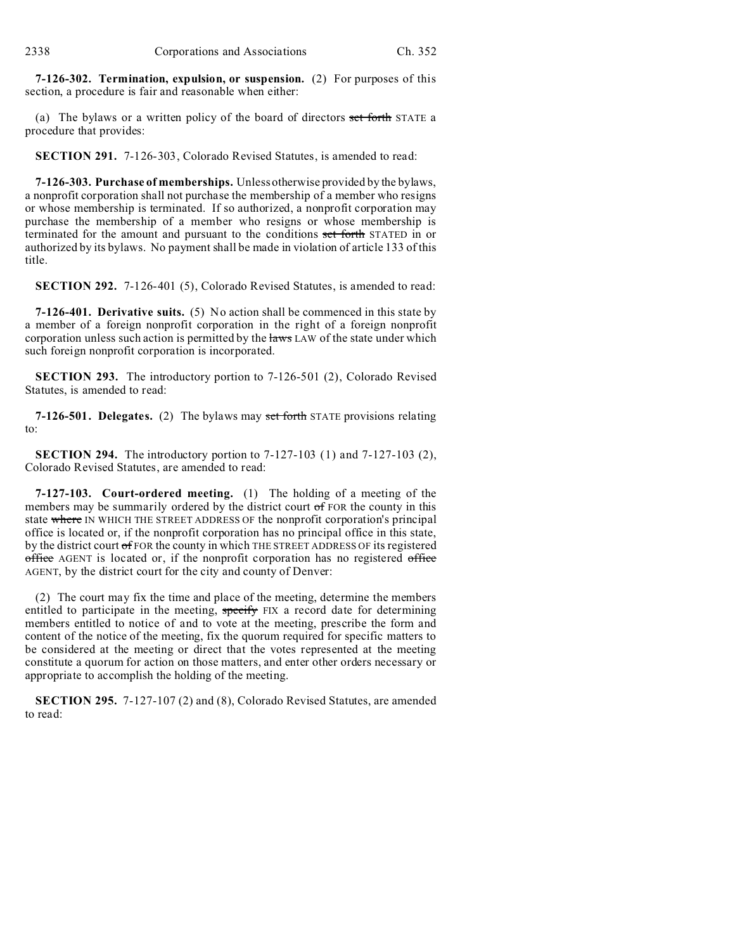**7-126-302. Termination, expulsion, or suspension.** (2) For purposes of this section, a procedure is fair and reasonable when either:

(a) The bylaws or a written policy of the board of directors set forth STATE a procedure that provides:

**SECTION 291.** 7-126-303, Colorado Revised Statutes, is amended to read:

**7-126-303. Purchase of memberships.** Unless otherwise provided by the bylaws, a nonprofit corporation shall not purchase the membership of a member who resigns or whose membership is terminated. If so authorized, a nonprofit corporation may purchase the membership of a member who resigns or whose membership is terminated for the amount and pursuant to the conditions set forth STATED in or authorized by its bylaws. No payment shall be made in violation of article 133 of this title.

**SECTION 292.** 7-126-401 (5), Colorado Revised Statutes, is amended to read:

**7-126-401. Derivative suits.** (5) No action shall be commenced in this state by a member of a foreign nonprofit corporation in the right of a foreign nonprofit corporation unless such action is permitted by the laws LAW of the state under which such foreign nonprofit corporation is incorporated.

**SECTION 293.** The introductory portion to 7-126-501 (2), Colorado Revised Statutes, is amended to read:

**7-126-501. Delegates.** (2) The bylaws may set forth STATE provisions relating to:

**SECTION 294.** The introductory portion to 7-127-103 (1) and 7-127-103 (2), Colorado Revised Statutes, are amended to read:

**7-127-103. Court-ordered meeting.** (1) The holding of a meeting of the members may be summarily ordered by the district court of FOR the county in this state where IN WHICH THE STREET ADDRESS OF the nonprofit corporation's principal office is located or, if the nonprofit corporation has no principal office in this state, by the district court of FOR the county in which THE STREET ADDRESS OF its registered office AGENT is located or, if the nonprofit corporation has no registered office AGENT, by the district court for the city and county of Denver:

(2) The court may fix the time and place of the meeting, determine the members entitled to participate in the meeting, specify FIX a record date for determining members entitled to notice of and to vote at the meeting, prescribe the form and content of the notice of the meeting, fix the quorum required for specific matters to be considered at the meeting or direct that the votes represented at the meeting constitute a quorum for action on those matters, and enter other orders necessary or appropriate to accomplish the holding of the meeting.

**SECTION 295.** 7-127-107 (2) and (8), Colorado Revised Statutes, are amended to read: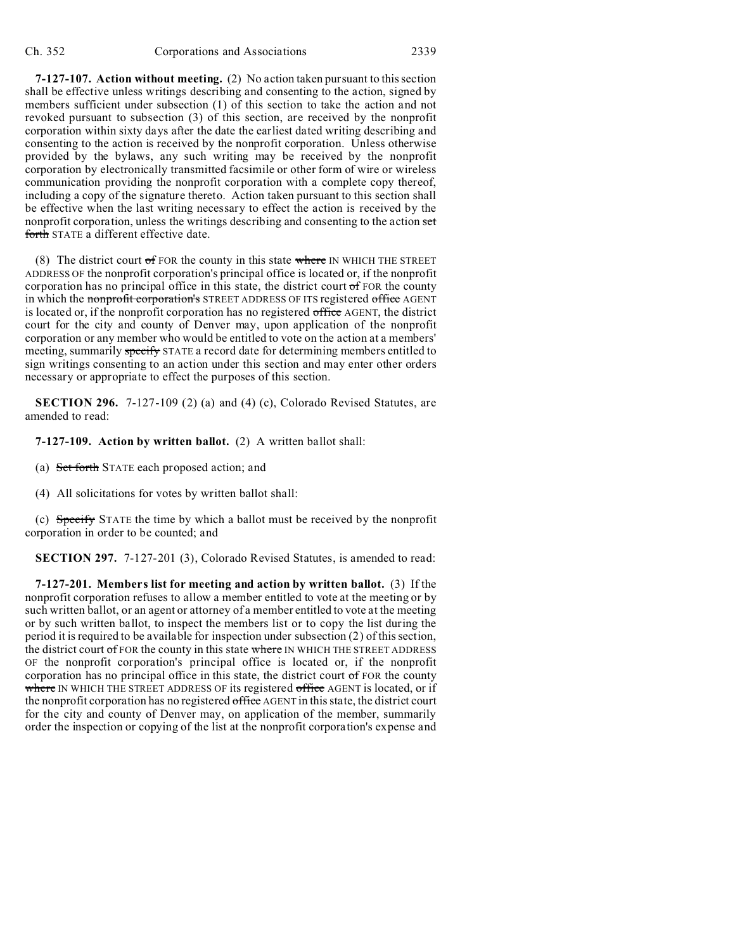**7-127-107. Action without meeting.** (2) No action taken pursuant to this section shall be effective unless writings describing and consenting to the action, signed by members sufficient under subsection (1) of this section to take the action and not revoked pursuant to subsection (3) of this section, are received by the nonprofit corporation within sixty days after the date the earliest dated writing describing and consenting to the action is received by the nonprofit corporation. Unless otherwise provided by the bylaws, any such writing may be received by the nonprofit corporation by electronically transmitted facsimile or other form of wire or wireless communication providing the nonprofit corporation with a complete copy thereof, including a copy of the signature thereto. Action taken pursuant to this section shall be effective when the last writing necessary to effect the action is received by the nonprofit corporation, unless the writings describing and consenting to the action set forth STATE a different effective date.

(8) The district court  $\sigma$  FOR the county in this state where IN WHICH THE STREET ADDRESS OF the nonprofit corporation's principal office is located or, if the nonprofit corporation has no principal office in this state, the district court  $\sigma f$  FOR the county in which the nonprofit corporation's STREET ADDRESS OF ITS registered office AGENT is located or, if the nonprofit corporation has no registered office AGENT, the district court for the city and county of Denver may, upon application of the nonprofit corporation or any member who would be entitled to vote on the action at a members' meeting, summarily specify STATE a record date for determining members entitled to sign writings consenting to an action under this section and may enter other orders necessary or appropriate to effect the purposes of this section.

**SECTION 296.** 7-127-109 (2) (a) and (4) (c), Colorado Revised Statutes, are amended to read:

#### **7-127-109. Action by written ballot.** (2) A written ballot shall:

(a) Set forth STATE each proposed action; and

(4) All solicitations for votes by written ballot shall:

(c) Specify STATE the time by which a ballot must be received by the nonprofit corporation in order to be counted; and

**SECTION 297.** 7-127-201 (3), Colorado Revised Statutes, is amended to read:

**7-127-201. Members list for meeting and action by written ballot.** (3) If the nonprofit corporation refuses to allow a member entitled to vote at the meeting or by such written ballot, or an agent or attorney of a member entitled to vote at the meeting or by such written ballot, to inspect the members list or to copy the list during the period it is required to be available for inspection under subsection (2) of this section, the district court  $\sigma$  FOR the county in this state where IN WHICH THE STREET ADDRESS OF the nonprofit corporation's principal office is located or, if the nonprofit corporation has no principal office in this state, the district court of FOR the county where IN WHICH THE STREET ADDRESS OF its registered office AGENT is located, or if the nonprofit corporation has no registered office AGENT in this state, the district court for the city and county of Denver may, on application of the member, summarily order the inspection or copying of the list at the nonprofit corporation's expense and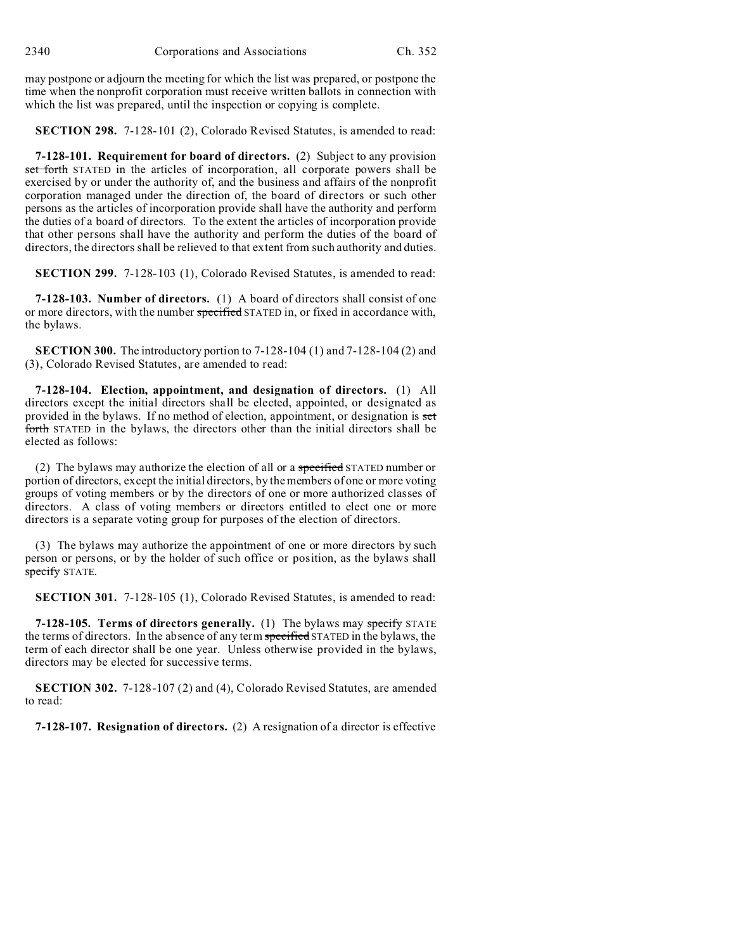may postpone or adjourn the meeting for which the list was prepared, or postpone the time when the nonprofit corporation must receive written ballots in connection with which the list was prepared, until the inspection or copying is complete.

**SECTION 298.** 7-128-101 (2), Colorado Revised Statutes, is amended to read:

**7-128-101. Requirement for board of directors.** (2) Subject to any provision set forth STATED in the articles of incorporation, all corporate powers shall be exercised by or under the authority of, and the business and affairs of the nonprofit corporation managed under the direction of, the board of directors or such other persons as the articles of incorporation provide shall have the authority and perform the duties of a board of directors. To the extent the articles of incorporation provide that other persons shall have the authority and perform the duties of the board of directors, the directors shall be relieved to that extent from such authority and duties.

**SECTION 299.** 7-128-103 (1), Colorado Revised Statutes, is amended to read:

**7-128-103. Number of directors.** (1) A board of directors shall consist of one or more directors, with the number specified STATED in, or fixed in accordance with, the bylaws.

**SECTION 300.** The introductory portion to 7-128-104 (1) and 7-128-104 (2) and (3), Colorado Revised Statutes, are amended to read:

**7-128-104. Election, appointment, and designation of directors.** (1) All directors except the initial directors shall be elected, appointed, or designated as provided in the bylaws. If no method of election, appointment, or designation is set forth STATED in the bylaws, the directors other than the initial directors shall be elected as follows:

(2) The bylaws may authorize the election of all or a specified STATED number or portion of directors, except the initial directors, by the members of one or more voting groups of voting members or by the directors of one or more authorized classes of directors. A class of voting members or directors entitled to elect one or more directors is a separate voting group for purposes of the election of directors.

(3) The bylaws may authorize the appointment of one or more directors by such person or persons, or by the holder of such office or position, as the bylaws shall specify STATE.

**SECTION 301.** 7-128-105 (1), Colorado Revised Statutes, is amended to read:

**7-128-105. Terms of directors generally.** (1) The bylaws may specify STATE the terms of directors. In the absence of any term specified STATED in the bylaws, the term of each director shall be one year. Unless otherwise provided in the bylaws, directors may be elected for successive terms.

**SECTION 302.** 7-128-107 (2) and (4), Colorado Revised Statutes, are amended to read:

**7-128-107. Resignation of directors.** (2) A resignation of a director is effective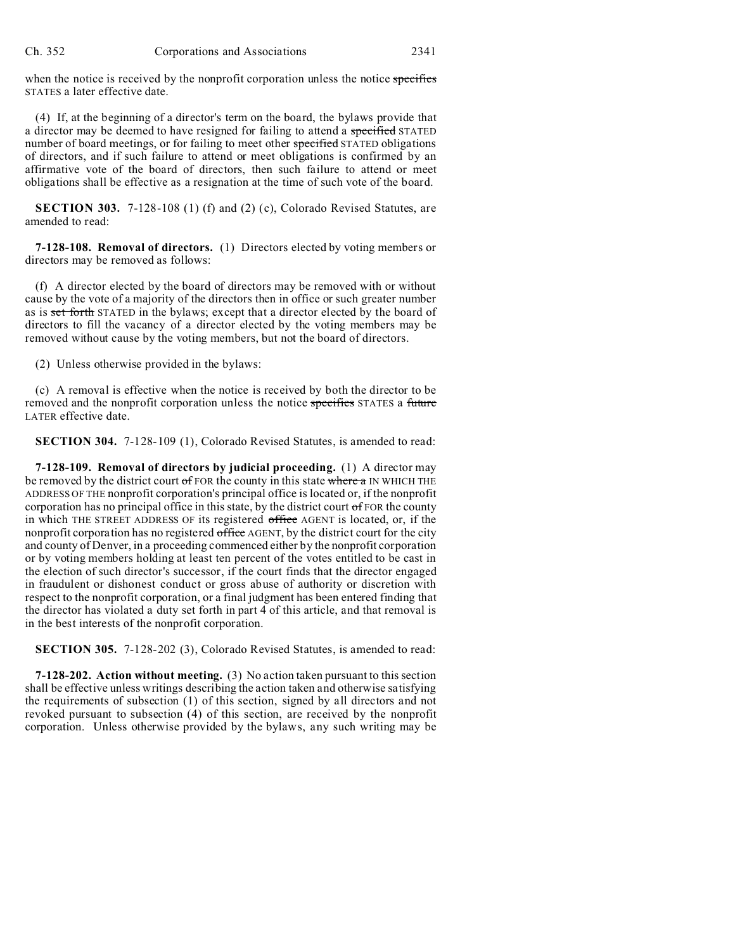when the notice is received by the nonprofit corporation unless the notice specifies STATES a later effective date.

(4) If, at the beginning of a director's term on the board, the bylaws provide that a director may be deemed to have resigned for failing to attend a specified STATED number of board meetings, or for failing to meet other specified STATED obligations of directors, and if such failure to attend or meet obligations is confirmed by an affirmative vote of the board of directors, then such failure to attend or meet obligations shall be effective as a resignation at the time of such vote of the board.

**SECTION 303.** 7-128-108 (1) (f) and (2) (c), Colorado Revised Statutes, are amended to read:

**7-128-108. Removal of directors.** (1) Directors elected by voting members or directors may be removed as follows:

(f) A director elected by the board of directors may be removed with or without cause by the vote of a majority of the directors then in office or such greater number as is set forth STATED in the bylaws; except that a director elected by the board of directors to fill the vacancy of a director elected by the voting members may be removed without cause by the voting members, but not the board of directors.

(2) Unless otherwise provided in the bylaws:

(c) A removal is effective when the notice is received by both the director to be removed and the nonprofit corporation unless the notice specifies STATES a future LATER effective date.

**SECTION 304.** 7-128-109 (1), Colorado Revised Statutes, is amended to read:

**7-128-109. Removal of directors by judicial proceeding.** (1) A director may be removed by the district court of FOR the county in this state where a IN WHICH THE ADDRESS OF THE nonprofit corporation's principal office is located or, if the nonprofit corporation has no principal office in this state, by the district court  $\sigma$  FOR the county in which THE STREET ADDRESS OF its registered office AGENT is located, or, if the nonprofit corporation has no registered office AGENT, by the district court for the city and county of Denver, in a proceeding commenced either by the nonprofit corporation or by voting members holding at least ten percent of the votes entitled to be cast in the election of such director's successor, if the court finds that the director engaged in fraudulent or dishonest conduct or gross abuse of authority or discretion with respect to the nonprofit corporation, or a final judgment has been entered finding that the director has violated a duty set forth in part 4 of this article, and that removal is in the best interests of the nonprofit corporation.

**SECTION 305.** 7-128-202 (3), Colorado Revised Statutes, is amended to read:

**7-128-202. Action without meeting.** (3) No action taken pursuant to this section shall be effective unless writings describing the action taken and otherwise satisfying the requirements of subsection (1) of this section, signed by all directors and not revoked pursuant to subsection (4) of this section, are received by the nonprofit corporation. Unless otherwise provided by the bylaws, any such writing may be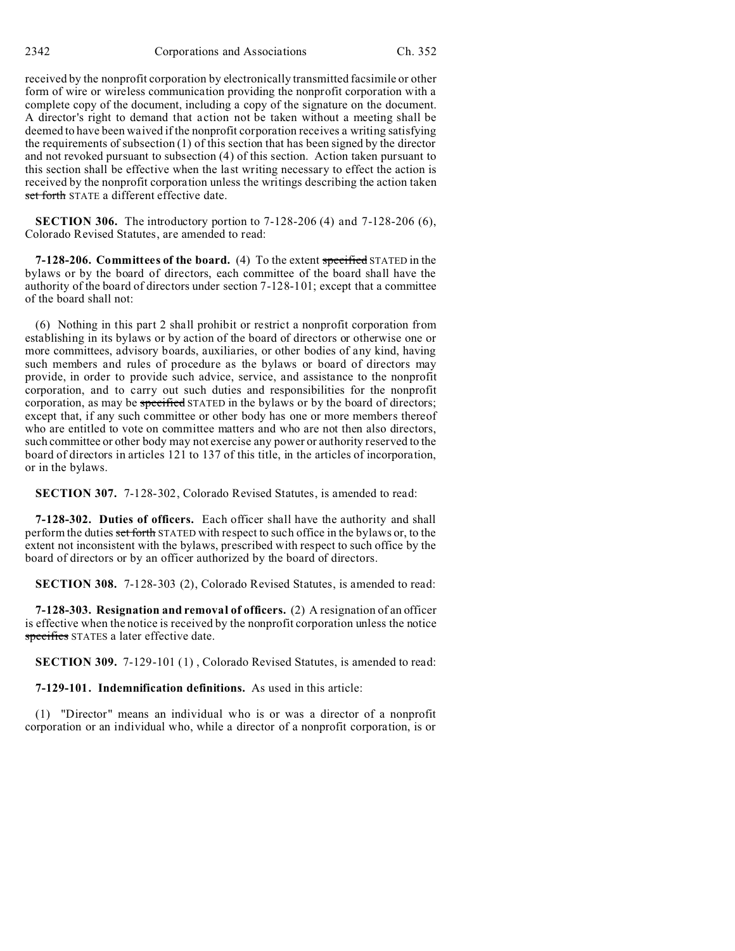received by the nonprofit corporation by electronically transmitted facsimile or other form of wire or wireless communication providing the nonprofit corporation with a complete copy of the document, including a copy of the signature on the document. A director's right to demand that action not be taken without a meeting shall be deemed to have been waived if the nonprofit corporation receives a writing satisfying the requirements of subsection (1) of this section that has been signed by the director and not revoked pursuant to subsection (4) of this section. Action taken pursuant to this section shall be effective when the last writing necessary to effect the action is received by the nonprofit corporation unless the writings describing the action taken set forth STATE a different effective date.

**SECTION 306.** The introductory portion to 7-128-206 (4) and 7-128-206 (6), Colorado Revised Statutes, are amended to read:

**7-128-206. Committees of the board.** (4) To the extent specified STATED in the bylaws or by the board of directors, each committee of the board shall have the authority of the board of directors under section 7-128-101; except that a committee of the board shall not:

(6) Nothing in this part 2 shall prohibit or restrict a nonprofit corporation from establishing in its bylaws or by action of the board of directors or otherwise one or more committees, advisory boards, auxiliaries, or other bodies of any kind, having such members and rules of procedure as the bylaws or board of directors may provide, in order to provide such advice, service, and assistance to the nonprofit corporation, and to carry out such duties and responsibilities for the nonprofit corporation, as may be specified STATED in the bylaws or by the board of directors; except that, if any such committee or other body has one or more members thereof who are entitled to vote on committee matters and who are not then also directors, such committee or other body may not exercise any power or authority reserved to the board of directors in articles 121 to 137 of this title, in the articles of incorporation, or in the bylaws.

**SECTION 307.** 7-128-302, Colorado Revised Statutes, is amended to read:

**7-128-302. Duties of officers.** Each officer shall have the authority and shall perform the duties set forth STATED with respect to such office in the bylaws or, to the extent not inconsistent with the bylaws, prescribed with respect to such office by the board of directors or by an officer authorized by the board of directors.

**SECTION 308.** 7-128-303 (2), Colorado Revised Statutes, is amended to read:

**7-128-303. Resignation and removal of officers.** (2) A resignation of an officer is effective when the notice is received by the nonprofit corporation unless the notice specifies STATES a later effective date.

**SECTION 309.** 7-129-101 (1) , Colorado Revised Statutes, is amended to read:

**7-129-101. Indemnification definitions.** As used in this article:

(1) "Director" means an individual who is or was a director of a nonprofit corporation or an individual who, while a director of a nonprofit corporation, is or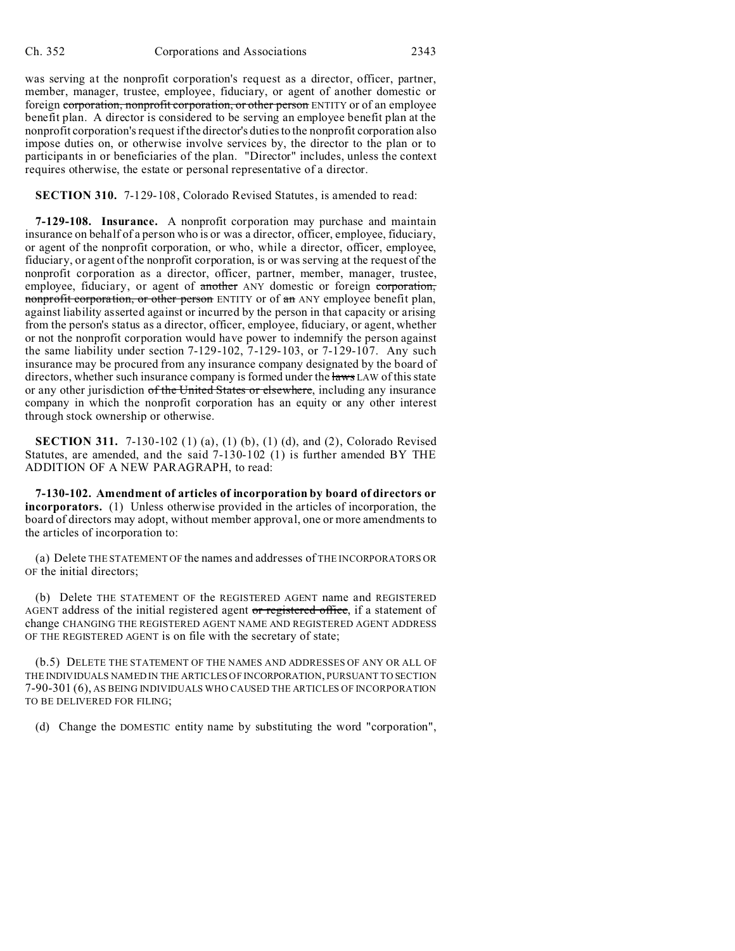was serving at the nonprofit corporation's request as a director, officer, partner, member, manager, trustee, employee, fiduciary, or agent of another domestic or foreign corporation, nonprofit corporation, or other person ENTITY or of an employee benefit plan. A director is considered to be serving an employee benefit plan at the nonprofit corporation's request if the director's duties to the nonprofit corporation also impose duties on, or otherwise involve services by, the director to the plan or to participants in or beneficiaries of the plan. "Director" includes, unless the context requires otherwise, the estate or personal representative of a director.

**SECTION 310.** 7-129-108, Colorado Revised Statutes, is amended to read:

**7-129-108. Insurance.** A nonprofit corporation may purchase and maintain insurance on behalf of a person who is or was a director, officer, employee, fiduciary, or agent of the nonprofit corporation, or who, while a director, officer, employee, fiduciary, or agent of the nonprofit corporation, is or was serving at the request of the nonprofit corporation as a director, officer, partner, member, manager, trustee, employee, fiduciary, or agent of another ANY domestic or foreign corporation, nonprofit corporation, or other person ENTITY or of an ANY employee benefit plan, against liability asserted against or incurred by the person in that capacity or arising from the person's status as a director, officer, employee, fiduciary, or agent, whether or not the nonprofit corporation would have power to indemnify the person against the same liability under section 7-129-102, 7-129-103, or 7-129-107. Any such insurance may be procured from any insurance company designated by the board of directors, whether such insurance company is formed under the laws LAW of this state or any other jurisdiction of the United States or elsewhere, including any insurance company in which the nonprofit corporation has an equity or any other interest through stock ownership or otherwise.

**SECTION 311.** 7-130-102 (1) (a), (1) (b), (1) (d), and (2), Colorado Revised Statutes, are amended, and the said 7-130-102 (1) is further amended BY THE ADDITION OF A NEW PARAGRAPH, to read:

**7-130-102. Amendment of articles of incorporation by board of directors or incorporators.** (1) Unless otherwise provided in the articles of incorporation, the board of directors may adopt, without member approval, one or more amendments to the articles of incorporation to:

(a) Delete THE STATEMENT OF the names and addresses of THE INCORPORATORS OR OF the initial directors;

(b) Delete THE STATEMENT OF the REGISTERED AGENT name and REGISTERED AGENT address of the initial registered agent or registered office, if a statement of change CHANGING THE REGISTERED AGENT NAME AND REGISTERED AGENT ADDRESS OF THE REGISTERED AGENT is on file with the secretary of state;

(b.5) DELETE THE STATEMENT OF THE NAMES AND ADDRESSES OF ANY OR ALL OF THE INDIVIDUALS NAMED IN THE ARTICLES OF INCORPORATION, PURSUANT TO SECTION 7-90-301 (6), AS BEING INDIVIDUALS WHO CAUSED THE ARTICLES OF INCORPORATION TO BE DELIVERED FOR FILING;

(d) Change the DOMESTIC entity name by substituting the word "corporation",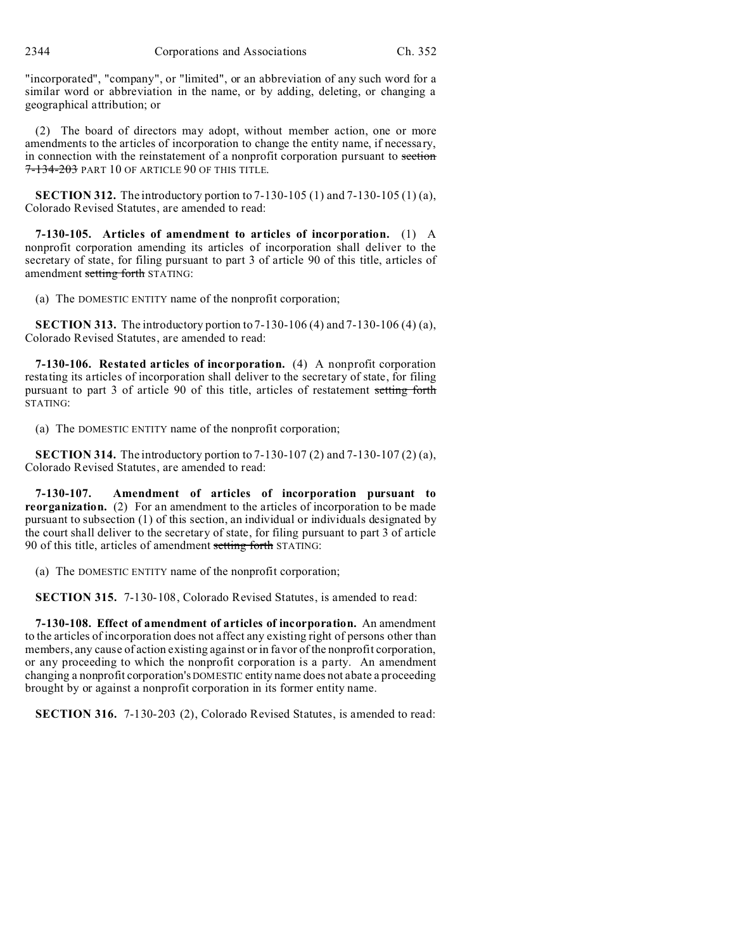2344 Corporations and Associations Ch. 352

"incorporated", "company", or "limited", or an abbreviation of any such word for a similar word or abbreviation in the name, or by adding, deleting, or changing a geographical attribution; or

(2) The board of directors may adopt, without member action, one or more amendments to the articles of incorporation to change the entity name, if necessary, in connection with the reinstatement of a nonprofit corporation pursuant to section 7-134-203 PART 10 OF ARTICLE 90 OF THIS TITLE.

**SECTION 312.** The introductory portion to 7-130-105 (1) and 7-130-105 (1) (a), Colorado Revised Statutes, are amended to read:

**7-130-105. Articles of amendment to articles of incorporation.** (1) A nonprofit corporation amending its articles of incorporation shall deliver to the secretary of state, for filing pursuant to part 3 of article 90 of this title, articles of amendment setting forth STATING:

(a) The DOMESTIC ENTITY name of the nonprofit corporation;

**SECTION 313.** The introductory portion to 7-130-106 (4) and 7-130-106 (4) (a), Colorado Revised Statutes, are amended to read:

**7-130-106. Restated articles of incorporation.** (4) A nonprofit corporation restating its articles of incorporation shall deliver to the secretary of state, for filing pursuant to part 3 of article 90 of this title, articles of restatement setting forth STATING:

(a) The DOMESTIC ENTITY name of the nonprofit corporation;

**SECTION 314.** The introductory portion to 7-130-107 (2) and 7-130-107 (2) (a), Colorado Revised Statutes, are amended to read:

**7-130-107. Amendment of articles of incorporation pursuant to reorganization.** (2) For an amendment to the articles of incorporation to be made pursuant to subsection (1) of this section, an individual or individuals designated by the court shall deliver to the secretary of state, for filing pursuant to part 3 of article 90 of this title, articles of amendment setting forth STATING:

(a) The DOMESTIC ENTITY name of the nonprofit corporation;

**SECTION 315.** 7-130-108, Colorado Revised Statutes, is amended to read:

**7-130-108. Effect of amendment of articles of incorporation.** An amendment to the articles of incorporation does not affect any existing right of persons other than members, any cause of action existing against or in favor of the nonprofit corporation, or any proceeding to which the nonprofit corporation is a party. An amendment changing a nonprofit corporation's DOMESTIC entity name does not abate a proceeding brought by or against a nonprofit corporation in its former entity name.

**SECTION 316.** 7-130-203 (2), Colorado Revised Statutes, is amended to read: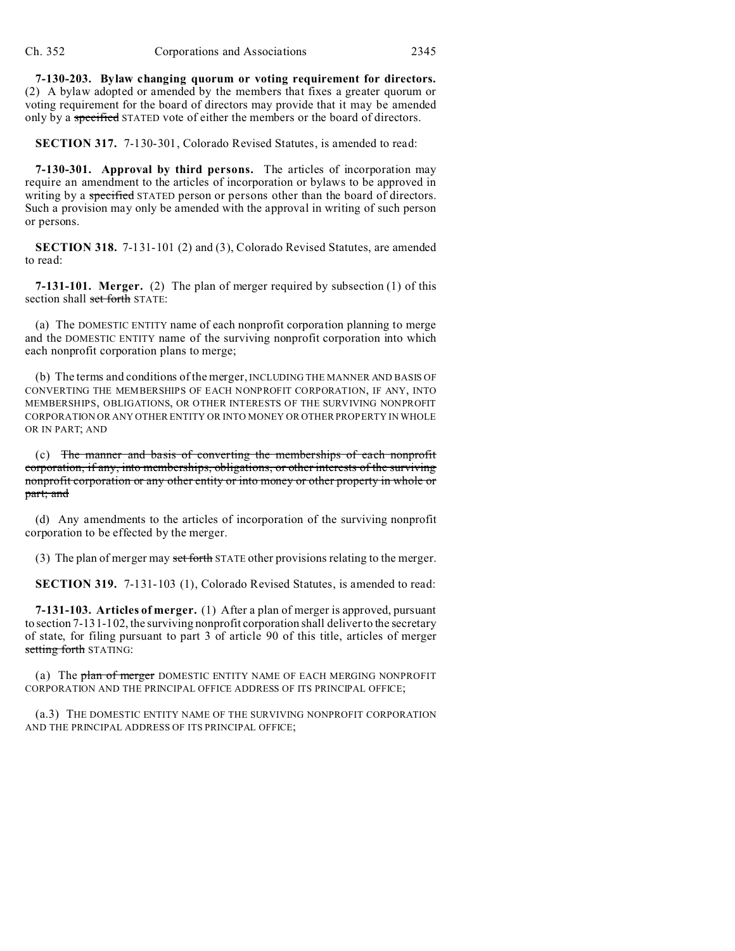**7-130-203. Bylaw changing quorum or voting requirement for directors.** (2) A bylaw adopted or amended by the members that fixes a greater quorum or voting requirement for the board of directors may provide that it may be amended only by a specified STATED vote of either the members or the board of directors.

**SECTION 317.** 7-130-301, Colorado Revised Statutes, is amended to read:

**7-130-301. Approval by third persons.** The articles of incorporation may require an amendment to the articles of incorporation or bylaws to be approved in writing by a specified STATED person or persons other than the board of directors. Such a provision may only be amended with the approval in writing of such person or persons.

**SECTION 318.** 7-131-101 (2) and (3), Colorado Revised Statutes, are amended to read:

**7-131-101. Merger.** (2) The plan of merger required by subsection (1) of this section shall set forth STATE:

(a) The DOMESTIC ENTITY name of each nonprofit corporation planning to merge and the DOMESTIC ENTITY name of the surviving nonprofit corporation into which each nonprofit corporation plans to merge;

(b) The terms and conditions of the merger, INCLUDING THE MANNER AND BASIS OF CONVERTING THE MEMBERSHIPS OF EACH NONPROFIT CORPORATION, IF ANY, INTO MEMBERSHIPS, OBLIGATIONS, OR OTHER INTERESTS OF THE SURVIVING NONPROFIT CORPORATION OR ANY OTHER ENTITY OR INTO MONEY OR OTHER PROPERTY IN WHOLE OR IN PART; AND

(c) The manner and basis of converting the memberships of each nonprofit corporation, if any, into memberships, obligations, or other interests of the surviving nonprofit corporation or any other entity or into money or other property in whole or part; and

(d) Any amendments to the articles of incorporation of the surviving nonprofit corporation to be effected by the merger.

(3) The plan of merger may set forth STATE other provisions relating to the merger.

**SECTION 319.** 7-131-103 (1), Colorado Revised Statutes, is amended to read:

**7-131-103. Articles of merger.** (1) After a plan of merger is approved, pursuant to section 7-131-102, the surviving nonprofit corporation shall deliver to the secretary of state, for filing pursuant to part 3 of article 90 of this title, articles of merger setting forth STATING:

(a) The plan of merger DOMESTIC ENTITY NAME OF EACH MERGING NONPROFIT CORPORATION AND THE PRINCIPAL OFFICE ADDRESS OF ITS PRINCIPAL OFFICE;

(a.3) THE DOMESTIC ENTITY NAME OF THE SURVIVING NONPROFIT CORPORATION AND THE PRINCIPAL ADDRESS OF ITS PRINCIPAL OFFICE;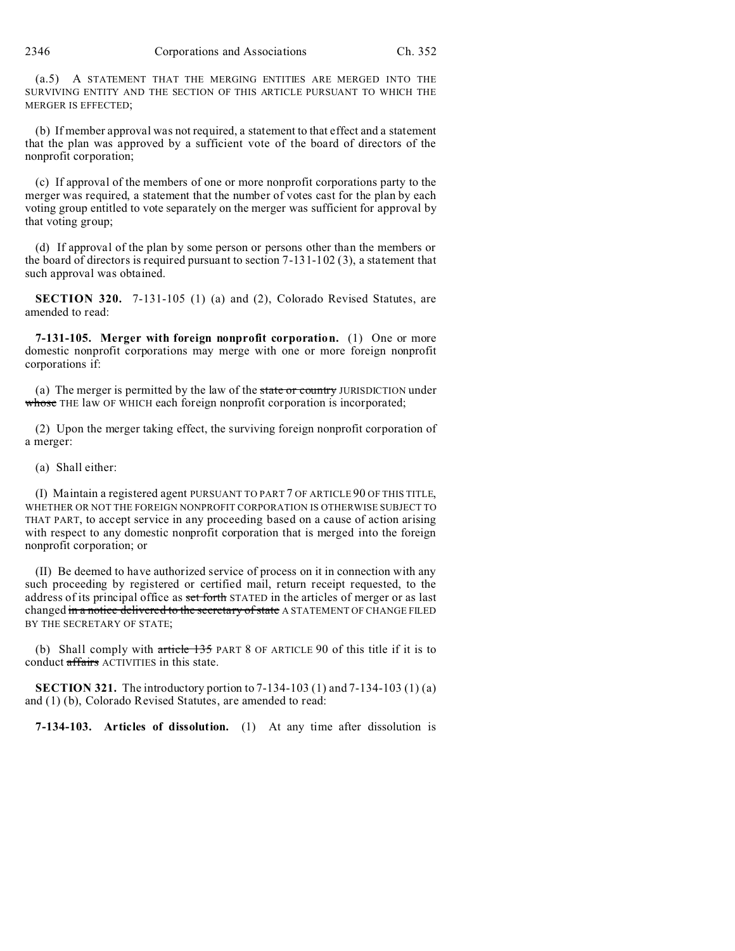(a.5) A STATEMENT THAT THE MERGING ENTITIES ARE MERGED INTO THE SURVIVING ENTITY AND THE SECTION OF THIS ARTICLE PURSUANT TO WHICH THE MERGER IS EFFECTED;

(b) If member approval was not required, a statement to that effect and a statement that the plan was approved by a sufficient vote of the board of directors of the nonprofit corporation;

(c) If approval of the members of one or more nonprofit corporations party to the merger was required, a statement that the number of votes cast for the plan by each voting group entitled to vote separately on the merger was sufficient for approval by that voting group;

(d) If approval of the plan by some person or persons other than the members or the board of directors is required pursuant to section  $7-131-102$  (3), a statement that such approval was obtained.

**SECTION 320.** 7-131-105 (1) (a) and (2), Colorado Revised Statutes, are amended to read:

**7-131-105. Merger with foreign nonprofit corporation.** (1) One or more domestic nonprofit corporations may merge with one or more foreign nonprofit corporations if:

(a) The merger is permitted by the law of the state or country JURISDICTION under whose THE law OF WHICH each foreign nonprofit corporation is incorporated;

(2) Upon the merger taking effect, the surviving foreign nonprofit corporation of a merger:

(a) Shall either:

(I) Maintain a registered agent PURSUANT TO PART 7 OF ARTICLE 90 OF THIS TITLE, WHETHER OR NOT THE FOREIGN NONPROFIT CORPORATION IS OTHERWISE SUBJECT TO THAT PART, to accept service in any proceeding based on a cause of action arising with respect to any domestic nonprofit corporation that is merged into the foreign nonprofit corporation; or

(II) Be deemed to have authorized service of process on it in connection with any such proceeding by registered or certified mail, return receipt requested, to the address of its principal office as set forth STATED in the articles of merger or as last changed in a notice delivered to the secretary of state A STATEMENT OF CHANGE FILED BY THE SECRETARY OF STATE;

(b) Shall comply with article 135 PART 8 OF ARTICLE 90 of this title if it is to conduct affairs ACTIVITIES in this state.

**SECTION 321.** The introductory portion to 7-134-103 (1) and 7-134-103 (1) (a) and (1) (b), Colorado Revised Statutes, are amended to read:

**7-134-103. Articles of dissolution.** (1) At any time after dissolution is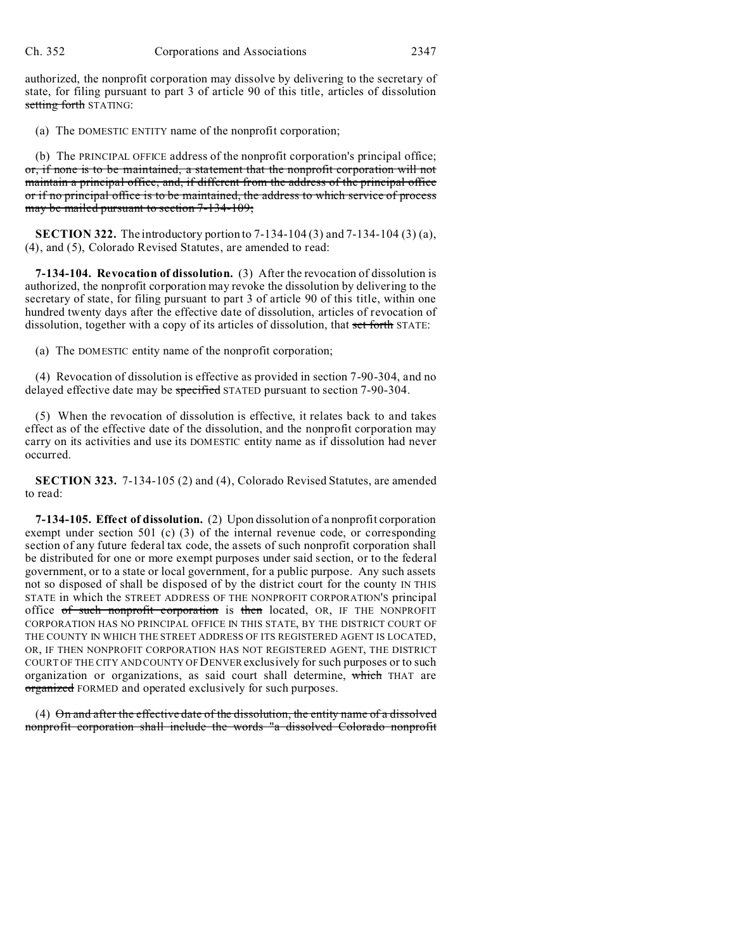authorized, the nonprofit corporation may dissolve by delivering to the secretary of state, for filing pursuant to part 3 of article 90 of this title, articles of dissolution setting forth STATING:

(a) The DOMESTIC ENTITY name of the nonprofit corporation;

(b) The PRINCIPAL OFFICE address of the nonprofit corporation's principal office; or, if none is to be maintained, a statement that the nonprofit corporation will not maintain a principal office, and, if different from the address of the principal office or if no principal office is to be maintained, the address to which service of process may be mailed pursuant to section 7-134-109;

**SECTION 322.** The introductory portion to 7-134-104 (3) and 7-134-104 (3) (a), (4), and (5), Colorado Revised Statutes, are amended to read:

**7-134-104. Revocation of dissolution.** (3) After the revocation of dissolution is authorized, the nonprofit corporation may revoke the dissolution by delivering to the secretary of state, for filing pursuant to part 3 of article 90 of this title, within one hundred twenty days after the effective date of dissolution, articles of revocation of dissolution, together with a copy of its articles of dissolution, that set forth STATE:

(a) The DOMESTIC entity name of the nonprofit corporation;

(4) Revocation of dissolution is effective as provided in section 7-90-304, and no delayed effective date may be specified STATED pursuant to section 7-90-304.

(5) When the revocation of dissolution is effective, it relates back to and takes effect as of the effective date of the dissolution, and the nonprofit corporation may carry on its activities and use its DOMESTIC entity name as if dissolution had never occurred.

**SECTION 323.** 7-134-105 (2) and (4), Colorado Revised Statutes, are amended to read:

**7-134-105. Effect of dissolution.** (2) Upon dissolution of a nonprofit corporation exempt under section 501 (c) (3) of the internal revenue code, or corresponding section of any future federal tax code, the assets of such nonprofit corporation shall be distributed for one or more exempt purposes under said section, or to the federal government, or to a state or local government, for a public purpose. Any such assets not so disposed of shall be disposed of by the district court for the county IN THIS STATE in which the STREET ADDRESS OF THE NONPROFIT CORPORATION'S principal office of such nonprofit corporation is then located, OR, IF THE NONPROFIT CORPORATION HAS NO PRINCIPAL OFFICE IN THIS STATE, BY THE DISTRICT COURT OF THE COUNTY IN WHICH THE STREET ADDRESS OF ITS REGISTERED AGENT IS LOCATED, OR, IF THEN NONPROFIT CORPORATION HAS NOT REGISTERED AGENT, THE DISTRICT COURT OF THE CITY AND COUNTY OF DENVER exclusively for such purposes or to such organization or organizations, as said court shall determine, which THAT are organized FORMED and operated exclusively for such purposes.

(4) On and after the effective date of the dissolution, the entity name of a dissolved nonprofit corporation shall include the words "a dissolved Colorado nonprofit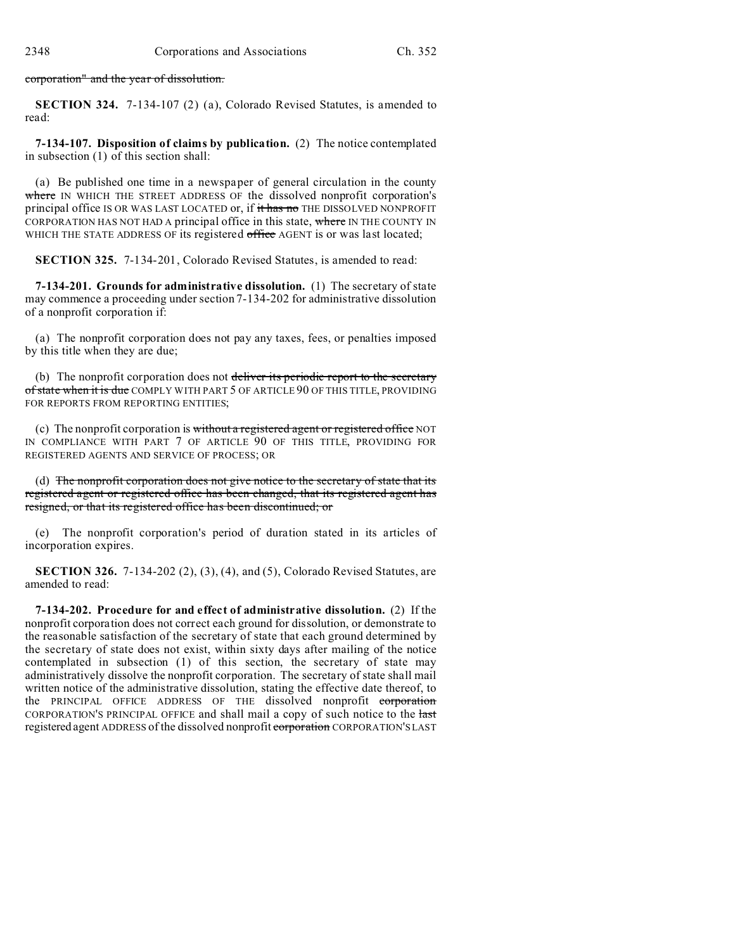corporation" and the year of dissolution.

**SECTION 324.** 7-134-107 (2) (a), Colorado Revised Statutes, is amended to read:

**7-134-107. Disposition of claims by publication.** (2) The notice contemplated in subsection (1) of this section shall:

(a) Be published one time in a newspaper of general circulation in the county where IN WHICH THE STREET ADDRESS OF the dissolved nonprofit corporation's principal office IS OR WAS LAST LOCATED or, if it has no THE DISSOLVED NONPROFIT CORPORATION HAS NOT HAD A principal office in this state, where IN THE COUNTY IN WHICH THE STATE ADDRESS OF its registered office AGENT is or was last located;

**SECTION 325.** 7-134-201, Colorado Revised Statutes, is amended to read:

**7-134-201. Grounds for administrative dissolution.** (1) The secretary of state may commence a proceeding under section 7-134-202 for administrative dissolution of a nonprofit corporation if:

(a) The nonprofit corporation does not pay any taxes, fees, or penalties imposed by this title when they are due;

(b) The nonprofit corporation does not deliver its periodic report to the secretary of state when it is due COMPLY WITH PART 5 OF ARTICLE 90 OF THIS TITLE, PROVIDING FOR REPORTS FROM REPORTING ENTITIES;

(c) The nonprofit corporation is without a registered agent or registered office NOT IN COMPLIANCE WITH PART 7 OF ARTICLE 90 OF THIS TITLE, PROVIDING FOR REGISTERED AGENTS AND SERVICE OF PROCESS; OR

(d) The nonprofit corporation does not give notice to the secretary of state that its registered agent or registered office has been changed, that its registered agent has resigned, or that its registered office has been discontinued; or

(e) The nonprofit corporation's period of duration stated in its articles of incorporation expires.

**SECTION 326.** 7-134-202 (2), (3), (4), and (5), Colorado Revised Statutes, are amended to read:

**7-134-202. Procedure for and effect of administrative dissolution.** (2) If the nonprofit corporation does not correct each ground for dissolution, or demonstrate to the reasonable satisfaction of the secretary of state that each ground determined by the secretary of state does not exist, within sixty days after mailing of the notice contemplated in subsection (1) of this section, the secretary of state may administratively dissolve the nonprofit corporation. The secretary of state shall mail written notice of the administrative dissolution, stating the effective date thereof, to the PRINCIPAL OFFICE ADDRESS OF THE dissolved nonprofit corporation CORPORATION'S PRINCIPAL OFFICE and shall mail a copy of such notice to the last registered agent ADDRESS of the dissolved nonprofit corporation CORPORATION'S LAST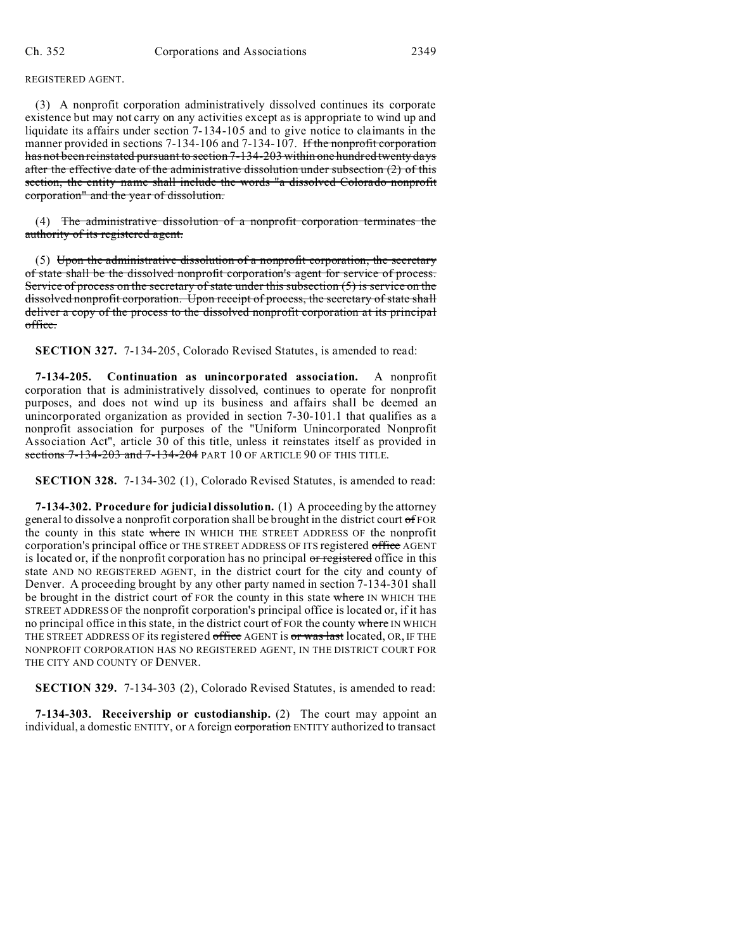REGISTERED AGENT.

(3) A nonprofit corporation administratively dissolved continues its corporate existence but may not carry on any activities except as is appropriate to wind up and liquidate its affairs under section 7-134-105 and to give notice to claimants in the manner provided in sections 7-134-106 and 7-134-107. If the nonprofit corporation has not been reinstated pursuant to section 7-134-203 within one hundred twenty days after the effective date of the administrative dissolution under subsection (2) of this section, the entity name shall include the words "a dissolved Colorado nonprofit corporation" and the year of dissolution.

(4) The administrative dissolution of a nonprofit corporation terminates the authority of its registered agent.

(5) Upon the administrative dissolution of a nonprofit corporation, the secretary of state shall be the dissolved nonprofit corporation's agent for service of process. Service of process on the secretary of state under this subsection (5) is service on the dissolved nonprofit corporation. Upon receipt of process, the secretary of state shall deliver a copy of the process to the dissolved nonprofit corporation at its principal office.

**SECTION 327.** 7-134-205, Colorado Revised Statutes, is amended to read:

**7-134-205. Continuation as unincorporated association.** A nonprofit corporation that is administratively dissolved, continues to operate for nonprofit purposes, and does not wind up its business and affairs shall be deemed an unincorporated organization as provided in section 7-30-101.1 that qualifies as a nonprofit association for purposes of the "Uniform Unincorporated Nonprofit Association Act", article 30 of this title, unless it reinstates itself as provided in sections  $7-134-203$  and  $7-134-204$  PART 10 OF ARTICLE 90 OF THIS TITLE.

**SECTION 328.** 7-134-302 (1), Colorado Revised Statutes, is amended to read:

**7-134-302. Procedure for judicial dissolution.** (1) A proceeding by the attorney general to dissolve a nonprofit corporation shall be brought in the district court of FOR the county in this state where IN WHICH THE STREET ADDRESS OF the nonprofit corporation's principal office or THE STREET ADDRESS OF ITS registered office AGENT is located or, if the nonprofit corporation has no principal or registered office in this state AND NO REGISTERED AGENT, in the district court for the city and county of Denver. A proceeding brought by any other party named in section 7-134-301 shall be brought in the district court  $\sigma$  FOR the county in this state where IN WHICH THE STREET ADDRESS OF the nonprofit corporation's principal office is located or, if it has no principal office in this state, in the district court of FOR the county where IN WHICH THE STREET ADDRESS OF its registered office AGENT is or was last located, OR, IF THE NONPROFIT CORPORATION HAS NO REGISTERED AGENT, IN THE DISTRICT COURT FOR THE CITY AND COUNTY OF DENVER.

**SECTION 329.** 7-134-303 (2), Colorado Revised Statutes, is amended to read:

**7-134-303. Receivership or custodianship.** (2) The court may appoint an individual, a domestic ENTITY, or A foreign corporation ENTITY authorized to transact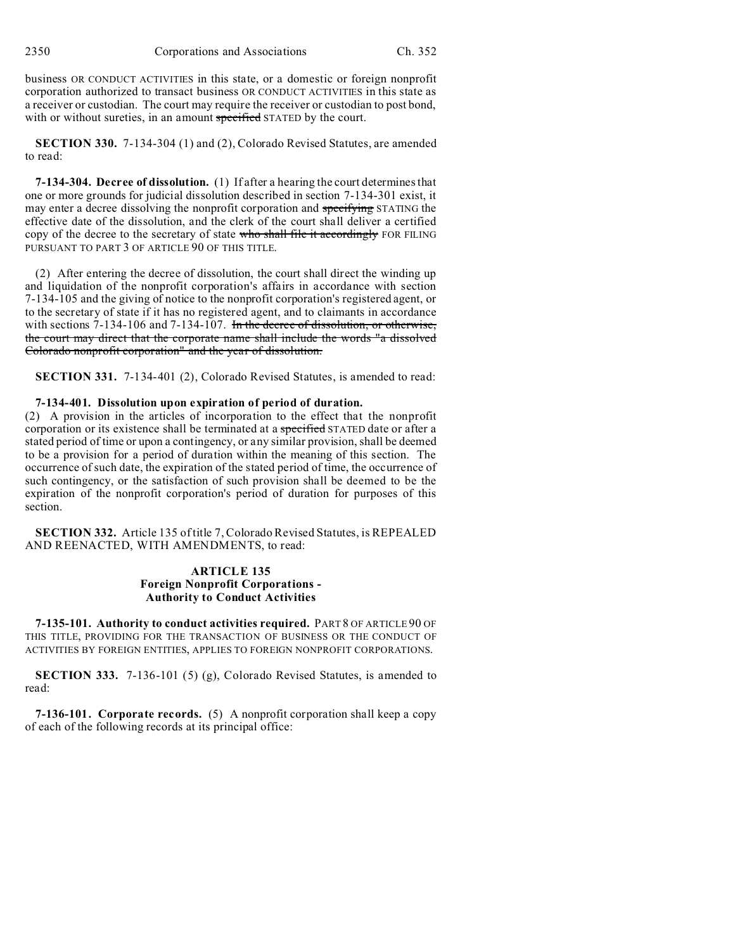2350 Corporations and Associations Ch. 352

business OR CONDUCT ACTIVITIES in this state, or a domestic or foreign nonprofit corporation authorized to transact business OR CONDUCT ACTIVITIES in this state as a receiver or custodian. The court may require the receiver or custodian to post bond, with or without sureties, in an amount specified STATED by the court.

**SECTION 330.** 7-134-304 (1) and (2), Colorado Revised Statutes, are amended to read:

**7-134-304. Decree of dissolution.** (1) If after a hearing the court determines that one or more grounds for judicial dissolution described in section 7-134-301 exist, it may enter a decree dissolving the nonprofit corporation and specifying STATING the effective date of the dissolution, and the clerk of the court shall deliver a certified copy of the decree to the secretary of state who shall file it accordingly FOR FILING PURSUANT TO PART 3 OF ARTICLE 90 OF THIS TITLE.

(2) After entering the decree of dissolution, the court shall direct the winding up and liquidation of the nonprofit corporation's affairs in accordance with section 7-134-105 and the giving of notice to the nonprofit corporation's registered agent, or to the secretary of state if it has no registered agent, and to claimants in accordance with sections 7-134-106 and 7-134-107. In the decree of dissolution, or otherwise, the court may direct that the corporate name shall include the words "a dissolved Colorado nonprofit corporation" and the year of dissolution.

**SECTION 331.** 7-134-401 (2), Colorado Revised Statutes, is amended to read:

## **7-134-401. Dissolution upon expiration of period of duration.**

(2) A provision in the articles of incorporation to the effect that the nonprofit corporation or its existence shall be terminated at a specified STATED date or after a stated period of time or upon a contingency, or any similar provision, shall be deemed to be a provision for a period of duration within the meaning of this section. The occurrence of such date, the expiration of the stated period of time, the occurrence of such contingency, or the satisfaction of such provision shall be deemed to be the expiration of the nonprofit corporation's period of duration for purposes of this section.

**SECTION 332.** Article 135 of title 7, Colorado Revised Statutes, is REPEALED AND REENACTED, WITH AMENDMENTS, to read:

## **ARTICLE 135 Foreign Nonprofit Corporations - Authority to Conduct Activities**

**7-135-101. Authority to conduct activities required.** PART 8 OF ARTICLE 90 OF THIS TITLE, PROVIDING FOR THE TRANSACTION OF BUSINESS OR THE CONDUCT OF ACTIVITIES BY FOREIGN ENTITIES, APPLIES TO FOREIGN NONPROFIT CORPORATIONS.

**SECTION 333.** 7-136-101 (5) (g), Colorado Revised Statutes, is amended to read:

**7-136-101. Corporate records.** (5) A nonprofit corporation shall keep a copy of each of the following records at its principal office: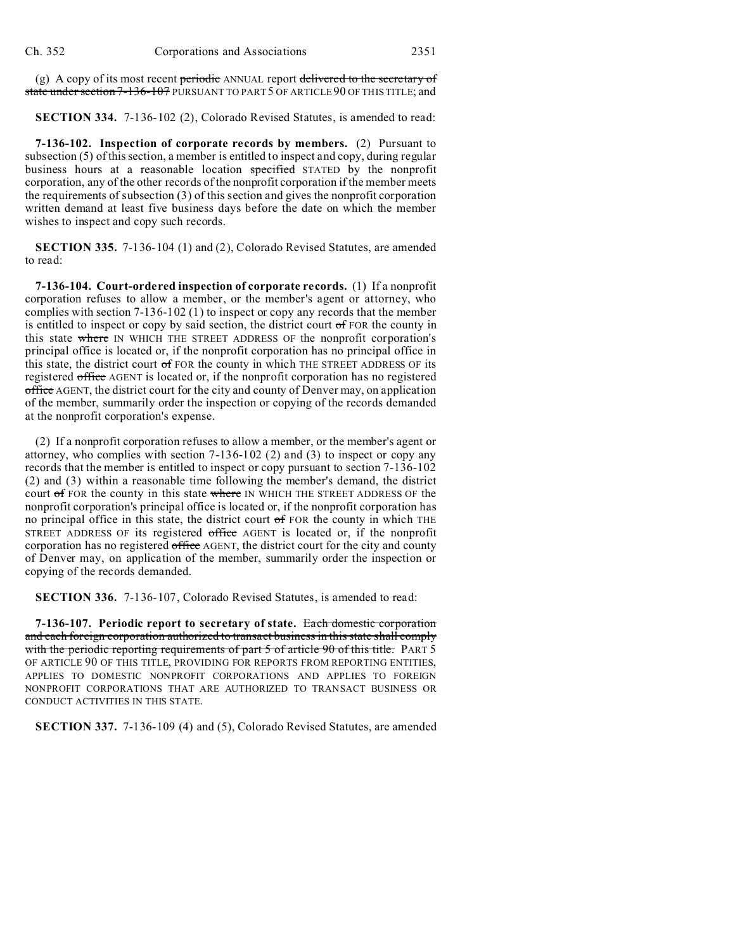(g) A copy of its most recent periodic ANNUAL report delivered to the secretary of state under section 7-136-107 PURSUANT TO PART 5 OF ARTICLE 90 OF THIS TITLE; and

**SECTION 334.** 7-136-102 (2), Colorado Revised Statutes, is amended to read:

**7-136-102. Inspection of corporate records by members.** (2) Pursuant to subsection (5) of this section, a member is entitled to inspect and copy, during regular business hours at a reasonable location specified STATED by the nonprofit corporation, any of the other records of the nonprofit corporation if the member meets the requirements of subsection (3) of this section and gives the nonprofit corporation written demand at least five business days before the date on which the member wishes to inspect and copy such records.

**SECTION 335.** 7-136-104 (1) and (2), Colorado Revised Statutes, are amended to read:

**7-136-104. Court-ordered inspection of corporate records.** (1) If a nonprofit corporation refuses to allow a member, or the member's agent or attorney, who complies with section 7-136-102 (1) to inspect or copy any records that the member is entitled to inspect or copy by said section, the district court  $\sigma$  FOR the county in this state where IN WHICH THE STREET ADDRESS OF the nonprofit corporation's principal office is located or, if the nonprofit corporation has no principal office in this state, the district court of FOR the county in which THE STREET ADDRESS OF its registered office AGENT is located or, if the nonprofit corporation has no registered office AGENT, the district court for the city and county of Denver may, on application of the member, summarily order the inspection or copying of the records demanded at the nonprofit corporation's expense.

(2) If a nonprofit corporation refuses to allow a member, or the member's agent or attorney, who complies with section 7-136-102 (2) and (3) to inspect or copy any records that the member is entitled to inspect or copy pursuant to section 7-136-102 (2) and (3) within a reasonable time following the member's demand, the district court of FOR the county in this state where IN WHICH THE STREET ADDRESS OF the nonprofit corporation's principal office is located or, if the nonprofit corporation has no principal office in this state, the district court  $\sigma$  FOR the county in which THE STREET ADDRESS OF its registered office AGENT is located or, if the nonprofit corporation has no registered office AGENT, the district court for the city and county of Denver may, on application of the member, summarily order the inspection or copying of the records demanded.

**SECTION 336.** 7-136-107, Colorado Revised Statutes, is amended to read:

**7-136-107. Periodic report to secretary of state.** Each domestic corporation and each foreign corporation authorized to transact business in this state shall comply with the periodic reporting requirements of part 5 of article 90 of this title. PART 5 OF ARTICLE 90 OF THIS TITLE, PROVIDING FOR REPORTS FROM REPORTING ENTITIES, APPLIES TO DOMESTIC NONPROFIT CORPORATIONS AND APPLIES TO FOREIGN NONPROFIT CORPORATIONS THAT ARE AUTHORIZED TO TRANSACT BUSINESS OR CONDUCT ACTIVITIES IN THIS STATE.

**SECTION 337.** 7-136-109 (4) and (5), Colorado Revised Statutes, are amended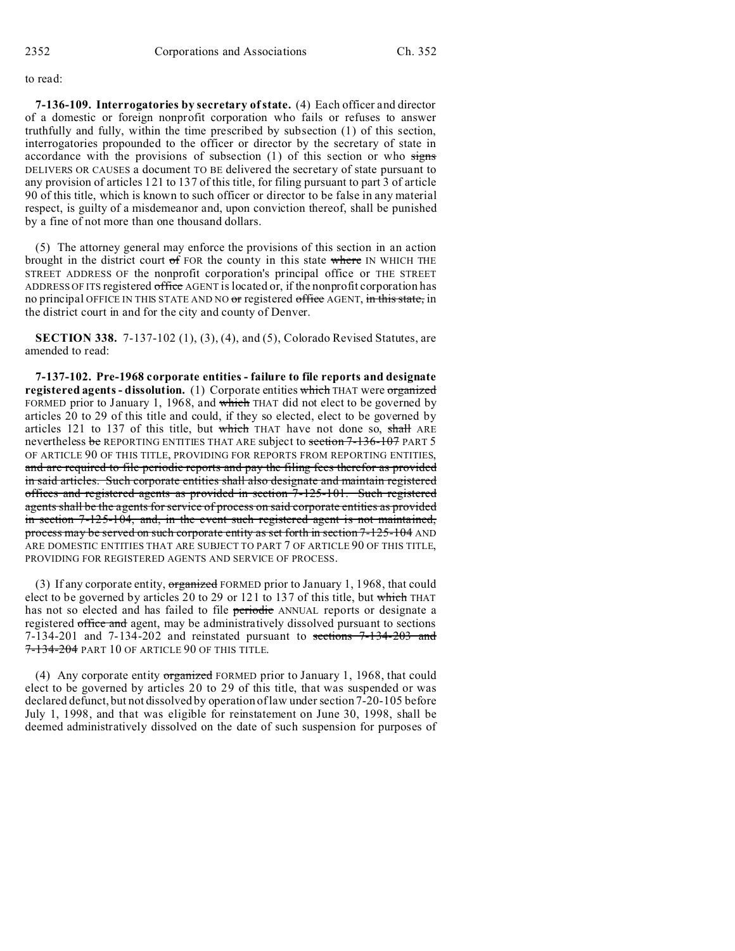to read:

**7-136-109. Interrogatories by secretary of state.** (4) Each officer and director of a domestic or foreign nonprofit corporation who fails or refuses to answer truthfully and fully, within the time prescribed by subsection (1) of this section, interrogatories propounded to the officer or director by the secretary of state in accordance with the provisions of subsection  $(1)$  of this section or who signs DELIVERS OR CAUSES a document TO BE delivered the secretary of state pursuant to any provision of articles 121 to 137 of this title, for filing pursuant to part 3 of article 90 of this title, which is known to such officer or director to be false in any material respect, is guilty of a misdemeanor and, upon conviction thereof, shall be punished by a fine of not more than one thousand dollars.

(5) The attorney general may enforce the provisions of this section in an action brought in the district court  $of$  FOR the county in this state where IN WHICH THE STREET ADDRESS OF the nonprofit corporation's principal office or THE STREET ADDRESS OF ITS registered office AGENT is located or, if the nonprofit corporation has no principal OFFICE IN THIS STATE AND NO or registered office AGENT, in this state, in the district court in and for the city and county of Denver.

**SECTION 338.** 7-137-102 (1), (3), (4), and (5), Colorado Revised Statutes, are amended to read:

**7-137-102. Pre-1968 corporate entities - failure to file reports and designate registered agents - dissolution.** (1) Corporate entities which THAT were organized FORMED prior to January 1, 1968, and which THAT did not elect to be governed by articles 20 to 29 of this title and could, if they so elected, elect to be governed by articles 121 to 137 of this title, but which THAT have not done so, shall ARE nevertheless be REPORTING ENTITIES THAT ARE subject to section 7-136-107 PART 5 OF ARTICLE 90 OF THIS TITLE, PROVIDING FOR REPORTS FROM REPORTING ENTITIES, and are required to file periodic reports and pay the filing fees therefor as provided in said articles. Such corporate entities shall also designate and maintain registered offices and registered agents as provided in section 7-125-101. Such registered agents shall be the agents for service of process on said corporate entities as provided in section 7-125-104, and, in the event such registered agent is not maintained, process may be served on such corporate entity as set forth in section 7-125-104 AND ARE DOMESTIC ENTITIES THAT ARE SUBJECT TO PART 7 OF ARTICLE 90 OF THIS TITLE, PROVIDING FOR REGISTERED AGENTS AND SERVICE OF PROCESS.

(3) If any corporate entity,  $$ elect to be governed by articles 20 to 29 or 121 to 137 of this title, but which THAT has not so elected and has failed to file periodic ANNUAL reports or designate a registered office and agent, may be administratively dissolved pursuant to sections 7-134-201 and 7-134-202 and reinstated pursuant to sections 7-134-203 and 7-134-204 PART 10 OF ARTICLE 90 OF THIS TITLE.

(4) Any corporate entity organized FORMED prior to January 1, 1968, that could elect to be governed by articles 20 to 29 of this title, that was suspended or was declared defunct, but not dissolved by operation of law under section 7-20-105 before July 1, 1998, and that was eligible for reinstatement on June 30, 1998, shall be deemed administratively dissolved on the date of such suspension for purposes of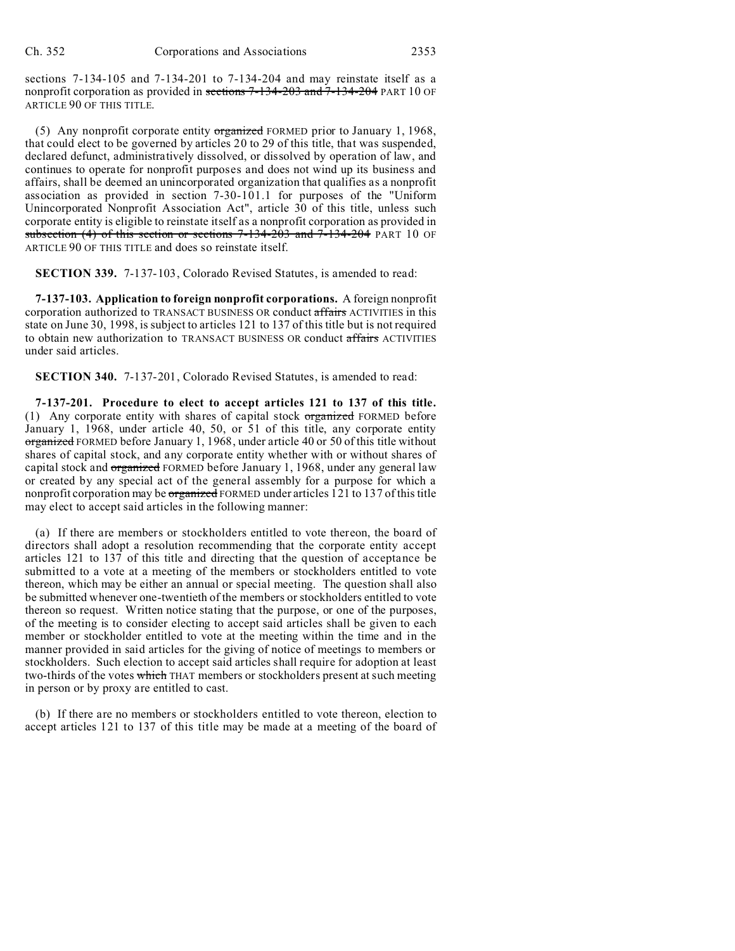sections 7-134-105 and 7-134-201 to 7-134-204 and may reinstate itself as a nonprofit corporation as provided in sections 7-134-203 and 7-134-204 PART 10 OF ARTICLE 90 OF THIS TITLE.

(5) Any nonprofit corporate entity organized FORMED prior to January 1, 1968, that could elect to be governed by articles 20 to 29 of this title, that was suspended, declared defunct, administratively dissolved, or dissolved by operation of law, and continues to operate for nonprofit purposes and does not wind up its business and affairs, shall be deemed an unincorporated organization that qualifies as a nonprofit association as provided in section 7-30-101.1 for purposes of the "Uniform Unincorporated Nonprofit Association Act", article 30 of this title, unless such corporate entity is eligible to reinstate itself as a nonprofit corporation as provided in subsection (4) of this section or sections  $7-134-203$  and  $7-134-204$  PART 10 OF ARTICLE 90 OF THIS TITLE and does so reinstate itself.

**SECTION 339.** 7-137-103, Colorado Revised Statutes, is amended to read:

**7-137-103. Application to foreign nonprofit corporations.** A foreign nonprofit corporation authorized to TRANSACT BUSINESS OR conduct affairs ACTIVITIES in this state on June 30, 1998, is subject to articles 121 to 137 of this title but is not required to obtain new authorization to TRANSACT BUSINESS OR conduct affairs ACTIVITIES under said articles.

**SECTION 340.** 7-137-201, Colorado Revised Statutes, is amended to read:

**7-137-201. Procedure to elect to accept articles 121 to 137 of this title.** (1) Any corporate entity with shares of capital stock organized FORMED before January 1, 1968, under article 40, 50, or 51 of this title, any corporate entity organized FORMED before January 1, 1968, under article 40 or 50 of this title without shares of capital stock, and any corporate entity whether with or without shares of capital stock and *organized* FORMED before January 1, 1968, under any general law or created by any special act of the general assembly for a purpose for which a nonprofit corporation may be organized FORMED under articles 121 to 137 of this title may elect to accept said articles in the following manner:

(a) If there are members or stockholders entitled to vote thereon, the board of directors shall adopt a resolution recommending that the corporate entity accept articles 121 to 137 of this title and directing that the question of acceptance be submitted to a vote at a meeting of the members or stockholders entitled to vote thereon, which may be either an annual or special meeting. The question shall also be submitted whenever one-twentieth of the members or stockholders entitled to vote thereon so request. Written notice stating that the purpose, or one of the purposes, of the meeting is to consider electing to accept said articles shall be given to each member or stockholder entitled to vote at the meeting within the time and in the manner provided in said articles for the giving of notice of meetings to members or stockholders. Such election to accept said articles shall require for adoption at least two-thirds of the votes which THAT members or stockholders present at such meeting in person or by proxy are entitled to cast.

(b) If there are no members or stockholders entitled to vote thereon, election to accept articles 121 to 137 of this title may be made at a meeting of the board of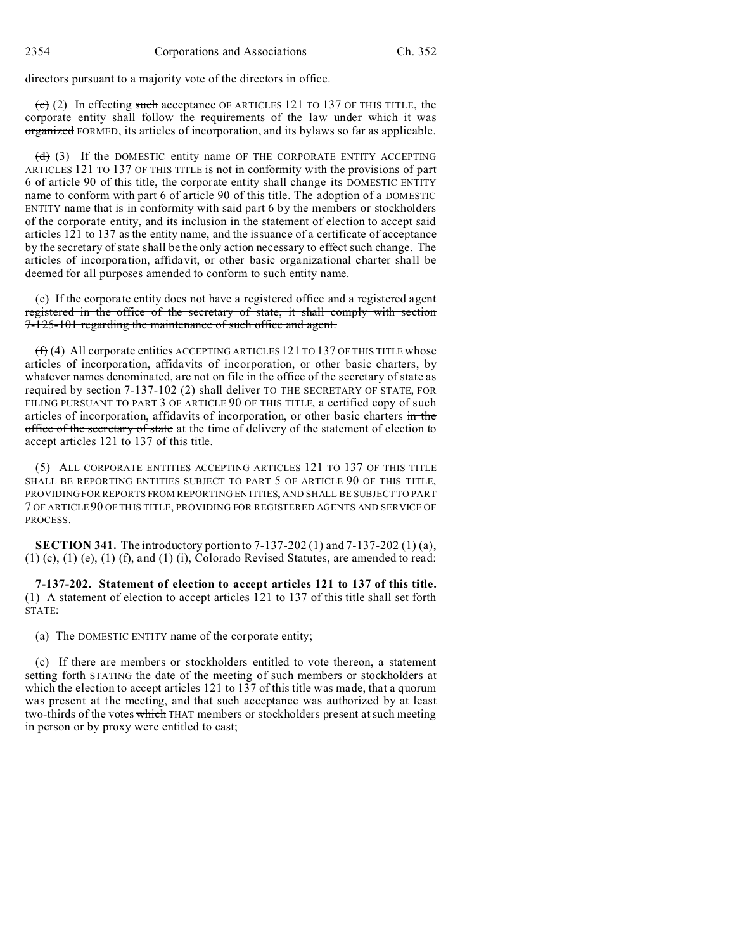directors pursuant to a majority vote of the directors in office.

 $\overrightarrow{c}$  (2) In effecting such acceptance OF ARTICLES 121 TO 137 OF THIS TITLE, the corporate entity shall follow the requirements of the law under which it was organized FORMED, its articles of incorporation, and its bylaws so far as applicable.

 $(d)$  (3) If the DOMESTIC entity name OF THE CORPORATE ENTITY ACCEPTING ARTICLES 121 TO 137 OF THIS TITLE is not in conformity with the provisions of part 6 of article 90 of this title, the corporate entity shall change its DOMESTIC ENTITY name to conform with part 6 of article 90 of this title. The adoption of a DOMESTIC ENTITY name that is in conformity with said part 6 by the members or stockholders of the corporate entity, and its inclusion in the statement of election to accept said articles 121 to 137 as the entity name, and the issuance of a certificate of acceptance by the secretary of state shall be the only action necessary to effect such change. The articles of incorporation, affidavit, or other basic organizational charter shall be deemed for all purposes amended to conform to such entity name.

(e) If the corporate entity does not have a registered office and a registered agent registered in the office of the secretary of state, it shall comply with section 7-125-101 regarding the maintenance of such office and agent.

 $(f)$  (4) All corporate entities ACCEPTING ARTICLES 121 TO 137 OF THIS TITLE whose articles of incorporation, affidavits of incorporation, or other basic charters, by whatever names denominated, are not on file in the office of the secretary of state as required by section 7-137-102 (2) shall deliver TO THE SECRETARY OF STATE, FOR FILING PURSUANT TO PART 3 OF ARTICLE 90 OF THIS TITLE, a certified copy of such articles of incorporation, affidavits of incorporation, or other basic charters in the office of the secretary of state at the time of delivery of the statement of election to accept articles 121 to 137 of this title.

(5) ALL CORPORATE ENTITIES ACCEPTING ARTICLES 121 TO 137 OF THIS TITLE SHALL BE REPORTING ENTITIES SUBJECT TO PART 5 OF ARTICLE 90 OF THIS TITLE, PROVIDING FOR REPORTS FROM REPORTING ENTITIES, AND SHALL BE SUBJECT TO PART 7 OF ARTICLE 90 OF THIS TITLE, PROVIDING FOR REGISTERED AGENTS AND SERVICE OF PROCESS.

**SECTION 341.** The introductory portion to 7-137-202 (1) and 7-137-202 (1) (a),  $(1)$  (c),  $(1)$  (e),  $(1)$  (f), and  $(1)$  (i), Colorado Revised Statutes, are amended to read:

**7-137-202. Statement of election to accept articles 121 to 137 of this title.** (1) A statement of election to accept articles  $121$  to  $137$  of this title shall set forth STATE:

(a) The DOMESTIC ENTITY name of the corporate entity;

(c) If there are members or stockholders entitled to vote thereon, a statement setting forth STATING the date of the meeting of such members or stockholders at which the election to accept articles 121 to 137 of this title was made, that a quorum was present at the meeting, and that such acceptance was authorized by at least two-thirds of the votes which THAT members or stockholders present at such meeting in person or by proxy were entitled to cast;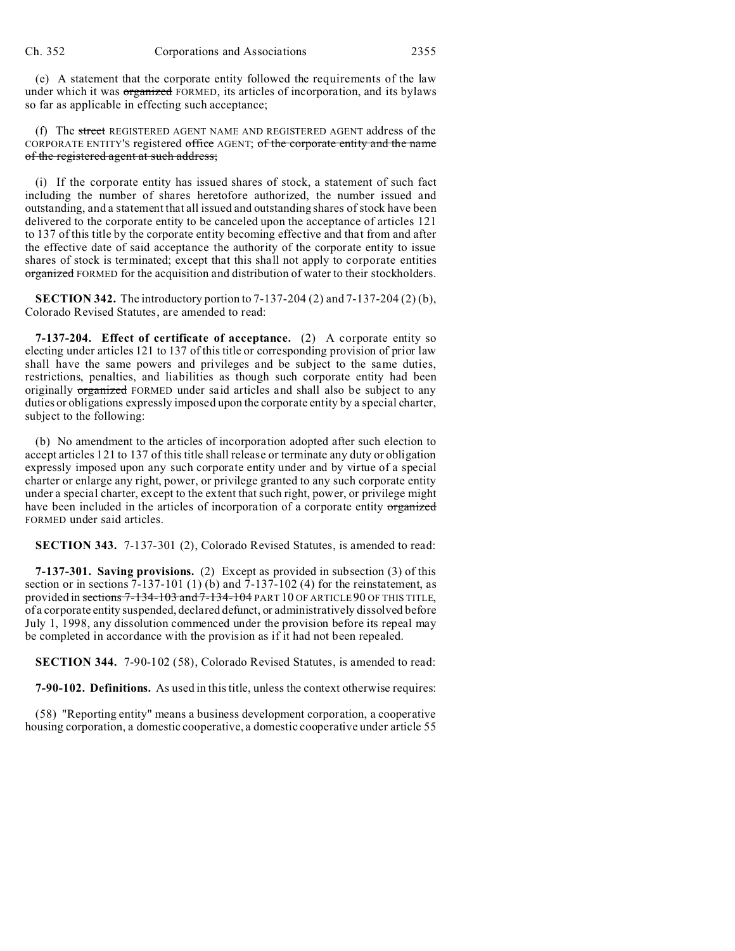(e) A statement that the corporate entity followed the requirements of the law under which it was **organized** FORMED, its articles of incorporation, and its bylaws so far as applicable in effecting such acceptance;

(f) The street REGISTERED AGENT NAME AND REGISTERED AGENT address of the CORPORATE ENTITY'S registered office AGENT; of the corporate entity and the name of the registered agent at such address;

(i) If the corporate entity has issued shares of stock, a statement of such fact including the number of shares heretofore authorized, the number issued and outstanding, and a statement that all issued and outstanding shares of stock have been delivered to the corporate entity to be canceled upon the acceptance of articles 121 to 137 of this title by the corporate entity becoming effective and that from and after the effective date of said acceptance the authority of the corporate entity to issue shares of stock is terminated; except that this shall not apply to corporate entities organized FORMED for the acquisition and distribution of water to their stockholders.

**SECTION 342.** The introductory portion to 7-137-204 (2) and 7-137-204 (2) (b), Colorado Revised Statutes, are amended to read:

**7-137-204. Effect of certificate of acceptance.** (2) A corporate entity so electing under articles 121 to 137 of this title or corresponding provision of prior law shall have the same powers and privileges and be subject to the same duties, restrictions, penalties, and liabilities as though such corporate entity had been originally organized FORMED under said articles and shall also be subject to any duties or obligations expressly imposed upon the corporate entity by a special charter, subject to the following:

(b) No amendment to the articles of incorporation adopted after such election to accept articles 121 to 137 of this title shall release or terminate any duty or obligation expressly imposed upon any such corporate entity under and by virtue of a special charter or enlarge any right, power, or privilege granted to any such corporate entity under a special charter, except to the extent that such right, power, or privilege might have been included in the articles of incorporation of a corporate entity organized FORMED under said articles.

**SECTION 343.** 7-137-301 (2), Colorado Revised Statutes, is amended to read:

**7-137-301. Saving provisions.** (2) Except as provided in subsection (3) of this section or in sections  $7-137-101$  (1) (b) and  $7-137-102$  (4) for the reinstatement, as provided in sections 7-134-103 and 7-134-104 PART 10 OF ARTICLE 90 OF THIS TITLE, of a corporate entity suspended, declared defunct, or administratively dissolved before July 1, 1998, any dissolution commenced under the provision before its repeal may be completed in accordance with the provision as if it had not been repealed.

**SECTION 344.** 7-90-102 (58), Colorado Revised Statutes, is amended to read:

**7-90-102. Definitions.** As used in this title, unless the context otherwise requires:

(58) "Reporting entity" means a business development corporation, a cooperative housing corporation, a domestic cooperative, a domestic cooperative under article 55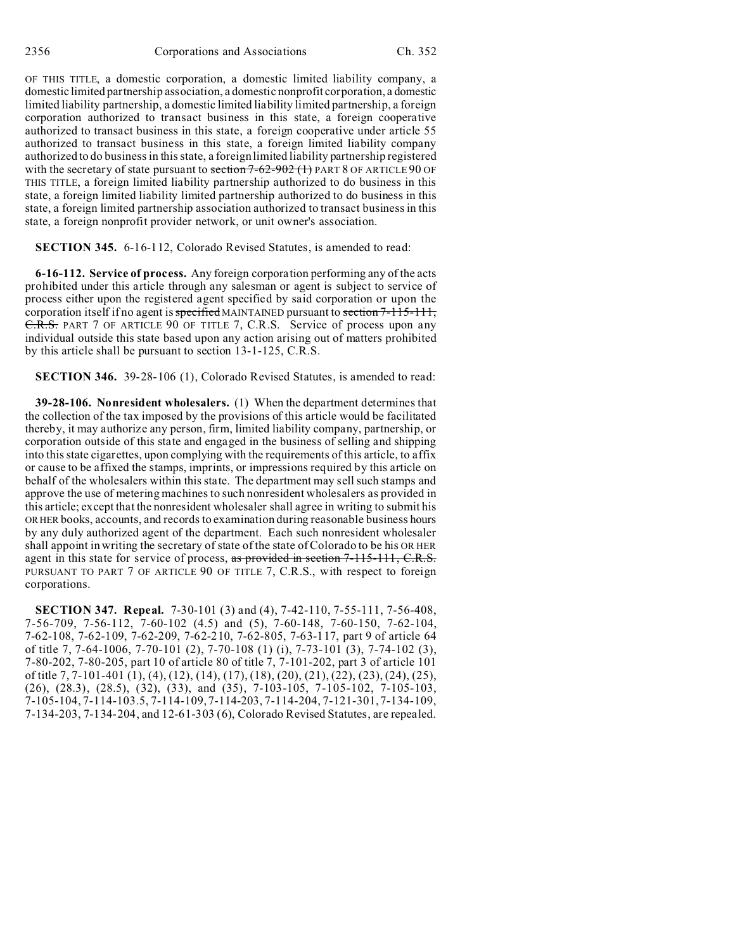OF THIS TITLE, a domestic corporation, a domestic limited liability company, a domestic limited partnership association, a domestic nonprofit corporation, a domestic limited liability partnership, a domestic limited liability limited partnership, a foreign corporation authorized to transact business in this state, a foreign cooperative authorized to transact business in this state, a foreign cooperative under article 55 authorized to transact business in this state, a foreign limited liability company authorized to do business in this state, a foreign limited liability partnership registered with the secretary of state pursuant to section  $7-62-902$  (1) PART 8 OF ARTICLE 90 OF THIS TITLE, a foreign limited liability partnership authorized to do business in this state, a foreign limited liability limited partnership authorized to do business in this state, a foreign limited partnership association authorized to transact business in this state, a foreign nonprofit provider network, or unit owner's association.

**SECTION 345.** 6-16-112, Colorado Revised Statutes, is amended to read:

**6-16-112. Service of process.** Any foreign corporation performing any of the acts prohibited under this article through any salesman or agent is subject to service of process either upon the registered agent specified by said corporation or upon the corporation itself if no agent is specified MAINTAINED pursuant to section 7-115-111, C.R.S. PART 7 OF ARTICLE 90 OF TITLE 7, C.R.S. Service of process upon any individual outside this state based upon any action arising out of matters prohibited by this article shall be pursuant to section 13-1-125, C.R.S.

**SECTION 346.** 39-28-106 (1), Colorado Revised Statutes, is amended to read:

**39-28-106. Nonresident wholesalers.** (1) When the department determines that the collection of the tax imposed by the provisions of this article would be facilitated thereby, it may authorize any person, firm, limited liability company, partnership, or corporation outside of this state and engaged in the business of selling and shipping into this state cigarettes, upon complying with the requirements of this article, to affix or cause to be affixed the stamps, imprints, or impressions required by this article on behalf of the wholesalers within this state. The department may sell such stamps and approve the use of metering machines to such nonresident wholesalers as provided in this article; except that the nonresident wholesaler shall agree in writing to submit his OR HER books, accounts, and records to examination during reasonable business hours by any duly authorized agent of the department. Each such nonresident wholesaler shall appoint in writing the secretary of state of the state of Colorado to be his OR HER agent in this state for service of process, as provided in section 7-115-111, C.R.S. PURSUANT TO PART 7 OF ARTICLE 90 OF TITLE 7, C.R.S., with respect to foreign corporations.

**SECTION 347. Repeal.** 7-30-101 (3) and (4), 7-42-110, 7-55-111, 7-56-408, 7-56-709, 7-56-112, 7-60-102 (4.5) and (5), 7-60-148, 7-60-150, 7-62-104, 7-62-108, 7-62-109, 7-62-209, 7-62-210, 7-62-805, 7-63-117, part 9 of article 64 of title 7, 7-64-1006, 7-70-101 (2), 7-70-108 (1) (i), 7-73-101 (3), 7-74-102 (3), 7-80-202, 7-80-205, part 10 of article 80 of title 7, 7-101-202, part 3 of article 101 of title 7, 7-101-401 (1), (4), (12), (14), (17), (18), (20), (21), (22), (23), (24), (25), (26), (28.3), (28.5), (32), (33), and (35), 7-103-105, 7-105-102, 7-105-103, 7-105-104, 7-114-103.5, 7-114-109, 7-114-203, 7-114-204, 7-121-301, 7-134-109, 7-134-203, 7-134-204, and 12-61-303 (6), Colorado Revised Statutes, are repealed.